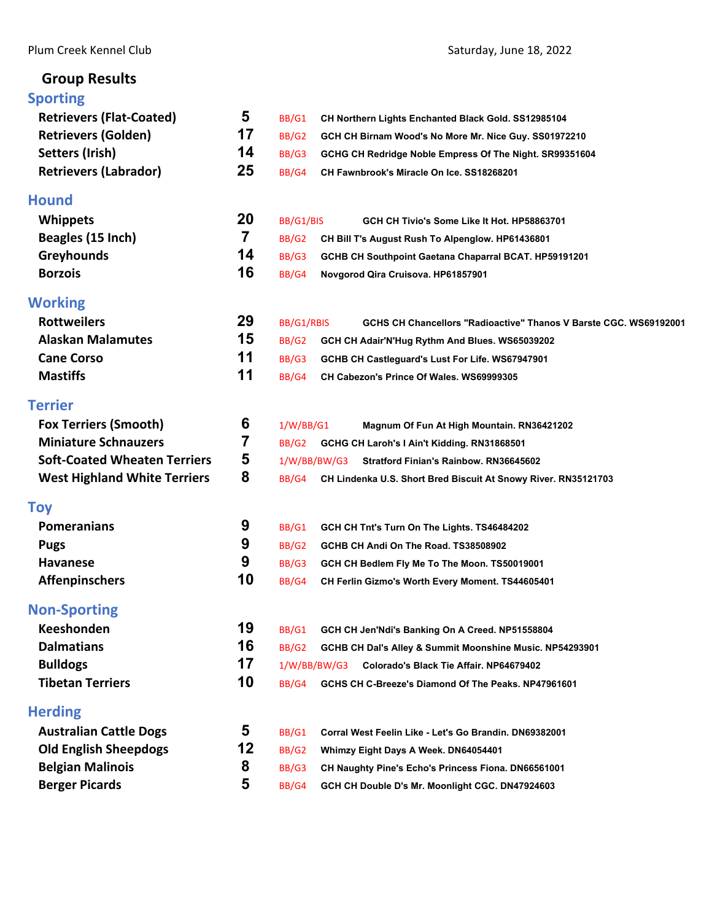## **Group Results**

## **[Sporting](#page-2-0)**

| <b>Sporting</b>                     |                         |                                                                                 |
|-------------------------------------|-------------------------|---------------------------------------------------------------------------------|
| <b>Retrievers (Flat-Coated)</b>     | 5                       | BB/G1<br>CH Northern Lights Enchanted Black Gold. SS12985104                    |
| <b>Retrievers (Golden)</b>          | 17                      | BB/G2<br>GCH CH Birnam Wood's No More Mr. Nice Guy. SS01972210                  |
| Setters (Irish)                     | 14                      | BB/G3<br>GCHG CH Redridge Noble Empress Of The Night. SR99351604                |
| <b>Retrievers (Labrador)</b>        | 25                      | BB/G4<br>CH Fawnbrook's Miracle On Ice. SS18268201                              |
| Hound                               |                         |                                                                                 |
| <b>Whippets</b>                     | 20                      | BB/G1/BIS<br>GCH CH Tivio's Some Like It Hot. HP58863701                        |
| Beagles (15 Inch)                   | $\overline{\mathbf{7}}$ | BB/G2<br>CH Bill T's August Rush To Alpenglow. HP61436801                       |
| <b>Greyhounds</b>                   | 14                      | BB/G3<br>GCHB CH Southpoint Gaetana Chaparral BCAT. HP59191201                  |
| <b>Borzois</b>                      | 16                      | BB/G4<br>Novgorod Qira Cruisova. HP61857901                                     |
| <b>Working</b>                      |                         |                                                                                 |
| <b>Rottweilers</b>                  | 29                      | BB/G1/RBIS<br>GCHS CH Chancellors "Radioactive" Thanos V Barste CGC, WS69192001 |
| <b>Alaskan Malamutes</b>            | 15                      | <b>BB/G2</b><br>GCH CH Adair'N'Hug Rythm And Blues. WS65039202                  |
| <b>Cane Corso</b>                   | 11                      | BB/G3<br>GCHB CH Castleguard's Lust For Life. WS67947901                        |
| <b>Mastiffs</b>                     | 11                      | BB/G4<br>CH Cabezon's Prince Of Wales. WS69999305                               |
| Terrier                             |                         |                                                                                 |
| <b>Fox Terriers (Smooth)</b>        | 6                       | 1/W/BB/G1<br>Magnum Of Fun At High Mountain. RN36421202                         |
| <b>Miniature Schnauzers</b>         | 7                       | BB/G2<br>GCHG CH Laroh's I Ain't Kidding. RN31868501                            |
| <b>Soft-Coated Wheaten Terriers</b> | 5                       | 1/W/BB/BW/G3<br>Stratford Finian's Rainbow. RN36645602                          |
| <b>West Highland White Terriers</b> | 8                       | BB/G4<br>CH Lindenka U.S. Short Bred Biscuit At Snowy River. RN35121703         |
| Toy                                 |                         |                                                                                 |
| <b>Pomeranians</b>                  | 9                       | BB/G1<br>GCH CH Tnt's Turn On The Lights. TS46484202                            |
| <b>Pugs</b>                         | 9                       | BB/G2<br>GCHB CH Andi On The Road. TS38508902                                   |
| <b>Havanese</b>                     | 9                       | BB/G3<br>GCH CH Bedlem Fly Me To The Moon. TS50019001                           |
| <b>Affenpinschers</b>               | 10                      | BB/G4<br>CH Ferlin Gizmo's Worth Every Moment. TS44605401                       |
| <b>Non-Sporting</b>                 |                         |                                                                                 |
| <b>Keeshonden</b>                   | 19                      | BB/G1<br>GCH CH Jen'Ndi's Banking On A Creed. NP51558804                        |
| <b>Dalmatians</b>                   | 16                      | BB/G2<br>GCHB CH Dal's Alley & Summit Moonshine Music. NP54293901               |
| <b>Bulldogs</b>                     | 17                      | 1/W/BB/BW/G3<br>Colorado's Black Tie Affair. NP64679402                         |
| <b>Tibetan Terriers</b>             | 10                      | BB/G4<br>GCHS CH C-Breeze's Diamond Of The Peaks. NP47961601                    |
| <b>Herding</b>                      |                         |                                                                                 |
| <b>Australian Cattle Dogs</b>       | 5                       | BB/G1<br>Corral West Feelin Like - Let's Go Brandin, DN69382001                 |
| <b>Old English Sheepdogs</b>        | 12                      | <b>BB/G2</b><br>Whimzy Eight Days A Week. DN64054401                            |
| <b>Belgian Malinois</b>             | 8                       | BB/G3<br>CH Naughty Pine's Echo's Princess Fiona. DN66561001                    |
| <b>Berger Picards</b>               | 5                       | BB/G4<br>GCH CH Double D's Mr. Moonlight CGC. DN47924603                        |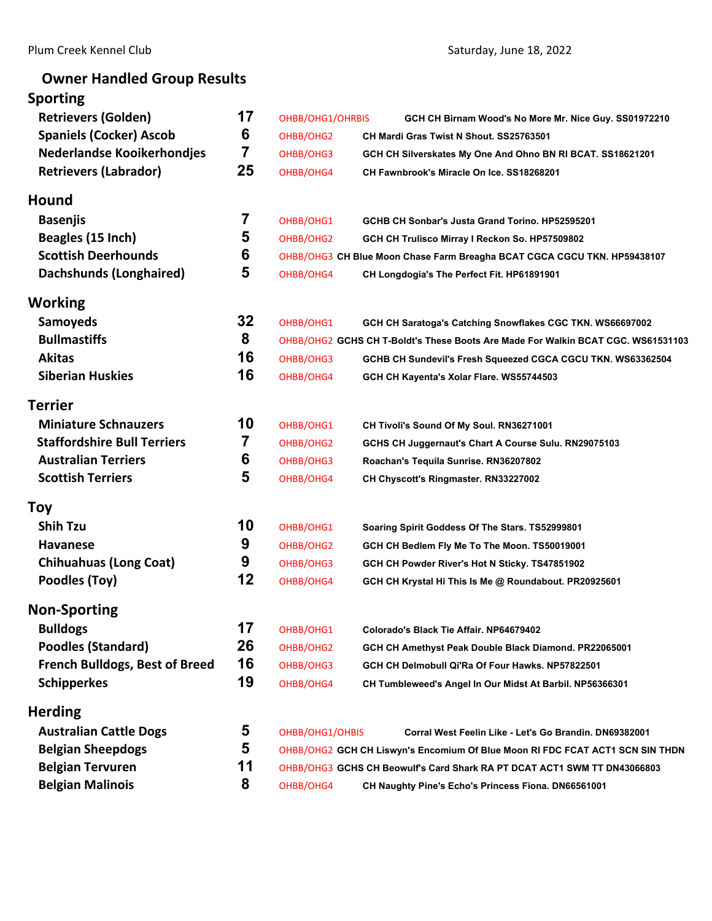# **Owner Handled Group Results**

| <b>Sporting</b>                       |    |                  |                                                                                  |
|---------------------------------------|----|------------------|----------------------------------------------------------------------------------|
| <b>Retrievers (Golden)</b>            | 17 | OHBB/OHG1/OHRBIS | GCH CH Birnam Wood's No More Mr. Nice Guy. SS01972210                            |
| <b>Spaniels (Cocker) Ascob</b>        | 6  | OHBB/OHG2        | CH Mardi Gras Twist N Shout, SS25763501                                          |
| <b>Nederlandse Kooikerhondjes</b>     | 7  | OHBB/OHG3        | GCH CH Silverskates My One And Ohno BN RI BCAT. SS18621201                       |
| <b>Retrievers (Labrador)</b>          | 25 | OHBB/OHG4        | CH Fawnbrook's Miracle On Ice. SS18268201                                        |
| Hound                                 |    |                  |                                                                                  |
| <b>Basenjis</b>                       | 7  | OHBB/OHG1        | GCHB CH Sonbar's Justa Grand Torino. HP52595201                                  |
| Beagles (15 Inch)                     | 5  | OHBB/OHG2        | GCH CH Trulisco Mirray I Reckon So. HP57509802                                   |
| <b>Scottish Deerhounds</b>            | 6  |                  | OHBB/OHG3 CH Blue Moon Chase Farm Breagha BCAT CGCA CGCU TKN. HP59438107         |
| Dachshunds (Longhaired)               | 5  | OHBB/OHG4        | CH Longdogia's The Perfect Fit. HP61891901                                       |
| Working                               |    |                  |                                                                                  |
| <b>Samoyeds</b>                       | 32 | OHBB/OHG1        | GCH CH Saratoga's Catching Snowflakes CGC TKN. WS66697002                        |
| <b>Bullmastiffs</b>                   | 8  |                  | OHBB/OHG2 GCHS CH T-Boldt's These Boots Are Made For Walkin BCAT CGC. WS61531103 |
| <b>Akitas</b>                         | 16 | OHBB/OHG3        | GCHB CH Sundevil's Fresh Squeezed CGCA CGCU TKN. WS63362504                      |
| <b>Siberian Huskies</b>               | 16 | OHBB/OHG4        | GCH CH Kayenta's Xolar Flare. WS55744503                                         |
| <b>Terrier</b>                        |    |                  |                                                                                  |
| <b>Miniature Schnauzers</b>           | 10 | OHBB/OHG1        | CH Tivoli's Sound Of My Soul. RN36271001                                         |
| <b>Staffordshire Bull Terriers</b>    | 7  | OHBB/OHG2        | GCHS CH Juggernaut's Chart A Course Sulu. RN29075103                             |
| <b>Australian Terriers</b>            | 6  | OHBB/OHG3        | Roachan's Tequila Sunrise. RN36207802                                            |
| <b>Scottish Terriers</b>              | 5  | OHBB/OHG4        | CH Chyscott's Ringmaster. RN33227002                                             |
| <b>Toy</b>                            |    |                  |                                                                                  |
| <b>Shih Tzu</b>                       | 10 | OHBB/OHG1        | Soaring Spirit Goddess Of The Stars. TS52999801                                  |
| <b>Havanese</b>                       | 9  | OHBB/OHG2        | GCH CH Bedlem Fly Me To The Moon. TS50019001                                     |
| <b>Chihuahuas (Long Coat)</b>         | 9  | OHBB/OHG3        | GCH CH Powder River's Hot N Sticky. TS47851902                                   |
| Poodles (Toy)                         | 12 | OHBB/OHG4        | GCH CH Krystal Hi This Is Me @ Roundabout. PR20925601                            |
| <b>Non-Sporting</b>                   |    |                  |                                                                                  |
| <b>Bulldogs</b>                       | 17 | OHBB/OHG1        | Colorado's Black Tie Affair, NP64679402                                          |
| <b>Poodles (Standard)</b>             | 26 | OHBB/OHG2        | GCH CH Amethyst Peak Double Black Diamond. PR22065001                            |
| <b>French Bulldogs, Best of Breed</b> | 16 | OHBB/OHG3        | GCH CH Delmobull Qi'Ra Of Four Hawks. NP57822501                                 |
| <b>Schipperkes</b>                    | 19 | OHBB/OHG4        | CH Tumbleweed's Angel In Our Midst At Barbil. NP56366301                         |
| <b>Herding</b>                        |    |                  |                                                                                  |
| <b>Australian Cattle Dogs</b>         | 5  | OHBB/OHG1/OHBIS  | Corral West Feelin Like - Let's Go Brandin, DN69382001                           |
| <b>Belgian Sheepdogs</b>              | 5  |                  | OHBB/OHG2 GCH CH Liswyn's Encomium Of Blue Moon RI FDC FCAT ACT1 SCN SIN THDN    |
| <b>Belgian Tervuren</b>               | 11 |                  | OHBB/OHG3 GCHS CH Beowulf's Card Shark RA PT DCAT ACT1 SWM TT DN43066803         |
| <b>Belgian Malinois</b>               | 8  | OHBB/OHG4        | CH Naughty Pine's Echo's Princess Fiona. DN66561001                              |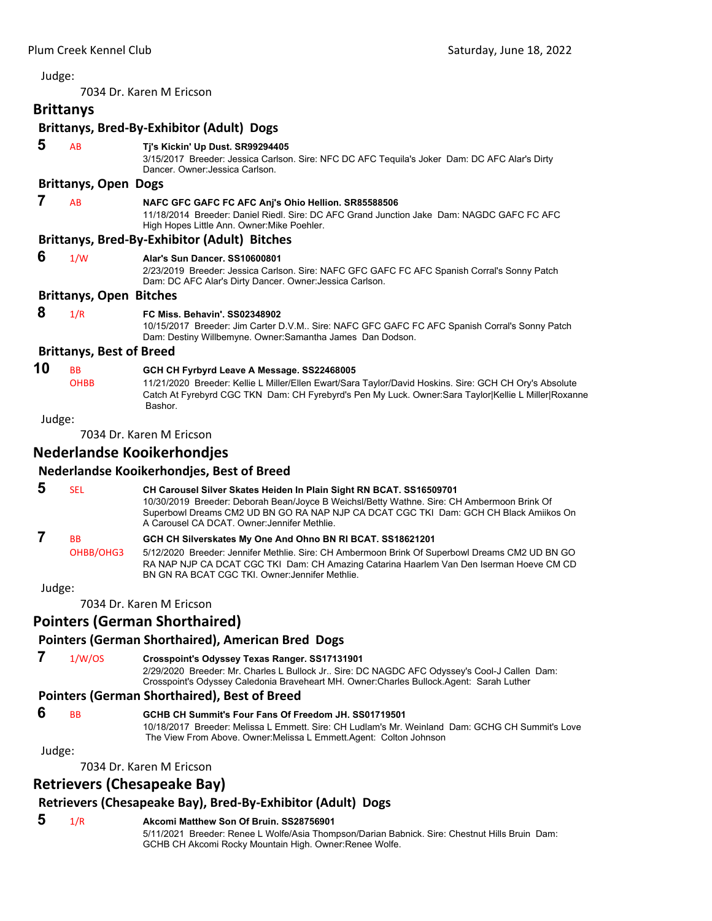<span id="page-2-0"></span>7034 Dr. Karen M Ericson

## **Brittanys**

#### **Brittanys, Bred‐By‐Exhibitor (Adult) Dogs**

| 5      | AB                              | Tj's Kickin' Up Dust. SR99294405<br>3/15/2017 Breeder: Jessica Carlson. Sire: NFC DC AFC Tequila's Joker Dam: DC AFC Alar's Dirty<br>Dancer, Owner: Jessica Carlson.                                                      |
|--------|---------------------------------|---------------------------------------------------------------------------------------------------------------------------------------------------------------------------------------------------------------------------|
|        | <b>Brittanys, Open Dogs</b>     |                                                                                                                                                                                                                           |
| 7      | AB                              | NAFC GFC GAFC FC AFC Anj's Ohio Hellion. SR85588506<br>11/18/2014 Breeder: Daniel Riedl, Sire: DC AFC Grand Junction Jake Dam: NAGDC GAFC FC AFC<br>High Hopes Little Ann. Owner: Mike Poehler.                           |
|        |                                 | <b>Brittanys, Bred-By-Exhibitor (Adult) Bitches</b>                                                                                                                                                                       |
| 6      | 1/W                             | Alar's Sun Dancer, SS10600801<br>2/23/2019 Breeder: Jessica Carlson. Sire: NAFC GFC GAFC FC AFC Spanish Corral's Sonny Patch<br>Dam: DC AFC Alar's Dirty Dancer. Owner: Jessica Carlson.                                  |
|        | <b>Brittanys, Open Bitches</b>  |                                                                                                                                                                                                                           |
| 8      | 1/R                             | <b>FC Miss. Behavin', SS02348902</b><br>10/15/2017 Breeder: Jim Carter D.V.M Sire: NAFC GFC GAFC FC AFC Spanish Corral's Sonny Patch<br>Dam: Destiny Willbemyne. Owner: Samantha James Dan Dodson.                        |
|        | <b>Brittanys, Best of Breed</b> |                                                                                                                                                                                                                           |
| 10     | <b>BB</b>                       | GCH CH Fyrbyrd Leave A Message. SS22468005                                                                                                                                                                                |
|        | <b>OHBB</b>                     | 11/21/2020 Breeder: Kellie L Miller/Ellen Ewart/Sara Taylor/David Hoskins. Sire: GCH CH Ory's Absolute<br>Catch At Fyrebyrd CGC TKN Dam: CH Fyrebyrd's Pen My Luck. Owner: Sara Taylor Kellie L Miller Roxanne<br>Bashor. |
| Judge: |                                 |                                                                                                                                                                                                                           |
|        |                                 | 7034 Dr. Karen M Ericson                                                                                                                                                                                                  |
|        |                                 | Nederlandse Kooikerhondjes                                                                                                                                                                                                |
|        |                                 | Nederlandse Kooikerhondjes, Best of Breed                                                                                                                                                                                 |
| 5      | <b>SEL</b>                      | CH Carousel Silver Skates Heiden In Plain Sight RN BCAT. SS16509701<br>10/30/2019 Breeder: Deborah Bean/Joyce B Weichsl/Betty Wathne. Sire: CH Ambermoon Brink Of                                                         |

Superbowl Dreams CM2 UD BN GO RA NAP NJP CA DCAT CGC TKI Dam: GCH CH Black Amiikos On A Carousel CA DCAT. Owner:Jennifer Methlie.  **7** BB **GCH CH Silverskates My One And Ohno BN RI BCAT. SS18621201** OHBB/OHG3 5/12/2020 Breeder: Jennifer Methlie. Sire: CH Ambermoon Brink Of Superbowl Dreams CM2 UD BN GO RA NAP NJP CA DCAT CGC TKI Dam: CH Amazing Catarina Haarlem Van Den Iserman Hoeve CM CD

#### Judge:

7034 Dr. Karen M Ericson

## **Pointers (German Shorthaired)**

## **Pointers (German Shorthaired), American Bred Dogs**

 **7** 1/W/OS **Crosspoint's Odyssey Texas Ranger. SS17131901** 2/29/2020 Breeder: Mr. Charles L Bullock Jr.. Sire: DC NAGDC AFC Odyssey's Cool-J Callen Dam: Crosspoint's Odyssey Caledonia Braveheart MH. Owner:Charles Bullock.Agent: Sarah Luther

## **Pointers (German Shorthaired), Best of Breed**

## **6** BB **GCHB CH Summit's Four Fans Of Freedom JH. SS01719501**

BN GN RA BCAT CGC TKI. Owner:Jennifer Methlie.

10/18/2017 Breeder: Melissa L Emmett. Sire: CH Ludlam's Mr. Weinland Dam: GCHG CH Summit's Love The View From Above. Owner:Melissa L Emmett.Agent: Colton Johnson

Judge:

7034 Dr. Karen M Ericson

## **Retrievers (Chesapeake Bay)**

## **Retrievers (Chesapeake Bay), Bred‐By‐Exhibitor (Adult) Dogs**

## **5** 1/R **Akcomi Matthew Son Of Bruin. SS28756901**

5/11/2021 Breeder: Renee L Wolfe/Asia Thompson/Darian Babnick. Sire: Chestnut Hills Bruin Dam: GCHB CH Akcomi Rocky Mountain High. Owner:Renee Wolfe.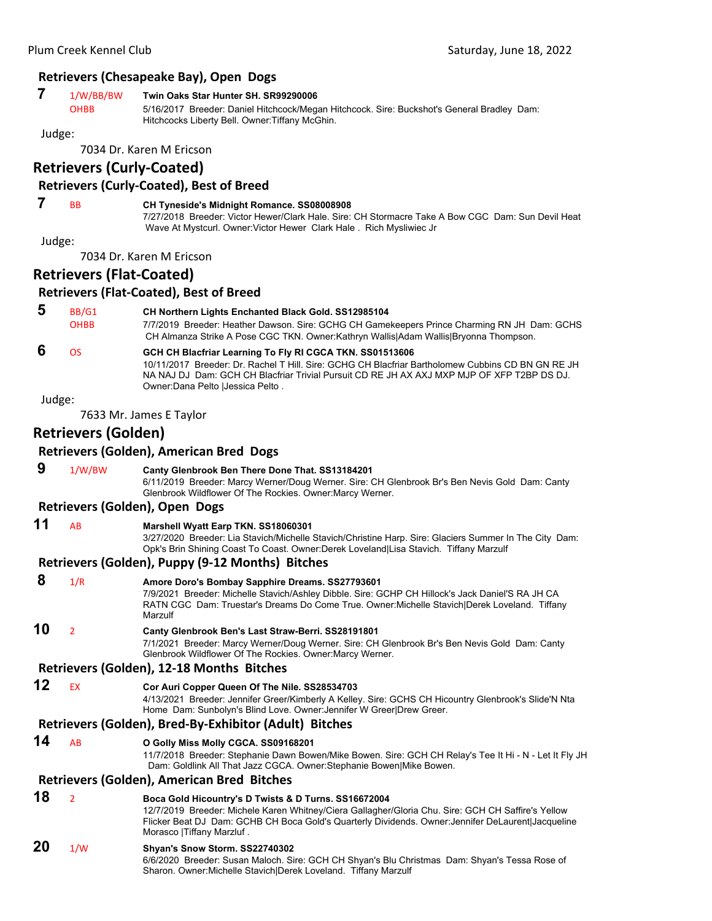#### **Retrievers (Chesapeake Bay), Open Dogs**

#### **7** 1/W/BB/BW **Twin Oaks Star Hunter SH. SR99290006**

OHBB 5/16/2017 Breeder: Daniel Hitchcock/Megan Hitchcock. Sire: Buckshot's General Bradley Dam: Hitchcocks Liberty Bell. Owner:Tiffany McGhin.

#### Judge:

7034 Dr. Karen M Ericson

#### **Retrievers (Curly‐Coated)**

#### **Retrievers (Curly‐Coated), Best of Breed**

#### **7** BB **CH Tyneside's Midnight Romance. SS08008908**

7/27/2018 Breeder: Victor Hewer/Clark Hale. Sire: CH Stormacre Take A Bow CGC Dam: Sun Devil Heat Wave At Mystcurl. Owner:Victor Hewer Clark Hale . Rich Mysliwiec Jr

Judge:

7034 Dr. Karen M Ericson

## **Retrievers (Flat‐Coated)**

#### **Retrievers (Flat‐Coated), Best of Breed**

| -5 | BB/G1       | <b>CH Northern Lights Enchanted Black Gold. SS12985104</b>                                  |
|----|-------------|---------------------------------------------------------------------------------------------|
|    | <b>OHBB</b> | 7/7/2019 Breeder: Heather Dawson. Sire: GCHG CH Gamekeepers Prince Charming RN JH Dam: GCHS |
|    |             | CH Almanza Strike A Pose CGC TKN. Owner:Kathryn Wallis Adam Wallis Bryonna Thompson.        |

## **6** OS **GCH CH Blacfriar Learning To Fly RI CGCA TKN. SS01513606**

10/11/2017 Breeder: Dr. Rachel T Hill. Sire: GCHG CH Blacfriar Bartholomew Cubbins CD BN GN RE JH NA NAJ DJ Dam: GCH CH Blacfriar Trivial Pursuit CD RE JH AX AXJ MXP MJP OF XFP T2BP DS DJ. Owner:Dana Pelto |Jessica Pelto .

Judge:

7633 Mr. James E Taylor

## **Retrievers (Golden)**

#### **Retrievers (Golden), American Bred Dogs**

 **9** 1/W/BW **Canty Glenbrook Ben There Done That. SS13184201** 6/11/2019 Breeder: Marcy Werner/Doug Werner. Sire: CH Glenbrook Br's Ben Nevis Gold Dam: Canty Glenbrook Wildflower Of The Rockies. Owner:Marcy Werner.

#### **Retrievers (Golden), Open Dogs**

**11** AB **Marshell Wyatt Earp TKN. SS18060301** 3/27/2020 Breeder: Lia Stavich/Michelle Stavich/Christine Harp. Sire: Glaciers Summer In The City Dam: Opk's Brin Shining Coast To Coast. Owner:Derek Loveland|Lisa Stavich. Tiffany Marzulf

#### **Retrievers (Golden), Puppy (9‐12 Months) Bitches**

| 8  | 1/R                      | Amore Doro's Bombay Sapphire Dreams. SS27793601                                                                                                                                                                                                                                                |
|----|--------------------------|------------------------------------------------------------------------------------------------------------------------------------------------------------------------------------------------------------------------------------------------------------------------------------------------|
|    |                          | 7/9/2021 Breeder: Michelle Stavich/Ashley Dibble. Sire: GCHP CH Hillock's Jack Daniel'S RA JH CA<br>RATN CGC Dam: Truestar's Dreams Do Come True. Owner: Michelle Stavich Derek Loveland. Tiffany<br>Marzulf                                                                                   |
| 10 | $\overline{\phantom{a}}$ | Canty Glenbrook Ben's Last Straw-Berri. SS28191801<br>7/1/2021 Breeder: Marcy Werner/Doug Werner. Sire: CH Glenbrook Br's Ben Nevis Gold Dam: Canty<br>Glenbrook Wildflower Of The Rockies. Owner: Marcy Werner.                                                                               |
|    |                          | Retrievers (Golden), 12-18 Months Bitches                                                                                                                                                                                                                                                      |
| 12 | <b>EX</b>                | Cor Auri Copper Queen Of The Nile. SS28534703<br>4/13/2021 Breeder: Jennifer Greer/Kimberly A Kelley. Sire: GCHS CH Hicountry Glenbrook's Slide'N Nta<br>Home Dam: Sunbolyn's Blind Love. Owner: Jennifer W Greer Drew Greer.                                                                  |
|    |                          | Retrievers (Golden), Bred-By-Exhibitor (Adult) Bitches                                                                                                                                                                                                                                         |
| 14 | <b>AB</b>                | O Golly Miss Molly CGCA. SS09168201<br>11/7/2018 Breeder: Stephanie Dawn Bowen/Mike Bowen. Sire: GCH CH Relay's Tee It Hi - N - Let It Fly JH<br>Dam: Goldlink All That Jazz CGCA. Owner: Stephanie Bowen Mike Bowen.                                                                          |
|    |                          | Retrievers (Golden), American Bred Bitches                                                                                                                                                                                                                                                     |
| 18 | $\overline{2}$           | Boca Gold Hicountry's D Twists & D Turns. SS16672004<br>12/7/2019 Breeder: Michele Karen Whitney/Ciera Gallagher/Gloria Chu. Sire: GCH CH Saffire's Yellow<br>Flicker Beat DJ Dam: GCHB CH Boca Gold's Quarterly Dividends. Owner: Jennifer DeLaurent Jacqueline<br>Morasco   Tiffany Marzluf. |
| 20 | 1/W                      | Shyan's Snow Storm. SS22740302<br>6/6/2020 Breeder: Susan Maloch. Sire: GCH CH Shyan's Blu Christmas Dam: Shyan's Tessa Rose of<br>Sharon. Owner: Michelle Stavich Derek Loveland. Tiffany Marzulf                                                                                             |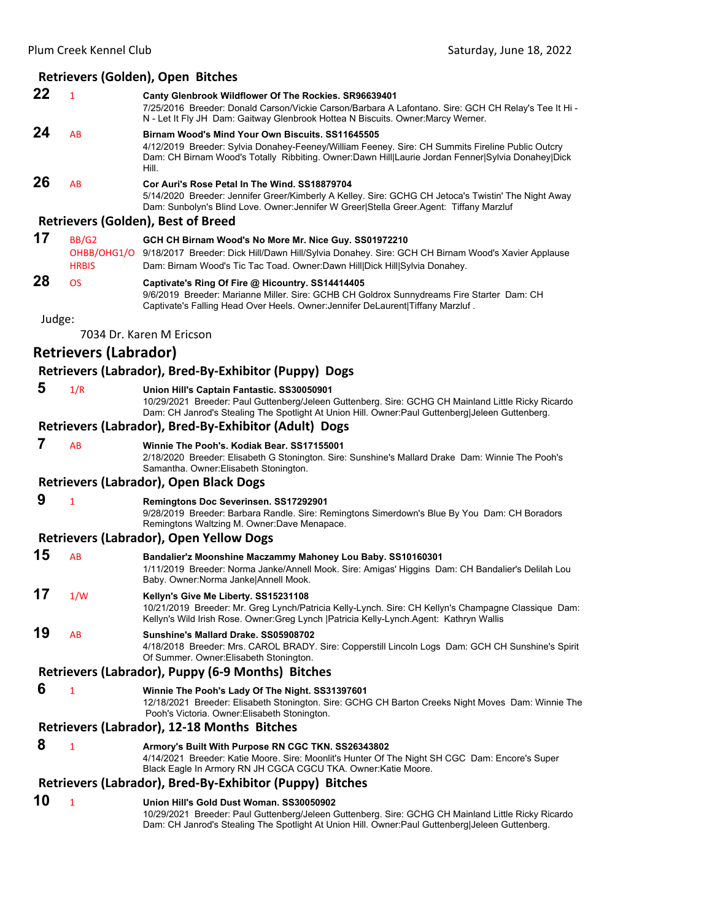#### **Retrievers (Golden), Open Bitches**

| - 7/25/2016 Breeder: Donald Carson/Vickie Carson/Barbara A Lafontano. Sire: GCH CH Relay's Tee It Hi                                                                                                  |
|-------------------------------------------------------------------------------------------------------------------------------------------------------------------------------------------------------|
|                                                                                                                                                                                                       |
|                                                                                                                                                                                                       |
| 4/12/2019 Breeder: Sylvia Donahey-Feeney/William Feeney. Sire: CH Summits Fireline Public Outcry<br>Dam: CH Birnam Wood's Totally Ribbiting. Owner:Dawn Hill Laurie Jordan Fenner Sylvia Donahey Dick |
|                                                                                                                                                                                                       |
| 5/14/2020 Breeder: Jennifer Greer/Kimberly A Kelley. Sire: GCHG CH Jetoca's Twistin' The Night Away                                                                                                   |
|                                                                                                                                                                                                       |
|                                                                                                                                                                                                       |
|                                                                                                                                                                                                       |

# OHBB/OHG1/O 9/18/2017 Breeder: Dick Hill/Dawn Hill/Sylvia Donahey. Sire: GCH CH Birnam Wood's Xavier Applause

```
HRBIS Dam: Birnam Wood's Tic Tac Toad. Owner:Dawn Hill|Dick Hill|Sylvia Donahey. 
28 OS Captivate's Ring Of Fire @ Hicountry. SS14414405
                      9/6/2019 Breeder: Marianne Miller. Sire: GCHB CH Goldrox Sunnydreams Fire Starter Dam: CH 
                      Captivate's Falling Head Over Heels. Owner:Jennifer DeLaurent|Tiffany Marzluf .
```
Judge:

7034 Dr. Karen M Ericson

## **Retrievers (Labrador)**

#### **Retrievers (Labrador), Bred‐By‐Exhibitor (Puppy) Dogs**

 **5** 1/R **Union Hill's Captain Fantastic. SS30050901**

10/29/2021 Breeder: Paul Guttenberg/Jeleen Guttenberg. Sire: GCHG CH Mainland Little Ricky Ricardo Dam: CH Janrod's Stealing The Spotlight At Union Hill. Owner:Paul Guttenberg|Jeleen Guttenberg.

#### **Retrievers (Labrador), Bred‐By‐Exhibitor (Adult) Dogs**

 **7** AB **Winnie The Pooh's. Kodiak Bear. SS17155001** 2/18/2020 Breeder: Elisabeth G Stonington. Sire: Sunshine's Mallard Drake Dam: Winnie The Pooh's Samantha. Owner:Elisabeth Stonington.

#### **Retrievers (Labrador), Open Black Dogs**

#### **9** <sup>1</sup> **Remingtons Doc Severinsen. SS17292901**

9/28/2019 Breeder: Barbara Randle. Sire: Remingtons Simerdown's Blue By You Dam: CH Boradors Remingtons Waltzing M. Owner:Dave Menapace.

#### **Retrievers (Labrador), Open Yellow Dogs**

- **15** AB **Bandalier'z Moonshine Maczammy Mahoney Lou Baby. SS10160301** 1/11/2019 Breeder: Norma Janke/Annell Mook. Sire: Amigas' Higgins Dam: CH Bandalier's Delilah Lou Baby. Owner:Norma Janke|Annell Mook.
- **17** 1/W **Kellyn's Give Me Liberty. SS15231108** 10/21/2019 Breeder: Mr. Greg Lynch/Patricia Kelly-Lynch. Sire: CH Kellyn's Champagne Classique Dam: Kellyn's Wild Irish Rose. Owner:Greg Lynch |Patricia Kelly-Lynch.Agent: Kathryn Wallis
- **19** AB **Sunshine's Mallard Drake. SS05908702** 4/18/2018 Breeder: Mrs. CAROL BRADY. Sire: Copperstill Lincoln Logs Dam: GCH CH Sunshine's Spirit Of Summer. Owner:Elisabeth Stonington.

#### **Retrievers (Labrador), Puppy (6‐9 Months) Bitches**

#### **6** <sup>1</sup> **Winnie The Pooh's Lady Of The Night. SS31397601**

12/18/2021 Breeder: Elisabeth Stonington. Sire: GCHG CH Barton Creeks Night Moves Dam: Winnie The Pooh's Victoria. Owner:Elisabeth Stonington.

#### **Retrievers (Labrador), 12‐18 Months Bitches**

 **8** <sup>1</sup> **Armory's Built With Purpose RN CGC TKN. SS26343802** 4/14/2021 Breeder: Katie Moore. Sire: Moonlit's Hunter Of The Night SH CGC Dam: Encore's Super Black Eagle In Armory RN JH CGCA CGCU TKA. Owner:Katie Moore.

## **Retrievers (Labrador), Bred‐By‐Exhibitor (Puppy) Bitches**

#### **10** <sup>1</sup> **Union Hill's Gold Dust Woman. SS30050902**

10/29/2021 Breeder: Paul Guttenberg/Jeleen Guttenberg. Sire: GCHG CH Mainland Little Ricky Ricardo Dam: CH Janrod's Stealing The Spotlight At Union Hill. Owner:Paul Guttenberg|Jeleen Guttenberg.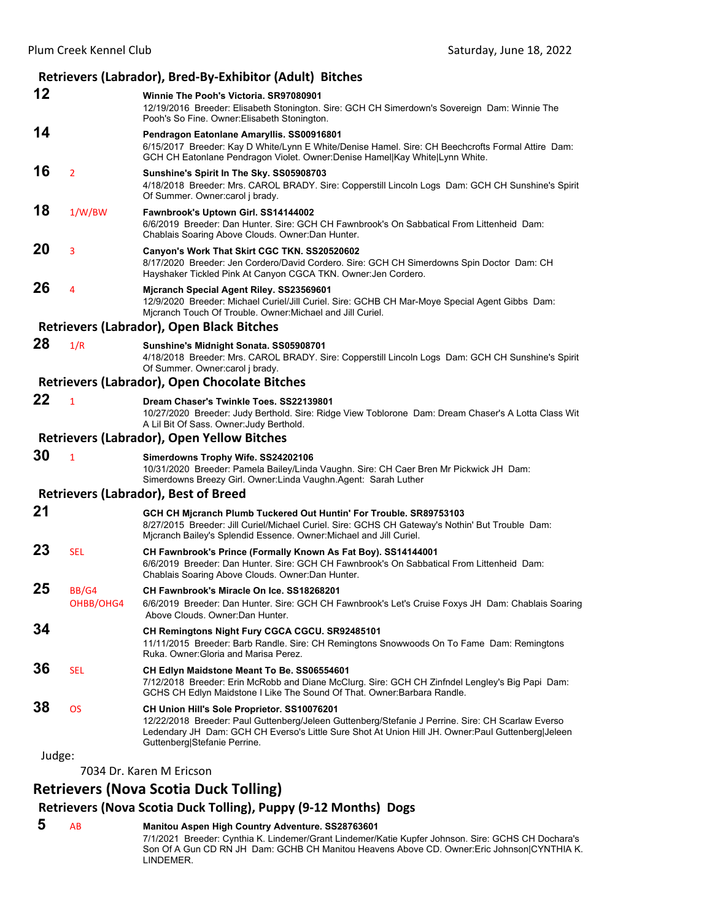|        |                           | Retrievers (Labrador), Bred-By-Exhibitor (Adult) Bitches                                                                                                                                                                                                                               |
|--------|---------------------------|----------------------------------------------------------------------------------------------------------------------------------------------------------------------------------------------------------------------------------------------------------------------------------------|
| 12     |                           | Winnie The Pooh's Victoria. SR97080901<br>12/19/2016 Breeder: Elisabeth Stonington. Sire: GCH CH Simerdown's Sovereign Dam: Winnie The<br>Pooh's So Fine. Owner: Elisabeth Stonington.                                                                                                 |
| 14     |                           | Pendragon Eatonlane Amaryllis. SS00916801<br>6/15/2017 Breeder: Kay D White/Lynn E White/Denise Hamel. Sire: CH Beechcrofts Formal Attire Dam:<br>GCH CH Eatonlane Pendragon Violet. Owner:Denise Hamel Kay White Lynn White.                                                          |
| 16     | $\overline{2}$            | Sunshine's Spirit In The Sky. SS05908703<br>4/18/2018 Breeder: Mrs. CAROL BRADY. Sire: Copperstill Lincoln Logs Dam: GCH CH Sunshine's Spirit<br>Of Summer. Owner: carol j brady.                                                                                                      |
| 18     | 1/W/BW                    | Fawnbrook's Uptown Girl. SS14144002<br>6/6/2019 Breeder: Dan Hunter. Sire: GCH CH Fawnbrook's On Sabbatical From Littenheid Dam:<br>Chablais Soaring Above Clouds. Owner: Dan Hunter.                                                                                                  |
| 20     | 3                         | Canyon's Work That Skirt CGC TKN. SS20520602<br>8/17/2020 Breeder: Jen Cordero/David Cordero. Sire: GCH CH Simerdowns Spin Doctor Dam: CH<br>Hayshaker Tickled Pink At Canyon CGCA TKN. Owner: Jen Cordero.                                                                            |
| 26     | 4                         | Mjcranch Special Agent Riley. SS23569601<br>12/9/2020 Breeder: Michael Curiel/Jill Curiel. Sire: GCHB CH Mar-Moye Special Agent Gibbs Dam:<br>Micranch Touch Of Trouble. Owner: Michael and Jill Curiel.                                                                               |
|        |                           | <b>Retrievers (Labrador), Open Black Bitches</b>                                                                                                                                                                                                                                       |
| 28     | 1/R                       | Sunshine's Midnight Sonata. SS05908701<br>4/18/2018 Breeder: Mrs. CAROL BRADY. Sire: Copperstill Lincoln Logs Dam: GCH CH Sunshine's Spirit<br>Of Summer. Owner: carol j brady.                                                                                                        |
|        |                           | <b>Retrievers (Labrador), Open Chocolate Bitches</b>                                                                                                                                                                                                                                   |
| 22     | $\mathbf{1}$              | Dream Chaser's Twinkle Toes. SS22139801<br>10/27/2020 Breeder: Judy Berthold. Sire: Ridge View Toblorone Dam: Dream Chaser's A Lotta Class Wit<br>A Lil Bit Of Sass. Owner: Judy Berthold.                                                                                             |
|        |                           | <b>Retrievers (Labrador), Open Yellow Bitches</b>                                                                                                                                                                                                                                      |
| 30     | $\mathbf{1}$              | Simerdowns Trophy Wife. SS24202106<br>10/31/2020 Breeder: Pamela Bailey/Linda Vaughn. Sire: CH Caer Bren Mr Pickwick JH Dam:<br>Simerdowns Breezy Girl. Owner: Linda Vaughn. Agent: Sarah Luther                                                                                       |
|        |                           | <b>Retrievers (Labrador), Best of Breed</b>                                                                                                                                                                                                                                            |
| 21     |                           | GCH CH Mjcranch Plumb Tuckered Out Huntin' For Trouble. SR89753103<br>8/27/2015 Breeder: Jill Curiel/Michael Curiel. Sire: GCHS CH Gateway's Nothin' But Trouble Dam:<br>Mjcranch Bailey's Splendid Essence. Owner: Michael and Jill Curiel.                                           |
| 23     | <b>SEL</b>                | CH Fawnbrook's Prince (Formally Known As Fat Boy). SS14144001<br>6/6/2019 Breeder: Dan Hunter. Sire: GCH CH Fawnbrook's On Sabbatical From Littenheid Dam:<br>Chablais Soaring Above Clouds. Owner: Dan Hunter.                                                                        |
| 25     | <b>BB/G4</b><br>OHBB/OHG4 | CH Fawnbrook's Miracle On Ice, SS18268201<br>6/6/2019 Breeder: Dan Hunter. Sire: GCH CH Fawnbrook's Let's Cruise Foxys JH Dam: Chablais Soaring<br>Above Clouds, Owner: Dan Hunter,                                                                                                    |
| 34     |                           | CH Remingtons Night Fury CGCA CGCU. SR92485101<br>11/11/2015 Breeder: Barb Randle. Sire: CH Remingtons Snowwoods On To Fame Dam: Remingtons<br>Ruka, Owner: Gloria and Marisa Perez.                                                                                                   |
| 36     | <b>SEL</b>                | CH Edlyn Maidstone Meant To Be. SS06554601<br>7/12/2018 Breeder: Erin McRobb and Diane McClurg. Sire: GCH CH Zinfndel Lengley's Big Papi Dam:<br>GCHS CH Edlyn Maidstone I Like The Sound Of That. Owner: Barbara Randle.                                                              |
| 38     | <b>OS</b>                 | CH Union Hill's Sole Proprietor. SS10076201<br>12/22/2018 Breeder: Paul Guttenberg/Jeleen Guttenberg/Stefanie J Perrine. Sire: CH Scarlaw Everso<br>Ledendary JH Dam: GCH CH Everso's Little Sure Shot At Union Hill JH. Owner: Paul Guttenberg Jeleen<br>Guttenberg Stefanie Perrine. |
| Judge: |                           |                                                                                                                                                                                                                                                                                        |

7034 Dr. Karen M Ericson

## **Retrievers (Nova Scotia Duck Tolling)**

## **Retrievers (Nova Scotia Duck Tolling), Puppy (9‐12 Months) Dogs**

 **5** AB **Manitou Aspen High Country Adventure. SS28763601** 7/1/2021 Breeder: Cynthia K. Lindemer/Grant Lindemer/Katie Kupfer Johnson. Sire: GCHS CH Dochara's Son Of A Gun CD RN JH Dam: GCHB CH Manitou Heavens Above CD. Owner:Eric Johnson|CYNTHIA K. LINDEMER.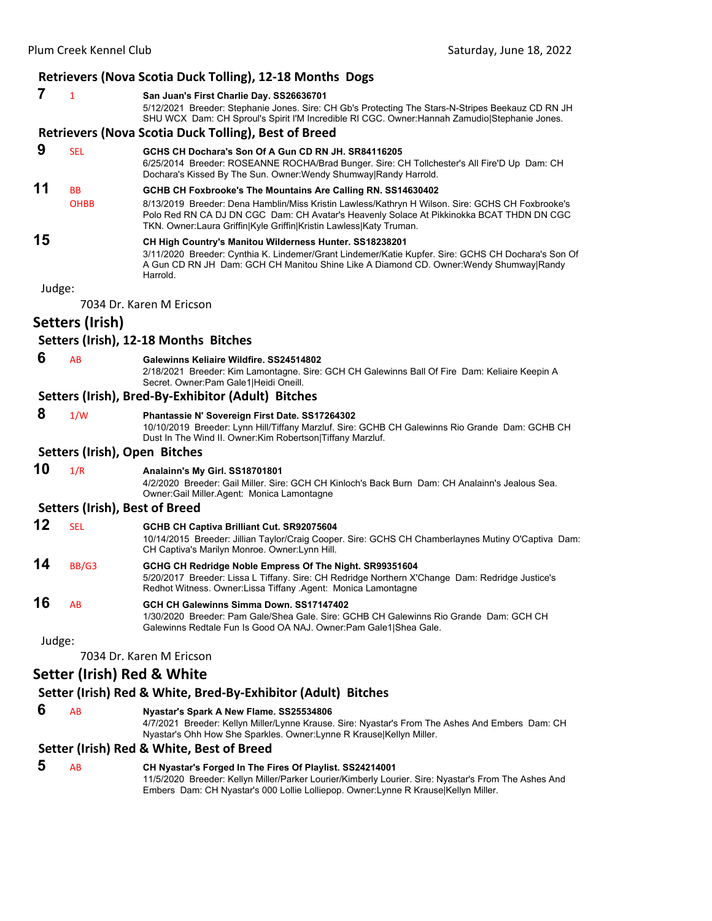#### Plum Creek Kennel Club **Creek Kennel Club Saturday, June 18, 2022 Retrievers (Nova Scotia Duck Tolling), 12‐18 Months Dogs 7** <sup>1</sup> **San Juan's First Charlie Day. SS26636701** 5/12/2021 Breeder: Stephanie Jones. Sire: CH Gb's Protecting The Stars-N-Stripes Beekauz CD RN JH SHU WCX Dam: CH Sproul's Spirit I'M Incredible RI CGC. Owner:Hannah Zamudio|Stephanie Jones. **Retrievers (Nova Scotia Duck Tolling), Best of Breed 9** SEL **GCHS CH Dochara's Son Of A Gun CD RN JH. SR84116205** 6/25/2014 Breeder: ROSEANNE ROCHA/Brad Bunger. Sire: CH Tollchester's All Fire'D Up Dam: CH Dochara's Kissed By The Sun. Owner:Wendy Shumway|Randy Harrold. **11** BB **GCHB CH Foxbrooke's The Mountains Are Calling RN. SS14630402** OHBB 8/13/2019 Breeder: Dena Hamblin/Miss Kristin Lawless/Kathryn H Wilson. Sire: GCHS CH Foxbrooke's Polo Red RN CA DJ DN CGC Dam: CH Avatar's Heavenly Solace At Pikkinokka BCAT THDN DN CGC TKN. Owner:Laura Griffin|Kyle Griffin|Kristin Lawless|Katy Truman. **15 CH High Country's Manitou Wilderness Hunter. SS18238201** 3/11/2020 Breeder: Cynthia K. Lindemer/Grant Lindemer/Katie Kupfer. Sire: GCHS CH Dochara's Son Of A Gun CD RN JH Dam: GCH CH Manitou Shine Like A Diamond CD. Owner:Wendy Shumway|Randy Harrold. Judge: 7034 Dr. Karen M Ericson **Setters (Irish) Setters (Irish), 12‐18 Months Bitches 6** AB **Galewinns Keliaire Wildfire. SS24514802** 2/18/2021 Breeder: Kim Lamontagne. Sire: GCH CH Galewinns Ball Of Fire Dam: Keliaire Keepin A Secret. Owner:Pam Gale1|Heidi Oneill. **Setters (Irish), Bred‐By‐Exhibitor (Adult) Bitches 8** 1/W **Phantassie N' Sovereign First Date. SS17264302** 10/10/2019 Breeder: Lynn Hill/Tiffany Marzluf. Sire: GCHB CH Galewinns Rio Grande Dam: GCHB CH Dust In The Wind II. Owner:Kim Robertson|Tiffany Marzluf. **Setters (Irish), Open Bitches 10** 1/R **Analainn's My Girl. SS18701801** 4/2/2020 Breeder: Gail Miller. Sire: GCH CH Kinloch's Back Burn Dam: CH Analainn's Jealous Sea. Owner:Gail Miller.Agent: Monica Lamontagne **Setters (Irish), Best of Breed 12** SEL **GCHB CH Captiva Brilliant Cut. SR92075604** 10/14/2015 Breeder: Jillian Taylor/Craig Cooper. Sire: GCHS CH Chamberlaynes Mutiny O'Captiva Dam: CH Captiva's Marilyn Monroe. Owner:Lynn Hill.

**14** BB/G3 **GCHG CH Redridge Noble Empress Of The Night. SR99351604** 5/20/2017 Breeder: Lissa L Tiffany. Sire: CH Redridge Northern X'Change Dam: Redridge Justice's Redhot Witness. Owner:Lissa Tiffany .Agent: Monica Lamontagne

**16** AB **GCH CH Galewinns Simma Down. SS17147402** 1/30/2020 Breeder: Pam Gale/Shea Gale. Sire: GCHB CH Galewinns Rio Grande Dam: GCH CH Galewinns Redtale Fun Is Good OA NAJ. Owner:Pam Gale1|Shea Gale.

Judge:

7034 Dr. Karen M Ericson

## **Setter (Irish) Red & White**

#### **Setter (Irish) Red & White, Bred‐By‐Exhibitor (Adult) Bitches**

 **6** AB **Nyastar's Spark A New Flame. SS25534806**

4/7/2021 Breeder: Kellyn Miller/Lynne Krause. Sire: Nyastar's From The Ashes And Embers Dam: CH Nyastar's Ohh How She Sparkles. Owner:Lynne R Krause|Kellyn Miller.

#### **Setter (Irish) Red & White, Best of Breed**

| -5 | CH Nyastar's Forged In The Fires Of Playlist. SS24214001         |
|----|------------------------------------------------------------------|
|    | 11/5/2020 Prooder: Kellyn Miller/Derker Lourier/Kimberly Lourier |

11/5/2020 Breeder: Kellyn Miller/Parker Lourier/Kimberly Lourier. Sire: Nyastar's From The Ashes And Embers Dam: CH Nyastar's 000 Lollie Lolliepop. Owner:Lynne R Krause|Kellyn Miller.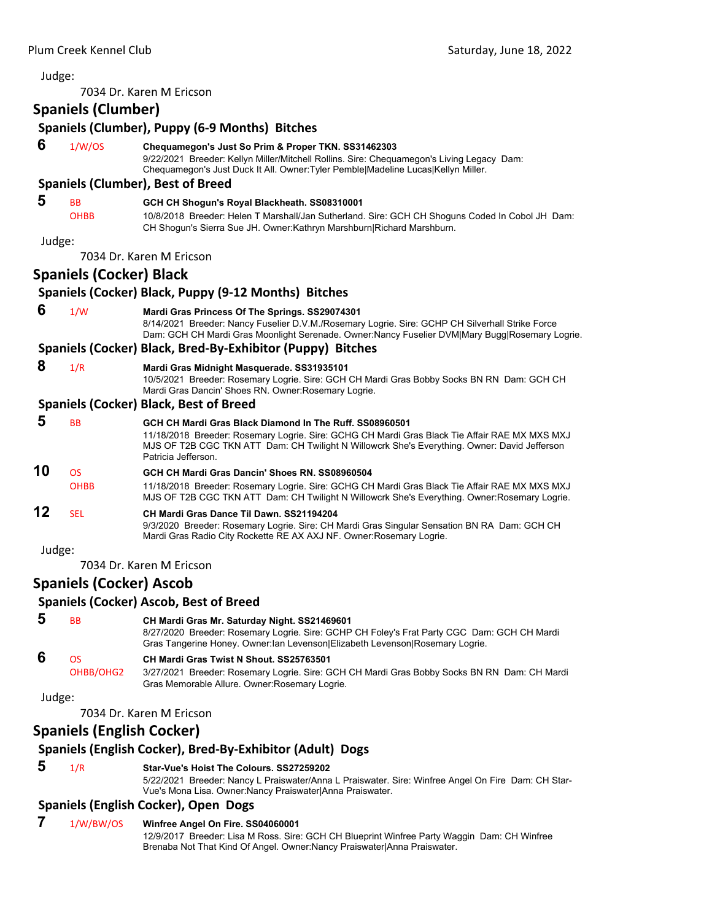| Judge: |                                  |                                                                                                                                                                                                                                                                                 |
|--------|----------------------------------|---------------------------------------------------------------------------------------------------------------------------------------------------------------------------------------------------------------------------------------------------------------------------------|
|        |                                  | 7034 Dr. Karen M Ericson                                                                                                                                                                                                                                                        |
|        | <b>Spaniels (Clumber)</b>        |                                                                                                                                                                                                                                                                                 |
|        |                                  | Spaniels (Clumber), Puppy (6-9 Months) Bitches                                                                                                                                                                                                                                  |
| 6      | 1/W/OS                           | Chequamegon's Just So Prim & Proper TKN. SS31462303<br>9/22/2021 Breeder: Kellyn Miller/Mitchell Rollins. Sire: Chequamegon's Living Legacy Dam:<br>Chequamegon's Just Duck It All. Owner: Tyler Pemble Madeline Lucas Kellyn Miller.                                           |
|        |                                  | <b>Spaniels (Clumber), Best of Breed</b>                                                                                                                                                                                                                                        |
| 5      | ВB<br><b>OHBB</b>                | GCH CH Shogun's Royal Blackheath. SS08310001<br>10/8/2018 Breeder: Helen T Marshall/Jan Sutherland. Sire: GCH CH Shoguns Coded In Cobol JH Dam:<br>CH Shogun's Sierra Sue JH. Owner:Kathryn Marshburn Richard Marshburn.                                                        |
| Judge: |                                  |                                                                                                                                                                                                                                                                                 |
|        |                                  | 7034 Dr. Karen M Ericson                                                                                                                                                                                                                                                        |
|        | <b>Spaniels (Cocker) Black</b>   |                                                                                                                                                                                                                                                                                 |
|        |                                  | Spaniels (Cocker) Black, Puppy (9-12 Months) Bitches                                                                                                                                                                                                                            |
| 6      | 1/W                              | Mardi Gras Princess Of The Springs. SS29074301<br>8/14/2021 Breeder: Nancy Fuselier D.V.M./Rosemary Logrie. Sire: GCHP CH Silverhall Strike Force<br>Dam: GCH CH Mardi Gras Moonlight Serenade. Owner:Nancy Fuselier DVM Mary Bugg Rosemary Logrie.                             |
|        |                                  | Spaniels (Cocker) Black, Bred-By-Exhibitor (Puppy) Bitches                                                                                                                                                                                                                      |
| 8      | 1/R                              | Mardi Gras Midnight Masquerade. SS31935101<br>10/5/2021 Breeder: Rosemary Logrie. Sire: GCH CH Mardi Gras Bobby Socks BN RN Dam: GCH CH<br>Mardi Gras Dancin' Shoes RN. Owner: Rosemary Logrie.                                                                                 |
|        |                                  | <b>Spaniels (Cocker) Black, Best of Breed</b>                                                                                                                                                                                                                                   |
| 5      | BB                               | GCH CH Mardi Gras Black Diamond In The Ruff. SS08960501<br>11/18/2018 Breeder: Rosemary Logrie. Sire: GCHG CH Mardi Gras Black Tie Affair RAE MX MXS MXJ<br>MJS OF T2B CGC TKN ATT Dam: CH Twilight N Willowcrk She's Everything. Owner: David Jefferson<br>Patricia Jefferson. |
| 10     | <b>OS</b><br><b>OHBB</b>         | GCH CH Mardi Gras Dancin' Shoes RN. SS08960504<br>11/18/2018 Breeder: Rosemary Logrie. Sire: GCHG CH Mardi Gras Black Tie Affair RAE MX MXS MXJ<br>MJS OF T2B CGC TKN ATT Dam: CH Twilight N Willowcrk She's Everything. Owner:Rosemary Logrie.                                 |
| 12     | <b>SEL</b>                       | CH Mardi Gras Dance Til Dawn. SS21194204<br>9/3/2020 Breeder: Rosemary Logrie. Sire: CH Mardi Gras Singular Sensation BN RA Dam: GCH CH<br>Mardi Gras Radio City Rockette RE AX AXJ NF. Owner: Rosemary Logrie.                                                                 |
| Judge: |                                  |                                                                                                                                                                                                                                                                                 |
|        |                                  | 7034 Dr. Karen M Ericson                                                                                                                                                                                                                                                        |
|        | <b>Spaniels (Cocker) Ascob</b>   |                                                                                                                                                                                                                                                                                 |
|        |                                  | <b>Spaniels (Cocker) Ascob, Best of Breed</b>                                                                                                                                                                                                                                   |
| 5      | ВB                               | CH Mardi Gras Mr. Saturday Night. SS21469601<br>8/27/2020 Breeder: Rosemary Logrie. Sire: GCHP CH Foley's Frat Party CGC Dam: GCH CH Mardi<br>Gras Tangerine Honey. Owner: lan Levenson Elizabeth Levenson Rosemary Logrie.                                                     |
| 6      | <b>OS</b><br>OHBB/OHG2           | CH Mardi Gras Twist N Shout. SS25763501<br>3/27/2021 Breeder: Rosemary Logrie. Sire: GCH CH Mardi Gras Bobby Socks BN RN Dam: CH Mardi<br>Gras Memorable Allure. Owner: Rosemary Logrie.                                                                                        |
| Judge: |                                  | 7034 Dr. Karen M Ericson                                                                                                                                                                                                                                                        |
|        | <b>Spaniels (English Cocker)</b> |                                                                                                                                                                                                                                                                                 |
|        |                                  | Spaniels (English Cocker), Bred-By-Exhibitor (Adult) Dogs                                                                                                                                                                                                                       |
| 5      | 1/R                              | Star-Vue's Hoist The Colours. SS27259202<br>5/22/2021 Breeder: Nancy L Praiswater/Anna L Praiswater. Sire: Winfree Angel On Fire Dam: CH Star-<br>Vue's Mona Lisa. Owner: Nancy Praiswater Anna Praiswater.                                                                     |
|        |                                  |                                                                                                                                                                                                                                                                                 |

# **Spaniels (English Cocker), Open Dogs**<br>**7** 1/W/BW/OS Winfree Angel On Fire. SS

#### **7** 1/W/BW/OS **Winfree Angel On Fire. SS04060001**

12/9/2017 Breeder: Lisa M Ross. Sire: GCH CH Blueprint Winfree Party Waggin Dam: CH Winfree Brenaba Not That Kind Of Angel. Owner:Nancy Praiswater|Anna Praiswater.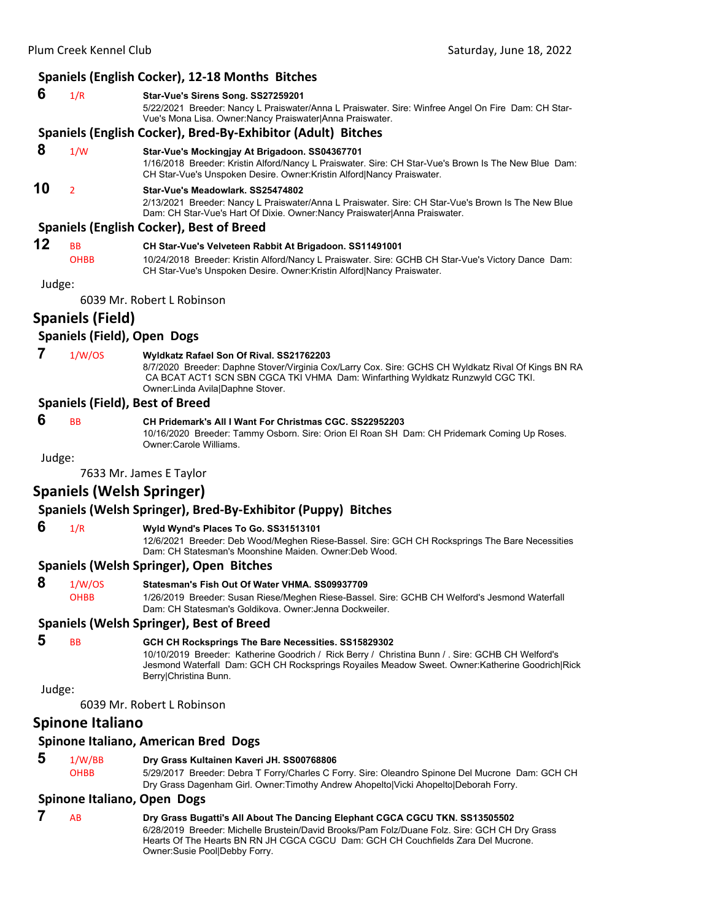#### **Spaniels (English Cocker), 12‐18 Months Bitches**

#### **6** 1/R **Star-Vue's Sirens Song. SS27259201** 5/22/2021 Breeder: Nancy L Praiswater/Anna L Praiswater. Sire: Winfree Angel On Fire Dam: CH Star-Vue's Mona Lisa. Owner:Nancy Praiswater|Anna Praiswater. **Spaniels (English Cocker), Bred‐By‐Exhibitor (Adult) Bitches 8** 1/W **Star-Vue's Mockingjay At Brigadoon. SS04367701** 1/16/2018 Breeder: Kristin Alford/Nancy L Praiswater. Sire: CH Star-Vue's Brown Is The New Blue Dam: CH Star-Vue's Unspoken Desire. Owner:Kristin Alford|Nancy Praiswater. **10** <sup>2</sup> **Star-Vue's Meadowlark. SS25474802** 2/13/2021 Breeder: Nancy L Praiswater/Anna L Praiswater. Sire: CH Star-Vue's Brown Is The New Blue Dam: CH Star-Vue's Hart Of Dixie. Owner:Nancy Praiswater|Anna Praiswater. **Spaniels (English Cocker), Best of Breed 12** BB **CH Star-Vue's Velveteen Rabbit At Brigadoon. SS11491001** OHBB 10/24/2018 Breeder: Kristin Alford/Nancy L Praiswater. Sire: GCHB CH Star-Vue's Victory Dance Dam: CH Star-Vue's Unspoken Desire. Owner:Kristin Alford|Nancy Praiswater.

Judge:

6039 Mr. Robert L Robinson

## **Spaniels (Field)**

#### **Spaniels (Field), Open Dogs**

#### **7** 1/W/OS **Wyldkatz Rafael Son Of Rival. SS21762203**

8/7/2020 Breeder: Daphne Stover/Virginia Cox/Larry Cox. Sire: GCHS CH Wyldkatz Rival Of Kings BN RA CA BCAT ACT1 SCN SBN CGCA TKI VHMA Dam: Winfarthing Wyldkatz Runzwyld CGC TKI. Owner:Linda Avila|Daphne Stover.

#### **Spaniels (Field), Best of Breed**

#### **6** BB **CH Pridemark's All I Want For Christmas CGC. SS22952203**

10/16/2020 Breeder: Tammy Osborn. Sire: Orion El Roan SH Dam: CH Pridemark Coming Up Roses. Owner:Carole Williams.

#### Judge:

7633 Mr. James E Taylor

#### **Spaniels (Welsh Springer)**

## **Spaniels (Welsh Springer), Bred‐By‐Exhibitor (Puppy) Bitches**

#### **6** 1/R **Wyld Wynd's Places To Go. SS31513101**

12/6/2021 Breeder: Deb Wood/Meghen Riese-Bassel. Sire: GCH CH Rocksprings The Bare Necessities Dam: CH Statesman's Moonshine Maiden. Owner:Deb Wood.

#### **Spaniels (Welsh Springer), Open Bitches**

 **8** 1/W/OS **Statesman's Fish Out Of Water VHMA. SS09937709**

OHBB 1/26/2019 Breeder: Susan Riese/Meghen Riese-Bassel. Sire: GCHB CH Welford's Jesmond Waterfall Dam: CH Statesman's Goldikova. Owner:Jenna Dockweiler.

#### **Spaniels (Welsh Springer), Best of Breed**

#### **5** BB **GCH CH Rocksprings The Bare Necessities. SS15829302**

10/10/2019 Breeder: Katherine Goodrich / Rick Berry / Christina Bunn / . Sire: GCHB CH Welford's Jesmond Waterfall Dam: GCH CH Rocksprings Royailes Meadow Sweet. Owner:Katherine Goodrich|Rick Berry|Christina Bunn.

Judge:

6039 Mr. Robert L Robinson

#### **Spinone Italiano**

#### **Spinone Italiano, American Bred Dogs**

 **5** 1/W/BB **Dry Grass Kultainen Kaveri JH. SS00768806** OHBB 5/29/2017 Breeder: Debra T Forry/Charles C Forry. Sire: Oleandro Spinone Del Mucrone Dam: GCH CH Dry Grass Dagenham Girl. Owner:Timothy Andrew Ahopelto|Vicki Ahopelto|Deborah Forry.

#### **Spinone Italiano, Open Dogs**

 **7** AB **Dry Grass Bugatti's All About The Dancing Elephant CGCA CGCU TKN. SS13505502** 6/28/2019 Breeder: Michelle Brustein/David Brooks/Pam Folz/Duane Folz. Sire: GCH CH Dry Grass Hearts Of The Hearts BN RN JH CGCA CGCU Dam: GCH CH Couchfields Zara Del Mucrone. Owner:Susie Pool|Debby Forry.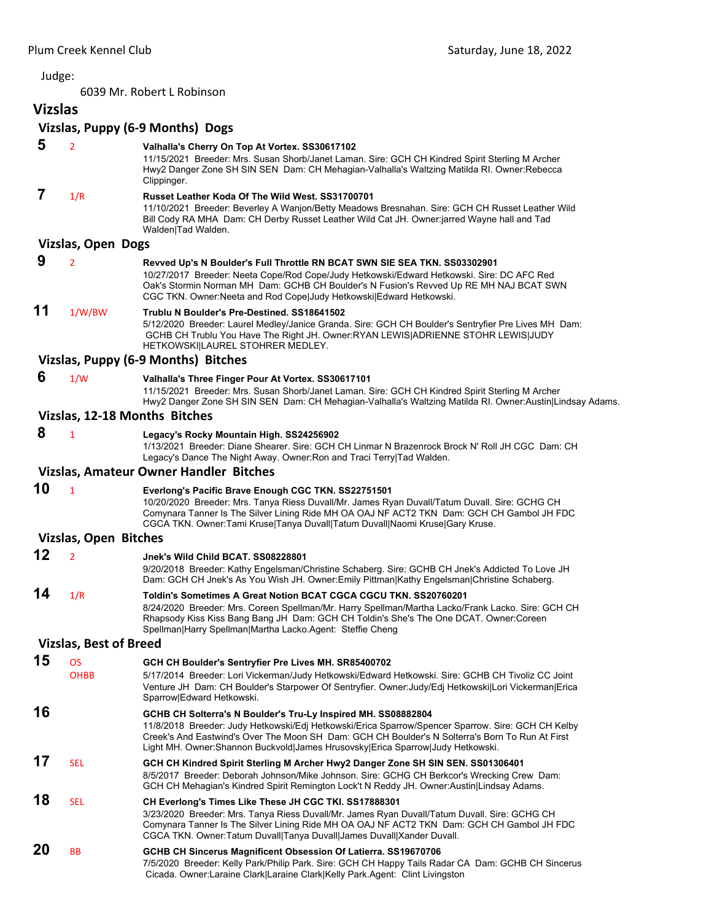6039 Mr. Robert L Robinson

**Vizslas Vizslas, Puppy (6‐9 Months) Dogs 5** <sup>2</sup> **Valhalla's Cherry On Top At Vortex. SS30617102** 11/15/2021 Breeder: Mrs. Susan Shorb/Janet Laman. Sire: GCH CH Kindred Spirit Sterling M Archer Hwy2 Danger Zone SH SIN SEN Dam: CH Mehagian-Valhalla's Waltzing Matilda RI. Owner:Rebecca Clippinger.  **7** 1/R **Russet Leather Koda Of The Wild West. SS31700701** 11/10/2021 Breeder: Beverley A Wanjon/Betty Meadows Bresnahan. Sire: GCH CH Russet Leather Wild Bill Cody RA MHA Dam: CH Derby Russet Leather Wild Cat JH. Owner:jarred Wayne hall and Tad Walden|Tad Walden. **Vizslas, Open Dogs 9** <sup>2</sup> **Revved Up's N Boulder's Full Throttle RN BCAT SWN SIE SEA TKN. SS03302901** 10/27/2017 Breeder: Neeta Cope/Rod Cope/Judy Hetkowski/Edward Hetkowski. Sire: DC AFC Red Oak's Stormin Norman MH Dam: GCHB CH Boulder's N Fusion's Revved Up RE MH NAJ BCAT SWN CGC TKN. Owner:Neeta and Rod Cope|Judy Hetkowski|Edward Hetkowski. **11** 1/W/BW **Trublu N Boulder's Pre-Destined. SS18641502** 5/12/2020 Breeder: Laurel Medley/Janice Granda. Sire: GCH CH Boulder's Sentryfier Pre Lives MH Dam: GCHB CH Trublu You Have The Right JH. Owner:RYAN LEWIS|ADRIENNE STOHR LEWIS|JUDY HETKOWSKI|LAUREL STOHRER MEDLEY. **Vizslas, Puppy (6‐9 Months) Bitches 6** 1/W **Valhalla's Three Finger Pour At Vortex. SS30617101** 11/15/2021 Breeder: Mrs. Susan Shorb/Janet Laman. Sire: GCH CH Kindred Spirit Sterling M Archer Hwy2 Danger Zone SH SIN SEN Dam: CH Mehagian-Valhalla's Waltzing Matilda RI. Owner:Austin|Lindsay Adams. **Vizslas, 12‐18 Months Bitches 8** <sup>1</sup> **Legacy's Rocky Mountain High. SS24256902** 1/13/2021 Breeder: Diane Shearer. Sire: GCH CH Linmar N Brazenrock Brock N' Roll JH CGC Dam: CH Legacy's Dance The Night Away. Owner:Ron and Traci Terry|Tad Walden. **Vizslas, Amateur Owner Handler Bitches 10** <sup>1</sup> **Everlong's Pacific Brave Enough CGC TKN. SS22751501** 10/20/2020 Breeder: Mrs. Tanya Riess Duvall/Mr. James Ryan Duvall/Tatum Duvall. Sire: GCHG CH Comynara Tanner Is The Silver Lining Ride MH OA OAJ NF ACT2 TKN Dam: GCH CH Gambol JH FDC CGCA TKN. Owner:Tami Kruse|Tanya Duvall|Tatum Duvall|Naomi Kruse|Gary Kruse. **Vizslas, Open Bitches 12** <sup>2</sup> **Jnek's Wild Child BCAT. SS08228801** 9/20/2018 Breeder: Kathy Engelsman/Christine Schaberg. Sire: GCHB CH Jnek's Addicted To Love JH Dam: GCH CH Jnek's As You Wish JH. Owner:Emily Pittman|Kathy Engelsman|Christine Schaberg. **14** 1/R **Toldin's Sometimes A Great Notion BCAT CGCA CGCU TKN. SS20760201** 8/24/2020 Breeder: Mrs. Coreen Spellman/Mr. Harry Spellman/Martha Lacko/Frank Lacko. Sire: GCH CH Rhapsody Kiss Kiss Bang Bang JH Dam: GCH CH Toldin's She's The One DCAT. Owner:Coreen Spellman|Harry Spellman|Martha Lacko.Agent: Steffie Cheng **Vizslas, Best of Breed 15** OS **GCH CH Boulder's Sentryfier Pre Lives MH. SR85400702** OHBB 5/17/2014 Breeder: Lori Vickerman/Judy Hetkowski/Edward Hetkowski. Sire: GCHB CH Tivoliz CC Joint Venture JH Dam: CH Boulder's Starpower Of Sentryfier. Owner:Judy/Edj Hetkowski|Lori Vickerman|Erica Sparrow|Edward Hetkowski. **16 GCHB CH Solterra's N Boulder's Tru-Ly Inspired MH. SS08882804** 11/8/2018 Breeder: Judy Hetkowski/Edj Hetkowski/Erica Sparrow/Spencer Sparrow. Sire: GCH CH Kelby Creek's And Eastwind's Over The Moon SH Dam: GCH CH Boulder's N Solterra's Born To Run At First Light MH. Owner:Shannon Buckvold|James Hrusovsky|Erica Sparrow|Judy Hetkowski. **17** SEL **GCH CH Kindred Spirit Sterling M Archer Hwy2 Danger Zone SH SIN SEN. SS01306401** 8/5/2017 Breeder: Deborah Johnson/Mike Johnson. Sire: GCHG CH Berkcor's Wrecking Crew Dam: GCH CH Mehagian's Kindred Spirit Remington Lock't N Reddy JH. Owner:Austin|Lindsay Adams. **18** SEL **CH Everlong's Times Like These JH CGC TKI. SS17888301** 3/23/2020 Breeder: Mrs. Tanya Riess Duvall/Mr. James Ryan Duvall/Tatum Duvall. Sire: GCHG CH Comynara Tanner Is The Silver Lining Ride MH OA OAJ NF ACT2 TKN Dam: GCH CH Gambol JH FDC CGCA TKN. Owner:Tatum Duvall|Tanya Duvall|James Duvall|Xander Duvall. **20** BB **GCHB CH Sincerus Magnificent Obsession Of Latierra. SS19670706**

7/5/2020 Breeder: Kelly Park/Philip Park. Sire: GCH CH Happy Tails Radar CA Dam: GCHB CH Sincerus Cicada. Owner:Laraine Clark|Laraine Clark|Kelly Park.Agent: Clint Livingston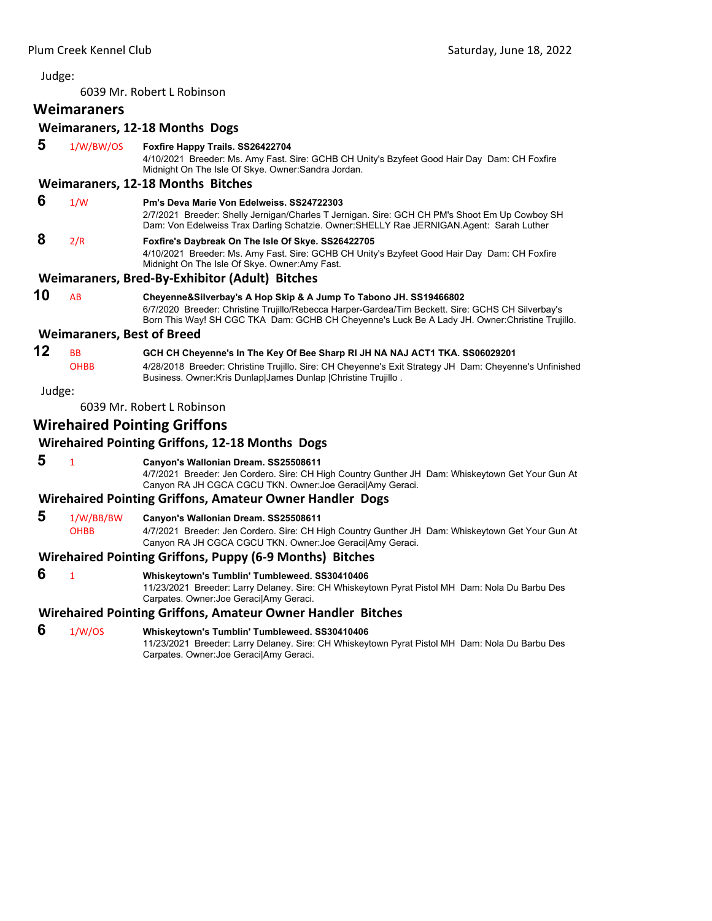6039 Mr. Robert L Robinson

## **Weimaraners**

## **Weimaraners, 12‐18 Months Dogs**

 **5** 1/W/BW/OS **Foxfire Happy Trails. SS26422704**

4/10/2021 Breeder: Ms. Amy Fast. Sire: GCHB CH Unity's Bzyfeet Good Hair Day Dam: CH Foxfire Midnight On The Isle Of Skye. Owner:Sandra Jordan.

#### **Weimaraners, 12‐18 Months Bitches**

 **6** 1/W **Pm's Deva Marie Von Edelweiss. SS24722303** 2/7/2021 Breeder: Shelly Jernigan/Charles T Jernigan. Sire: GCH CH PM's Shoot Em Up Cowboy SH Dam: Von Edelweiss Trax Darling Schatzie. Owner:SHELLY Rae JERNIGAN.Agent: Sarah Luther  **8** 2/R **Foxfire's Daybreak On The Isle Of Skye. SS26422705** 4/10/2021 Breeder: Ms. Amy Fast. Sire: GCHB CH Unity's Bzyfeet Good Hair Day Dam: CH Foxfire Midnight On The Isle Of Skye. Owner:Amy Fast.

#### **Weimaraners, Bred‐By‐Exhibitor (Adult) Bitches**

**10** AB **Cheyenne&Silverbay's A Hop Skip & A Jump To Tabono JH. SS19466802** 6/7/2020 Breeder: Christine Trujillo/Rebecca Harper-Gardea/Tim Beckett. Sire: GCHS CH Silverbay's Born This Way! SH CGC TKA Dam: GCHB CH Cheyenne's Luck Be A Lady JH. Owner:Christine Trujillo.

#### **Weimaraners, Best of Breed**

## **12** BB **GCH CH Cheyenne's In The Key Of Bee Sharp RI JH NA NAJ ACT1 TKA. SS06029201**

OHBB 4/28/2018 Breeder: Christine Trujillo. Sire: CH Cheyenne's Exit Strategy JH Dam: Cheyenne's Unfinished Business. Owner:Kris Dunlap|James Dunlap |Christine Trujillo .

Judge:

6039 Mr. Robert L Robinson

## **Wirehaired Pointing Griffons**

## **Wirehaired Pointing Griffons, 12‐18 Months Dogs**

 **5** <sup>1</sup> **Canyon's Wallonian Dream. SS25508611** 4/7/2021 Breeder: Jen Cordero. Sire: CH High Country Gunther JH Dam: Whiskeytown Get Your Gun At Canyon RA JH CGCA CGCU TKN. Owner:Joe Geraci|Amy Geraci.

#### **Wirehaired Pointing Griffons, Amateur Owner Handler Dogs**

- **5** 1/W/BB/BW **Canyon's Wallonian Dream. SS25508611**
	- OHBB 4/7/2021 Breeder: Jen Cordero. Sire: CH High Country Gunther JH Dam: Whiskeytown Get Your Gun At Canyon RA JH CGCA CGCU TKN. Owner:Joe Geraci|Amy Geraci.

#### **Wirehaired Pointing Griffons, Puppy (6‐9 Months) Bitches**

 **6** <sup>1</sup> **Whiskeytown's Tumblin' Tumbleweed. SS30410406**

11/23/2021 Breeder: Larry Delaney. Sire: CH Whiskeytown Pyrat Pistol MH Dam: Nola Du Barbu Des Carpates. Owner:Joe Geraci|Amy Geraci.

## **Wirehaired Pointing Griffons, Amateur Owner Handler Bitches**

 **6** 1/W/OS **Whiskeytown's Tumblin' Tumbleweed. SS30410406**

11/23/2021 Breeder: Larry Delaney. Sire: CH Whiskeytown Pyrat Pistol MH Dam: Nola Du Barbu Des Carpates. Owner:Joe Geraci|Amy Geraci.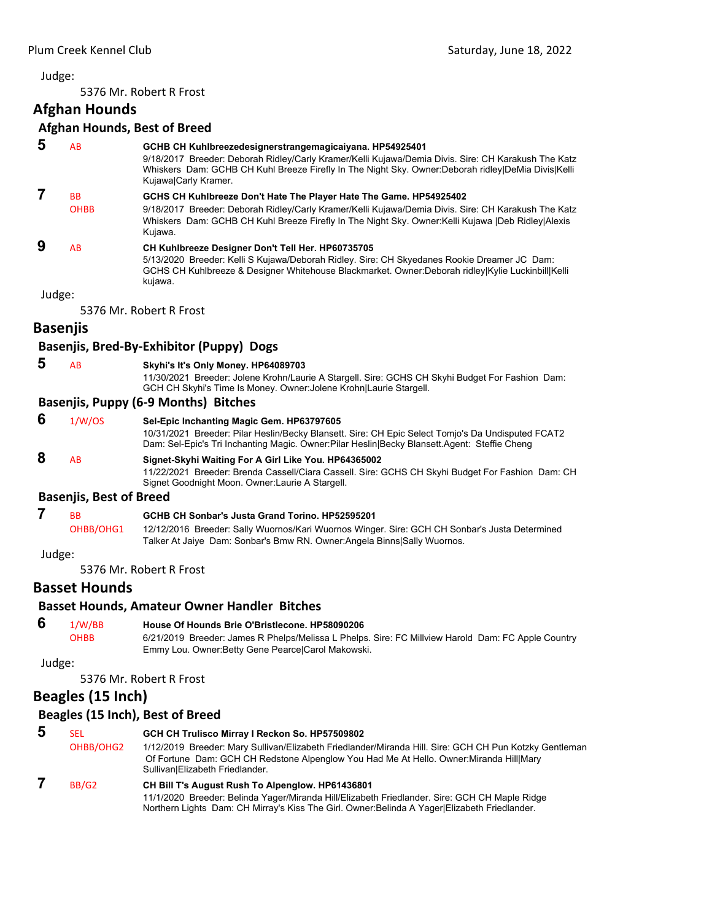<span id="page-11-0"></span>5376 Mr. Robert R Frost

## **Afghan Hounds**

#### **Afghan Hounds, Best of Breed**

| 5      | <b>AB</b>                      | GCHB CH Kuhlbreezedesignerstrangemagicaiyana. HP54925401<br>9/18/2017 Breeder: Deborah Ridley/Carly Kramer/Kelli Kujawa/Demia Divis. Sire: CH Karakush The Katz<br>Whiskers Dam: GCHB CH Kuhl Breeze Firefly In The Night Sky. Owner:Deborah ridley DeMia Divis Kelli<br>Kujawa Carly Kramer. |
|--------|--------------------------------|-----------------------------------------------------------------------------------------------------------------------------------------------------------------------------------------------------------------------------------------------------------------------------------------------|
| 7      | <b>BB</b>                      | GCHS CH Kuhlbreeze Don't Hate The Player Hate The Game. HP54925402                                                                                                                                                                                                                            |
|        | <b>OHBB</b>                    | 9/18/2017 Breeder: Deborah Ridley/Carly Kramer/Kelli Kujawa/Demia Divis. Sire: CH Karakush The Katz<br>Whiskers Dam: GCHB CH Kuhl Breeze Firefly In The Night Sky. Owner: Kelli Kujawa  Deb Ridley Alexis<br>Kujawa.                                                                          |
| 9      | AB                             | CH Kuhlbreeze Designer Don't Tell Her. HP60735705                                                                                                                                                                                                                                             |
|        |                                | 5/13/2020 Breeder: Kelli S Kujawa/Deborah Ridley. Sire: CH Skyedanes Rookie Dreamer JC Dam:<br>GCHS CH Kuhlbreeze & Designer Whitehouse Blackmarket. Owner:Deborah ridley Kylie Luckinbill Kelli<br>kujawa.                                                                                   |
| Judge: |                                |                                                                                                                                                                                                                                                                                               |
|        |                                | 5376 Mr. Robert R Frost                                                                                                                                                                                                                                                                       |
|        | <b>Basenjis</b>                |                                                                                                                                                                                                                                                                                               |
|        |                                | Basenjis, Bred-By-Exhibitor (Puppy) Dogs                                                                                                                                                                                                                                                      |
| 5      | <b>AB</b>                      | Skyhi's It's Only Money. HP64089703<br>11/30/2021 Breeder: Jolene Krohn/Laurie A Stargell. Sire: GCHS CH Skyhi Budget For Fashion Dam:<br>GCH CH Skyhi's Time Is Money. Owner: Jolene Krohn Laurie Stargell.                                                                                  |
|        |                                | <b>Basenjis, Puppy (6-9 Months) Bitches</b>                                                                                                                                                                                                                                                   |
| 6      | 1/W/OS                         | Sel-Epic Inchanting Magic Gem. HP63797605<br>10/31/2021 Breeder: Pilar Heslin/Becky Blansett. Sire: CH Epic Select Tomjo's Da Undisputed FCAT2<br>Dam: Sel-Epic's Tri Inchanting Magic. Owner: Pilar Heslin Becky Blansett. Agent: Steffie Cheng                                              |
| 8      | AB                             | Signet-Skyhi Waiting For A Girl Like You. HP64365002<br>11/22/2021 Breeder: Brenda Cassell/Ciara Cassell. Sire: GCHS CH Skyhi Budget For Fashion Dam: CH<br>Signet Goodnight Moon. Owner: Laurie A Stargell.                                                                                  |
|        | <b>Basenjis, Best of Breed</b> |                                                                                                                                                                                                                                                                                               |
| 7      | <b>BB</b>                      | GCHB CH Sonbar's Justa Grand Torino, HP52595201                                                                                                                                                                                                                                               |
|        | OHBB/OHG1                      | 12/12/2016 Breeder: Sally Wuornos/Kari Wuornos Winger. Sire: GCH CH Sonbar's Justa Determined<br>Talker At Jaiye Dam: Sonbar's Bmw RN. Owner: Angela Binns Sally Wuornos.                                                                                                                     |

Judge:

5376 Mr. Robert R Frost

## **Basset Hounds**

#### **Basset Hounds, Amateur Owner Handler Bitches**

 **6** 1/W/BB **House Of Hounds Brie O'Bristlecone. HP58090206** OHBB 6/21/2019 Breeder: James R Phelps/Melissa L Phelps. Sire: FC Millview Harold Dam: FC Apple Country Emmy Lou. Owner:Betty Gene Pearce|Carol Makowski.

Judge:

5376 Mr. Robert R Frost

## **Beagles (15 Inch)**

## **Beagles (15 Inch), Best of Breed**

| b | SEL               | GCH CH Trulisco Mirray I Reckon So. HP57509802                                                                                                                                                    |
|---|-------------------|---------------------------------------------------------------------------------------------------------------------------------------------------------------------------------------------------|
|   | OHBB/OHG2         | 1/12/2019 Breeder: Mary Sullivan/Elizabeth Friedlander/Miranda Hill. Sire: GCH CH Pun Kotzky Gentleman<br>Of Fortune Dam: GCH CH Redstone Alpenglow You Had Me At Hello. Owner: Miranda Hill Mary |
|   |                   | Sullivan Elizabeth Friedlander.                                                                                                                                                                   |
|   | BB/G <sub>2</sub> | CH Bill T's August Rush To Alpenglow. HP61436801                                                                                                                                                  |
|   |                   | 11/1/2020 Breeder: Belinda Yager/Miranda Hill/Elizabeth Friedlander. Sire: GCH CH Maple Ridge                                                                                                     |

Northern Lights Dam: CH Mirray's Kiss The Girl. Owner:Belinda A Yager|Elizabeth Friedlander.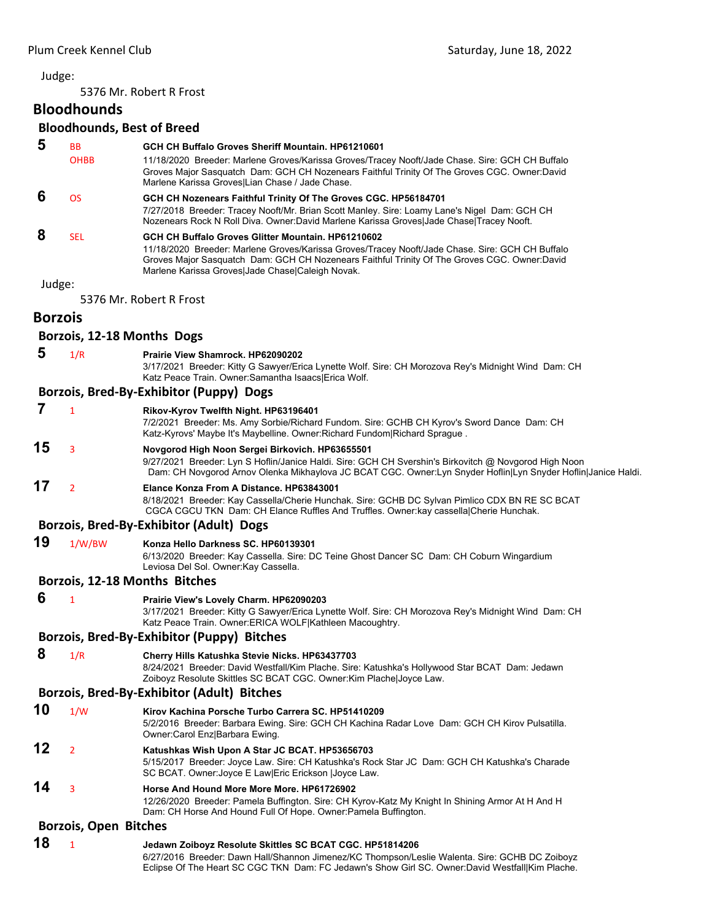5376 Mr. Robert R Frost

## **Bloodhounds**

#### **Bloodhounds, Best of Breed**

| 5                          | <b>BB</b>               | GCH CH Buffalo Groves Sheriff Mountain, HP61210601                                                                                                                                                                                                  |  |
|----------------------------|-------------------------|-----------------------------------------------------------------------------------------------------------------------------------------------------------------------------------------------------------------------------------------------------|--|
|                            | <b>OHBB</b>             | 11/18/2020 Breeder: Marlene Groves/Karissa Groves/Tracey Nooft/Jade Chase. Sire: GCH CH Buffalo<br>Groves Major Sasquatch Dam: GCH CH Nozenears Faithful Trinity Of The Groves CGC. Owner:David<br>Marlene Karissa Groves Lian Chase / Jade Chase.  |  |
| 6                          | OS.                     | GCH CH Nozenears Faithful Trinity Of The Groves CGC. HP56184701                                                                                                                                                                                     |  |
|                            |                         | 7/27/2018 Breeder: Tracey Nooft/Mr. Brian Scott Manley. Sire: Loamy Lane's Nigel Dam: GCH CH<br>Nozenears Rock N Roll Diva. Owner:David Marlene Karissa Groves Jade Chase Tracey Nooft.                                                             |  |
| 8                          | <b>SEL</b>              | GCH CH Buffalo Groves Glitter Mountain, HP61210602                                                                                                                                                                                                  |  |
|                            |                         | 11/18/2020 Breeder: Marlene Groves/Karissa Groves/Tracey Nooft/Jade Chase. Sire: GCH CH Buffalo<br>Groves Major Sasquatch Dam: GCH CH Nozenears Faithful Trinity Of The Groves CGC. Owner:David<br>Marlene Karissa Groves Jade Chase Caleigh Novak. |  |
| Judge:                     |                         |                                                                                                                                                                                                                                                     |  |
|                            | 5376 Mr. Robert R Frost |                                                                                                                                                                                                                                                     |  |
| <b>Borzois</b>             |                         |                                                                                                                                                                                                                                                     |  |
| Borzois, 12-18 Months Dogs |                         |                                                                                                                                                                                                                                                     |  |

 **5** 1/R **Prairie View Shamrock. HP62090202**

3/17/2021 Breeder: Kitty G Sawyer/Erica Lynette Wolf. Sire: CH Morozova Rey's Midnight Wind Dam: CH Katz Peace Train. Owner:Samantha Isaacs|Erica Wolf.

#### **Borzois, Bred‐By‐Exhibitor (Puppy) Dogs**

|    | Rikov-Kyrov Twelfth Night. HP63196401<br>7/2/2021 Breeder: Ms. Amy Sorbie/Richard Fundom. Sire: GCHB CH Kyrov's Sword Dance Dam: CH<br>Katz-Kyrovs' Maybe It's Maybelline. Owner: Richard Fundom Richard Spraque.                                                         |
|----|---------------------------------------------------------------------------------------------------------------------------------------------------------------------------------------------------------------------------------------------------------------------------|
| 15 | Novgorod High Noon Sergei Birkovich. HP63655501<br>9/27/2021 Breeder: Lyn S Hoflin/Janice Haldi. Sire: GCH CH Svershin's Birkovitch @ Novgorod High Noon<br>Dam: CH Novgorod Arnov Olenka Mikhaylova JC BCAT CGC. Owner:Lyn Snyder Hoflin Lyn Snyder Hoflin Janice Haldi. |
| 17 | Elance Konza From A Distance, HP63843001<br>8/18/2021 Breeder: Kay Cassella/Cherie Hunchak. Sire: GCHB DC Sylvan Pimlico CDX BN RE SC BCAT<br>CGCA CGCU TKN Dam: CH Elance Ruffles And Truffles. Owner: kay cassella Cherie Hunchak.                                      |
|    | Borzois, Bred-By-Exhibitor (Adult) Dogs                                                                                                                                                                                                                                   |

**19** 1/W/BW **Konza Hello Darkness SC. HP60139301** 6/13/2020 Breeder: Kay Cassella. Sire: DC Teine Ghost Dancer SC Dam: CH Coburn Wingardium Leviosa Del Sol. Owner:Kay Cassella.

#### **Borzois, 12‐18 Months Bitches**

 **6** <sup>1</sup> **Prairie View's Lovely Charm. HP62090203**

3/17/2021 Breeder: Kitty G Sawyer/Erica Lynette Wolf. Sire: CH Morozova Rey's Midnight Wind Dam: CH Katz Peace Train. Owner:ERICA WOLF|Kathleen Macoughtry.

#### **Borzois, Bred‐By‐Exhibitor (Puppy) Bitches**

 **8** 1/R **Cherry Hills Katushka Stevie Nicks. HP63437703**

8/24/2021 Breeder: David Westfall/Kim Plache. Sire: Katushka's Hollywood Star BCAT Dam: Jedawn Zoiboyz Resolute Skittles SC BCAT CGC. Owner:Kim Plache|Joyce Law.

#### **Borzois, Bred‐By‐Exhibitor (Adult) Bitches**

- **10** 1/W **Kirov Kachina Porsche Turbo Carrera SC. HP51410209** 5/2/2016 Breeder: Barbara Ewing. Sire: GCH CH Kachina Radar Love Dam: GCH CH Kirov Pulsatilla. Owner:Carol Enz|Barbara Ewing. **12** <sup>2</sup> **Katushkas Wish Upon A Star JC BCAT. HP53656703** 5/15/2017 Breeder: Joyce Law. Sire: CH Katushka's Rock Star JC Dam: GCH CH Katushka's Charade
- SC BCAT. Owner:Joyce E Law|Eric Erickson |Joyce Law. **14** <sup>3</sup> **Horse And Hound More More More. HP61726902**
	- 12/26/2020 Breeder: Pamela Buffington. Sire: CH Kyrov-Katz My Knight In Shining Armor At H And H Dam: CH Horse And Hound Full Of Hope. Owner:Pamela Buffington.

#### **Borzois, Open Bitches**

**18** <sup>1</sup> **Jedawn Zoiboyz Resolute Skittles SC BCAT CGC. HP51814206** 6/27/2016 Breeder: Dawn Hall/Shannon Jimenez/KC Thompson/Leslie Walenta. Sire: GCHB DC Zoiboyz Eclipse Of The Heart SC CGC TKN Dam: FC Jedawn's Show Girl SC. Owner:David Westfall|Kim Plache.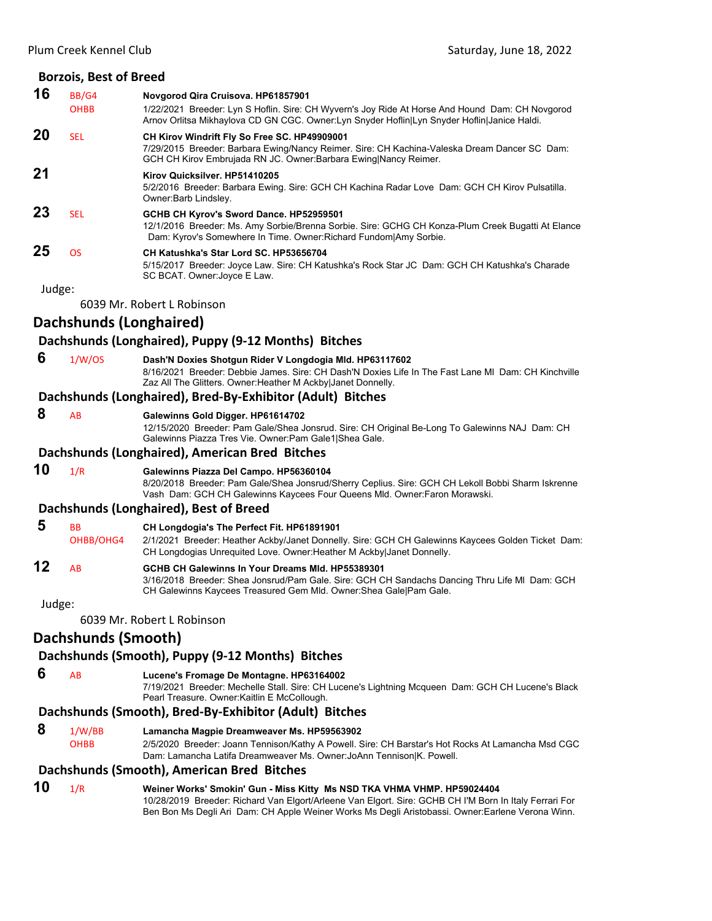|        | <b>Borzois, Best of Breed</b> |                                                                                                                                                                                                                                                                                       |
|--------|-------------------------------|---------------------------------------------------------------------------------------------------------------------------------------------------------------------------------------------------------------------------------------------------------------------------------------|
| 16     | BB/G4                         | Novgorod Qira Cruisova. HP61857901                                                                                                                                                                                                                                                    |
|        | <b>OHBB</b>                   | 1/22/2021 Breeder: Lyn S Hoflin. Sire: CH Wyvern's Joy Ride At Horse And Hound Dam: CH Novgorod<br>Arnov Orlitsa Mikhaylova CD GN CGC. Owner: Lyn Snyder Hoflin Lyn Snyder Hoflin Janice Haldi.                                                                                       |
| 20     | <b>SEL</b>                    | CH Kirov Windrift Fly So Free SC. HP49909001<br>7/29/2015 Breeder: Barbara Ewing/Nancy Reimer. Sire: CH Kachina-Valeska Dream Dancer SC Dam:<br>GCH CH Kirov Embrujada RN JC. Owner: Barbara Ewing Nancy Reimer.                                                                      |
| 21     |                               | Kirov Quicksilver. HP51410205<br>5/2/2016 Breeder: Barbara Ewing. Sire: GCH CH Kachina Radar Love Dam: GCH CH Kirov Pulsatilla.<br>Owner:Barb Lindsley.                                                                                                                               |
| 23     | <b>SEL</b>                    | GCHB CH Kyrov's Sword Dance. HP52959501<br>12/1/2016 Breeder: Ms. Amy Sorbie/Brenna Sorbie. Sire: GCHG CH Konza-Plum Creek Bugatti At Elance<br>Dam: Kyrov's Somewhere In Time. Owner: Richard Fundom   Amy Sorbie.                                                                   |
| 25     | <b>OS</b>                     | CH Katushka's Star Lord SC. HP53656704<br>5/15/2017 Breeder: Joyce Law. Sire: CH Katushka's Rock Star JC Dam: GCH CH Katushka's Charade<br>SC BCAT. Owner: Joyce E Law.                                                                                                               |
| Judge: |                               |                                                                                                                                                                                                                                                                                       |
|        |                               | 6039 Mr. Robert L Robinson                                                                                                                                                                                                                                                            |
|        | Dachshunds (Longhaired)       |                                                                                                                                                                                                                                                                                       |
|        |                               | Dachshunds (Longhaired), Puppy (9-12 Months) Bitches                                                                                                                                                                                                                                  |
| 6      | 1/W/OS                        | Dash'N Doxies Shotgun Rider V Longdogia Mld. HP63117602<br>8/16/2021 Breeder: Debbie James. Sire: CH Dash'N Doxies Life In The Fast Lane MI Dam: CH Kinchville<br>Zaz All The Glitters. Owner: Heather M Ackby Janet Donnelly.                                                        |
|        |                               | Dachshunds (Longhaired), Bred-By-Exhibitor (Adult) Bitches                                                                                                                                                                                                                            |
| 8      | AB                            | Galewinns Gold Digger. HP61614702<br>12/15/2020 Breeder: Pam Gale/Shea Jonsrud. Sire: CH Original Be-Long To Galewinns NAJ Dam: CH<br>Galewinns Piazza Tres Vie. Owner: Pam Gale1 Shea Gale.                                                                                          |
|        |                               | Dachshunds (Longhaired), American Bred Bitches                                                                                                                                                                                                                                        |
| 10     | 1/R                           | Galewinns Piazza Del Campo. HP56360104<br>8/20/2018 Breeder: Pam Gale/Shea Jonsrud/Sherry Ceplius. Sire: GCH CH Lekoll Bobbi Sharm Iskrenne<br>Vash Dam: GCH CH Galewinns Kaycees Four Queens Mld. Owner: Faron Morawski.                                                             |
|        |                               | Dachshunds (Longhaired), Best of Breed                                                                                                                                                                                                                                                |
| 5      | <b>BB</b><br>OHBB/OHG4        | CH Longdogia's The Perfect Fit. HP61891901<br>2/1/2021 Breeder: Heather Ackby/Janet Donnelly. Sire: GCH CH Galewinns Kaycees Golden Ticket Dam:<br>CH Longdogias Unrequited Love. Owner: Heather M Ackby Janet Donnelly.                                                              |
| 12     | AB                            | GCHB CH Galewinns In Your Dreams MId. HP55389301<br>3/16/2018 Breeder: Shea Jonsrud/Pam Gale. Sire: GCH CH Sandachs Dancing Thru Life MI Dam: GCH<br>CH Galewinns Kaycees Treasured Gem Mld. Owner: Shea Gale   Pam Gale.                                                             |
| Judge: |                               |                                                                                                                                                                                                                                                                                       |
|        |                               | 6039 Mr. Robert L Robinson                                                                                                                                                                                                                                                            |
|        | Dachshunds (Smooth)           |                                                                                                                                                                                                                                                                                       |
|        |                               | Dachshunds (Smooth), Puppy (9-12 Months) Bitches                                                                                                                                                                                                                                      |
| 6      | AB                            | Lucene's Fromage De Montagne. HP63164002<br>7/19/2021 Breeder: Mechelle Stall. Sire: CH Lucene's Lightning Mcqueen Dam: GCH CH Lucene's Black<br>Pearl Treasure. Owner: Kaitlin E McCollough.                                                                                         |
|        |                               | Dachshunds (Smooth), Bred-By-Exhibitor (Adult) Bitches                                                                                                                                                                                                                                |
| 8      | 1/W/BB<br>OHBB                | Lamancha Magpie Dreamweaver Ms. HP59563902<br>2/5/2020 Breeder: Joann Tennison/Kathy A Powell. Sire: CH Barstar's Hot Rocks At Lamancha Msd CGC<br>Dam: Lamancha Latifa Dreamweaver Ms. Owner: JoAnn Tennison K. Powell.                                                              |
|        |                               | Dachshunds (Smooth), American Bred Bitches                                                                                                                                                                                                                                            |
| 10     | 1/R                           | Weiner Works' Smokin' Gun - Miss Kitty Ms NSD TKA VHMA VHMP. HP59024404<br>10/28/2019 Breeder: Richard Van Elgort/Arleene Van Elgort. Sire: GCHB CH I'M Born In Italy Ferrari For<br>Ben Bon Ms Degli Ari Dam: CH Apple Weiner Works Ms Degli Aristobassi. Owner:Earlene Verona Winn. |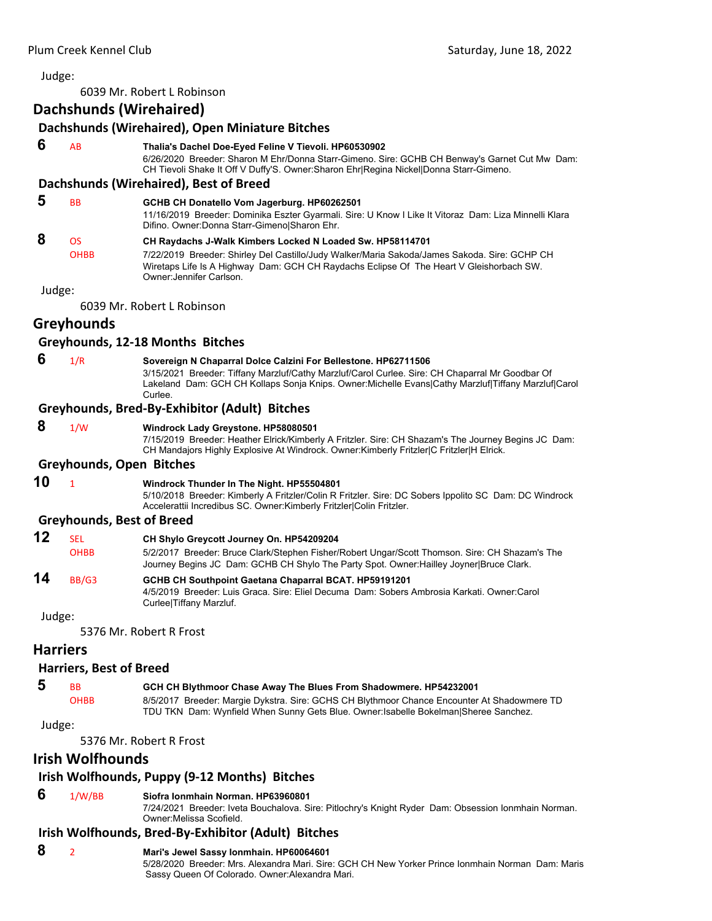6039 Mr. Robert L Robinson

## **Dachshunds (Wirehaired)**

|                 |                                  | Dachshunds (Wirehaired), Open Miniature Bitches                                                                                                                                                                                                                                    |
|-----------------|----------------------------------|------------------------------------------------------------------------------------------------------------------------------------------------------------------------------------------------------------------------------------------------------------------------------------|
| 6               | AB                               | Thalia's Dachel Doe-Eyed Feline V Tievoli. HP60530902<br>6/26/2020 Breeder: Sharon M Ehr/Donna Starr-Gimeno. Sire: GCHB CH Benway's Garnet Cut Mw Dam:<br>CH Tievoli Shake It Off V Duffy'S. Owner:Sharon Ehr Regina Nickel Donna Starr-Gimeno.                                    |
|                 |                                  | Dachshunds (Wirehaired), Best of Breed                                                                                                                                                                                                                                             |
| 5               | <b>BB</b>                        | GCHB CH Donatello Vom Jagerburg. HP60262501<br>11/16/2019 Breeder: Dominika Eszter Gyarmali. Sire: U Know I Like It Vitoraz Dam: Liza Minnelli Klara<br>Difino. Owner: Donna Starr-Gimeno Sharon Ehr.                                                                              |
| 8               | <b>OS</b><br><b>OHBB</b>         | CH Raydachs J-Walk Kimbers Locked N Loaded Sw. HP58114701<br>7/22/2019 Breeder: Shirley Del Castillo/Judy Walker/Maria Sakoda/James Sakoda. Sire: GCHP CH<br>Wiretaps Life Is A Highway Dam: GCH CH Raydachs Eclipse Of The Heart V Gleishorbach SW.<br>Owner: Jennifer Carlson.   |
| Judge:          |                                  |                                                                                                                                                                                                                                                                                    |
|                 |                                  | 6039 Mr. Robert L Robinson                                                                                                                                                                                                                                                         |
|                 | Greyhounds                       |                                                                                                                                                                                                                                                                                    |
|                 |                                  | Greyhounds, 12-18 Months Bitches                                                                                                                                                                                                                                                   |
| 6               | 1/R                              | Sovereign N Chaparral Dolce Calzini For Bellestone. HP62711506<br>3/15/2021 Breeder: Tiffany Marzluf/Cathy Marzluf/Carol Curlee. Sire: CH Chaparral Mr Goodbar Of<br>Lakeland Dam: GCH CH Kollaps Sonja Knips. Owner:Michelle Evans Cathy Marzluf Tiffany Marzluf Carol<br>Curlee. |
|                 |                                  | Greyhounds, Bred-By-Exhibitor (Adult) Bitches                                                                                                                                                                                                                                      |
| 8               | 1/W                              | Windrock Lady Greystone. HP58080501<br>7/15/2019 Breeder: Heather Elrick/Kimberly A Fritzler. Sire: CH Shazam's The Journey Begins JC Dam:<br>CH Mandajors Highly Explosive At Windrock. Owner: Kimberly Fritzler   C Fritzler H Elrick.                                           |
|                 | <b>Greyhounds, Open Bitches</b>  |                                                                                                                                                                                                                                                                                    |
| 10              | $\mathbf{1}$                     | Windrock Thunder In The Night. HP55504801<br>5/10/2018 Breeder: Kimberly A Fritzler/Colin R Fritzler. Sire: DC Sobers Ippolito SC Dam: DC Windrock<br>Accelerattii Incredibus SC. Owner:Kimberly Fritzler Colin Fritzler.                                                          |
|                 | <b>Greyhounds, Best of Breed</b> |                                                                                                                                                                                                                                                                                    |
| 12              | <b>SEL</b><br><b>OHBB</b>        | CH Shylo Greycott Journey On. HP54209204<br>5/2/2017 Breeder: Bruce Clark/Stephen Fisher/Robert Ungar/Scott Thomson. Sire: CH Shazam's The<br>Journey Begins JC Dam: GCHB CH Shylo The Party Spot. Owner: Hailley Joyner Bruce Clark.                                              |
| 14              | BB/G3                            | <b>GCHB CH Southpoint Gaetana Chaparral BCAT. HP59191201</b><br>4/5/2019 Breeder: Luis Graca. Sire: Eliel Decuma Dam: Sobers Ambrosia Karkati. Owner:Carol<br>Curlee Tiffany Marzluf.                                                                                              |
| Judge:          |                                  |                                                                                                                                                                                                                                                                                    |
|                 |                                  | 5376 Mr. Robert R Frost                                                                                                                                                                                                                                                            |
| <b>Harriers</b> |                                  |                                                                                                                                                                                                                                                                                    |
|                 | <b>Harriers, Best of Breed</b>   |                                                                                                                                                                                                                                                                                    |
| 5               | BB                               | GCH CH Blythmoor Chase Away The Blues From Shadowmere. HP54232001                                                                                                                                                                                                                  |
|                 | <b>OHBB</b>                      | 8/5/2017 Breeder: Margie Dykstra. Sire: GCHS CH Blythmoor Chance Encounter At Shadowmere TD<br>TDU TKN Dam: Wynfield When Sunny Gets Blue. Owner: Isabelle Bokelman Sheree Sanchez.                                                                                                |
| Judge:          |                                  |                                                                                                                                                                                                                                                                                    |
|                 |                                  | 5376 Mr. Robert R Frost                                                                                                                                                                                                                                                            |

## **Irish Wolfhounds**

## **Irish Wolfhounds, Puppy (9‐12 Months) Bitches**

### **6** 1/W/BB **Siofra Ionmhain Norman. HP63960801**

7/24/2021 Breeder: Iveta Bouchalova. Sire: Pitlochry's Knight Ryder Dam: Obsession Ionmhain Norman. Owner:Melissa Scofield.

## **Irish Wolfhounds, Bred‐By‐Exhibitor (Adult) Bitches**

 **8** <sup>2</sup> **Mari's Jewel Sassy Ionmhain. HP60064601** 5/28/2020 Breeder: Mrs. Alexandra Mari. Sire: GCH CH New Yorker Prince Ionmhain Norman Dam: Maris Sassy Queen Of Colorado. Owner:Alexandra Mari.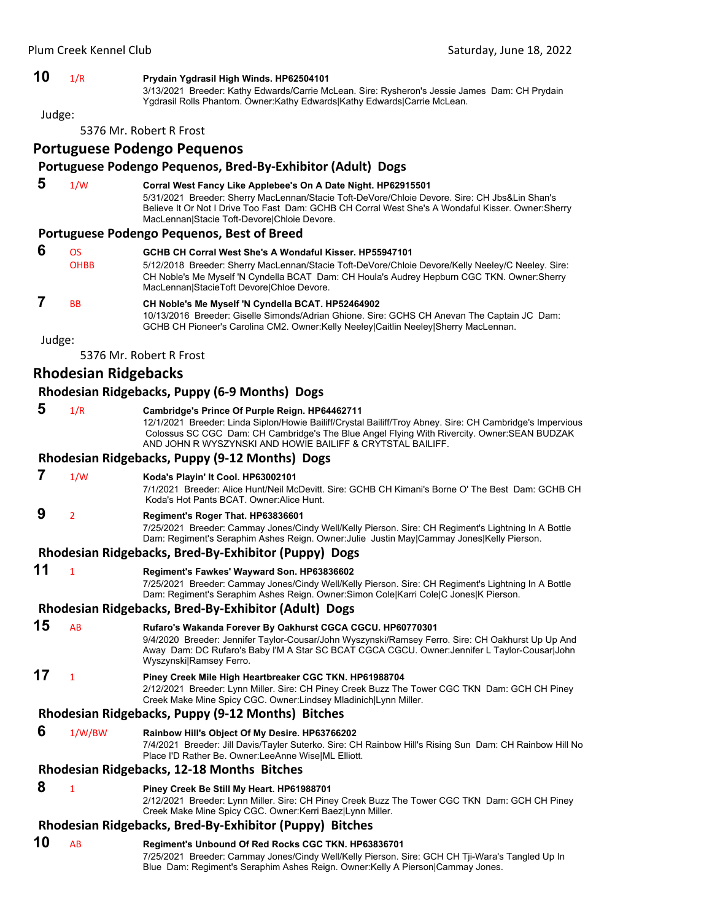#### **10** 1/R **Prydain Ygdrasil High Winds. HP62504101**

3/13/2021 Breeder: Kathy Edwards/Carrie McLean. Sire: Rysheron's Jessie James Dam: CH Prydain Ygdrasil Rolls Phantom. Owner:Kathy Edwards|Kathy Edwards|Carrie McLean.

Judge:

5376 Mr. Robert R Frost

#### **Portuguese Podengo Pequenos**

#### **Portuguese Podengo Pequenos, Bred‐By‐Exhibitor (Adult) Dogs**

| 5 | 1/W | Corral West Fancy Like Applebee's On A Date Night. HP62915501                                      |
|---|-----|----------------------------------------------------------------------------------------------------|
|   |     | 5/31/2021 Breeder: Sherry MacLennan/Stacie Toft-DeVore/Chloie Devore. Sire: CH Jbs&Lin Shan's      |
|   |     | Believe It Or Not I Drive Too Fast Dam: GCHB CH Corral West She's A Wondaful Kisser. Owner: Sherry |
|   |     | MacLennanIStacie Toft-DevorelChloie Devore.                                                        |

#### **Portuguese Podengo Pequenos, Best of Breed**

| 6 | OS.<br><b>OHBB</b> | GCHB CH Corral West She's A Wondaful Kisser, HP55947101<br>5/12/2018 Breeder: Sherry MacLennan/Stacie Toft-DeVore/Chloie Devore/Kelly Neeley/C Neeley. Sire:<br>CH Noble's Me Myself 'N Cyndella BCAT Dam: CH Houla's Audrey Hepburn CGC TKN. Owner: Sherry<br>MacLennan StacieToft Devore Chloe Devore. |
|---|--------------------|----------------------------------------------------------------------------------------------------------------------------------------------------------------------------------------------------------------------------------------------------------------------------------------------------------|
|   | <b>BB</b>          | CH Noble's Me Myself 'N Cyndella BCAT. HP52464902<br>10/13/2016 Breeder: Giselle Simonds/Adrian Ghione. Sire: GCHS CH Anevan The Captain JC Dam:<br>GCHB CH Pioneer's Carolina CM2. Owner: Kelly Neeley Caitlin Neeley Sherry MacLennan.                                                                 |

Judge:

5376 Mr. Robert R Frost

#### **Rhodesian Ridgebacks**

#### **Rhodesian Ridgebacks, Puppy (6‐9 Months) Dogs**

 **5** 1/R **Cambridge's Prince Of Purple Reign. HP64462711** 12/1/2021 Breeder: Linda Siplon/Howie Bailiff/Crystal Bailiff/Troy Abney. Sire: CH Cambridge's Impervious Colossus SC CGC Dam: CH Cambridge's The Blue Angel Flying With Rivercity. Owner:SEAN BUDZAK AND JOHN R WYSZYNSKI AND HOWIE BAILIFF & CRYTSTAL BAILIFF.

## **Rhodesian Ridgebacks, Puppy (9‐12 Months) Dogs**

 **7** 1/W **Koda's Playin' It Cool. HP63002101**

7/1/2021 Breeder: Alice Hunt/Neil McDevitt. Sire: GCHB CH Kimani's Borne O' The Best Dam: GCHB CH Koda's Hot Pants BCAT. Owner:Alice Hunt.

 **9** <sup>2</sup> **Regiment's Roger That. HP63836601**

7/25/2021 Breeder: Cammay Jones/Cindy Well/Kelly Pierson. Sire: CH Regiment's Lightning In A Bottle Dam: Regiment's Seraphim Ashes Reign. Owner:Julie Justin May|Cammay Jones|Kelly Pierson.

#### **Rhodesian Ridgebacks, Bred‐By‐Exhibitor (Puppy) Dogs**

**11** <sup>1</sup> **Regiment's Fawkes' Wayward Son. HP63836602**

7/25/2021 Breeder: Cammay Jones/Cindy Well/Kelly Pierson. Sire: CH Regiment's Lightning In A Bottle Dam: Regiment's Seraphim Ashes Reign. Owner:Simon Cole|Karri Cole|C Jones|K Pierson.

#### **Rhodesian Ridgebacks, Bred‐By‐Exhibitor (Adult) Dogs**

**15** AB **Rufaro's Wakanda Forever By Oakhurst CGCA CGCU. HP60770301** 9/4/2020 Breeder: Jennifer Taylor-Cousar/John Wyszynski/Ramsey Ferro. Sire: CH Oakhurst Up Up And Away Dam: DC Rufaro's Baby I'M A Star SC BCAT CGCA CGCU. Owner:Jennifer L Taylor-Cousar|John Wyszynski|Ramsey Ferro. **17** <sup>1</sup> **Piney Creek Mile High Heartbreaker CGC TKN. HP61988704**

#### 2/12/2021 Breeder: Lynn Miller. Sire: CH Piney Creek Buzz The Tower CGC TKN Dam: GCH CH Piney Creek Make Mine Spicy CGC. Owner:Lindsey Mladinich|Lynn Miller.

#### **Rhodesian Ridgebacks, Puppy (9‐12 Months) Bitches**

 **6** 1/W/BW **Rainbow Hill's Object Of My Desire. HP63766202**

7/4/2021 Breeder: Jill Davis/Tayler Suterko. Sire: CH Rainbow Hill's Rising Sun Dam: CH Rainbow Hill No Place I'D Rather Be. Owner:LeeAnne Wise|ML Elliott.

#### **Rhodesian Ridgebacks, 12‐18 Months Bitches**

 **8** <sup>1</sup> **Piney Creek Be Still My Heart. HP61988701**

2/12/2021 Breeder: Lynn Miller. Sire: CH Piney Creek Buzz The Tower CGC TKN Dam: GCH CH Piney Creek Make Mine Spicy CGC. Owner:Kerri Baez|Lynn Miller.

#### **Rhodesian Ridgebacks, Bred‐By‐Exhibitor (Puppy) Bitches**

#### **10** AB **Regiment's Unbound Of Red Rocks CGC TKN. HP63836701**

7/25/2021 Breeder: Cammay Jones/Cindy Well/Kelly Pierson. Sire: GCH CH Tji-Wara's Tangled Up In Blue Dam: Regiment's Seraphim Ashes Reign. Owner:Kelly A Pierson|Cammay Jones.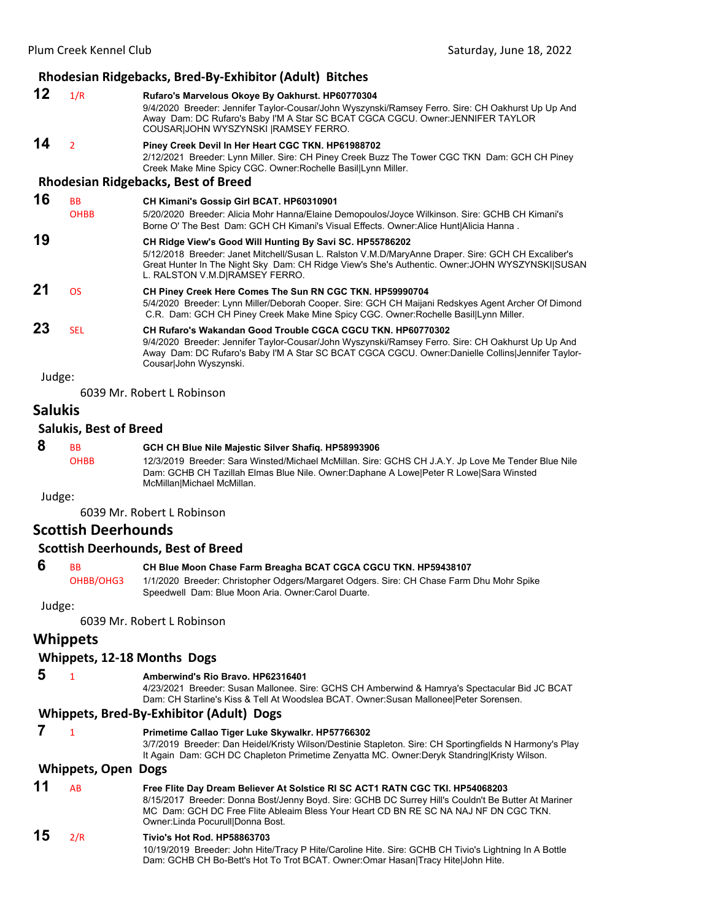|        |                          | Rhodesian Ridgebacks, Bred-By-Exhibitor (Adult) Bitches                                                                                                                                                                                                                                             |
|--------|--------------------------|-----------------------------------------------------------------------------------------------------------------------------------------------------------------------------------------------------------------------------------------------------------------------------------------------------|
| 12     | 1/R                      | Rufaro's Marvelous Okoye By Oakhurst. HP60770304<br>9/4/2020 Breeder: Jennifer Taylor-Cousar/John Wyszynski/Ramsey Ferro. Sire: CH Oakhurst Up Up And<br>Away Dam: DC Rufaro's Baby I'M A Star SC BCAT CGCA CGCU. Owner: JENNIFER TAYLOR<br>COUSAR JOHN WYSZYNSKI  RAMSEY FERRO.                    |
| 14     | $\overline{2}$           | Piney Creek Devil In Her Heart CGC TKN. HP61988702<br>2/12/2021 Breeder: Lynn Miller. Sire: CH Piney Creek Buzz The Tower CGC TKN Dam: GCH CH Piney<br>Creek Make Mine Spicy CGC. Owner: Rochelle Basil Lynn Miller.                                                                                |
|        |                          | <b>Rhodesian Ridgebacks, Best of Breed</b>                                                                                                                                                                                                                                                          |
| 16     | <b>BB</b><br><b>OHBB</b> | CH Kimani's Gossip Girl BCAT. HP60310901<br>5/20/2020 Breeder: Alicia Mohr Hanna/Elaine Demopoulos/Joyce Wilkinson. Sire: GCHB CH Kimani's<br>Borne O' The Best Dam: GCH CH Kimani's Visual Effects. Owner: Alice Hunt Alicia Hanna.                                                                |
| 19     |                          | CH Ridge View's Good Will Hunting By Savi SC. HP55786202<br>5/12/2018 Breeder: Janet Mitchell/Susan L. Ralston V.M.D/MaryAnne Draper. Sire: GCH CH Excaliber's<br>Great Hunter In The Night Sky Dam: CH Ridge View's She's Authentic. Owner: JOHN WYSZYNSKI SUSAN<br>L. RALSTON V.M.D RAMSEY FERRO. |
| 21     | <b>OS</b>                | CH Piney Creek Here Comes The Sun RN CGC TKN. HP59990704<br>5/4/2020 Breeder: Lynn Miller/Deborah Cooper. Sire: GCH CH Maijani Redskyes Agent Archer Of Dimond<br>C.R. Dam: GCH CH Piney Creek Make Mine Spicy CGC. Owner: Rochelle Basil Lynn Miller.                                              |
| 23     | <b>SEL</b>               | CH Rufaro's Wakandan Good Trouble CGCA CGCU TKN, HP60770302<br>9/4/2020 Breeder: Jennifer Taylor-Cousar/John Wyszynski/Ramsey Ferro. Sire: CH Oakhurst Up Up And<br>Away Dam: DC Rufaro's Baby I'M A Star SC BCAT CGCA CGCU. Owner:Danielle Collins Jennifer Taylor-<br>Cousar John Wyszynski.      |
| Judge: |                          |                                                                                                                                                                                                                                                                                                     |
|        |                          |                                                                                                                                                                                                                                                                                                     |

6039 Mr. Robert L Robinson

## **Salukis**

## **Salukis, Best of Breed**

| 8      | <b>BB</b>   | GCH CH Blue Nile Majestic Silver Shafig. HP58993906                                                |
|--------|-------------|----------------------------------------------------------------------------------------------------|
|        | <b>OHBB</b> | 12/3/2019 Breeder: Sara Winsted/Michael McMillan. Sire: GCHS CH J.A.Y. Jp Love Me Tender Blue Nile |
|        |             | Dam: GCHB CH Tazillah Elmas Blue Nile. Owner:Daphane A Lowe Peter R Lowe Sara Winsted              |
|        |             | McMillanIMichael McMillan.                                                                         |
| Judge: |             |                                                                                                    |

6039 Mr. Robert L Robinson

## **Scottish Deerhounds**

#### **Scottish Deerhounds, Best of Breed**

**6** BB CH Blue Moon Chase Farm Breagha BCAT CGCA CGCU TKN. HP59438107 OHBB/OHG3 1/1/2020 Breeder: Christopher Odgers/Margaret Odgers. Sire: CH Chase Farm Dhu Mohr Spike Speedwell Dam: Blue Moon Aria. Owner:Carol Duarte.

Judge:

6039 Mr. Robert L Robinson

## **Whippets**

#### **Whippets, 12‐18 Months Dogs**

 **5** <sup>1</sup> **Amberwind's Rio Bravo. HP62316401**

4/23/2021 Breeder: Susan Mallonee. Sire: GCHS CH Amberwind & Hamrya's Spectacular Bid JC BCAT Dam: CH Starline's Kiss & Tell At Woodslea BCAT. Owner:Susan Mallonee|Peter Sorensen.

#### **Whippets, Bred‐By‐Exhibitor (Adult) Dogs**

 **7** <sup>1</sup> **Primetime Callao Tiger Luke Skywalkr. HP57766302** 3/7/2019 Breeder: Dan Heidel/Kristy Wilson/Destinie Stapleton. Sire: CH Sportingfields N Harmony's Play It Again Dam: GCH DC Chapleton Primetime Zenyatta MC. Owner:Deryk Standring|Kristy Wilson.

#### **Whippets, Open Dogs**

| 11 | <b>AR</b> | Free Flite Day Dream Believer At Solstice RI SC ACT1 RATN CGC TKI. HP54068203                       |
|----|-----------|-----------------------------------------------------------------------------------------------------|
|    |           | 8/15/2017 Breeder: Donna Bost/Jenny Boyd. Sire: GCHB DC Surrey Hill's Couldn't Be Butter At Mariner |
|    |           | MC Dam: GCH DC Free Flite Ableaim Bless Your Heart CD BN RE SC NA NAJ NF DN CGC TKN.                |
|    |           | Owner:Linda Pocurull Donna Bost.                                                                    |
| 15 | 2/R       | Tivio's Hot Rod. HP58863703                                                                         |

10/19/2019 Breeder: John Hite/Tracy P Hite/Caroline Hite. Sire: GCHB CH Tivio's Lightning In A Bottle Dam: GCHB CH Bo-Bett's Hot To Trot BCAT. Owner:Omar Hasan|Tracy Hite|John Hite.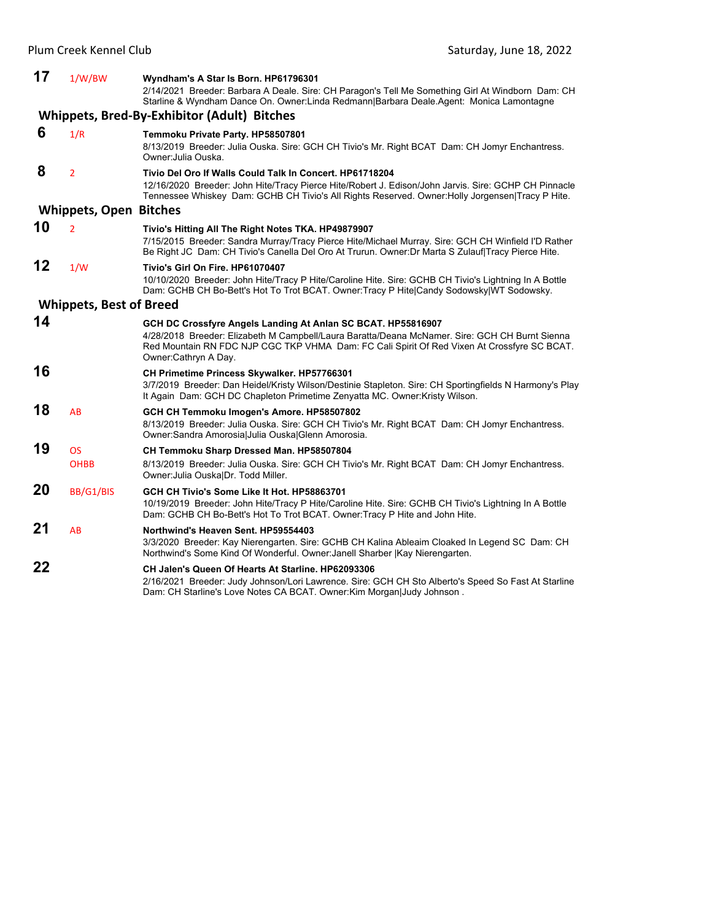| 17 | 1/W/BW                         | Wyndham's A Star Is Born. HP61796301<br>2/14/2021 Breeder: Barbara A Deale. Sire: CH Paragon's Tell Me Something Girl At Windborn Dam: CH<br>Starline & Wyndham Dance On. Owner: Linda Redmann Barbara Deale Agent: Monica Lamontagne                                                 |
|----|--------------------------------|---------------------------------------------------------------------------------------------------------------------------------------------------------------------------------------------------------------------------------------------------------------------------------------|
|    |                                | <b>Whippets, Bred-By-Exhibitor (Adult) Bitches</b>                                                                                                                                                                                                                                    |
| 6  | 1/R                            | Temmoku Private Party. HP58507801<br>8/13/2019 Breeder: Julia Ouska. Sire: GCH CH Tivio's Mr. Right BCAT Dam: CH Jomyr Enchantress.<br>Owner: Julia Ouska.                                                                                                                            |
| 8  | $\overline{2}$                 | Tivio Del Oro If Walls Could Talk In Concert. HP61718204<br>12/16/2020 Breeder: John Hite/Tracy Pierce Hite/Robert J. Edison/John Jarvis. Sire: GCHP CH Pinnacle<br>Tennessee Whiskey Dam: GCHB CH Tivio's All Rights Reserved. Owner: Holly Jorgensen Tracy P Hite.                  |
|    | <b>Whippets, Open</b>          | <b>Bitches</b>                                                                                                                                                                                                                                                                        |
| 10 | $\overline{2}$                 | Tivio's Hitting All The Right Notes TKA. HP49879907<br>7/15/2015 Breeder: Sandra Murray/Tracy Pierce Hite/Michael Murray. Sire: GCH CH Winfield I'D Rather<br>Be Right JC Dam: CH Tivio's Canella Del Oro At Trurun. Owner: Dr Marta S Zulauf Tracy Pierce Hite.                      |
| 12 | 1/W                            | Tivio's Girl On Fire, HP61070407<br>10/10/2020 Breeder: John Hite/Tracy P Hite/Caroline Hite. Sire: GCHB CH Tivio's Lightning In A Bottle<br>Dam: GCHB CH Bo-Bett's Hot To Trot BCAT. Owner: Tracy P Hite Candy Sodowsky WT Sodowsky.                                                 |
|    | <b>Whippets, Best of Breed</b> |                                                                                                                                                                                                                                                                                       |
| 14 |                                | GCH DC Crossfyre Angels Landing At Anlan SC BCAT. HP55816907<br>4/28/2018 Breeder: Elizabeth M Campbell/Laura Baratta/Deana McNamer. Sire: GCH CH Burnt Sienna<br>Red Mountain RN FDC NJP CGC TKP VHMA Dam: FC Cali Spirit Of Red Vixen At Crossfyre SC BCAT.<br>Owner:Cathryn A Day. |
| 16 |                                | <b>CH Primetime Princess Skywalker. HP57766301</b><br>3/7/2019 Breeder: Dan Heidel/Kristy Wilson/Destinie Stapleton. Sire: CH Sportingfields N Harmony's Play<br>It Again Dam: GCH DC Chapleton Primetime Zenyatta MC. Owner: Kristy Wilson.                                          |
| 18 | AB                             | GCH CH Temmoku Imogen's Amore. HP58507802<br>8/13/2019 Breeder: Julia Ouska. Sire: GCH CH Tivio's Mr. Right BCAT Dam: CH Jomyr Enchantress.<br>Owner: Sandra Amorosia Julia Ouska Glenn Amorosia.                                                                                     |
| 19 | <b>OS</b><br><b>OHBB</b>       | CH Temmoku Sharp Dressed Man. HP58507804<br>8/13/2019 Breeder: Julia Ouska. Sire: GCH CH Tivio's Mr. Right BCAT Dam: CH Jomyr Enchantress.<br>Owner: Julia Ouska Dr. Todd Miller.                                                                                                     |
| 20 | BB/G1/BIS                      | GCH CH Tivio's Some Like It Hot. HP58863701<br>10/19/2019 Breeder: John Hite/Tracy P Hite/Caroline Hite. Sire: GCHB CH Tivio's Lightning In A Bottle<br>Dam: GCHB CH Bo-Bett's Hot To Trot BCAT. Owner: Tracy P Hite and John Hite.                                                   |
| 21 | AB                             | Northwind's Heaven Sent. HP59554403<br>3/3/2020 Breeder: Kay Nierengarten. Sire: GCHB CH Kalina Ableaim Cloaked In Legend SC Dam: CH<br>Northwind's Some Kind Of Wonderful. Owner: Janell Sharber   Kay Nierengarten.                                                                 |
| 22 |                                | CH Jalen's Queen Of Hearts At Starline. HP62093306<br>2/16/2021 Breeder: Judy Johnson/Lori Lawrence. Sire: GCH CH Sto Alberto's Speed So Fast At Starline<br>Dam: CH Starline's Love Notes CA BCAT. Owner: Kim Morgan Judy Johnson.                                                   |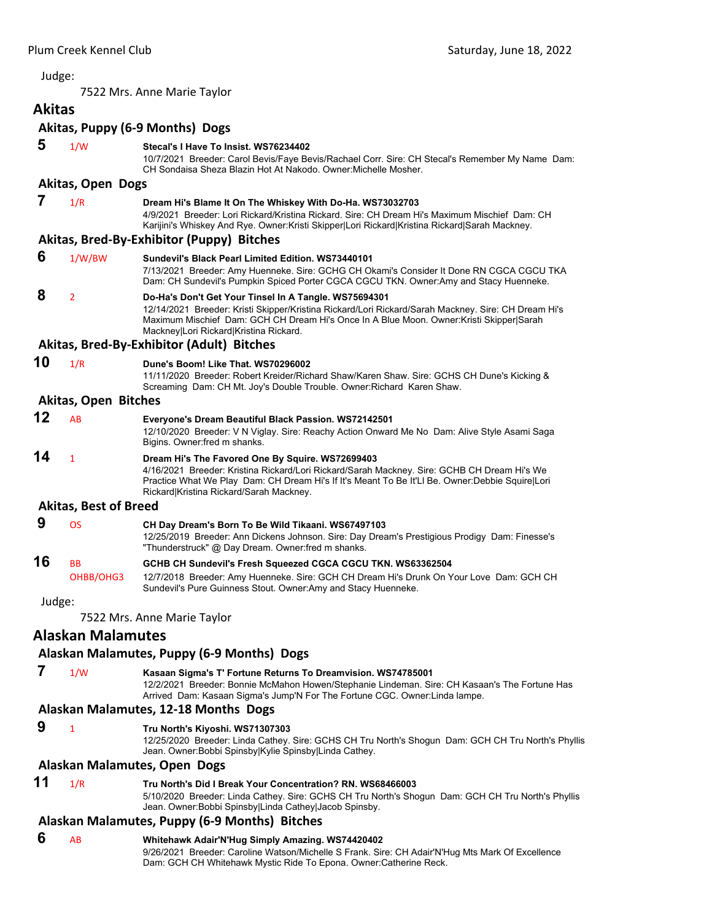<span id="page-18-0"></span>7522 Mrs. Anne Marie Taylor

## **Akitas Akitas, Puppy (6‐9 Months) Dogs 5** 1/W **Stecal's I Have To Insist. WS76234402**

#### 10/7/2021 Breeder: Carol Bevis/Faye Bevis/Rachael Corr. Sire: CH Stecal's Remember My Name Dam: CH Sondaisa Sheza Blazin Hot At Nakodo. Owner:Michelle Mosher.

#### **Akitas, Open Dogs**

 **7** 1/R **Dream Hi's Blame It On The Whiskey With Do-Ha. WS73032703**

4/9/2021 Breeder: Lori Rickard/Kristina Rickard. Sire: CH Dream Hi's Maximum Mischief Dam: CH Karijini's Whiskey And Rye. Owner:Kristi Skipper|Lori Rickard|Kristina Rickard|Sarah Mackney.

#### **Akitas, Bred‐By‐Exhibitor (Puppy) Bitches**

| 6  | 1/W/BW | Sundevil's Black Pearl Limited Edition, WS73440101<br>7/13/2021 Breeder: Amy Huenneke. Sire: GCHG CH Okami's Consider It Done RN CGCA CGCU TKA<br>Dam: CH Sundevil's Pumpkin Spiced Porter CGCA CGCU TKN. Owner:Amy and Stacy Huenneke.                                                            |
|----|--------|----------------------------------------------------------------------------------------------------------------------------------------------------------------------------------------------------------------------------------------------------------------------------------------------------|
| 8  |        | Do-Ha's Don't Get Your Tinsel In A Tangle. WS75694301<br>12/14/2021 Breeder: Kristi Skipper/Kristina Rickard/Lori Rickard/Sarah Mackney. Sire: CH Dream Hi's<br>Maximum Mischief Dam: GCH CH Dream Hi's Once In A Blue Moon. Owner: Kristi Skipper Sarah<br>Mackney Lori Rickard Kristina Rickard. |
|    |        | Akitas, Bred-By-Exhibitor (Adult) Bitches                                                                                                                                                                                                                                                          |
| 10 | 1/R    | Dune's Boom! Like That. WS70296002                                                                                                                                                                                                                                                                 |

11/11/2020 Breeder: Robert Kreider/Richard Shaw/Karen Shaw. Sire: GCHS CH Dune's Kicking & Screaming Dam: CH Mt. Joy's Double Trouble. Owner:Richard Karen Shaw.

#### **Akitas, Open Bitches**

| 12 | AR | Everyone's Dream Beautiful Black Passion. WS72142501<br>12/10/2020 Breeder: V N Viglay. Sire: Reachy Action Onward Me No Dam: Alive Style Asami Saga<br>Bigins. Owner: fred m shanks.                                                                                                          |
|----|----|------------------------------------------------------------------------------------------------------------------------------------------------------------------------------------------------------------------------------------------------------------------------------------------------|
| 14 |    | Dream Hi's The Favored One By Squire. WS72699403<br>4/16/2021 Breeder: Kristina Rickard/Lori Rickard/Sarah Mackney. Sire: GCHB CH Dream Hi's We<br>Practice What We Play Dam: CH Dream Hi's If It's Meant To Be It'Ll Be. Owner: Debbie Squire Lori<br>Rickard Kristina Rickard/Sarah Mackney. |

#### **Akitas, Best of Breed**

|    |           | CH Day Dream's Born To Be Wild Tikaani. WS67497103                                            |
|----|-----------|-----------------------------------------------------------------------------------------------|
|    |           | 12/25/2019 Breeder: Ann Dickens Johnson. Sire: Day Dream's Prestigious Prodigy Dam: Finesse's |
|    |           | "Thunderstruck" @ Day Dream. Owner:fred m shanks.                                             |
| 16 | <b>BB</b> | GCHB CH Sundevil's Fresh Squeezed CGCA CGCU TKN. WS63362504                                   |

OHBB/OHG3 12/7/2018 Breeder: Amy Huenneke. Sire: GCH CH Dream Hi's Drunk On Your Love Dam: GCH CH Sundevil's Pure Guinness Stout. Owner:Amy and Stacy Huenneke.

Judge:

7522 Mrs. Anne Marie Taylor

## **Alaskan Malamutes**

#### **Alaskan Malamutes, Puppy (6‐9 Months) Dogs**

 **7** 1/W **Kasaan Sigma's T' Fortune Returns To Dreamvision. WS74785001**

12/2/2021 Breeder: Bonnie McMahon Howen/Stephanie Lindeman. Sire: CH Kasaan's The Fortune Has Arrived Dam: Kasaan Sigma's Jump'N For The Fortune CGC. Owner:Linda lampe.

#### **Alaskan Malamutes, 12‐18 Months Dogs**

 **9** <sup>1</sup> **Tru North's Kiyoshi. WS71307303**

12/25/2020 Breeder: Linda Cathey. Sire: GCHS CH Tru North's Shogun Dam: GCH CH Tru North's Phyllis Jean. Owner:Bobbi Spinsby|Kylie Spinsby|Linda Cathey.

#### **Alaskan Malamutes, Open Dogs**

**11** 1/R **Tru North's Did I Break Your Concentration? RN. WS68466003**

5/10/2020 Breeder: Linda Cathey. Sire: GCHS CH Tru North's Shogun Dam: GCH CH Tru North's Phyllis Jean. Owner:Bobbi Spinsby|Linda Cathey|Jacob Spinsby.

#### **Alaskan Malamutes, Puppy (6‐9 Months) Bitches**

 **6** AB **Whitehawk Adair'N'Hug Simply Amazing. WS74420402** 9/26/2021 Breeder: Caroline Watson/Michelle S Frank. Sire: CH Adair'N'Hug Mts Mark Of Excellence Dam: GCH CH Whitehawk Mystic Ride To Epona. Owner:Catherine Reck.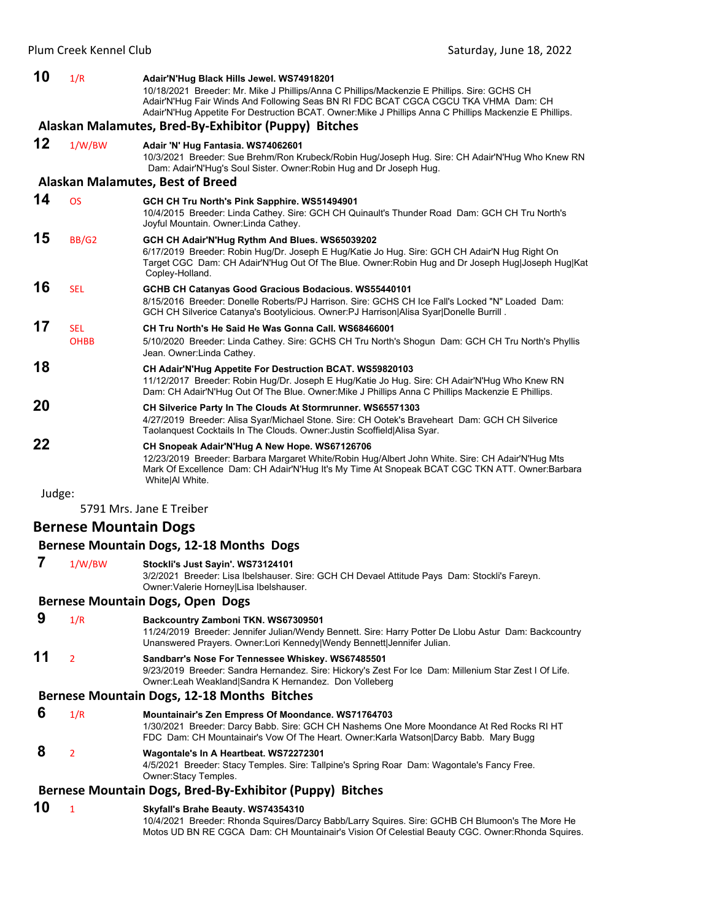| 10     | 1/R          | Adair'N'Hug Black Hills Jewel. WS74918201<br>10/18/2021 Breeder: Mr. Mike J Phillips/Anna C Phillips/Mackenzie E Phillips. Sire: GCHS CH<br>Adair'N'Hug Fair Winds And Following Seas BN RI FDC BCAT CGCA CGCU TKA VHMA Dam: CH<br>Adair'N'Hug Appetite For Destruction BCAT. Owner:Mike J Phillips Anna C Phillips Mackenzie E Phillips. |
|--------|--------------|-------------------------------------------------------------------------------------------------------------------------------------------------------------------------------------------------------------------------------------------------------------------------------------------------------------------------------------------|
|        |              | Alaskan Malamutes, Bred-By-Exhibitor (Puppy) Bitches                                                                                                                                                                                                                                                                                      |
| 12     | 1/W/BW       | Adair 'N' Hug Fantasia. WS74062601<br>10/3/2021 Breeder: Sue Brehm/Ron Krubeck/Robin Hug/Joseph Hug. Sire: CH Adair'N'Hug Who Knew RN<br>Dam: Adair'N'Hug's Soul Sister. Owner: Robin Hug and Dr Joseph Hug.                                                                                                                              |
|        |              | <b>Alaskan Malamutes, Best of Breed</b>                                                                                                                                                                                                                                                                                                   |
| 14     | <b>OS</b>    | GCH CH Tru North's Pink Sapphire. WS51494901<br>10/4/2015 Breeder: Linda Cathey. Sire: GCH CH Quinault's Thunder Road Dam: GCH CH Tru North's<br>Joyful Mountain. Owner: Linda Cathey.                                                                                                                                                    |
| 15     | <b>BB/G2</b> | GCH CH Adair'N'Hug Rythm And Blues. WS65039202<br>6/17/2019 Breeder: Robin Hug/Dr. Joseph E Hug/Katie Jo Hug. Sire: GCH CH Adair'N Hug Right On<br>Target CGC Dam: CH Adair'N'Hug Out Of The Blue. Owner: Robin Hug and Dr Joseph Hug Joseph Hug Kat<br>Copley-Holland.                                                                   |
| 16     | <b>SEL</b>   | GCHB CH Catanyas Good Gracious Bodacious. WS55440101<br>8/15/2016 Breeder: Donelle Roberts/PJ Harrison, Sire: GCHS CH Ice Fall's Locked "N" Loaded Dam:<br>GCH CH Silverice Catanya's Bootylicious. Owner: PJ Harrison Alisa Syar Donelle Burrill.                                                                                        |
| 17     | <b>SEL</b>   | CH Tru North's He Said He Was Gonna Call, WS68466001                                                                                                                                                                                                                                                                                      |
|        | <b>OHBB</b>  | 5/10/2020 Breeder: Linda Cathey. Sire: GCHS CH Tru North's Shogun Dam: GCH CH Tru North's Phyllis<br>Jean. Owner: Linda Cathey.                                                                                                                                                                                                           |
| 18     |              | CH Adair'N'Hug Appetite For Destruction BCAT. WS59820103<br>11/12/2017 Breeder: Robin Hug/Dr. Joseph E Hug/Katie Jo Hug. Sire: CH Adair'N'Hug Who Knew RN<br>Dam: CH Adair'N'Hug Out Of The Blue. Owner: Mike J Phillips Anna C Phillips Mackenzie E Phillips.                                                                            |
| 20     |              | CH Silverice Party In The Clouds At Stormrunner. WS65571303<br>4/27/2019 Breeder: Alisa Syar/Michael Stone. Sire: CH Ootek's Braveheart Dam: GCH CH Silverice<br>Taolanquest Cocktails In The Clouds. Owner: Justin Scoffield Alisa Syar.                                                                                                 |
| 22     |              | CH Snopeak Adair'N'Hug A New Hope. WS67126706<br>12/23/2019 Breeder: Barbara Margaret White/Robin Hug/Albert John White. Sire: CH Adair'N'Hug Mts<br>Mark Of Excellence Dam: CH Adair'N'Hug It's My Time At Snopeak BCAT CGC TKN ATT. Owner:Barbara<br>White Al White.                                                                    |
| Judge: |              |                                                                                                                                                                                                                                                                                                                                           |

5791 Mrs. Jane E Treiber

## **Bernese Mountain Dogs**

#### **Bernese Mountain Dogs, 12‐18 Months Dogs**

 **7** 1/W/BW **Stockli's Just Sayin'. WS73124101** 3/2/2021 Breeder: Lisa Ibelshauser. Sire: GCH CH Devael Attitude Pays Dam: Stockli's Fareyn. Owner:Valerie Horney|Lisa Ibelshauser.

#### **Bernese Mountain Dogs, Open Dogs**

 **9** 1/R **Backcountry Zamboni TKN. WS67309501** 11/24/2019 Breeder: Jennifer Julian/Wendy Bennett. Sire: Harry Potter De Llobu Astur Dam: Backcountry Unanswered Prayers. Owner:Lori Kennedy|Wendy Bennett|Jennifer Julian.

#### **11** <sup>2</sup> **Sandbarr's Nose For Tennessee Whiskey. WS67485501** 9/23/2019 Breeder: Sandra Hernandez. Sire: Hickory's Zest For Ice Dam: Millenium Star Zest I Of Life.

Owner:Leah Weakland|Sandra K Hernandez. Don Volleberg

## **Bernese Mountain Dogs, 12‐18 Months Bitches**

 **6** 1/R **Mountainair's Zen Empress Of Moondance. WS71764703** 1/30/2021 Breeder: Darcy Babb. Sire: GCH CH Nashems One More Moondance At Red Rocks RI HT FDC Dam: CH Mountainair's Vow Of The Heart. Owner:Karla Watson|Darcy Babb. Mary Bugg

## **8** <sup>2</sup> **Wagontale's In A Heartbeat. WS72272301**

4/5/2021 Breeder: Stacy Temples. Sire: Tallpine's Spring Roar Dam: Wagontale's Fancy Free. Owner:Stacy Temples.

## **Bernese Mountain Dogs, Bred‐By‐Exhibitor (Puppy) Bitches**

### **10** <sup>1</sup> **Skyfall's Brahe Beauty. WS74354310**

10/4/2021 Breeder: Rhonda Squires/Darcy Babb/Larry Squires. Sire: GCHB CH Blumoon's The More He Motos UD BN RE CGCA Dam: CH Mountainair's Vision Of Celestial Beauty CGC. Owner:Rhonda Squires.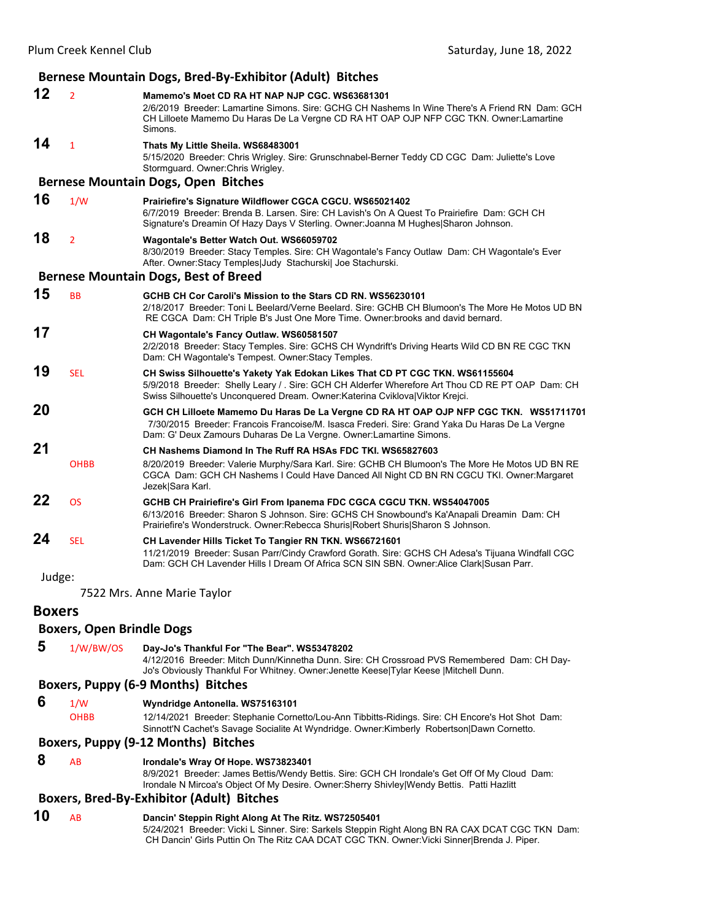|               | Bernese Mountain Dogs, Bred-By-Exhibitor (Adult) Bitches |                                                                                                                                                                                                                                                                  |  |
|---------------|----------------------------------------------------------|------------------------------------------------------------------------------------------------------------------------------------------------------------------------------------------------------------------------------------------------------------------|--|
| 12            | $\overline{2}$                                           | Mamemo's Moet CD RA HT NAP NJP CGC, WS63681301<br>2/6/2019 Breeder: Lamartine Simons. Sire: GCHG CH Nashems In Wine There's A Friend RN Dam: GCH<br>CH Lilloete Mamemo Du Haras De La Vergne CD RA HT OAP OJP NFP CGC TKN. Owner:Lamartine<br>Simons.            |  |
| 14            | $\mathbf{1}$                                             | Thats My Little Sheila. WS68483001<br>5/15/2020 Breeder: Chris Wrigley. Sire: Grunschnabel-Berner Teddy CD CGC Dam: Juliette's Love<br>Stormquard. Owner: Chris Wrigley.                                                                                         |  |
|               |                                                          | <b>Bernese Mountain Dogs, Open Bitches</b>                                                                                                                                                                                                                       |  |
| 16            | 1/W                                                      | Prairiefire's Signature Wildflower CGCA CGCU. WS65021402<br>6/7/2019 Breeder: Brenda B. Larsen. Sire: CH Lavish's On A Quest To Prairiefire Dam: GCH CH<br>Signature's Dreamin Of Hazy Days V Sterling. Owner: Joanna M Hughes Sharon Johnson.                   |  |
| 18            | $\overline{2}$                                           | Wagontale's Better Watch Out. WS66059702<br>8/30/2019 Breeder: Stacy Temples. Sire: CH Wagontale's Fancy Outlaw Dam: CH Wagontale's Ever<br>After. Owner: Stacy Temples Judy Stachurski  Joe Stachurski.                                                         |  |
|               |                                                          | <b>Bernese Mountain Dogs, Best of Breed</b>                                                                                                                                                                                                                      |  |
| 15            | <b>BB</b>                                                | GCHB CH Cor Caroli's Mission to the Stars CD RN. WS56230101<br>2/18/2017 Breeder: Toni L Beelard/Verne Beelard. Sire: GCHB CH Blumoon's The More He Motos UD BN<br>RE CGCA Dam: CH Triple B's Just One More Time. Owner: brooks and david bernard.               |  |
| 17            |                                                          | CH Wagontale's Fancy Outlaw. WS60581507<br>2/2/2018 Breeder: Stacy Temples. Sire: GCHS CH Wyndrift's Driving Hearts Wild CD BN RE CGC TKN<br>Dam: CH Wagontale's Tempest. Owner: Stacy Temples.                                                                  |  |
| 19            | <b>SEL</b>                                               | CH Swiss Silhouette's Yakety Yak Edokan Likes That CD PT CGC TKN. WS61155604<br>5/9/2018 Breeder: Shelly Leary / . Sire: GCH CH Alderfer Wherefore Art Thou CD RE PT OAP Dam: CH<br>Swiss Silhouette's Unconquered Dream. Owner:Katerina Cviklova Viktor Krejci. |  |
| 20            |                                                          | GCH CH Lilloete Mamemo Du Haras De La Vergne CD RA HT OAP OJP NFP CGC TKN. WS51711701<br>7/30/2015 Breeder: Francois Francoise/M. Isasca Frederi. Sire: Grand Yaka Du Haras De La Vergne<br>Dam: G' Deux Zamours Duharas De La Vergne. Owner: Lamartine Simons.  |  |
| 21            |                                                          | CH Nashems Diamond In The Ruff RA HSAs FDC TKI, WS65827603                                                                                                                                                                                                       |  |
|               | <b>OHBB</b>                                              | 8/20/2019 Breeder: Valerie Murphy/Sara Karl. Sire: GCHB CH Blumoon's The More He Motos UD BN RE<br>CGCA Dam: GCH CH Nashems I Could Have Danced All Night CD BN RN CGCU TKI. Owner: Margaret<br>Jezek Sara Karl.                                                 |  |
| 22            | <b>OS</b>                                                | GCHB CH Prairiefire's Girl From Ipanema FDC CGCA CGCU TKN. WS54047005<br>6/13/2016 Breeder: Sharon S Johnson. Sire: GCHS CH Snowbound's Ka'Anapali Dreamin Dam: CH<br>Prairiefire's Wonderstruck. Owner: Rebecca Shuris Robert Shuris Sharon S Johnson.          |  |
| 24            | <b>SEL</b>                                               | CH Lavender Hills Ticket To Tangier RN TKN. WS66721601<br>11/21/2019 Breeder: Susan Parr/Cindy Crawford Gorath. Sire: GCHS CH Adesa's Tijuana Windfall CGC<br>Dam: GCH CH Lavender Hills I Dream Of Africa SCN SIN SBN. Owner:Alice Clark Susan Parr.            |  |
| Judge:        |                                                          |                                                                                                                                                                                                                                                                  |  |
|               |                                                          | 7522 Mrs. Anne Marie Taylor                                                                                                                                                                                                                                      |  |
| <b>Boxers</b> |                                                          |                                                                                                                                                                                                                                                                  |  |
|               | <b>Boxers, Open Brindle Dogs</b>                         |                                                                                                                                                                                                                                                                  |  |

- 
- **5** 1/W/BW/OS **Day-Jo's Thankful For "The Bear". WS53478202**

4/12/2016 Breeder: Mitch Dunn/Kinnetha Dunn. Sire: CH Crossroad PVS Remembered Dam: CH Day-Jo's Obviously Thankful For Whitney. Owner:Jenette Keese|Tylar Keese |Mitchell Dunn.

#### **Boxers, Puppy (6‐9 Months) Bitches**

**6** 1/W **Wyndridge Antonella. WS75163101**<br>OHBB 12/14/2021 Breeder: Stephanie Corne

12/14/2021 Breeder: Stephanie Cornetto/Lou-Ann Tibbitts-Ridings. Sire: CH Encore's Hot Shot Dam: Sinnott'N Cachet's Savage Socialite At Wyndridge. Owner:Kimberly Robertson|Dawn Cornetto.

#### **Boxers, Puppy (9‐12 Months) Bitches**

 **8** AB **Irondale's Wray Of Hope. WS73823401**

8/9/2021 Breeder: James Bettis/Wendy Bettis. Sire: GCH CH Irondale's Get Off Of My Cloud Dam: Irondale N Mircoa's Object Of My Desire. Owner:Sherry Shivley|Wendy Bettis. Patti Hazlitt

#### **Boxers, Bred‐By‐Exhibitor (Adult) Bitches**

**10** AB **Dancin' Steppin Right Along At The Ritz. WS72505401** 5/24/2021 Breeder: Vicki L Sinner. Sire: Sarkels Steppin Right Along BN RA CAX DCAT CGC TKN Dam: CH Dancin' Girls Puttin On The Ritz CAA DCAT CGC TKN. Owner:Vicki Sinner|Brenda J. Piper.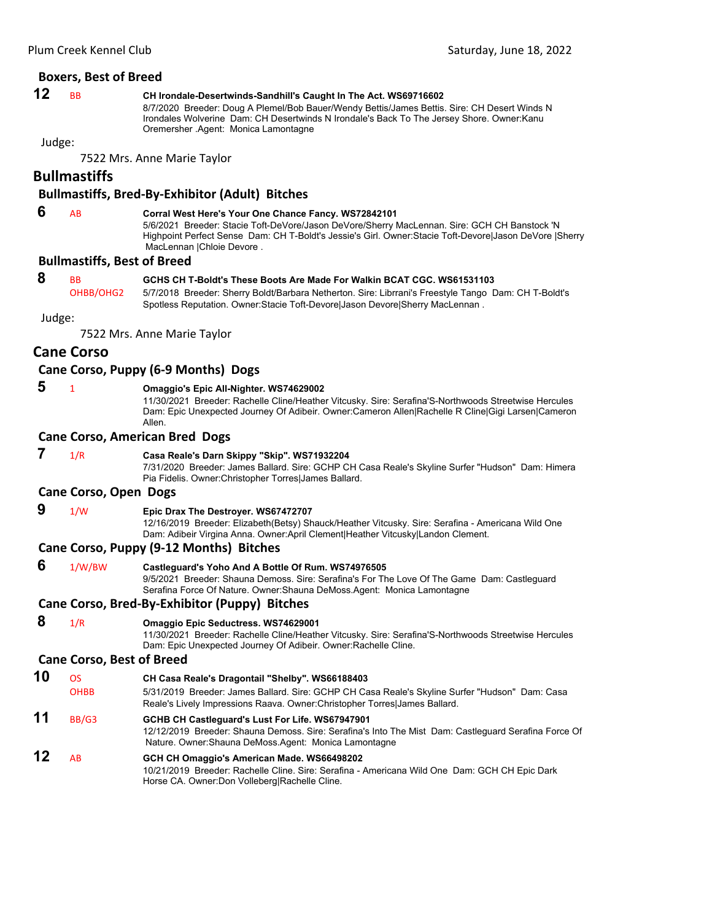#### **Boxers, Best of Breed**

## **12** BB **CH Irondale-Desertwinds-Sandhill's Caught In The Act. WS69716602**

8/7/2020 Breeder: Doug A Plemel/Bob Bauer/Wendy Bettis/James Bettis. Sire: CH Desert Winds N Irondales Wolverine Dam: CH Desertwinds N Irondale's Back To The Jersey Shore. Owner:Kanu Oremersher .Agent: Monica Lamontagne

Judge:

7522 Mrs. Anne Marie Taylor

## **Bullmastiffs**

#### **Bullmastiffs, Bred‐By‐Exhibitor (Adult) Bitches**

 **6** AB **Corral West Here's Your One Chance Fancy. WS72842101**

5/6/2021 Breeder: Stacie Toft-DeVore/Jason DeVore/Sherry MacLennan. Sire: GCH CH Banstock 'N Highpoint Perfect Sense Dam: CH T-Boldt's Jessie's Girl. Owner:Stacie Toft-Devore|Jason DeVore |Sherry MacLennan |Chloie Devore .

#### **Bullmastiffs, Best of Breed**

## **8** BB **GCHS CH T-Boldt's These Boots Are Made For Walkin BCAT CGC. WS61531103**

OHBB/OHG2 5/7/2018 Breeder: Sherry Boldt/Barbara Netherton. Sire: Librrani's Freestyle Tango Dam: CH T-Boldt's Spotless Reputation. Owner:Stacie Toft-Devore|Jason Devore|Sherry MacLennan .

Judge:

7522 Mrs. Anne Marie Taylor

#### **Cane Corso**

#### **Cane Corso, Puppy (6‐9 Months) Dogs**

## **5** <sup>1</sup> **Omaggio's Epic All-Nighter. WS74629002**

11/30/2021 Breeder: Rachelle Cline/Heather Vitcusky. Sire: Serafina'S-Northwoods Streetwise Hercules Dam: Epic Unexpected Journey Of Adibeir. Owner:Cameron Allen|Rachelle R Cline|Gigi Larsen|Cameron Allen.

#### **Cane Corso, American Bred Dogs**

 **7** 1/R **Casa Reale's Darn Skippy "Skip". WS71932204**

7/31/2020 Breeder: James Ballard. Sire: GCHP CH Casa Reale's Skyline Surfer "Hudson" Dam: Himera Pia Fidelis. Owner:Christopher Torres|James Ballard.

#### **Cane Corso, Open Dogs**

 **9** 1/W **Epic Drax The Destroyer. WS67472707**

12/16/2019 Breeder: Elizabeth(Betsy) Shauck/Heather Vitcusky. Sire: Serafina - Americana Wild One Dam: Adibeir Virgina Anna. Owner:April Clement|Heather Vitcusky|Landon Clement.

#### **Cane Corso, Puppy (9‐12 Months) Bitches**

 **6** 1/W/BW **Castleguard's Yoho And A Bottle Of Rum. WS74976505** 9/5/2021 Breeder: Shauna Demoss. Sire: Serafina's For The Love Of The Game Dam: Castleguard Serafina Force Of Nature. Owner:Shauna DeMoss.Agent: Monica Lamontagne

#### **Cane Corso, Bred‐By‐Exhibitor (Puppy) Bitches**

 **8** 1/R **Omaggio Epic Seductress. WS74629001**

11/30/2021 Breeder: Rachelle Cline/Heather Vitcusky. Sire: Serafina'S-Northwoods Streetwise Hercules Dam: Epic Unexpected Journey Of Adibeir. Owner:Rachelle Cline.

#### **Cane Corso, Best of Breed**

- **10** OS **CH Casa Reale's Dragontail "Shelby". WS66188403** OHBB 5/31/2019 Breeder: James Ballard. Sire: GCHP CH Casa Reale's Skyline Surfer "Hudson" Dam: Casa Reale's Lively Impressions Raava. Owner:Christopher Torres|James Ballard. **11** BB/G3 **GCHB CH Castleguard's Lust For Life. WS67947901**
	- 12/12/2019 Breeder: Shauna Demoss. Sire: Serafina's Into The Mist Dam: Castleguard Serafina Force Of Nature. Owner:Shauna DeMoss.Agent: Monica Lamontagne
- **12** AB **GCH CH Omaggio's American Made. WS66498202** 10/21/2019 Breeder: Rachelle Cline. Sire: Serafina - Americana Wild One Dam: GCH CH Epic Dark Horse CA. Owner:Don Volleberg|Rachelle Cline.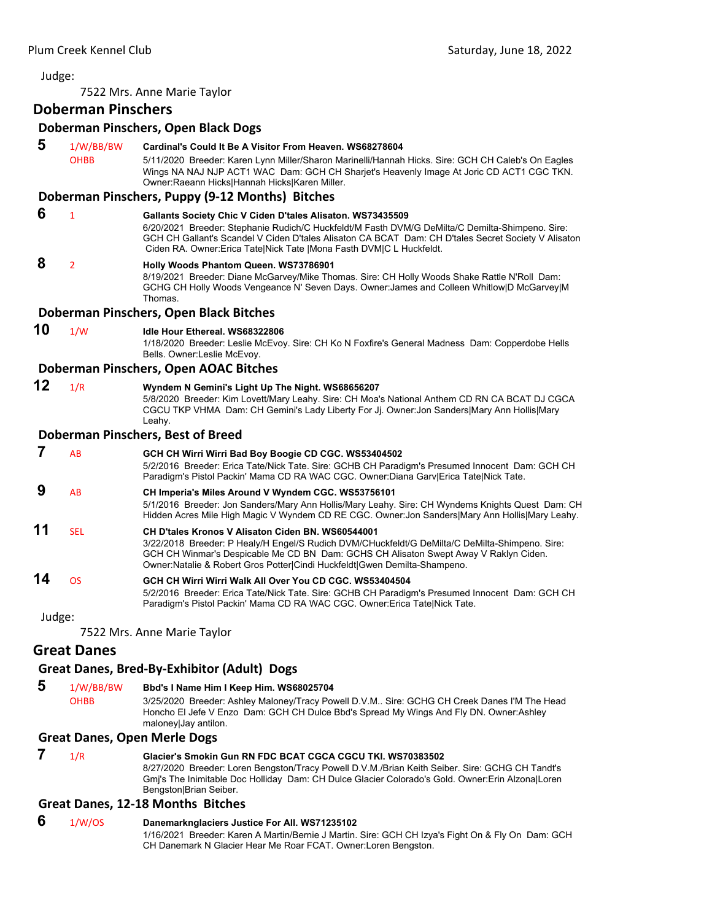7522 Mrs. Anne Marie Taylor

## **Doberman Pinschers**

#### **Doberman Pinschers, Open Black Dogs**

 **5** 1/W/BB/BW **Cardinal's Could It Be A Visitor From Heaven. WS68278604** OHBB 5/11/2020 Breeder: Karen Lynn Miller/Sharon Marinelli/Hannah Hicks. Sire: GCH CH Caleb's On Eagles Wings NA NAJ NJP ACT1 WAC Dam: GCH CH Sharjet's Heavenly Image At Joric CD ACT1 CGC TKN. Owner:Raeann Hicks|Hannah Hicks|Karen Miller.

#### **Doberman Pinschers, Puppy (9‐12 Months) Bitches**

- **6** <sup>1</sup> **Gallants Society Chic V Ciden D'tales Alisaton. WS73435509** 6/20/2021 Breeder: Stephanie Rudich/C Huckfeldt/M Fasth DVM/G DeMilta/C Demilta-Shimpeno. Sire:
	- GCH CH Gallant's Scandel V Ciden D'tales Alisaton CA BCAT Dam: CH D'tales Secret Society V Alisaton Ciden RA. Owner:Erica Tate|Nick Tate |Mona Fasth DVM|C L Huckfeldt.

## **8** <sup>2</sup> **Holly Woods Phantom Queen. WS73786901**

8/19/2021 Breeder: Diane McGarvey/Mike Thomas. Sire: CH Holly Woods Shake Rattle N'Roll Dam: GCHG CH Holly Woods Vengeance N' Seven Days. Owner:James and Colleen Whitlow|D McGarvey|M Thomas.

#### **Doberman Pinschers, Open Black Bitches**

**10** 1/W **Idle Hour Ethereal. WS68322806**

1/18/2020 Breeder: Leslie McEvoy. Sire: CH Ko N Foxfire's General Madness Dam: Copperdobe Hells Bells. Owner:Leslie McEvoy.

#### **Doberman Pinschers, Open AOAC Bitches**

**12** 1/R **Wyndem N Gemini's Light Up The Night. WS68656207**

5/8/2020 Breeder: Kim Lovett/Mary Leahy. Sire: CH Moa's National Anthem CD RN CA BCAT DJ CGCA CGCU TKP VHMA Dam: CH Gemini's Lady Liberty For Jj. Owner:Jon Sanders|Mary Ann Hollis|Mary Leahy.

#### **Doberman Pinschers, Best of Breed**

|        | AB         | GCH CH Wirri Wirri Bad Boy Boogie CD CGC. WS53404502<br>5/2/2016 Breeder: Erica Tate/Nick Tate. Sire: GCHB CH Paradigm's Presumed Innocent Dam: GCH CH<br>Paradigm's Pistol Packin' Mama CD RA WAC CGC. Owner:Diana Garv Erica Tate Nick Tate.                                                                            |
|--------|------------|---------------------------------------------------------------------------------------------------------------------------------------------------------------------------------------------------------------------------------------------------------------------------------------------------------------------------|
| 9      | AB         | CH Imperia's Miles Around V Wyndem CGC. WS53756101<br>5/1/2016 Breeder: Jon Sanders/Mary Ann Hollis/Mary Leahy. Sire: CH Wyndems Knights Quest Dam: CH<br>Hidden Acres Mile High Magic V Wyndem CD RE CGC. Owner: Jon Sanders Mary Ann Hollis Mary Leahy.                                                                 |
| 11     | <b>SFI</b> | CH D'tales Kronos V Alisaton Ciden BN, WS60544001<br>3/22/2018 Breeder: P Healy/H Engel/S Rudich DVM/CHuckfeldt/G DeMilta/C DeMilta-Shimpeno. Sire:<br>GCH CH Winmar's Despicable Me CD BN Dam: GCHS CH Alisaton Swept Away V Raklyn Ciden.<br>Owner: Natalie & Robert Gros Potter Cindi Huckfeldt Gwen Demilta-Shampeno. |
| 14     | OS.        | GCH CH Wirri Wirri Walk All Over You CD CGC, WS53404504<br>5/2/2016 Breeder: Erica Tate/Nick Tate. Sire: GCHB CH Paradigm's Presumed Innocent Dam: GCH CH<br>Paradigm's Pistol Packin' Mama CD RA WAC CGC. Owner: Erica Tate Nick Tate.                                                                                   |
| Judge: |            |                                                                                                                                                                                                                                                                                                                           |

7522 Mrs. Anne Marie Taylor

## **Great Danes**

#### **Great Danes, Bred‐By‐Exhibitor (Adult) Dogs**

 **5** 1/W/BB/BW **Bbd's I Name Him I Keep Him. WS68025704** OHBB 3/25/2020 Breeder: Ashley Maloney/Tracy Powell D.V.M.. Sire: GCHG CH Creek Danes I'M The Head Honcho El Jefe V Enzo Dam: GCH CH Dulce Bbd's Spread My Wings And Fly DN. Owner:Ashley maloney|Jay antilon.

#### **Great Danes, Open Merle Dogs**

| 1/R | Glacier's Smokin Gun RN FDC BCAT CGCA CGCU TKI. WS70383502                                        |
|-----|---------------------------------------------------------------------------------------------------|
|     | 8/27/2020 Breeder: Loren Bengston/Tracy Powell D.V.M./Brian Keith Seiber. Sire: GCHG CH Tandt's   |
|     | Gmi's The Inimitable Doc Holliday Dam: CH Dulce Glacier Colorado's Gold. Owner: Erin Alzona Loren |
|     | Bengston Brian Seiber.                                                                            |

#### **Great Danes, 12‐18 Months Bitches**

#### **6** 1/W/OS **Danemarknglaciers Justice For All. WS71235102**

1/16/2021 Breeder: Karen A Martin/Bernie J Martin. Sire: GCH CH Izya's Fight On & Fly On Dam: GCH CH Danemark N Glacier Hear Me Roar FCAT. Owner:Loren Bengston.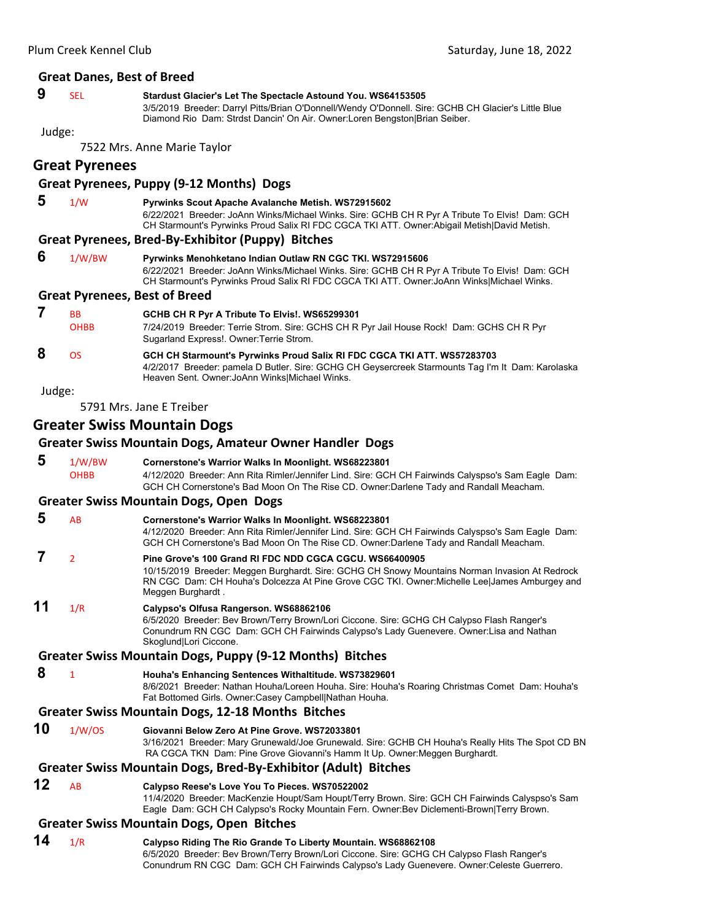#### **Great Danes, Best of Breed**

## **9** SEL **Stardust Glacier's Let The Spectacle Astound You. WS64153505**

3/5/2019 Breeder: Darryl Pitts/Brian O'Donnell/Wendy O'Donnell. Sire: GCHB CH Glacier's Little Blue Diamond Rio Dam: Strdst Dancin' On Air. Owner:Loren Bengston|Brian Seiber.

Judge:

7522 Mrs. Anne Marie Taylor

## **Great Pyrenees**

#### **Great Pyrenees, Puppy (9‐12 Months) Dogs**

 **5** 1/W **Pyrwinks Scout Apache Avalanche Metish. WS72915602** 6/22/2021 Breeder: JoAnn Winks/Michael Winks. Sire: GCHB CH R Pyr A Tribute To Elvis! Dam: GCH CH Starmount's Pyrwinks Proud Salix RI FDC CGCA TKI ATT. Owner:Abigail Metish|David Metish.

#### **Great Pyrenees, Bred‐By‐Exhibitor (Puppy) Bitches**

| 6 | 1/W/BW | <b>Pyrwinks Menohketano Indian Outlaw RN CGC TKI. WS72915606</b>                               |
|---|--------|------------------------------------------------------------------------------------------------|
|   |        | 6/22/2021 Breeder: JoAnn Winks/Michael Winks. Sire: GCHB CH R Pyr A Tribute To Elvis! Dam: GCH |
|   |        | CH Starmount's Pyrwinks Proud Salix RI FDC CGCA TKI ATT. Owner: JoAnn Winks Michael Winks.     |

#### **Great Pyrenees, Best of Breed**

|   | <b>BB</b><br><b>OHBB</b> | GCHB CH R Pyr A Tribute To Elvis!. WS65299301<br>7/24/2019 Breeder: Terrie Strom. Sire: GCHS CH R Pyr Jail House Rock! Dam: GCHS CH R Pyr           |
|---|--------------------------|-----------------------------------------------------------------------------------------------------------------------------------------------------|
|   |                          | Sugarland Express!. Owner: Terrie Strom.                                                                                                            |
| 8 | OS.                      | GCH CH Starmount's Pyrwinks Proud Salix RI FDC CGCA TKI ATT. WS57283703                                                                             |
|   |                          | 4/2/2017 Breeder: pamela D Butler. Sire: GCHG CH Geysercreek Starmounts Tag I'm It Dam: Karolaska<br>Heaven Sent. Owner: JoAnn Winks Michael Winks. |

Judge:

5791 Mrs. Jane E Treiber

## **Greater Swiss Mountain Dogs**

#### **Greater Swiss Mountain Dogs, Amateur Owner Handler Dogs**

 **5** 1/W/BW **Cornerstone's Warrior Walks In Moonlight. WS68223801** OHBB 4/12/2020 Breeder: Ann Rita Rimler/Jennifer Lind. Sire: GCH CH Fairwinds Calyspso's Sam Eagle Dam: GCH CH Cornerstone's Bad Moon On The Rise CD. Owner:Darlene Tady and Randall Meacham.

#### **Greater Swiss Mountain Dogs, Open Dogs**

- **5** AB **Cornerstone's Warrior Walks In Moonlight. WS68223801** 4/12/2020 Breeder: Ann Rita Rimler/Jennifer Lind. Sire: GCH CH Fairwinds Calyspso's Sam Eagle Dam: GCH CH Cornerstone's Bad Moon On The Rise CD. Owner:Darlene Tady and Randall Meacham.  **7** <sup>2</sup> **Pine Grove's 100 Grand RI FDC NDD CGCA CGCU. WS66400905**
	- 10/15/2019 Breeder: Meggen Burghardt. Sire: GCHG CH Snowy Mountains Norman Invasion At Redrock RN CGC Dam: CH Houha's Dolcezza At Pine Grove CGC TKI. Owner:Michelle Lee|James Amburgey and Meggen Burghardt .
- **11** 1/R **Calypso's Olfusa Rangerson. WS68862106** 6/5/2020 Breeder: Bev Brown/Terry Brown/Lori Ciccone. Sire: GCHG CH Calypso Flash Ranger's Conundrum RN CGC Dam: GCH CH Fairwinds Calypso's Lady Guenevere. Owner:Lisa and Nathan Skoglund|Lori Ciccone.

#### **Greater Swiss Mountain Dogs, Puppy (9‐12 Months) Bitches**

 **8** <sup>1</sup> **Houha's Enhancing Sentences Withaltitude. WS73829601** 8/6/2021 Breeder: Nathan Houha/Loreen Houha. Sire: Houha's Roaring Christmas Comet Dam: Houha's Fat Bottomed Girls. Owner:Casey Campbell|Nathan Houha.

#### **Greater Swiss Mountain Dogs, 12‐18 Months Bitches**

**10** 1/W/OS **Giovanni Below Zero At Pine Grove. WS72033801**

3/16/2021 Breeder: Mary Grunewald/Joe Grunewald. Sire: GCHB CH Houha's Really Hits The Spot CD BN RA CGCA TKN Dam: Pine Grove Giovanni's Hamm It Up. Owner:Meggen Burghardt.

#### **Greater Swiss Mountain Dogs, Bred‐By‐Exhibitor (Adult) Bitches**

**12** AB **Calypso Reese's Love You To Pieces. WS70522002**

11/4/2020 Breeder: MacKenzie Houpt/Sam Houpt/Terry Brown. Sire: GCH CH Fairwinds Calyspso's Sam Eagle Dam: GCH CH Calypso's Rocky Mountain Fern. Owner:Bev Diclementi-Brown|Terry Brown.

#### **Greater Swiss Mountain Dogs, Open Bitches**

**14** 1/R **Calypso Riding The Rio Grande To Liberty Mountain. WS68862108** 6/5/2020 Breeder: Bev Brown/Terry Brown/Lori Ciccone. Sire: GCHG CH Calypso Flash Ranger's Conundrum RN CGC Dam: GCH CH Fairwinds Calypso's Lady Guenevere. Owner:Celeste Guerrero.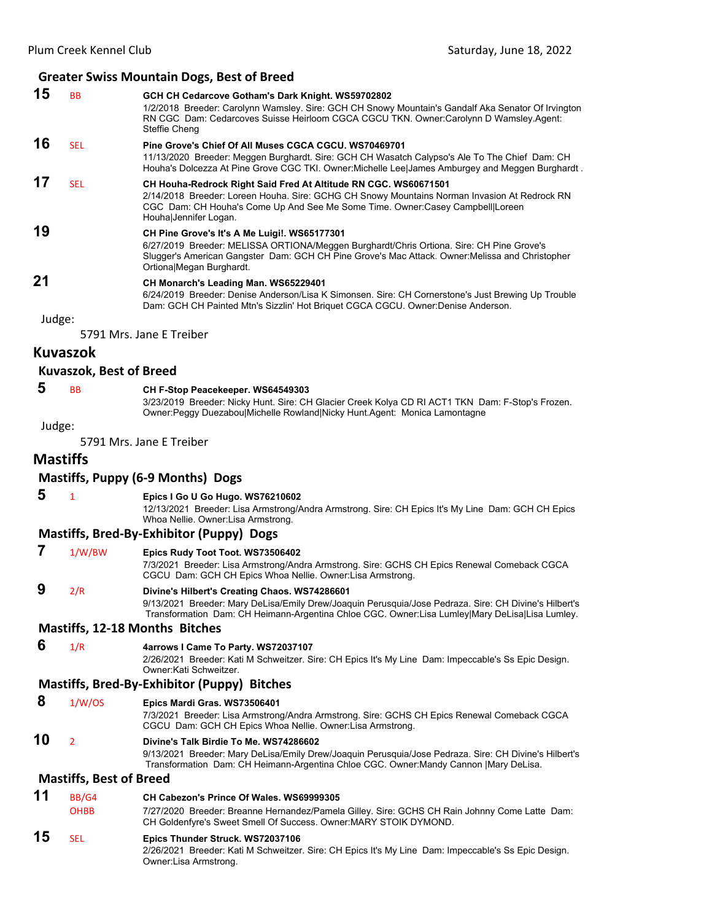|        |                                | <b>Greater Swiss Mountain Dogs, Best of Breed</b>                                                                                                                                                                                                                         |
|--------|--------------------------------|---------------------------------------------------------------------------------------------------------------------------------------------------------------------------------------------------------------------------------------------------------------------------|
| 15     | <b>BB</b>                      | GCH CH Cedarcove Gotham's Dark Knight. WS59702802<br>1/2/2018 Breeder: Carolynn Wamsley. Sire: GCH CH Snowy Mountain's Gandalf Aka Senator Of Irvington<br>RN CGC Dam: Cedarcoves Suisse Heirloom CGCA CGCU TKN. Owner:Carolynn D Wamsley.Agent:<br>Steffie Cheng         |
| 16     | <b>SEL</b>                     | Pine Grove's Chief Of All Muses CGCA CGCU. WS70469701<br>11/13/2020 Breeder: Meggen Burghardt. Sire: GCH CH Wasatch Calypso's Ale To The Chief Dam: CH<br>Houha's Dolcezza At Pine Grove CGC TKI. Owner: Michelle Lee James Amburgey and Meggen Burghardt.                |
| 17     | <b>SEL</b>                     | CH Houha-Redrock Right Said Fred At Altitude RN CGC. WS60671501<br>2/14/2018 Breeder: Loreen Houha. Sire: GCHG CH Snowy Mountains Norman Invasion At Redrock RN<br>CGC Dam: CH Houha's Come Up And See Me Some Time. Owner:Casey Campbell Loreen<br>Houha Jennifer Logan. |
| 19     |                                | CH Pine Grove's It's A Me Luigi!. WS65177301<br>6/27/2019 Breeder: MELISSA ORTIONA/Meggen Burghardt/Chris Ortiona. Sire: CH Pine Grove's<br>Slugger's American Gangster Dam: GCH CH Pine Grove's Mac Attack. Owner: Melissa and Christopher<br>Ortiona Megan Burghardt.   |
| 21     |                                | CH Monarch's Leading Man. WS65229401<br>6/24/2019 Breeder: Denise Anderson/Lisa K Simonsen. Sire: CH Cornerstone's Just Brewing Up Trouble<br>Dam: GCH CH Painted Mtn's Sizzlin' Hot Briquet CGCA CGCU. Owner:Denise Anderson.                                            |
| Judge: |                                |                                                                                                                                                                                                                                                                           |
|        |                                | 5791 Mrs. Jane E Treiber                                                                                                                                                                                                                                                  |
|        | <b>Kuvaszok</b>                |                                                                                                                                                                                                                                                                           |
|        | <b>Kuvaszok, Best of Breed</b> |                                                                                                                                                                                                                                                                           |
| 5      | BB                             | CH F-Stop Peacekeeper. WS64549303<br>3/23/2019 Breeder: Nicky Hunt. Sire: CH Glacier Creek Kolya CD RI ACT1 TKN Dam: F-Stop's Frozen.<br>Owner:Peggy Duezabou Michelle Rowland Nicky Hunt.Agent: Monica Lamontagne                                                        |
| Judge: |                                |                                                                                                                                                                                                                                                                           |
|        |                                | 5791 Mrs. Jane E Treiber                                                                                                                                                                                                                                                  |
|        | <b>Mastiffs</b>                |                                                                                                                                                                                                                                                                           |
|        |                                | Mastiffs, Puppy (6-9 Months) Dogs                                                                                                                                                                                                                                         |
| 5      | 1                              | Epics I Go U Go Hugo. WS76210602<br>12/13/2021 Breeder: Lisa Armstrong/Andra Armstrong. Sire: CH Epics It's My Line Dam: GCH CH Epics<br>Whoa Nellie. Owner: Lisa Armstrong.                                                                                              |
|        |                                | <b>Mastiffs, Bred-By-Exhibitor (Puppy) Dogs</b>                                                                                                                                                                                                                           |
| 7      | 1/W/BW                         | Epics Rudy Toot Toot. WS73506402<br>7/3/2021 Breeder: Lisa Armstrong/Andra Armstrong. Sire: GCHS CH Epics Renewal Comeback CGCA<br>CGCU Dam: GCH CH Epics Whoa Nellie. Owner: Lisa Armstrong.                                                                             |
| 9      | 2/R                            | Divine's Hilbert's Creating Chaos. WS74286601<br>9/13/2021 Breeder: Mary DeLisa/Emily Drew/Joaquin Perusquia/Jose Pedraza. Sire: CH Divine's Hilbert's<br>Transformation Dam: CH Heimann-Argentina Chloe CGC. Owner:Lisa Lumley Mary DeLisa Lisa Lumley.                  |
|        |                                | <b>Mastiffs, 12-18 Months Bitches</b>                                                                                                                                                                                                                                     |
| 6      | 1/R                            | 4arrows I Came To Party. WS72037107<br>2/26/2021 Breeder: Kati M Schweitzer. Sire: CH Epics It's My Line Dam: Impeccable's Ss Epic Design.<br>Owner: Kati Schweitzer.                                                                                                     |
|        |                                | Mastiffs, Bred-By-Exhibitor (Puppy) Bitches                                                                                                                                                                                                                               |
| 8      | 1/W/OS                         | Epics Mardi Gras. WS73506401<br>7/3/2021 Breeder: Lisa Armstrong/Andra Armstrong. Sire: GCHS CH Epics Renewal Comeback CGCA<br>CGCU Dam: GCH CH Epics Whoa Nellie. Owner: Lisa Armstrong.                                                                                 |
| 10     | 2                              | Divine's Talk Birdie To Me. WS74286602                                                                                                                                                                                                                                    |

9/13/2021 Breeder: Mary DeLisa/Emily Drew/Joaquin Perusquia/Jose Pedraza. Sire: CH Divine's Hilbert's Transformation Dam: CH Heimann-Argentina Chloe CGC. Owner:Mandy Cannon |Mary DeLisa.

## **Mastiffs, Best of Breed**

Owner:Lisa Armstrong.

| 11 | BB/G4       | CH Cabezon's Prince Of Wales, WS69999305                                                                                                                           |
|----|-------------|--------------------------------------------------------------------------------------------------------------------------------------------------------------------|
|    | <b>OHBB</b> | 7/27/2020 Breeder: Breanne Hernandez/Pamela Gilley. Sire: GCHS CH Rain Johnny Come Latte Dam:<br>CH Goldenfyre's Sweet Smell Of Success. Owner: MARY STOIK DYMOND. |
| 15 | <b>SFI</b>  | Epics Thunder Struck. WS72037106<br>2/26/2021 Breeder: Kati M Schweitzer. Sire: CH Epics It's My Line Dam: Impeccable's Ss Epic Design.                            |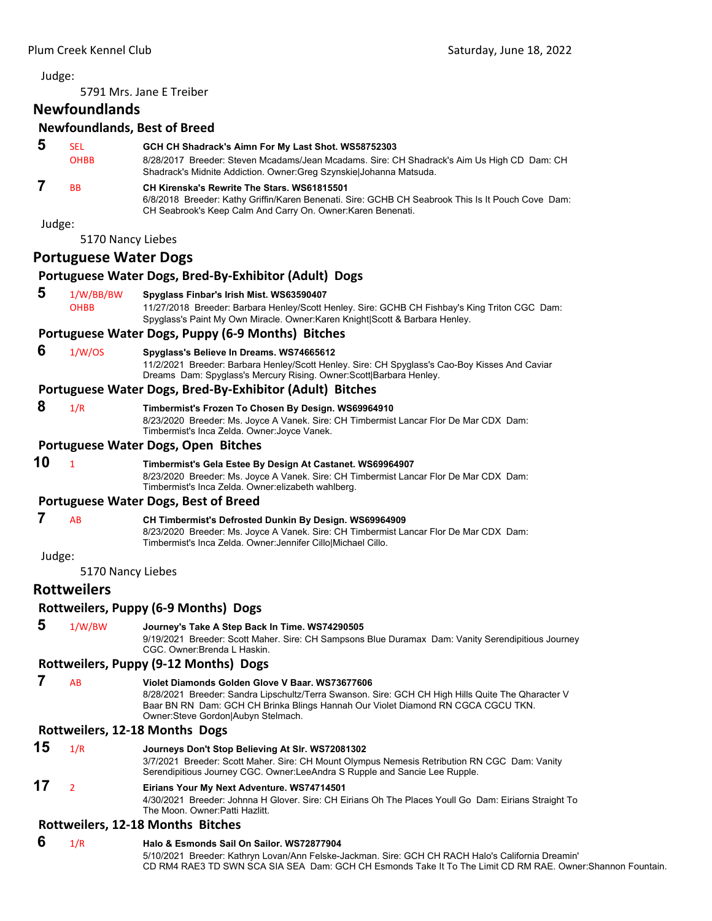5791 Mrs. Jane E Treiber

## **Newfoundlands**

## **Newfoundlands, Best of Breed**

|        |                              | Newfoundlands, Best of Breed                                                                                                                                                                                              |
|--------|------------------------------|---------------------------------------------------------------------------------------------------------------------------------------------------------------------------------------------------------------------------|
| 5      | <b>SEL</b><br><b>OHBB</b>    | GCH CH Shadrack's Aimn For My Last Shot. WS58752303<br>8/28/2017 Breeder: Steven Mcadams/Jean Mcadams. Sire: CH Shadrack's Aim Us High CD Dam: CH<br>Shadrack's Midnite Addiction. Owner: Greg Szynskiel Johanna Matsuda. |
| 7      | <b>BB</b>                    | CH Kirenska's Rewrite The Stars, WS61815501<br>6/8/2018 Breeder: Kathy Griffin/Karen Benenati. Sire: GCHB CH Seabrook This Is It Pouch Cove Dam:<br>CH Seabrook's Keep Calm And Carry On. Owner: Karen Benenati.          |
| Judge: |                              |                                                                                                                                                                                                                           |
|        | 5170 Nancy Liebes            |                                                                                                                                                                                                                           |
|        | <b>Portuguese Water Dogs</b> |                                                                                                                                                                                                                           |
|        |                              | Portuguese Water Dogs, Bred-By-Exhibitor (Adult) Dogs                                                                                                                                                                     |
| 5      | 1/W/BB/BW<br><b>OHBB</b>     | Spyglass Finbar's Irish Mist. WS63590407<br>11/27/2018 Breeder: Barbara Henley/Scott Henley. Sire: GCHB CH Fishbay's King Triton CGC Dam:<br>Spyglass's Paint My Own Miracle. Owner: Karen Knight Scott & Barbara Henley. |
|        |                              | Portuguese Water Dogs, Puppy (6-9 Months) Bitches                                                                                                                                                                         |
| c      | $\sim$ $\sim$ $\sim$ $\sim$  |                                                                                                                                                                                                                           |

#### **6** 1/W/OS **Spyglass's Believe In Dreams. WS74665612**

11/2/2021 Breeder: Barbara Henley/Scott Henley. Sire: CH Spyglass's Cao-Boy Kisses And Caviar Dreams Dam: Spyglass's Mercury Rising. Owner:Scott|Barbara Henley.

#### **Portuguese Water Dogs, Bred‐By‐Exhibitor (Adult) Bitches**

 **8** 1/R **Timbermist's Frozen To Chosen By Design. WS69964910** 8/23/2020 Breeder: Ms. Joyce A Vanek. Sire: CH Timbermist Lancar Flor De Mar CDX Dam:

Timbermist's Inca Zelda. Owner:Joyce Vanek.

#### **Portuguese Water Dogs, Open Bitches**

## **10** <sup>1</sup> **Timbermist's Gela Estee By Design At Castanet. WS69964907**

8/23/2020 Breeder: Ms. Joyce A Vanek. Sire: CH Timbermist Lancar Flor De Mar CDX Dam: Timbermist's Inca Zelda. Owner:elizabeth wahlberg.

#### **Portuguese Water Dogs, Best of Breed**

- **7** AB **CH Timbermist's Defrosted Dunkin By Design. WS69964909**
	- 8/23/2020 Breeder: Ms. Joyce A Vanek. Sire: CH Timbermist Lancar Flor De Mar CDX Dam: Timbermist's Inca Zelda. Owner:Jennifer Cillo|Michael Cillo.

Judge:

5170 Nancy Liebes

## **Rottweilers**

#### **Rottweilers, Puppy (6‐9 Months) Dogs**

 **5** 1/W/BW **Journey's Take A Step Back In Time. WS74290505**

9/19/2021 Breeder: Scott Maher. Sire: CH Sampsons Blue Duramax Dam: Vanity Serendipitious Journey CGC. Owner:Brenda L Haskin.

#### **Rottweilers, Puppy (9‐12 Months) Dogs**

```
 7 AB Violet Diamonds Golden Glove V Baar. WS73677606
                     8/28/2021 Breeder: Sandra Lipschultz/Terra Swanson. Sire: GCH CH High Hills Quite The Qharacter V 
                     Baar BN RN Dam: GCH CH Brinka Blings Hannah Our Violet Diamond RN CGCA CGCU TKN. 
                     Owner:Steve Gordon|Aubyn Stelmach.
```
#### **Rottweilers, 12‐18 Months Dogs**

| 15 | 1/R | Journeys Don't Stop Believing At Slr. WS72081302                                                     |
|----|-----|------------------------------------------------------------------------------------------------------|
|    |     | 3/7/2021 Breeder: Scott Maher. Sire: CH Mount Olympus Nemesis Retribution RN CGC Dam: Vanity         |
|    |     | Serendipitious Journey CGC. Owner:LeeAndra S Rupple and Sancie Lee Rupple.                           |
| 17 |     | Eirians Your My Next Adventure. WS74714501                                                           |
|    |     | 4/30/2021 Breeder: Johnna H Glover. Sire: CH Eirians Oh The Places Youll Go Dam: Eirians Straight To |
|    |     | The Moon, Owner Patti Hazlitt                                                                        |

#### **Rottweilers, 12‐18 Months Bitches**

#### **6** 1/R **Halo & Esmonds Sail On Sailor. WS72877904**

5/10/2021 Breeder: Kathryn Lovan/Ann Felske-Jackman. Sire: GCH CH RACH Halo's California Dreamin' CD RM4 RAE3 TD SWN SCA SIA SEA Dam: GCH CH Esmonds Take It To The Limit CD RM RAE. Owner:Shannon Fountain.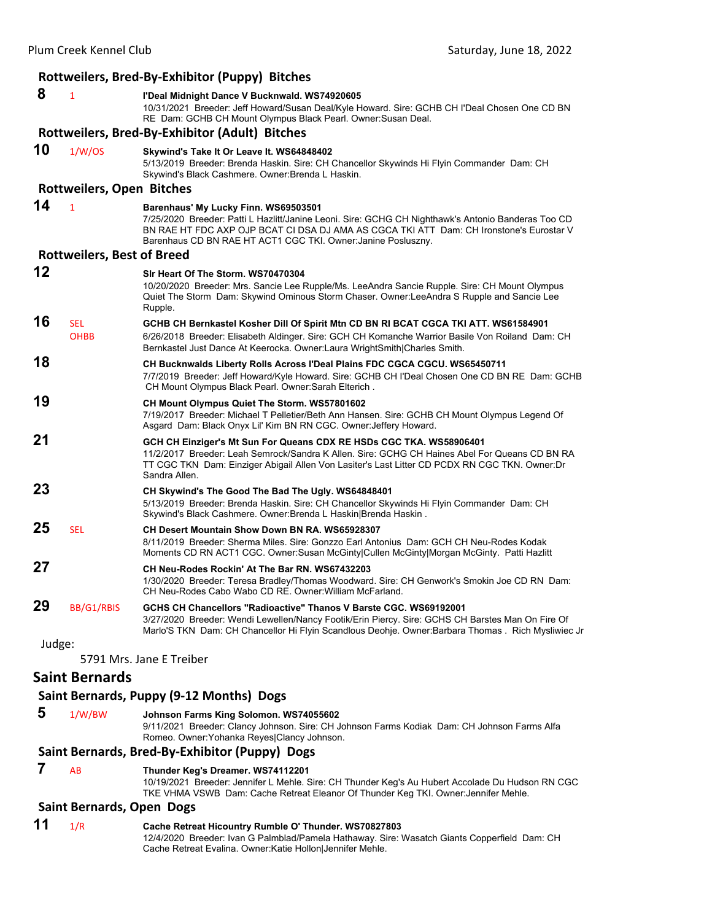|        |                                   | Rottweilers, Bred-By-Exhibitor (Puppy) Bitches                                                                                                                                                                                                                                                         |
|--------|-----------------------------------|--------------------------------------------------------------------------------------------------------------------------------------------------------------------------------------------------------------------------------------------------------------------------------------------------------|
| 8      | $\mathbf{1}$                      | l'Deal Midnight Dance V Bucknwald. WS74920605<br>10/31/2021 Breeder: Jeff Howard/Susan Deal/Kyle Howard. Sire: GCHB CH I'Deal Chosen One CD BN<br>RE Dam: GCHB CH Mount Olympus Black Pearl. Owner: Susan Deal.                                                                                        |
|        |                                   | Rottweilers, Bred-By-Exhibitor (Adult) Bitches                                                                                                                                                                                                                                                         |
| 10     | 1/W/OS                            | Skywind's Take It Or Leave It. WS64848402<br>5/13/2019 Breeder: Brenda Haskin. Sire: CH Chancellor Skywinds Hi Flyin Commander Dam: CH<br>Skywind's Black Cashmere. Owner: Brenda L Haskin.                                                                                                            |
|        | <b>Rottweilers, Open Bitches</b>  |                                                                                                                                                                                                                                                                                                        |
| 14     | $\mathbf{1}$                      | Barenhaus' My Lucky Finn. WS69503501<br>7/25/2020 Breeder: Patti L Hazlitt/Janine Leoni. Sire: GCHG CH Nighthawk's Antonio Banderas Too CD<br>BN RAE HT FDC AXP OJP BCAT CI DSA DJ AMA AS CGCA TKI ATT Dam: CH Ironstone's Eurostar V<br>Barenhaus CD BN RAE HT ACT1 CGC TKI. Owner: Janine Posluszny. |
|        | <b>Rottweilers, Best of Breed</b> |                                                                                                                                                                                                                                                                                                        |
| 12     |                                   | Sir Heart Of The Storm, WS70470304<br>10/20/2020 Breeder: Mrs. Sancie Lee Rupple/Ms. LeeAndra Sancie Rupple. Sire: CH Mount Olympus<br>Quiet The Storm Dam: Skywind Ominous Storm Chaser. Owner: Lee Andra S Rupple and Sancie Lee<br>Rupple.                                                          |
| 16     | <b>SEL</b><br><b>OHBB</b>         | GCHB CH Bernkastel Kosher Dill Of Spirit Mtn CD BN RI BCAT CGCA TKI ATT. WS61584901<br>6/26/2018 Breeder: Elisabeth Aldinger. Sire: GCH CH Komanche Warrior Basile Von Roiland Dam: CH<br>Bernkastel Just Dance At Keerocka. Owner:Laura WrightSmith Charles Smith.                                    |
| 18     |                                   | <b>CH Bucknwalds Liberty Rolls Across l'Deal Plains FDC CGCA CGCU. WS65450711</b><br>7/7/2019 Breeder: Jeff Howard/Kyle Howard. Sire: GCHB CH I'Deal Chosen One CD BN RE Dam: GCHB<br>CH Mount Olympus Black Pearl. Owner: Sarah Elterich.                                                             |
| 19     |                                   | CH Mount Olympus Quiet The Storm. WS57801602<br>7/19/2017 Breeder: Michael T Pelletier/Beth Ann Hansen. Sire: GCHB CH Mount Olympus Legend Of<br>Asgard Dam: Black Onyx Lil' Kim BN RN CGC. Owner: Jeffery Howard.                                                                                     |
| 21     |                                   | GCH CH Einziger's Mt Sun For Queans CDX RE HSDs CGC TKA. WS58906401<br>11/2/2017 Breeder: Leah Semrock/Sandra K Allen. Sire: GCHG CH Haines Abel For Queans CD BN RA<br>TT CGC TKN Dam: Einziger Abigail Allen Von Lasiter's Last Litter CD PCDX RN CGC TKN. Owner:Dr<br>Sandra Allen.                 |
| 23     |                                   | CH Skywind's The Good The Bad The Ugly. WS64848401<br>5/13/2019 Breeder: Brenda Haskin. Sire: CH Chancellor Skywinds Hi Flyin Commander Dam: CH<br>Skywind's Black Cashmere. Owner: Brenda L Haskin Brenda Haskin.                                                                                     |
| 25     | <b>SEL</b>                        | CH Desert Mountain Show Down BN RA. WS65928307<br>8/11/2019 Breeder: Sherma Miles. Sire: Gonzzo Earl Antonius Dam: GCH CH Neu-Rodes Kodak<br>Moments CD RN ACT1 CGC. Owner:Susan McGinty Cullen McGinty Morgan McGinty. Patti Hazlitt                                                                  |
| 27     |                                   | CH Neu-Rodes Rockin' At The Bar RN, WS67432203<br>1/30/2020 Breeder: Teresa Bradley/Thomas Woodward. Sire: CH Genwork's Smokin Joe CD RN Dam:<br>CH Neu-Rodes Cabo Wabo CD RE. Owner: William McFarland.                                                                                               |
| 29     | BB/G1/RBIS                        | GCHS CH Chancellors "Radioactive" Thanos V Barste CGC. WS69192001<br>3/27/2020 Breeder: Wendi Lewellen/Nancy Footik/Erin Piercy. Sire: GCHS CH Barstes Man On Fire Of<br>Marlo'S TKN Dam: CH Chancellor Hi Flyin Scandlous Deohje. Owner:Barbara Thomas. Rich Mysliwiec Jr                             |
| Judge: |                                   |                                                                                                                                                                                                                                                                                                        |
|        |                                   | 5791 Mrs. Jane E Treiber                                                                                                                                                                                                                                                                               |
|        | <b>Saint Bernards</b>             |                                                                                                                                                                                                                                                                                                        |
|        |                                   | Saint Bernards, Puppy (9-12 Months) Dogs                                                                                                                                                                                                                                                               |
| 5      | 1/W/BW                            | Johnson Farms King Solomon. WS74055602<br>9/11/2021 Breeder: Clancy Johnson. Sire: CH Johnson Farms Kodiak Dam: CH Johnson Farms Alfa<br>Romeo. Owner: Yohanka Reyes Clancy Johnson.                                                                                                                   |
|        |                                   |                                                                                                                                                                                                                                                                                                        |

#### **Saint Bernards, Bred‐By‐Exhibitor (Puppy) Dogs**

 **7** AB **Thunder Keg's Dreamer. WS74112201**

10/19/2021 Breeder: Jennifer L Mehle. Sire: CH Thunder Keg's Au Hubert Accolade Du Hudson RN CGC TKE VHMA VSWB Dam: Cache Retreat Eleanor Of Thunder Keg TKI. Owner:Jennifer Mehle.

#### **Saint Bernards, Open Dogs**

#### **11** 1/R **Cache Retreat Hicountry Rumble O' Thunder. WS70827803**

12/4/2020 Breeder: Ivan G Palmblad/Pamela Hathaway. Sire: Wasatch Giants Copperfield Dam: CH Cache Retreat Evalina. Owner:Katie Hollon|Jennifer Mehle.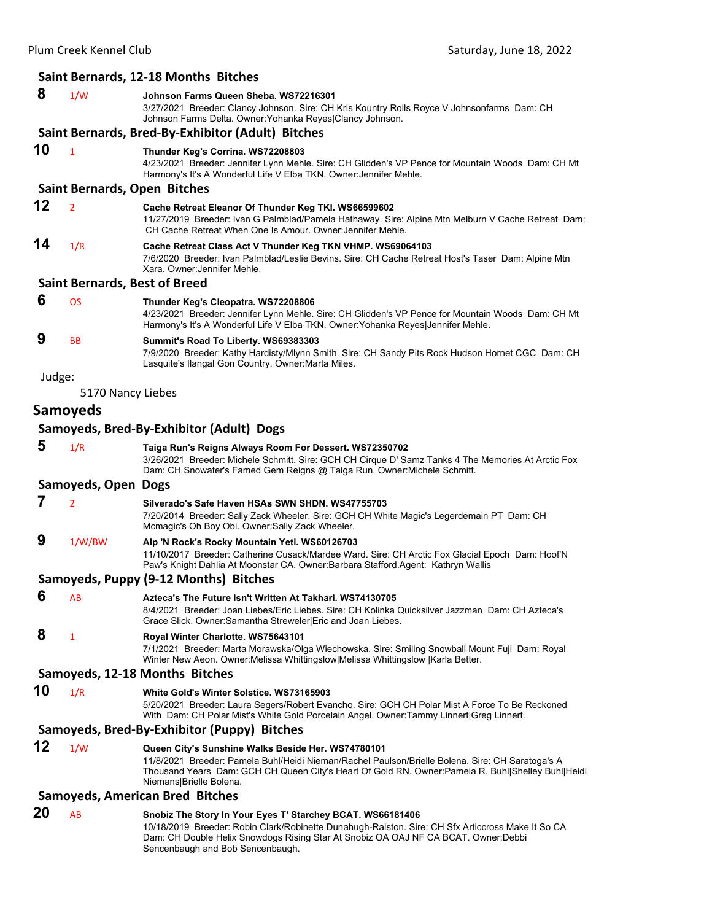|        |                     | Saint Bernards, 12-18 Months Bitches                                                                                                                                                                                                                                                     |
|--------|---------------------|------------------------------------------------------------------------------------------------------------------------------------------------------------------------------------------------------------------------------------------------------------------------------------------|
| 8      | 1/W                 | Johnson Farms Queen Sheba. WS72216301<br>3/27/2021 Breeder: Clancy Johnson. Sire: CH Kris Kountry Rolls Royce V Johnsonfarms Dam: CH<br>Johnson Farms Delta. Owner: Yohanka Reyes Clancy Johnson.                                                                                        |
|        |                     | Saint Bernards, Bred-By-Exhibitor (Adult) Bitches                                                                                                                                                                                                                                        |
| 10     | $\mathbf{1}$        | Thunder Keg's Corrina. WS72208803<br>4/23/2021 Breeder: Jennifer Lynn Mehle. Sire: CH Glidden's VP Pence for Mountain Woods Dam: CH Mt<br>Harmony's It's A Wonderful Life V Elba TKN. Owner: Jennifer Mehle.                                                                             |
|        |                     | Saint Bernards, Open Bitches                                                                                                                                                                                                                                                             |
| 12     | $\overline{2}$      | Cache Retreat Eleanor Of Thunder Keg TKI. WS66599602<br>11/27/2019 Breeder: Ivan G Palmblad/Pamela Hathaway. Sire: Alpine Mtn Melburn V Cache Retreat Dam:<br>CH Cache Retreat When One Is Amour. Owner: Jennifer Mehle.                                                                 |
| 14     | 1/R                 | Cache Retreat Class Act V Thunder Keg TKN VHMP. WS69064103<br>7/6/2020 Breeder: Ivan Palmblad/Leslie Bevins. Sire: CH Cache Retreat Host's Taser Dam: Alpine Mtn<br>Xara, Owner: Jennifer Mehle.                                                                                         |
|        |                     | <b>Saint Bernards, Best of Breed</b>                                                                                                                                                                                                                                                     |
| 6      | <b>OS</b>           | Thunder Keg's Cleopatra. WS72208806<br>4/23/2021 Breeder: Jennifer Lynn Mehle. Sire: CH Glidden's VP Pence for Mountain Woods Dam: CH Mt<br>Harmony's It's A Wonderful Life V Elba TKN. Owner: Yohanka Reyes Jennifer Mehle.                                                             |
| 9      | <b>BB</b>           | Summit's Road To Liberty. WS69383303<br>7/9/2020 Breeder: Kathy Hardisty/Mlynn Smith. Sire: CH Sandy Pits Rock Hudson Hornet CGC Dam: CH<br>Lasquite's Ilangal Gon Country. Owner: Marta Miles.                                                                                          |
| Judge: |                     |                                                                                                                                                                                                                                                                                          |
|        | 5170 Nancy Liebes   |                                                                                                                                                                                                                                                                                          |
|        | <b>Samoyeds</b>     |                                                                                                                                                                                                                                                                                          |
|        |                     | Samoyeds, Bred-By-Exhibitor (Adult) Dogs                                                                                                                                                                                                                                                 |
| 5      | 1/R                 | Taiga Run's Reigns Always Room For Dessert. WS72350702<br>3/26/2021 Breeder: Michele Schmitt. Sire: GCH CH Cirque D' Samz Tanks 4 The Memories At Arctic Fox<br>Dam: CH Snowater's Famed Gem Reigns @ Taiga Run. Owner: Michele Schmitt.                                                 |
|        | Samoyeds, Open Dogs |                                                                                                                                                                                                                                                                                          |
| 7      | $\overline{2}$      | Silverado's Safe Haven HSAs SWN SHDN. WS47755703<br>7/20/2014 Breeder: Sally Zack Wheeler. Sire: GCH CH White Magic's Legerdemain PT Dam: CH<br>Mcmagic's Oh Boy Obi. Owner: Sally Zack Wheeler.                                                                                         |
| 9      | 1/W/BW              | Alp 'N Rock's Rocky Mountain Yeti. WS60126703<br>11/10/2017 Breeder: Catherine Cusack/Mardee Ward. Sire: CH Arctic Fox Glacial Epoch Dam: Hoof'N<br>Paw's Knight Dahlia At Moonstar CA. Owner:Barbara Stafford.Agent: Kathryn Wallis                                                     |
|        |                     | Samoyeds, Puppy (9-12 Months) Bitches                                                                                                                                                                                                                                                    |
| O      | AB                  | Azteca's The Future Isn't Written At Takhari. WS74130705<br>8/4/2021 Breeder: Joan Liebes/Eric Liebes. Sire: CH Kolinka Quicksilver Jazzman Dam: CH Azteca's<br>Grace Slick. Owner: Samantha Streweler Eric and Joan Liebes.                                                             |
| 8      | $\mathbf{1}$        | Royal Winter Charlotte. WS75643101<br>7/1/2021 Breeder: Marta Morawska/Olga Wiechowska. Sire: Smiling Snowball Mount Fuji Dam: Royal<br>Winter New Aeon. Owner: Melissa Whittingslow   Melissa Whittingslow   Karla Better.                                                              |
|        |                     | Samoyeds, 12-18 Months Bitches                                                                                                                                                                                                                                                           |
| 10     | 1/R                 | White Gold's Winter Solstice. WS73165903<br>5/20/2021 Breeder: Laura Segers/Robert Evancho. Sire: GCH CH Polar Mist A Force To Be Reckoned<br>With Dam: CH Polar Mist's White Gold Porcelain Angel. Owner:Tammy Linnert Greg Linnert.                                                    |
|        |                     | Samoyeds, Bred-By-Exhibitor (Puppy) Bitches                                                                                                                                                                                                                                              |
| 12     | 1/W                 | Queen City's Sunshine Walks Beside Her. WS74780101<br>11/8/2021  Breeder: Pamela Buhl/Heidi Nieman/Rachel Paulson/Brielle Bolena. Sire: CH Saratoga's A<br>Thousand Years Dam: GCH CH Queen City's Heart Of Gold RN. Owner: Pamela R. Buhl Shelley Buhl Heidi<br>Niemans Brielle Bolena. |
|        |                     | <b>Samoyeds, American Bred Bitches</b>                                                                                                                                                                                                                                                   |
| 20     | AB                  | Snobiz The Story In Your Eyes T' Starchey BCAT. WS66181406<br>10/18/2019 Breeder: Robin Clark/Robinette Dunahugh-Ralston. Sire: CH Sfx Articcross Make It So CA<br>Dam: CH Double Helix Snowdogs Rising Star At Snobiz OA OAJ NF CA BCAT. Owner:Debbi                                    |

Sencenbaugh and Bob Sencenbaugh.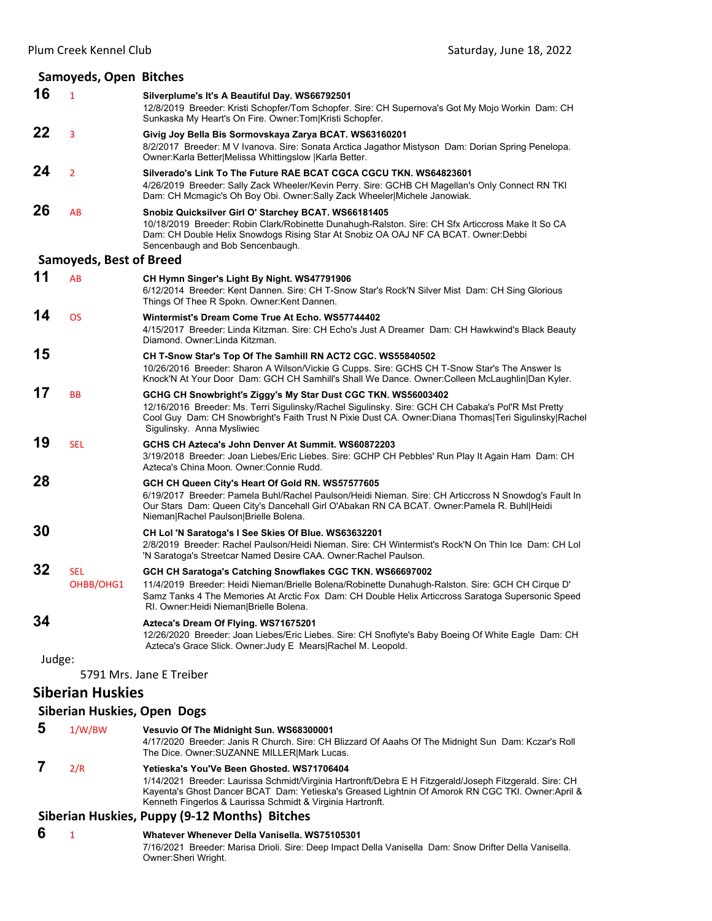|        | Samoyeds, Open Bitches             |                                                                                                                                                                                                                                                                                                                  |
|--------|------------------------------------|------------------------------------------------------------------------------------------------------------------------------------------------------------------------------------------------------------------------------------------------------------------------------------------------------------------|
| 16     | $\mathbf{1}$                       | Silverplume's It's A Beautiful Day. WS66792501<br>12/8/2019 Breeder: Kristi Schopfer/Tom Schopfer. Sire: CH Supernova's Got My Mojo Workin Dam: CH<br>Sunkaska My Heart's On Fire. Owner: Tom Kristi Schopfer.                                                                                                   |
| 22     | 3                                  | Givig Joy Bella Bis Sormovskaya Zarya BCAT. WS63160201<br>8/2/2017 Breeder: M V Ivanova. Sire: Sonata Arctica Jagathor Mistyson Dam: Dorian Spring Penelopa.<br>Owner:Karla Better Melissa Whittingslow  Karla Better.                                                                                           |
| 24     | $\overline{2}$                     | Silverado's Link To The Future RAE BCAT CGCA CGCU TKN. WS64823601<br>4/26/2019 Breeder: Sally Zack Wheeler/Kevin Perry. Sire: GCHB CH Magellan's Only Connect RN TKI<br>Dam: CH Mcmagic's Oh Boy Obi. Owner: Sally Zack Wheeler Michele Janowiak.                                                                |
| 26     | AB                                 | Snobiz Quicksilver Girl O' Starchey BCAT. WS66181405<br>10/18/2019 Breeder: Robin Clark/Robinette Dunahugh-Ralston. Sire: CH Sfx Articcross Make It So CA<br>Dam: CH Double Helix Snowdogs Rising Star At Snobiz OA OAJ NF CA BCAT. Owner:Debbi<br>Sencenbaugh and Bob Sencenbaugh.                              |
|        | <b>Samoyeds, Best of Breed</b>     |                                                                                                                                                                                                                                                                                                                  |
| 11     | AB                                 | CH Hymn Singer's Light By Night. WS47791906<br>6/12/2014 Breeder: Kent Dannen. Sire: CH T-Snow Star's Rock'N Silver Mist Dam: CH Sing Glorious<br>Things Of Thee R Spokn. Owner: Kent Dannen.                                                                                                                    |
| 14     | <b>OS</b>                          | Wintermist's Dream Come True At Echo. WS57744402<br>4/15/2017 Breeder: Linda Kitzman. Sire: CH Echo's Just A Dreamer Dam: CH Hawkwind's Black Beauty<br>Diamond. Owner: Linda Kitzman.                                                                                                                           |
| 15     |                                    | CH T-Snow Star's Top Of The Samhill RN ACT2 CGC. WS55840502<br>10/26/2016 Breeder: Sharon A Wilson/Vickie G Cupps. Sire: GCHS CH T-Snow Star's The Answer Is<br>Knock'N At Your Door Dam: GCH CH Samhill's Shall We Dance. Owner: Colleen McLaughlin Dan Kyler.                                                  |
| 17     | <b>BB</b>                          | GCHG CH Snowbright's Ziggy's My Star Dust CGC TKN. WS56003402<br>12/16/2016 Breeder: Ms. Terri Sigulinsky/Rachel Sigulinsky. Sire: GCH CH Cabaka's Pol'R Mst Pretty<br>Cool Guy Dam: CH Snowbright's Faith Trust N Pixie Dust CA. Owner:Diana Thomas Teri Sigulinsky Rachel<br>Sigulinsky. Anna Mysliwiec        |
| 19     | <b>SEL</b>                         | GCHS CH Azteca's John Denver At Summit. WS60872203<br>3/19/2018 Breeder: Joan Liebes/Eric Liebes. Sire: GCHP CH Pebbles' Run Play It Again Ham Dam: CH<br>Azteca's China Moon. Owner: Connie Rudd.                                                                                                               |
| 28     |                                    | GCH CH Queen City's Heart Of Gold RN. WS57577605<br>6/19/2017 Breeder: Pamela Buhl/Rachel Paulson/Heidi Nieman. Sire: CH Articcross N Snowdog's Fault In<br>Our Stars Dam: Queen City's Dancehall Girl O'Abakan RN CA BCAT. Owner: Pamela R. Buhl Heidi<br>Nieman Rachel Paulson Brielle Bolena.                 |
| 30     |                                    | CH Lol 'N Saratoga's I See Skies Of Blue. WS63632201<br>2/8/2019 Breeder: Rachel Paulson/Heidi Nieman. Sire: CH Wintermist's Rock'N On Thin Ice Dam: CH Lol<br>'N Saratoga's Streetcar Named Desire CAA. Owner: Rachel Paulson.                                                                                  |
| 32     | <b>SEL</b><br>OHBB/OHG1            | GCH CH Saratoga's Catching Snowflakes CGC TKN. WS66697002<br>11/4/2019 Breeder: Heidi Nieman/Brielle Bolena/Robinette Dunahugh-Ralston. Sire: GCH CH Cirque D'<br>Samz Tanks 4 The Memories At Arctic Fox Dam: CH Double Helix Articcross Saratoga Supersonic Speed<br>RI. Owner: Heidi Nieman   Brielle Bolena. |
| 34     |                                    | Azteca's Dream Of Flying. WS71675201<br>12/26/2020 Breeder: Joan Liebes/Eric Liebes. Sire: CH Snoflyte's Baby Boeing Of White Eagle Dam: CH<br>Azteca's Grace Slick. Owner: Judy E Mears Rachel M. Leopold.                                                                                                      |
| Judge: |                                    | 5791 Mrs. Jane E Treiber                                                                                                                                                                                                                                                                                         |
|        | <b>Siberian Huskies</b>            |                                                                                                                                                                                                                                                                                                                  |
|        | <b>Siberian Huskies, Open Dogs</b> |                                                                                                                                                                                                                                                                                                                  |
| 5      | 1/W/BW                             | Vesuvio Of The Midnight Sun. WS68300001                                                                                                                                                                                                                                                                          |

#### 4/17/2020 Breeder: Janis R Church. Sire: CH Blizzard Of Aaahs Of The Midnight Sun Dam: Kczar's Roll The Dice. Owner:SUZANNE MILLER|Mark Lucas.  **7** 2/R **Yetieska's You'Ve Been Ghosted. WS71706404**

1/14/2021 Breeder: Laurissa Schmidt/Virginia Hartronft/Debra E H Fitzgerald/Joseph Fitzgerald. Sire: CH Kayenta's Ghost Dancer BCAT Dam: Yetieska's Greased Lightnin Of Amorok RN CGC TKI. Owner:April & Kenneth Fingerlos & Laurissa Schmidt & Virginia Hartronft.

## **Siberian Huskies, Puppy (9‐12 Months) Bitches**

 **6** <sup>1</sup> **Whatever Whenever Della Vanisella. WS75105301** 7/16/2021 Breeder: Marisa Drioli. Sire: Deep Impact Della Vanisella Dam: Snow Drifter Della Vanisella. Owner:Sheri Wright.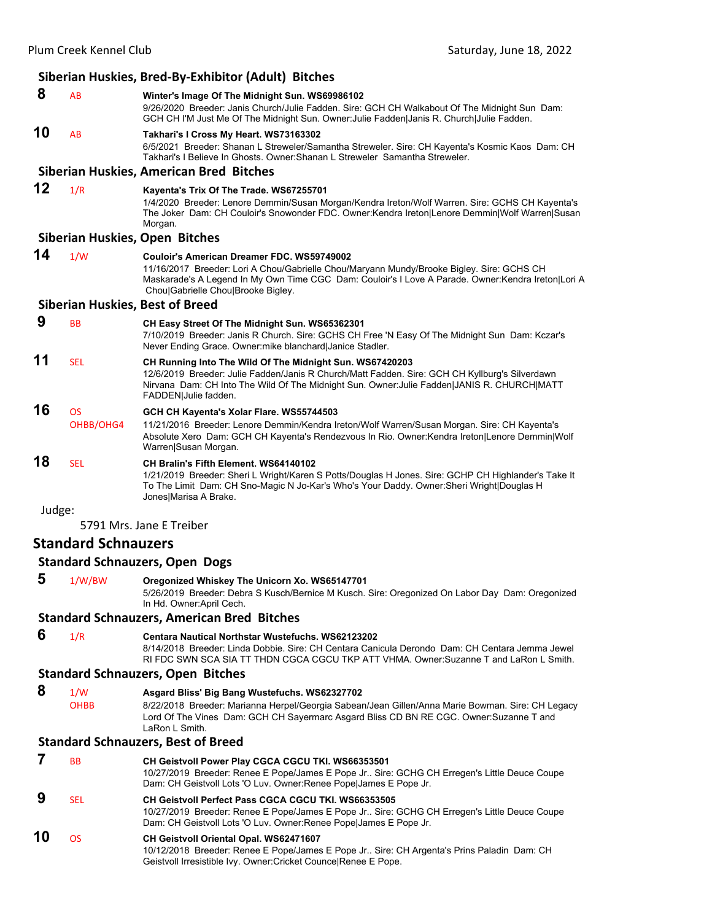|        |                            | Siberian Huskies, Bred-By-Exhibitor (Adult) Bitches                                                                                                                                                                                                                                  |
|--------|----------------------------|--------------------------------------------------------------------------------------------------------------------------------------------------------------------------------------------------------------------------------------------------------------------------------------|
| 8      | AB                         | Winter's Image Of The Midnight Sun. WS69986102<br>9/26/2020 Breeder: Janis Church/Julie Fadden. Sire: GCH CH Walkabout Of The Midnight Sun Dam:<br>GCH CH I'M Just Me Of The Midnight Sun. Owner: Julie Fadden Janis R. Church Julie Fadden.                                         |
| 10     | AB                         | Takhari's I Cross My Heart. WS73163302<br>6/5/2021 Breeder: Shanan L Streweler/Samantha Streweler. Sire: CH Kayenta's Kosmic Kaos Dam: CH<br>Takhari's I Believe In Ghosts. Owner: Shanan L Streweler Samantha Streweler.                                                            |
|        |                            | Siberian Huskies, American Bred Bitches                                                                                                                                                                                                                                              |
| 12     | 1/R                        | Kayenta's Trix Of The Trade. WS67255701<br>1/4/2020 Breeder: Lenore Demmin/Susan Morgan/Kendra Ireton/Wolf Warren. Sire: GCHS CH Kayenta's<br>The Joker Dam: CH Couloir's Snowonder FDC. Owner:Kendra Ireton Lenore Demmin Wolf Warren Susan<br>Morgan.                              |
|        |                            | Siberian Huskies, Open Bitches                                                                                                                                                                                                                                                       |
| 14     | 1/W                        | Couloir's American Dreamer FDC. WS59749002<br>11/16/2017 Breeder: Lori A Chou/Gabrielle Chou/Maryann Mundy/Brooke Bigley. Sire: GCHS CH<br>Maskarade's A Legend In My Own Time CGC Dam: Couloir's I Love A Parade. Owner: Kendra Ireton Lori A<br>Chou Gabrielle Chou Brooke Bigley. |
|        |                            | <b>Siberian Huskies, Best of Breed</b>                                                                                                                                                                                                                                               |
| 9      | <b>BB</b>                  | CH Easy Street Of The Midnight Sun. WS65362301<br>7/10/2019 Breeder: Janis R Church. Sire: GCHS CH Free 'N Easy Of The Midnight Sun Dam: Kczar's<br>Never Ending Grace. Owner: mike blanchard Janice Stadler.                                                                        |
| 11     | <b>SEL</b>                 | CH Running Into The Wild Of The Midnight Sun. WS67420203<br>12/6/2019 Breeder: Julie Fadden/Janis R Church/Matt Fadden. Sire: GCH CH Kyllburg's Silverdawn<br>Nirvana Dam: CH Into The Wild Of The Midnight Sun. Owner: Julie Fadden JANIS R. CHURCH MATT<br>FADDEN Julie fadden.    |
| 16     | <b>OS</b>                  | GCH CH Kayenta's Xolar Flare. WS55744503                                                                                                                                                                                                                                             |
|        | OHBB/OHG4                  | 11/21/2016 Breeder: Lenore Demmin/Kendra Ireton/Wolf Warren/Susan Morgan. Sire: CH Kayenta's<br>Absolute Xero Dam: GCH CH Kayenta's Rendezvous In Rio. Owner: Kendra Ireton Lenore Demmin Wolf<br>Warren Susan Morgan.                                                               |
| 18     | <b>SEL</b>                 | CH Bralin's Fifth Element. WS64140102<br>1/21/2019 Breeder: Sheri L Wright/Karen S Potts/Douglas H Jones. Sire: GCHP CH Highlander's Take It<br>To The Limit Dam: CH Sno-Magic N Jo-Kar's Who's Your Daddy. Owner: Sheri Wright   Douglas H<br>Jones Marisa A Brake.                 |
| Judge: |                            |                                                                                                                                                                                                                                                                                      |
|        |                            | 5791 Mrs. Jane E Treiber                                                                                                                                                                                                                                                             |
|        | <b>Standard Schnauzers</b> |                                                                                                                                                                                                                                                                                      |
|        |                            | <b>Standard Schnauzers, Open Dogs</b>                                                                                                                                                                                                                                                |
| 5      | 1/W/BW                     | Oregonized Whiskey The Unicorn Xo. WS65147701<br>5/26/2019 Breeder: Debra S Kusch/Bernice M Kusch. Sire: Oregonized On Labor Day Dam: Oregonized<br>In Hd. Owner: April Cech.                                                                                                        |
|        |                            | <b>Standard Schnauzers, American Bred Bitches</b>                                                                                                                                                                                                                                    |
| 6      | 1/R                        | <b>Centara Nautical Northstar Wustefuchs. WS62123202</b><br>8/14/2018 Breeder: Linda Dobbie. Sire: CH Centara Canicula Derondo Dam: CH Centara Jemma Jewel<br>RI FDC SWN SCA SIA TT THDN CGCA CGCU TKP ATT VHMA. Owner:Suzanne T and LaRon L Smith.                                  |
|        |                            | <b>Standard Schnauzers, Open Bitches</b>                                                                                                                                                                                                                                             |
| 8      | 1/W                        | Asgard Bliss' Big Bang Wustefuchs. WS62327702                                                                                                                                                                                                                                        |
|        | <b>OHBB</b>                | 8/22/2018 Breeder: Marianna Herpel/Georgia Sabean/Jean Gillen/Anna Marie Bowman. Sire: CH Legacy<br>Lord Of The Vines Dam: GCH CH Sayermarc Asgard Bliss CD BN RE CGC. Owner:Suzanne T and<br>LaRon L Smith.                                                                         |
|        |                            | <b>Standard Schnauzers, Best of Breed</b>                                                                                                                                                                                                                                            |
| 7      | ВB                         | CH Geistvoll Power Play CGCA CGCU TKI. WS66353501                                                                                                                                                                                                                                    |

10/27/2019 Breeder: Renee E Pope/James E Pope Jr.. Sire: GCHG CH Erregen's Little Deuce Coupe Dam: CH Geistvoll Lots 'O Luv. Owner:Renee Pope|James E Pope Jr.  **9** SEL **CH Geistvoll Perfect Pass CGCA CGCU TKI. WS66353505** 10/27/2019 Breeder: Renee E Pope/James E Pope Jr.. Sire: GCHG CH Erregen's Little Deuce Coupe Dam: CH Geistvoll Lots 'O Luv. Owner:Renee Pope|James E Pope Jr.

#### **10** OS **CH Geistvoll Oriental Opal. WS62471607** 10/12/2018 Breeder: Renee E Pope/James E Pope Jr.. Sire: CH Argenta's Prins Paladin Dam: CH Geistvoll Irresistible Ivy. Owner:Cricket Counce|Renee E Pope.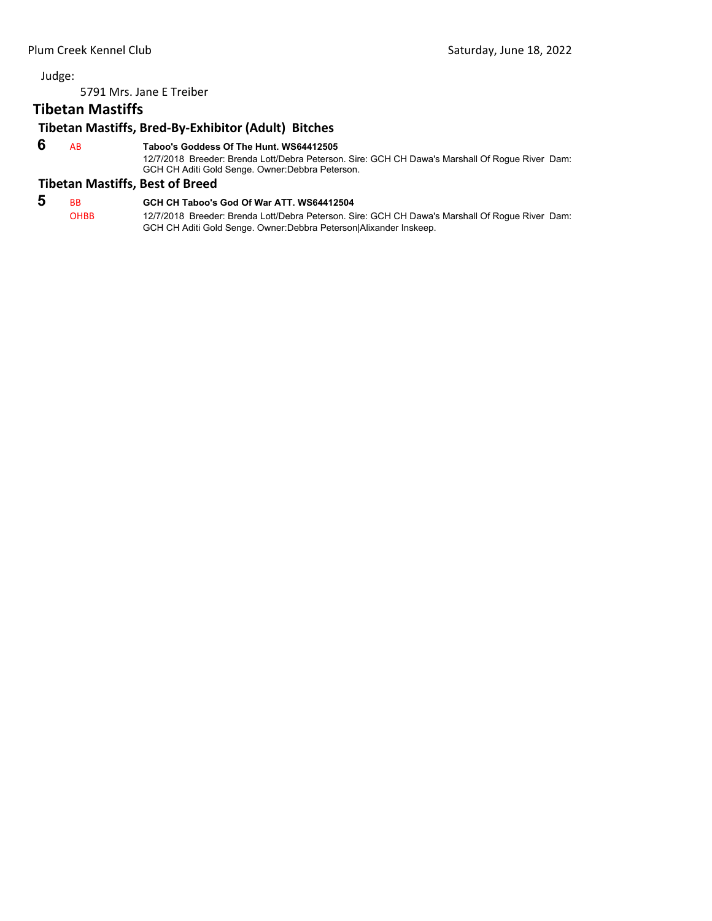5791 Mrs. Jane E Treiber

## **Tibetan Mastiffs**

## **Tibetan Mastiffs, Bred‐By‐Exhibitor (Adult) Bitches**

 **6** AB **Taboo's Goddess Of The Hunt. WS64412505**

12/7/2018 Breeder: Brenda Lott/Debra Peterson. Sire: GCH CH Dawa's Marshall Of Rogue River Dam: GCH CH Aditi Gold Senge. Owner:Debbra Peterson.

#### **Tibetan Mastiffs, Best of Breed**

## **5** BB **GCH CH Taboo's God Of War ATT. WS64412504**

OHBB 12/7/2018 Breeder: Brenda Lott/Debra Peterson. Sire: GCH CH Dawa's Marshall Of Rogue River Dam: GCH CH Aditi Gold Senge. Owner:Debbra Peterson|Alixander Inskeep.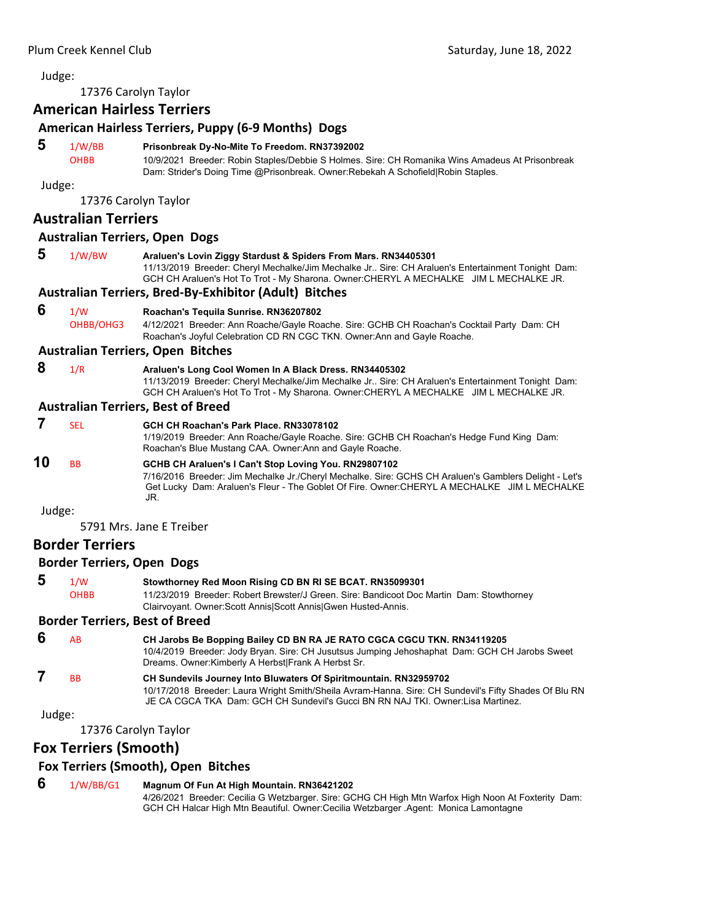## <span id="page-31-0"></span>17376 Carolyn Taylor

## **American Hairless Terriers**

#### **American Hairless Terriers, Puppy (6‐9 Months) Dogs**

#### **5** 1/W/BB **Prisonbreak Dy-No-Mite To Freedom. RN37392002**

OHBB 10/9/2021 Breeder: Robin Staples/Debbie S Holmes. Sire: CH Romanika Wins Amadeus At Prisonbreak Dam: Strider's Doing Time @Prisonbreak. Owner:Rebekah A Schofield|Robin Staples.

Judge:

17376 Carolyn Taylor

#### **Australian Terriers**

#### **Australian Terriers, Open Dogs**

| 5 | 1/W/BW | Araluen's Lovin Ziggy Stardust & Spiders From Mars. RN34405301                                      |  |  |  |
|---|--------|-----------------------------------------------------------------------------------------------------|--|--|--|
|   |        | 11/13/2019 Breeder: Cheryl Mechalke/Jim Mechalke Jr., Sire: CH Araluen's Entertainment Tonight Dam: |  |  |  |
|   |        | GCH CH Araluen's Hot To Trot - My Sharona. Owner:CHERYL A MECHALKE JIM L MECHALKE JR.               |  |  |  |

#### **Australian Terriers, Bred‐By‐Exhibitor (Adult) Bitches**

#### **6** 1/W **Roachan's Tequila Sunrise. RN36207802**

OHBB/OHG3 4/12/2021 Breeder: Ann Roache/Gayle Roache. Sire: GCHB CH Roachan's Cocktail Party Dam: CH Roachan's Joyful Celebration CD RN CGC TKN. Owner:Ann and Gayle Roache.

#### **Australian Terriers, Open Bitches**

 **8** 1/R **Araluen's Long Cool Women In A Black Dress. RN34405302** 11/13/2019 Breeder: Cheryl Mechalke/Jim Mechalke Jr.. Sire: CH Araluen's Entertainment Tonight Dam: GCH CH Araluen's Hot To Trot - My Sharona. Owner:CHERYL A MECHALKE JIM L MECHALKE JR.

#### **Australian Terriers, Best of Breed**

 **7** SEL **GCH CH Roachan's Park Place. RN33078102** 1/19/2019 Breeder: Ann Roache/Gayle Roache. Sire: GCHB CH Roachan's Hedge Fund King Dam: Roachan's Blue Mustang CAA. Owner:Ann and Gayle Roache. **10** BB **GCHB CH Araluen's I Can't Stop Loving You. RN29807102** 7/16/2016 Breeder: Jim Mechalke Jr./Cheryl Mechalke. Sire: GCHS CH Araluen's Gamblers Delight - Let's Get Lucky Dam: Araluen's Fleur - The Goblet Of Fire. Owner:CHERYL A MECHALKE JIM L MECHALKE JR.

Judge:

5791 Mrs. Jane E Treiber

#### **Border Terriers**

#### **Border Terriers, Open Dogs**

 **5** 1/W **Stowthorney Red Moon Rising CD BN RI SE BCAT. RN35099301** OHBB 11/23/2019 Breeder: Robert Brewster/J Green. Sire: Bandicoot Doc Martin Dam: Stowthorney Clairvoyant. Owner:Scott Annis|Scott Annis|Gwen Husted-Annis.

#### **Border Terriers, Best of Breed**

 **6** AB **CH Jarobs Be Bopping Bailey CD BN RA JE RATO CGCA CGCU TKN. RN34119205** 10/4/2019 Breeder: Jody Bryan. Sire: CH Jusutsus Jumping Jehoshaphat Dam: GCH CH Jarobs Sweet Dreams. Owner:Kimberly A Herbst|Frank A Herbst Sr.  **7** BB **CH Sundevils Journey Into Bluwaters Of Spiritmountain. RN32959702** 10/17/2018 Breeder: Laura Wright Smith/Sheila Avram-Hanna. Sire: CH Sundevil's Fifty Shades Of Blu RN JE CA CGCA TKA Dam: GCH CH Sundevil's Gucci BN RN NAJ TKI. Owner:Lisa Martinez.

Judge:

17376 Carolyn Taylor

#### **Fox Terriers (Smooth)**

#### **Fox Terriers (Smooth), Open Bitches**

#### **6** 1/W/BB/G1 **Magnum Of Fun At High Mountain. RN36421202**

4/26/2021 Breeder: Cecilia G Wetzbarger. Sire: GCHG CH High Mtn Warfox High Noon At Foxterity Dam: GCH CH Halcar High Mtn Beautiful. Owner:Cecilia Wetzbarger .Agent: Monica Lamontagne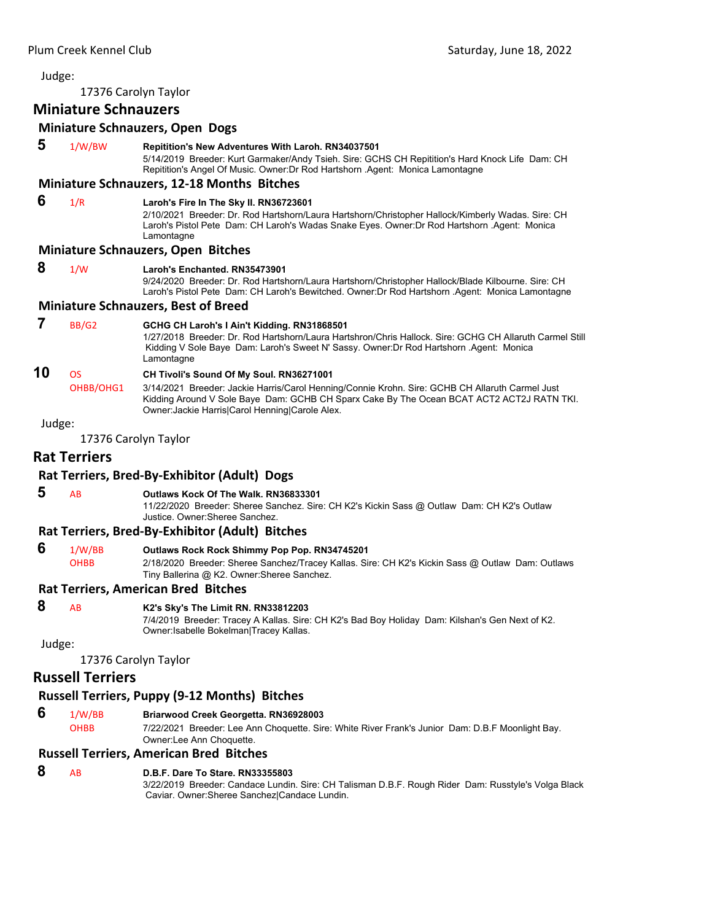17376 Carolyn Taylor

## **Miniature Schnauzers**

#### **Miniature Schnauzers, Open Dogs**

| 5      | 1/W/BW                 | Repitition's New Adventures With Laroh. RN34037501<br>5/14/2019 Breeder: Kurt Garmaker/Andy Tsieh. Sire: GCHS CH Repitition's Hard Knock Life Dam: CH<br>Repitition's Angel Of Music. Owner: Dr Rod Hartshorn . Agent: Monica Lamontagne                                                    |
|--------|------------------------|---------------------------------------------------------------------------------------------------------------------------------------------------------------------------------------------------------------------------------------------------------------------------------------------|
|        |                        | <b>Miniature Schnauzers, 12-18 Months Bitches</b>                                                                                                                                                                                                                                           |
| 6      | 1/R                    | Laroh's Fire In The Sky II. RN36723601<br>2/10/2021 Breeder: Dr. Rod Hartshorn/Laura Hartshorn/Christopher Hallock/Kimberly Wadas. Sire: CH<br>Laroh's Pistol Pete Dam: CH Laroh's Wadas Snake Eyes. Owner: Dr Rod Hartshorn . Agent: Monica<br>Lamontagne                                  |
|        |                        | <b>Miniature Schnauzers, Open Bitches</b>                                                                                                                                                                                                                                                   |
| 8      | 1/W                    | Laroh's Enchanted, RN35473901<br>9/24/2020 Breeder: Dr. Rod Hartshorn/Laura Hartshorn/Christopher Hallock/Blade Kilbourne. Sire: CH<br>Laroh's Pistol Pete Dam: CH Laroh's Bewitched. Owner: Dr Rod Hartshorn Agent: Monica Lamontagne                                                      |
|        |                        | <b>Miniature Schnauzers, Best of Breed</b>                                                                                                                                                                                                                                                  |
| 7      | BB/G2                  | GCHG CH Laroh's I Ain't Kidding. RN31868501<br>1/27/2018 Breeder: Dr. Rod Hartshorn/Laura Hartshron/Chris Hallock. Sire: GCHG CH Allaruth Carmel Still<br>Kidding V Sole Baye Dam: Laroh's Sweet N' Sassy. Owner: Dr Rod Hartshorn . Agent: Monica<br>Lamontagne                            |
| 10     | <b>OS</b><br>OHBB/OHG1 | CH Tivoli's Sound Of My Soul. RN36271001<br>3/14/2021 Breeder: Jackie Harris/Carol Henning/Connie Krohn. Sire: GCHB CH Allaruth Carmel Just<br>Kidding Around V Sole Baye Dam: GCHB CH Sparx Cake By The Ocean BCAT ACT2 ACT2J RATN TKI.<br>Owner: Jackie Harris Carol Henning Carole Alex. |
| Judge: |                        |                                                                                                                                                                                                                                                                                             |
|        |                        | 17376 Carolyn Taylor                                                                                                                                                                                                                                                                        |
|        | <b>Rat Terriers</b>    |                                                                                                                                                                                                                                                                                             |
|        |                        | Rat Terriers, Bred-By-Exhibitor (Adult) Dogs                                                                                                                                                                                                                                                |
| 5      | AB                     | Outlaws Kock Of The Walk, RN36833301<br>11/22/2020 Breeder: Sheree Sanchez. Sire: CH K2's Kickin Sass @ Outlaw Dam: CH K2's Outlaw<br>Justice, Owner: Sheree Sanchez.                                                                                                                       |
|        |                        | Rat Terriers, Bred-By-Exhibitor (Adult) Bitches                                                                                                                                                                                                                                             |
| 6      | 1/W/BB<br><b>OHBB</b>  | Outlaws Rock Rock Shimmy Pop Pop. RN34745201<br>2/18/2020 Breeder: Sheree Sanchez/Tracey Kallas. Sire: CH K2's Kickin Sass @ Outlaw Dam: Outlaws<br>Tiny Ballerina @ K2. Owner: Sheree Sanchez.                                                                                             |
|        |                        | <b>Rat Terriers, American Bred Bitches</b>                                                                                                                                                                                                                                                  |

## **8** AB **K2's Sky's The Limit RN. RN33812203**

7/4/2019 Breeder: Tracey A Kallas. Sire: CH K2's Bad Boy Holiday Dam: Kilshan's Gen Next of K2. Owner:Isabelle Bokelman|Tracey Kallas.

Judge:

17376 Carolyn Taylor

#### **Russell Terriers**

#### **Russell Terriers, Puppy (9‐12 Months) Bitches**

 **6** 1/W/BB **Briarwood Creek Georgetta. RN36928003**

OHBB 7/22/2021 Breeder: Lee Ann Choquette. Sire: White River Frank's Junior Dam: D.B.F Moonlight Bay. Owner:Lee Ann Choquette.

#### **Russell Terriers, American Bred Bitches**

#### **8** AB **D.B.F. Dare To Stare. RN33355803**

3/22/2019 Breeder: Candace Lundin. Sire: CH Talisman D.B.F. Rough Rider Dam: Russtyle's Volga Black Caviar. Owner:Sheree Sanchez|Candace Lundin.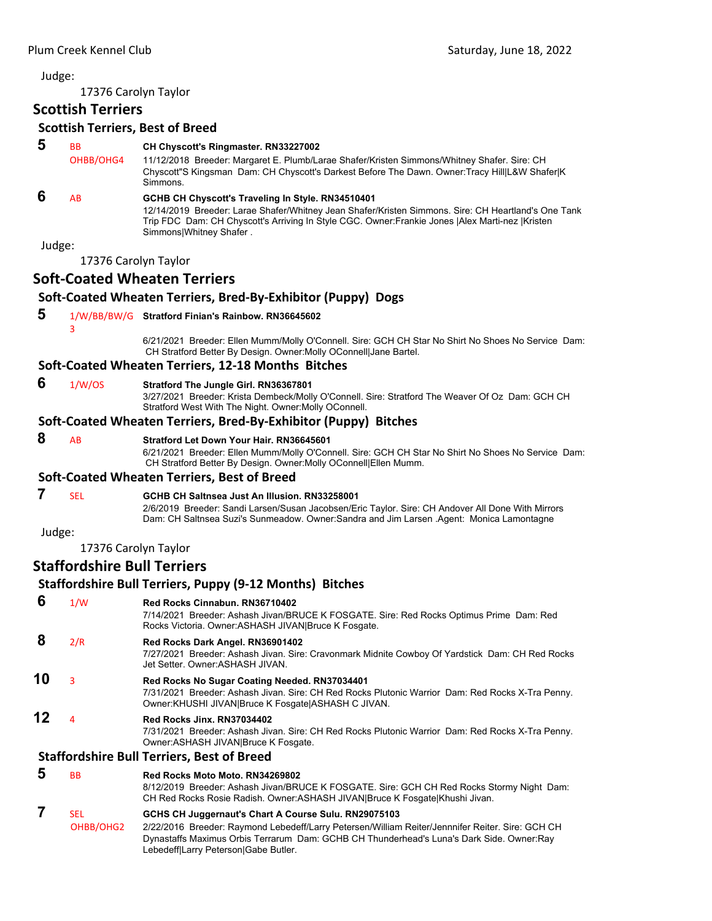17376 Carolyn Taylor

## **Scottish Terriers**

#### **Scottish Terriers, Best of Breed**

 **5** BB **CH Chyscott's Ringmaster. RN33227002** OHBB/OHG4 11/12/2018 Breeder: Margaret E. Plumb/Larae Shafer/Kristen Simmons/Whitney Shafer. Sire: CH Chyscott"S Kingsman Dam: CH Chyscott's Darkest Before The Dawn. Owner:Tracy Hill|L&W Shafer|K Simmons.  **6** AB **GCHB CH Chyscott's Traveling In Style. RN34510401** 12/14/2019 Breeder: Larae Shafer/Whitney Jean Shafer/Kristen Simmons. Sire: CH Heartland's One Tank Trip FDC Dam: CH Chyscott's Arriving In Style CGC. Owner:Frankie Jones |Alex Marti-nez |Kristen Simmons|Whitney Shafer . Judge:

17376 Carolyn Taylor

## **Soft‐Coated Wheaten Terriers**

#### **Soft‐Coated Wheaten Terriers, Bred‐By‐Exhibitor (Puppy) Dogs**

- **5** 1/W/BB/BW/G **Stratford Finian's Rainbow. RN36645602**
	- 3

6/21/2021 Breeder: Ellen Mumm/Molly O'Connell. Sire: GCH CH Star No Shirt No Shoes No Service Dam: CH Stratford Better By Design. Owner:Molly OConnell|Jane Bartel.

#### **Soft‐Coated Wheaten Terriers, 12‐18 Months Bitches**

 **6** 1/W/OS **Stratford The Jungle Girl. RN36367801**

3/27/2021 Breeder: Krista Dembeck/Molly O'Connell. Sire: Stratford The Weaver Of Oz Dam: GCH CH Stratford West With The Night. Owner:Molly OConnell.

#### **Soft‐Coated Wheaten Terriers, Bred‐By‐Exhibitor (Puppy) Bitches**

 **8** AB **Stratford Let Down Your Hair. RN36645601**

6/21/2021 Breeder: Ellen Mumm/Molly O'Connell. Sire: GCH CH Star No Shirt No Shoes No Service Dam: CH Stratford Better By Design. Owner:Molly OConnell|Ellen Mumm.

#### **Soft‐Coated Wheaten Terriers, Best of Breed**

## **7** SEL **GCHB CH Saltnsea Just An Illusion. RN33258001**

2/6/2019 Breeder: Sandi Larsen/Susan Jacobsen/Eric Taylor. Sire: CH Andover All Done With Mirrors Dam: CH Saltnsea Suzi's Sunmeadow. Owner:Sandra and Jim Larsen .Agent: Monica Lamontagne

Judge:

17376 Carolyn Taylor

#### **Staffordshire Bull Terriers**

## **Staffordshire Bull Terriers, Puppy (9‐12 Months) Bitches**

| 6  | 1/W | Red Rocks Cinnabun, RN36710402<br>7/14/2021 Breeder: Ashash Jivan/BRUCE K FOSGATE. Sire: Red Rocks Optimus Prime Dam: Red<br>Rocks Victoria. Owner: ASHASH JIVAN Bruce K Fosgate.                          |
|----|-----|------------------------------------------------------------------------------------------------------------------------------------------------------------------------------------------------------------|
| 8  | 2/R | Red Rocks Dark Angel. RN36901402<br>7/27/2021 Breeder: Ashash Jivan. Sire: Cravonmark Midnite Cowboy Of Yardstick Dam: CH Red Rocks<br>Jet Setter, Owner: ASHASH JIVAN.                                    |
| 10 | 3   | Red Rocks No Sugar Coating Needed. RN37034401<br>7/31/2021 Breeder: Ashash Jivan. Sire: CH Red Rocks Plutonic Warrior Dam: Red Rocks X-Tra Penny.<br>Owner: KHUSHI JIVAN  Bruce K Fosgate  ASHASH C JIVAN. |
| 12 | 4   | Red Rocks Jinx, RN37034402<br>7/31/2021 Breeder: Ashash Jivan. Sire: CH Red Rocks Plutonic Warrior Dam: Red Rocks X-Tra Penny.<br>Owner: ASHASH JIVAN Bruce K Fosgate.                                     |
|    |     | <b>Staffordshire Bull Terriers, Best of Breed</b>                                                                                                                                                          |
| 5  | BB. | Red Rocks Moto Moto, RN34269802<br>8/12/2019 Breeder: Ashash Jivan/BRUCE K FOSGATE. Sire: GCH CH Red Rocks Stormy Night Dam:                                                                               |

CH Red Rocks Rosie Radish. Owner:ASHASH JIVAN|Bruce K Fosgate|Khushi Jivan.

## **7** SEL **GCHS CH Juggernaut's Chart A Course Sulu. RN29075103**

 OHBB/OHG2 2/22/2016 Breeder: Raymond Lebedeff/Larry Petersen/William Reiter/Jennnifer Reiter. Sire: GCH CH Dynastaffs Maximus Orbis Terrarum Dam: GCHB CH Thunderhead's Luna's Dark Side. Owner:Ray Lebedeff|Larry Peterson|Gabe Butler.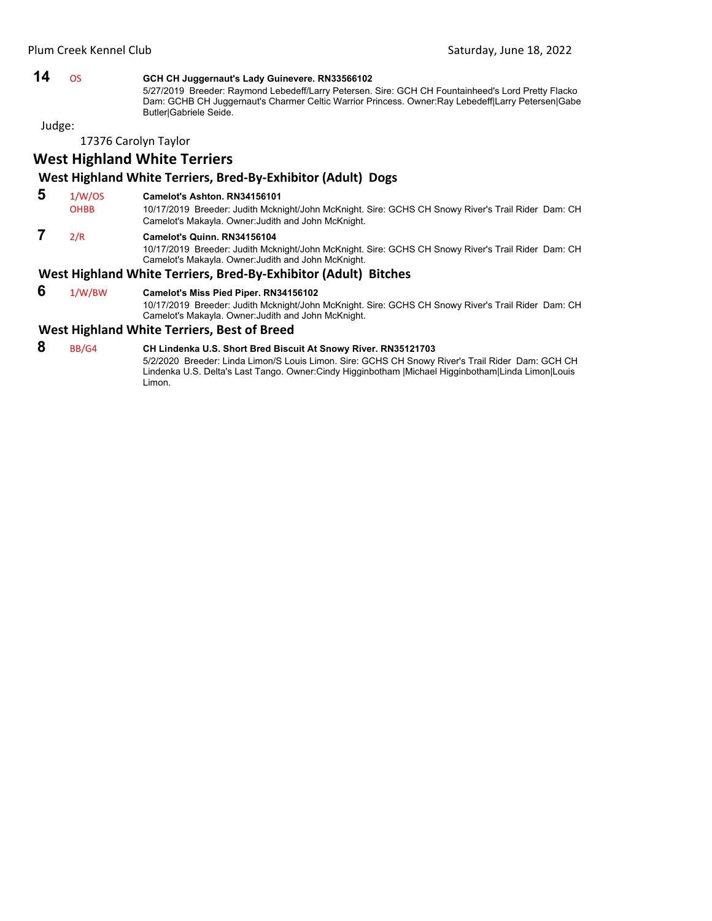### **14** OS **GCH CH Juggernaut's Lady Guinevere. RN33566102**

 5/27/2019 Breeder: Raymond Lebedeff/Larry Petersen. Sire: GCH CH Fountainheed's Lord Pretty Flacko Dam: GCHB CH Juggernaut's Charmer Celtic Warrior Princess. Owner:Ray Lebedeff|Larry Petersen|Gabe Butler|Gabriele Seide.

Judge:

17376 Carolyn Taylor

## **West Highland White Terriers**

#### **West Highland White Terriers, Bred‐By‐Exhibitor (Adult) Dogs**

- **5** 1/W/OS **Camelot's Ashton. RN34156101**
	- OHBB 10/17/2019 Breeder: Judith Mcknight/John McKnight. Sire: GCHS CH Snowy River's Trail Rider Dam: CH Camelot's Makayla. Owner:Judith and John McKnight.

## **7** 2/R **Camelot's Quinn. RN34156104**

10/17/2019 Breeder: Judith Mcknight/John McKnight. Sire: GCHS CH Snowy River's Trail Rider Dam: CH Camelot's Makayla. Owner:Judith and John McKnight.

#### **West Highland White Terriers, Bred‐By‐Exhibitor (Adult) Bitches**

 **6** 1/W/BW **Camelot's Miss Pied Piper. RN34156102** 10/17/2019 Breeder: Judith Mcknight/John McKnight. Sire: GCHS CH Snowy River's Trail Rider Dam: CH Camelot's Makayla. Owner:Judith and John McKnight.

#### **West Highland White Terriers, Best of Breed**

## **8** BB/G4 **CH Lindenka U.S. Short Bred Biscuit At Snowy River. RN35121703**

5/2/2020 Breeder: Linda Limon/S Louis Limon. Sire: GCHS CH Snowy River's Trail Rider Dam: GCH CH Lindenka U.S. Delta's Last Tango. Owner:Cindy Higginbotham |Michael Higginbotham|Linda Limon|Louis Limon.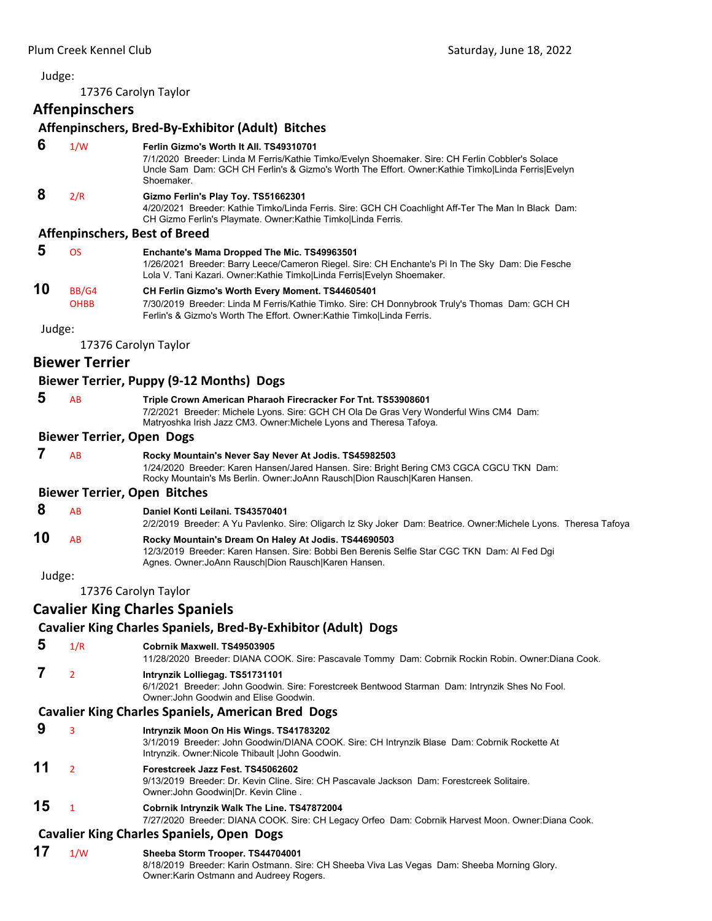<span id="page-35-0"></span>17376 Carolyn Taylor

## **Affenpinschers**

|        | Anthymoticia                     |                                                                                                                                                                                                                                                                 |
|--------|----------------------------------|-----------------------------------------------------------------------------------------------------------------------------------------------------------------------------------------------------------------------------------------------------------------|
|        |                                  | Affenpinschers, Bred-By-Exhibitor (Adult) Bitches                                                                                                                                                                                                               |
| 6      | 1/W                              | Ferlin Gizmo's Worth It All. TS49310701<br>7/1/2020 Breeder: Linda M Ferris/Kathie Timko/Evelyn Shoemaker. Sire: CH Ferlin Cobbler's Solace<br>Uncle Sam Dam: GCH CH Ferlin's & Gizmo's Worth The Effort. Owner: Kathie Timko Linda Ferris Evelyn<br>Shoemaker. |
| 8      | 2/R                              | Gizmo Ferlin's Play Toy. TS51662301<br>4/20/2021 Breeder: Kathie Timko/Linda Ferris. Sire: GCH CH Coachlight Aff-Ter The Man In Black Dam:<br>CH Gizmo Ferlin's Playmate. Owner: Kathie Timko Linda Ferris.                                                     |
|        |                                  | <b>Affenpinschers, Best of Breed</b>                                                                                                                                                                                                                            |
| 5      | <b>OS</b>                        | Enchante's Mama Dropped The Mic. TS49963501<br>1/26/2021 Breeder: Barry Leece/Cameron Riegel. Sire: CH Enchante's Pi In The Sky Dam: Die Fesche<br>Lola V. Tani Kazari. Owner: Kathie Timko Linda Ferris Evelyn Shoemaker.                                      |
| 10     | BB/G4<br><b>OHBB</b>             | CH Ferlin Gizmo's Worth Every Moment. TS44605401<br>7/30/2019 Breeder: Linda M Ferris/Kathie Timko. Sire: CH Donnybrook Truly's Thomas Dam: GCH CH<br>Ferlin's & Gizmo's Worth The Effort. Owner: Kathie TimkolLinda Ferris.                                    |
| Judge: |                                  |                                                                                                                                                                                                                                                                 |
|        | 17376 Carolyn Taylor             |                                                                                                                                                                                                                                                                 |
|        | <b>Biewer Terrier</b>            |                                                                                                                                                                                                                                                                 |
|        |                                  | Biewer Terrier, Puppy (9-12 Months) Dogs                                                                                                                                                                                                                        |
| 5      | AB                               | Triple Crown American Pharaoh Firecracker For Tnt. TS53908601<br>7/2/2021 Breeder: Michele Lyons. Sire: GCH CH Ola De Gras Very Wonderful Wins CM4 Dam:<br>Matryoshka Irish Jazz CM3. Owner: Michele Lyons and Theresa Tafoya.                                  |
|        | <b>Biewer Terrier, Open Dogs</b> |                                                                                                                                                                                                                                                                 |
| 7      | AB                               | Rocky Mountain's Never Say Never At Jodis. TS45982503<br>1/24/2020 Breeder: Karen Hansen/Jared Hansen. Sire: Bright Bering CM3 CGCA CGCU TKN Dam:<br>Rocky Mountain's Ms Berlin. Owner: JoAnn Rausch Dion Rausch Karen Hansen.                                  |
|        |                                  | <b>Biewer Terrier, Open Bitches</b>                                                                                                                                                                                                                             |
| 8      | AB                               | Daniel Konti Leilani. TS43570401<br>2/2/2019 Breeder: A Yu Pavlenko. Sire: Oligarch Iz Sky Joker Dam: Beatrice. Owner:Michele Lyons. Theresa Tafoya                                                                                                             |
| 10     | AB                               | Rocky Mountain's Dream On Haley At Jodis. TS44690503<br>12/3/2019 Breeder: Karen Hansen. Sire: Bobbi Ben Berenis Selfie Star CGC TKN Dam: Al Fed Dgi<br>Agnes. Owner: JoAnn Rausch Dion Rausch Karen Hansen.                                                    |
| Judge: |                                  |                                                                                                                                                                                                                                                                 |
|        | 17376 Carolyn Taylor             |                                                                                                                                                                                                                                                                 |
|        |                                  | <b>Cavalier King Charles Spaniels</b>                                                                                                                                                                                                                           |
|        |                                  | Cavalier King Charles Spaniels, Bred-By-Exhibitor (Adult) Dogs                                                                                                                                                                                                  |
| 5      | 1/R                              | Cobrnik Maxwell. TS49503905<br>11/28/2020 Breeder: DIANA COOK. Sire: Pascavale Tommy Dam: Cobrnik Rockin Robin. Owner:Diana Cook.                                                                                                                               |
| 7      | $\overline{2}$                   | Intrynzik Lolliegag. TS51731101<br>6/1/2021 Breeder: John Goodwin. Sire: Forestcreek Bentwood Starman Dam: Intrynzik Shes No Fool.<br>Owner: John Goodwin and Elise Goodwin.                                                                                    |
|        |                                  | <b>Cavalier King Charles Spaniels, American Bred Dogs</b>                                                                                                                                                                                                       |
| 9      | 3                                | Intrynzik Moon On His Wings. TS41783202<br>3/1/2019 Breeder: John Goodwin/DIANA COOK. Sire: CH Intrynzik Blase Dam: Cobrnik Rockette At<br>Intrynzik. Owner: Nicole Thibault   John Goodwin.                                                                    |
| 11     | $\overline{2}$                   | Forestcreek Jazz Fest. TS45062602<br>9/13/2019 Breeder: Dr. Kevin Cline. Sire: CH Pascavale Jackson Dam: Forestcreek Solitaire.<br>Owner: John Goodwin Dr. Kevin Cline.                                                                                         |
| 15     | $\mathbf{1}$                     | Cobrnik Intrynzik Walk The Line. TS47872004<br>7/27/2020 Breeder: DIANA COOK. Sire: CH Legacy Orfeo Dam: Cobrnik Harvest Moon. Owner:Diana Cook.                                                                                                                |
|        |                                  | <b>Cavalier King Charles Spaniels, Open Dogs</b>                                                                                                                                                                                                                |
| 17     | 1/W                              | Sheeba Storm Trooper. TS44704001<br>8/18/2019 Breeder: Karin Ostmann. Sire: CH Sheeba Viva Las Vegas Dam: Sheeba Morning Glory.<br>Owner: Karin Ostmann and Audreey Rogers.                                                                                     |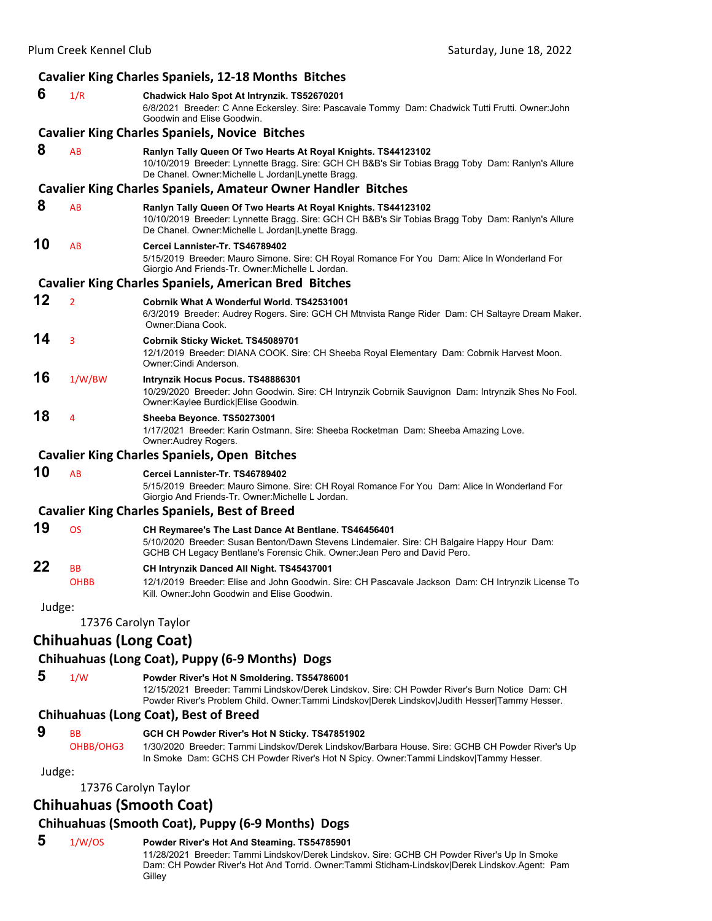|        |                               | <b>Cavalier King Charles Spaniels, 12-18 Months Bitches</b>                                                                                                                                                                                    |
|--------|-------------------------------|------------------------------------------------------------------------------------------------------------------------------------------------------------------------------------------------------------------------------------------------|
| 6      | 1/R                           | Chadwick Halo Spot At Intrynzik. TS52670201<br>6/8/2021 Breeder: C Anne Eckersley. Sire: Pascavale Tommy Dam: Chadwick Tutti Frutti. Owner: John<br>Goodwin and Elise Goodwin.                                                                 |
|        |                               | <b>Cavalier King Charles Spaniels, Novice Bitches</b>                                                                                                                                                                                          |
| 8      | AB                            | Ranlyn Tally Queen Of Two Hearts At Royal Knights. TS44123102<br>10/10/2019 Breeder: Lynnette Bragg. Sire: GCH CH B&B's Sir Tobias Bragg Toby Dam: Ranlyn's Allure<br>De Chanel. Owner: Michelle L Jordan Lynette Bragg.                       |
|        |                               | <b>Cavalier King Charles Spaniels, Amateur Owner Handler Bitches</b>                                                                                                                                                                           |
| 8      | AB                            | Ranlyn Tally Queen Of Two Hearts At Royal Knights. TS44123102<br>10/10/2019 Breeder: Lynnette Bragg. Sire: GCH CH B&B's Sir Tobias Bragg Toby Dam: Ranlyn's Allure<br>De Chanel. Owner: Michelle L Jordan Lynette Bragg.                       |
| 10     | AB                            | Cercei Lannister-Tr. TS46789402<br>5/15/2019 Breeder: Mauro Simone. Sire: CH Royal Romance For You Dam: Alice In Wonderland For<br>Giorgio And Friends-Tr. Owner: Michelle L Jordan.                                                           |
|        |                               | <b>Cavalier King Charles Spaniels, American Bred Bitches</b>                                                                                                                                                                                   |
| 12     | $\overline{2}$                | Cobrnik What A Wonderful World, TS42531001<br>6/3/2019 Breeder: Audrey Rogers. Sire: GCH CH Mtnvista Range Rider Dam: CH Saltayre Dream Maker.<br>Owner: Diana Cook.                                                                           |
| 14     | 3                             | Cobrnik Sticky Wicket. TS45089701<br>12/1/2019 Breeder: DIANA COOK. Sire: CH Sheeba Royal Elementary Dam: Cobrnik Harvest Moon.<br>Owner: Cindi Anderson.                                                                                      |
| 16     | 1/W/BW                        | Intrynzik Hocus Pocus. TS48886301<br>10/29/2020 Breeder: John Goodwin. Sire: CH Intrynzik Cobrnik Sauvignon Dam: Intrynzik Shes No Fool.<br>Owner: Kaylee Burdick   Elise Goodwin.                                                             |
| 18     | 4                             | Sheeba Beyonce. TS50273001<br>1/17/2021 Breeder: Karin Ostmann. Sire: Sheeba Rocketman Dam: Sheeba Amazing Love.<br>Owner: Audrey Rogers.                                                                                                      |
|        |                               | <b>Cavalier King Charles Spaniels, Open Bitches</b>                                                                                                                                                                                            |
| 10     | AB                            | Cercei Lannister-Tr. TS46789402<br>5/15/2019 Breeder: Mauro Simone. Sire: CH Royal Romance For You Dam: Alice In Wonderland For<br>Giorgio And Friends-Tr. Owner: Michelle L Jordan.                                                           |
|        |                               | <b>Cavalier King Charles Spaniels, Best of Breed</b>                                                                                                                                                                                           |
| 19     | <b>OS</b>                     | CH Reymaree's The Last Dance At Bentlane. TS46456401<br>5/10/2020 Breeder: Susan Benton/Dawn Stevens Lindemaier. Sire: CH Balgaire Happy Hour Dam:<br>GCHB CH Legacy Bentlane's Forensic Chik. Owner: Jean Pero and David Pero.                |
| 22     | ΒB<br><b>OHBB</b>             | CH Intrynzik Danced All Night. TS45437001<br>12/1/2019 Breeder: Elise and John Goodwin. Sire: CH Pascavale Jackson Dam: CH Intrynzik License To<br>Kill. Owner: John Goodwin and Elise Goodwin.                                                |
| Judge: |                               |                                                                                                                                                                                                                                                |
|        | 17376 Carolyn Taylor          |                                                                                                                                                                                                                                                |
|        | <b>Chihuahuas (Long Coat)</b> |                                                                                                                                                                                                                                                |
| 5      |                               | Chihuahuas (Long Coat), Puppy (6-9 Months) Dogs                                                                                                                                                                                                |
|        | 1/W                           | Powder River's Hot N Smoldering. TS54786001<br>12/15/2021 Breeder: Tammi Lindskov/Derek Lindskov. Sire: CH Powder River's Burn Notice Dam: CH<br>Powder River's Problem Child. Owner:Tammi Lindskov Derek Lindskov Judith Hesser Tammy Hesser. |
|        |                               | Chihuahuas (Long Coat), Best of Breed                                                                                                                                                                                                          |
| 9      | <b>BB</b>                     | GCH CH Powder River's Hot N Sticky. TS47851902                                                                                                                                                                                                 |

17376 Carolyn Taylor

## **Chihuahuas (Smooth Coat)**

## **Chihuahuas (Smooth Coat), Puppy (6‐9 Months) Dogs**

## **5** 1/W/OS **Powder River's Hot And Steaming. TS54785901**

11/28/2021 Breeder: Tammi Lindskov/Derek Lindskov. Sire: GCHB CH Powder River's Up In Smoke Dam: CH Powder River's Hot And Torrid. Owner:Tammi Stidham-Lindskov|Derek Lindskov.Agent: Pam **Gilley** 

OHBB/OHG3 1/30/2020 Breeder: Tammi Lindskov/Derek Lindskov/Barbara House. Sire: GCHB CH Powder River's Up In Smoke Dam: GCHS CH Powder River's Hot N Spicy. Owner:Tammi Lindskov|Tammy Hesser.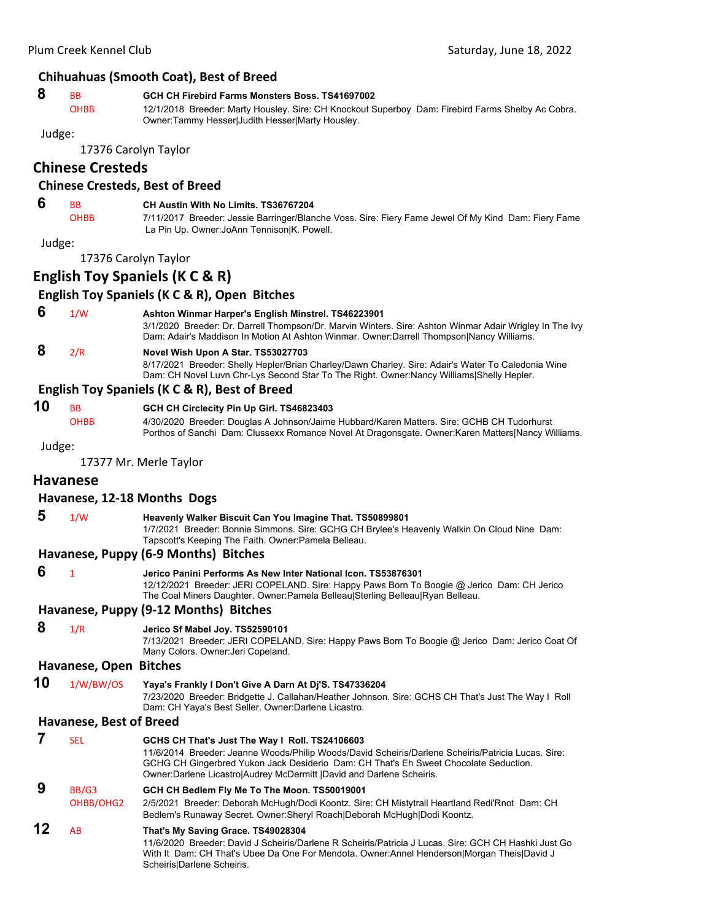#### **Chihuahuas (Smooth Coat), Best of Breed**

#### **8** BB **GCH CH Firebird Farms Monsters Boss. TS41697002**

OHBB 12/1/2018 Breeder: Marty Housley. Sire: CH Knockout Superboy Dam: Firebird Farms Shelby Ac Cobra. Owner:Tammy Hesser|Judith Hesser|Marty Housley.

Judge:

17376 Carolyn Taylor

#### **Chinese Cresteds**

#### **Chinese Cresteds, Best of Breed**

## **6** BB **CH Austin With No Limits. TS36767204**

OHBB 7/11/2017 Breeder: Jessie Barringer/Blanche Voss. Sire: Fiery Fame Jewel Of My Kind Dam: Fiery Fame La Pin Up. Owner:JoAnn Tennison|K. Powell.

Judge:

17376 Carolyn Taylor

## **English Toy Spaniels (K C & R)**

#### **English Toy Spaniels (K C & R), Open Bitches**

#### **6** 1/W **Ashton Winmar Harper's English Minstrel. TS46223901**

3/1/2020 Breeder: Dr. Darrell Thompson/Dr. Marvin Winters. Sire: Ashton Winmar Adair Wrigley In The Ivy Dam: Adair's Maddison In Motion At Ashton Winmar. Owner:Darrell Thompson|Nancy Williams.

#### **8** 2/R **Novel Wish Upon A Star. TS53027703**

8/17/2021 Breeder: Shelly Hepler/Brian Charley/Dawn Charley. Sire: Adair's Water To Caledonia Wine Dam: CH Novel Luvn Chr-Lys Second Star To The Right. Owner:Nancy Williams|Shelly Hepler.

#### **English Toy Spaniels (K C & R), Best of Breed**

| 10 |  |    |  |  |
|----|--|----|--|--|
|    |  | RR |  |  |

#### **10** BB **GCH CH Circlecity Pin Up Girl. TS46823403**

OHBB 4/30/2020 Breeder: Douglas A Johnson/Jaime Hubbard/Karen Matters. Sire: GCHB CH Tudorhurst Porthos of Sanchi Dam: Clussexx Romance Novel At Dragonsgate. Owner:Karen Matters|Nancy Williams.

Judge:

17377 Mr. Merle Taylor

#### **Havanese**

#### **Havanese, 12‐18 Months Dogs**

- **5** 1/W **Heavenly Walker Biscuit Can You Imagine That. TS50899801**
	- 1/7/2021 Breeder: Bonnie Simmons. Sire: GCHG CH Brylee's Heavenly Walkin On Cloud Nine Dam: Tapscott's Keeping The Faith. Owner:Pamela Belleau.

#### **Havanese, Puppy (6‐9 Months) Bitches**

 **6** <sup>1</sup> **Jerico Panini Performs As New Inter National Icon. TS53876301** 12/12/2021 Breeder: JERI COPELAND. Sire: Happy Paws Born To Boogie @ Jerico Dam: CH Jerico The Coal Miners Daughter. Owner:Pamela Belleau|Sterling Belleau|Ryan Belleau. **Havanese, Puppy (9‐12 Months) Bitches 8** 1/R **Jerico Sf Mabel Joy. TS52590101** 7/13/2021 Breeder: JERI COPELAND. Sire: Happy Paws Born To Boogie @ Jerico Dam: Jerico Coat Of Many Colors. Owner:Jeri Copeland.

#### **Havanese, Open Bitches**

- **10** 1/W/BW/OS **Yaya's Frankly I Don't Give A Darn At Dj'S. TS47336204**
	- 7/23/2020 Breeder: Bridgette J. Callahan/Heather Johnson. Sire: GCHS CH That's Just The Way I Roll Dam: CH Yaya's Best Seller. Owner:Darlene Licastro.

#### **Havanese, Best of Breed**

|    | <b>SEL</b>         | GCHS CH That's Just The Way I Roll. TS24106603<br>11/6/2014 Breeder: Jeanne Woods/Philip Woods/David Scheiris/Darlene Scheiris/Patricia Lucas. Sire:<br>GCHG CH Gingerbred Yukon Jack Desiderio Dam: CH That's Eh Sweet Chocolate Seduction.<br>Owner: Darlene Licastrol Audrey McDermitt   David and Darlene Scheiris. |
|----|--------------------|-------------------------------------------------------------------------------------------------------------------------------------------------------------------------------------------------------------------------------------------------------------------------------------------------------------------------|
| 9  | BB/G3<br>OHBB/OHG2 | GCH CH Bedlem Fly Me To The Moon. TS50019001<br>2/5/2021 Breeder: Deborah McHugh/Dodi Koontz. Sire: CH Mistytrail Heartland Redi'Rnot Dam: CH<br>Bedlem's Runaway Secret. Owner: Sheryl Roach Deborah McHugh Dodi Koontz.                                                                                               |
| 12 | AB                 | That's My Saving Grace. TS49028304<br>11/6/2020 Breeder: David J Scheiris/Darlene R Scheiris/Patricia J Lucas, Sire: GCH CH Hashki Just Go<br>With It Dam: CH That's Ubee Da One For Mendota. Owner: Annel Henderson Morgan Theis David J<br>Scheiris Darlene Scheiris.                                                 |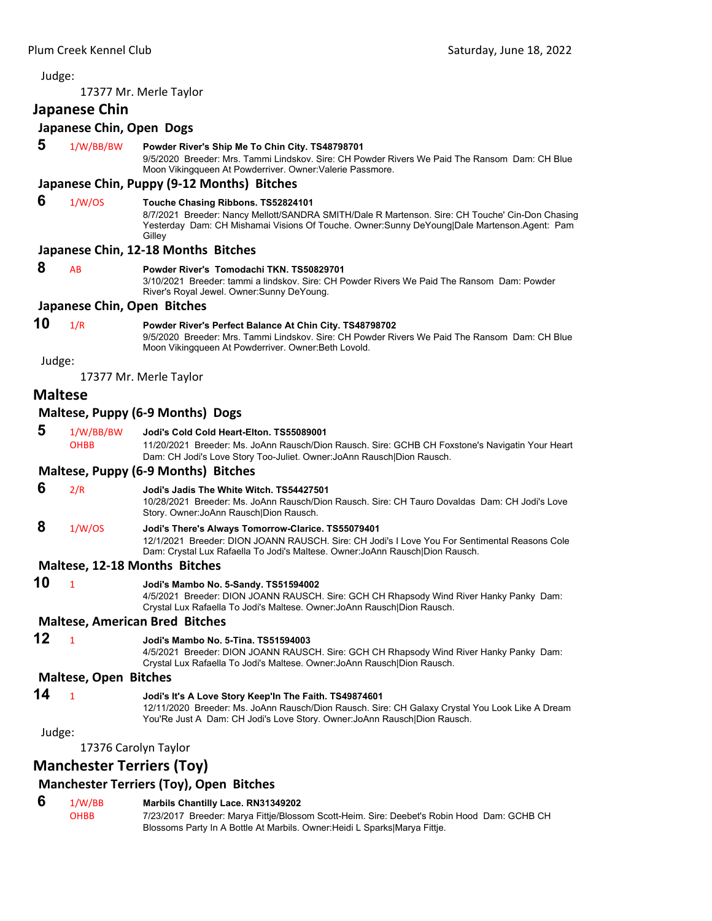17377 Mr. Merle Taylor

#### **Japanese Chin**

#### **Japanese Chin, Open Dogs**

 **5** 1/W/BB/BW **Powder River's Ship Me To Chin City. TS48798701**

9/5/2020 Breeder: Mrs. Tammi Lindskov. Sire: CH Powder Rivers We Paid The Ransom Dam: CH Blue Moon Vikingqueen At Powderriver. Owner:Valerie Passmore.

#### **Japanese Chin, Puppy (9‐12 Months) Bitches**

#### **6** 1/W/OS **Touche Chasing Ribbons. TS52824101**

8/7/2021 Breeder: Nancy Mellott/SANDRA SMITH/Dale R Martenson. Sire: CH Touche' Cin-Don Chasing Yesterday Dam: CH Mishamai Visions Of Touche. Owner:Sunny DeYoung|Dale Martenson.Agent: Pam **Gilley** 

#### **Japanese Chin, 12‐18 Months Bitches**

#### **8** AB **Powder River's Tomodachi TKN. TS50829701**

3/10/2021 Breeder: tammi a lindskov. Sire: CH Powder Rivers We Paid The Ransom Dam: Powder River's Royal Jewel. Owner:Sunny DeYoung.

#### **Japanese Chin, Open Bitches**

#### **10** 1/R **Powder River's Perfect Balance At Chin City. TS48798702**

9/5/2020 Breeder: Mrs. Tammi Lindskov. Sire: CH Powder Rivers We Paid The Ransom Dam: CH Blue Moon Vikingqueen At Powderriver. Owner:Beth Lovold.

Judge:

17377 Mr. Merle Taylor

#### **Maltese**

#### **Maltese, Puppy (6‐9 Months) Dogs**

 **5** 1/W/BB/BW **Jodi's Cold Cold Heart-Elton. TS55089001**

OHBB 11/20/2021 Breeder: Ms. JoAnn Rausch/Dion Rausch. Sire: GCHB CH Foxstone's Navigatin Your Heart Dam: CH Jodi's Love Story Too-Juliet. Owner:JoAnn Rausch|Dion Rausch.

#### **Maltese, Puppy (6‐9 Months) Bitches**

- **6** 2/R **Jodi's Jadis The White Witch. TS54427501** 10/28/2021 Breeder: Ms. JoAnn Rausch/Dion Rausch. Sire: CH Tauro Dovaldas Dam: CH Jodi's Love Story. Owner:JoAnn Rausch|Dion Rausch.
- **8** 1/W/OS **Jodi's There's Always Tomorrow-Clarice. TS55079401**

12/1/2021 Breeder: DION JOANN RAUSCH. Sire: CH Jodi's I Love You For Sentimental Reasons Cole Dam: Crystal Lux Rafaella To Jodi's Maltese. Owner:JoAnn Rausch|Dion Rausch.

#### **Maltese, 12‐18 Months Bitches**

- 
- **10** <sup>1</sup> **Jodi's Mambo No. 5-Sandy. TS51594002**

4/5/2021 Breeder: DION JOANN RAUSCH. Sire: GCH CH Rhapsody Wind River Hanky Panky Dam: Crystal Lux Rafaella To Jodi's Maltese. Owner:JoAnn Rausch|Dion Rausch.

#### **Maltese, American Bred Bitches**

#### **12** <sup>1</sup> **Jodi's Mambo No. 5-Tina. TS51594003**

4/5/2021 Breeder: DION JOANN RAUSCH. Sire: GCH CH Rhapsody Wind River Hanky Panky Dam: Crystal Lux Rafaella To Jodi's Maltese. Owner:JoAnn Rausch|Dion Rausch.

#### **Maltese, Open Bitches**

#### **14** <sup>1</sup> **Jodi's It's A Love Story Keep'In The Faith. TS49874601**

12/11/2020 Breeder: Ms. JoAnn Rausch/Dion Rausch. Sire: CH Galaxy Crystal You Look Like A Dream You'Re Just A Dam: CH Jodi's Love Story. Owner:JoAnn Rausch|Dion Rausch.

#### Judge:

17376 Carolyn Taylor

### **Manchester Terriers (Toy)**

## **Manchester Terriers (Toy), Open Bitches**

## **6** 1/W/BB **Marbils Chantilly Lace. RN31349202**

OHBB 7/23/2017 Breeder: Marya Fittje/Blossom Scott-Heim. Sire: Deebet's Robin Hood Dam: GCHB CH Blossoms Party In A Bottle At Marbils. Owner:Heidi L Sparks|Marya Fittje.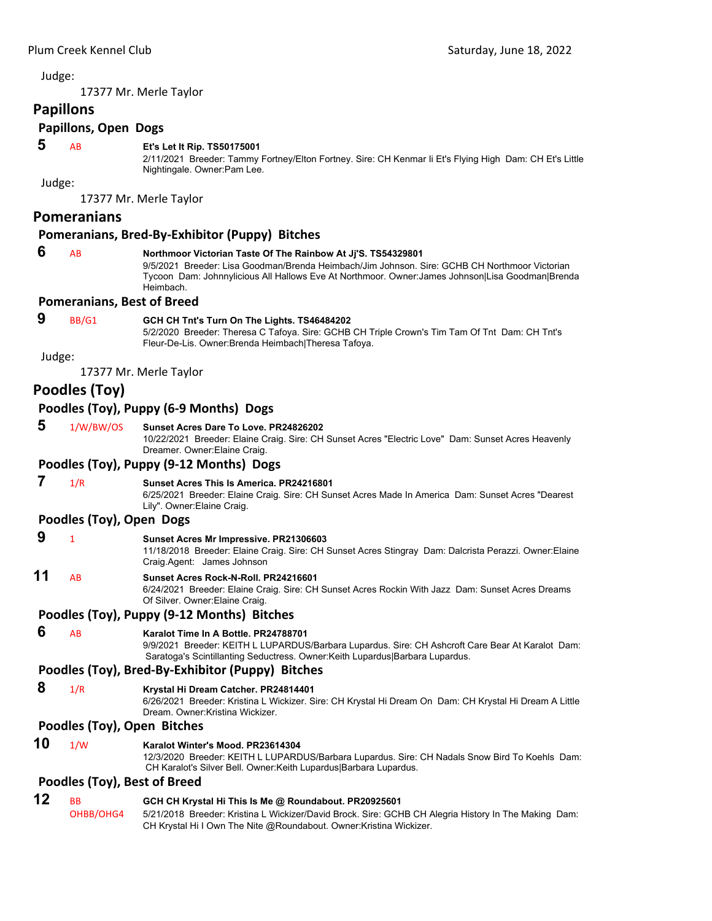17377 Mr. Merle Taylor

## **Papillons**

## **Papillons, Open Dogs**

#### **5** AB **Et's Let It Rip. TS50175001**

2/11/2021 Breeder: Tammy Fortney/Elton Fortney. Sire: CH Kenmar Ii Et's Flying High Dam: CH Et's Little Nightingale. Owner:Pam Lee.

Judge:

17377 Mr. Merle Taylor

#### **Pomeranians**

#### **Pomeranians, Bred‐By‐Exhibitor (Puppy) Bitches**

 **6** AB **Northmoor Victorian Taste Of The Rainbow At Jj'S. TS54329801**

9/5/2021 Breeder: Lisa Goodman/Brenda Heimbach/Jim Johnson. Sire: GCHB CH Northmoor Victorian Tycoon Dam: Johnnylicious All Hallows Eve At Northmoor. Owner:James Johnson|Lisa Goodman|Brenda Heimbach.

#### **Pomeranians, Best of Breed**

 **9** BB/G1 **GCH CH Tnt's Turn On The Lights. TS46484202**

5/2/2020 Breeder: Theresa C Tafoya. Sire: GCHB CH Triple Crown's Tim Tam Of Tnt Dam: CH Tnt's Fleur-De-Lis. Owner:Brenda Heimbach|Theresa Tafoya.

Judge:

17377 Mr. Merle Taylor

## **Poodles (Toy)**

#### **Poodles (Toy), Puppy (6‐9 Months) Dogs**

 **5** 1/W/BW/OS **Sunset Acres Dare To Love. PR24826202**

10/22/2021 Breeder: Elaine Craig. Sire: CH Sunset Acres "Electric Love" Dam: Sunset Acres Heavenly Dreamer. Owner:Elaine Craig.

#### **Poodles (Toy), Puppy (9‐12 Months) Dogs**

 **7** 1/R **Sunset Acres This Is America. PR24216801**

6/25/2021 Breeder: Elaine Craig. Sire: CH Sunset Acres Made In America Dam: Sunset Acres "Dearest Lily". Owner:Elaine Craig.

#### **Poodles (Toy), Open Dogs**

 **9** <sup>1</sup> **Sunset Acres Mr Impressive. PR21306603**

11/18/2018 Breeder: Elaine Craig. Sire: CH Sunset Acres Stingray Dam: Dalcrista Perazzi. Owner:Elaine Craig.Agent: James Johnson

## **11** AB **Sunset Acres Rock-N-Roll. PR24216601**

6/24/2021 Breeder: Elaine Craig. Sire: CH Sunset Acres Rockin With Jazz Dam: Sunset Acres Dreams Of Silver. Owner:Elaine Craig.

#### **Poodles (Toy), Puppy (9‐12 Months) Bitches**

#### **6** AB **Karalot Time In A Bottle. PR24788701**

9/9/2021 Breeder: KEITH L LUPARDUS/Barbara Lupardus. Sire: CH Ashcroft Care Bear At Karalot Dam: Saratoga's Scintillanting Seductress. Owner:Keith Lupardus|Barbara Lupardus.

## **Poodles (Toy), Bred‐By‐Exhibitor (Puppy) Bitches**

 **8** 1/R **Krystal Hi Dream Catcher. PR24814401**

6/26/2021 Breeder: Kristina L Wickizer. Sire: CH Krystal Hi Dream On Dam: CH Krystal Hi Dream A Little Dream. Owner:Kristina Wickizer.

#### **Poodles (Toy), Open Bitches**

## **10** 1/W **Karalot Winter's Mood. PR23614304**

12/3/2020 Breeder: KEITH L LUPARDUS/Barbara Lupardus. Sire: CH Nadals Snow Bird To Koehls Dam: CH Karalot's Silver Bell. Owner:Keith Lupardus|Barbara Lupardus.

#### **Poodles (Toy), Best of Breed**

| 12 | <b>BB</b> | GCH CH Krystal Hi This Is Me @ Roundabout. PR20925601                                                |  |  |
|----|-----------|------------------------------------------------------------------------------------------------------|--|--|
|    | OHBB/OHG4 | 5/21/2018 Breeder: Kristina L Wickizer/David Brock. Sire: GCHB CH Alegria History In The Making Dam: |  |  |
|    |           | CH Krystal Hi I Own The Nite @Roundabout. Owner: Kristina Wickizer.                                  |  |  |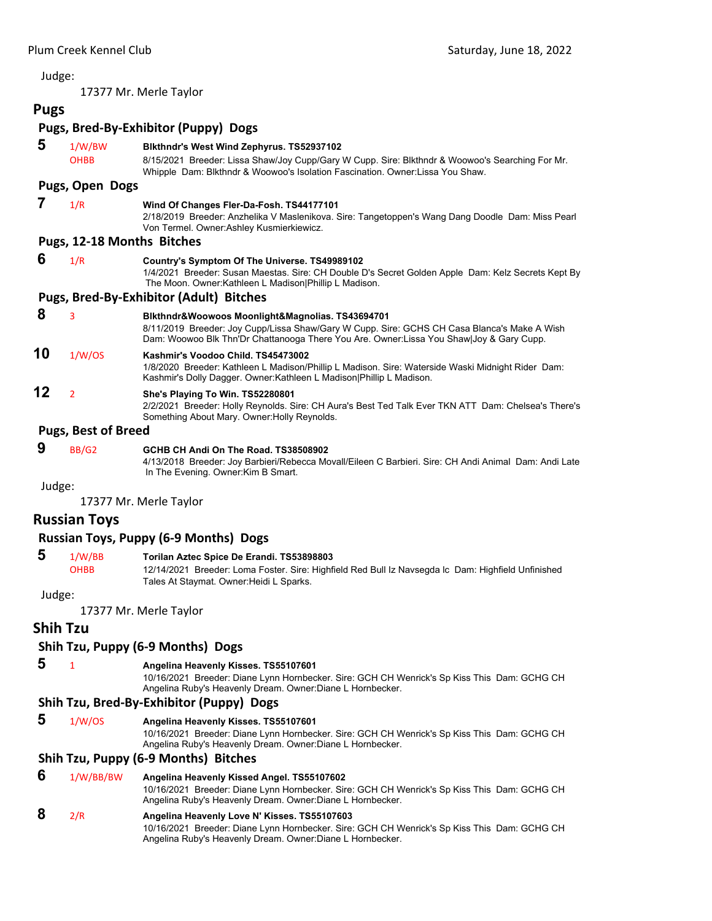17377 Mr. Merle Taylor

## **Pugs**

## **Pugs, Bred‐By‐Exhibitor (Puppy) Dogs**

| 5      | 1/W/BW                     | Blkthndr's West Wind Zephyrus. TS52937102                                                                                                                                                                                                  |
|--------|----------------------------|--------------------------------------------------------------------------------------------------------------------------------------------------------------------------------------------------------------------------------------------|
|        | <b>OHBB</b>                | 8/15/2021 Breeder: Lissa Shaw/Joy Cupp/Gary W Cupp. Sire: Blkthndr & Woowoo's Searching For Mr.<br>Whipple Dam: Blkthndr & Woowoo's Isolation Fascination. Owner: Lissa You Shaw.                                                          |
|        | Pugs, Open Dogs            |                                                                                                                                                                                                                                            |
|        | 1/R                        | Wind Of Changes Fler-Da-Fosh. TS44177101<br>2/18/2019 Breeder: Anzhelika V Maslenikova. Sire: Tangetoppen's Wang Dang Doodle Dam: Miss Pearl<br>Von Termel. Owner: Ashley Kusmierkiewicz.                                                  |
|        | Pugs, 12-18 Months Bitches |                                                                                                                                                                                                                                            |
| 6      | 1/R                        | Country's Symptom Of The Universe. TS49989102<br>1/4/2021 Breeder: Susan Maestas. Sire: CH Double D's Secret Golden Apple Dam: Kelz Secrets Kept By<br>The Moon. Owner:Kathleen L Madison Phillip L Madison.                               |
|        |                            | <b>Pugs, Bred-By-Exhibitor (Adult) Bitches</b>                                                                                                                                                                                             |
| 8      | 3                          | Blkthndr&Woowoos Moonlight&Magnolias. TS43694701<br>8/11/2019 Breeder: Joy Cupp/Lissa Shaw/Gary W Cupp. Sire: GCHS CH Casa Blanca's Make A Wish<br>Dam: Woowoo Blk Thn'Dr Chattanooga There You Are. Owner:Lissa You Shaw Joy & Gary Cupp. |
| 10     | 1/W/OS                     | Kashmir's Voodoo Child. TS45473002<br>1/8/2020 Breeder: Kathleen L Madison/Phillip L Madison. Sire: Waterside Waski Midnight Rider Dam:<br>Kashmir's Dolly Dagger. Owner: Kathleen L Madison   Phillip L Madison.                          |
| 12     | $\overline{2}$             | She's Playing To Win. TS52280801<br>2/2/2021 Breeder: Holly Reynolds. Sire: CH Aura's Best Ted Talk Ever TKN ATT Dam: Chelsea's There's<br>Something About Mary. Owner: Holly Reynolds.                                                    |
|        | <b>Pugs, Best of Breed</b> |                                                                                                                                                                                                                                            |
| 9      | BB/G2                      | GCHB CH Andi On The Road. TS38508902<br>4/13/2018 Breeder: Joy Barbieri/Rebecca Movall/Eileen C Barbieri. Sire: CH Andi Animal Dam: Andi Late<br>In The Evening. Owner: Kim B Smart.                                                       |
| Judge: |                            |                                                                                                                                                                                                                                            |

17377 Mr. Merle Taylor

#### **Russian Toys**

#### **Russian Toys, Puppy (6‐9 Months) Dogs**

**5** 1/W/BB **Torilan Aztec Spice De Erandi. TS53898803**<br>OHBB 12/14/2021 Breeder: Loma Foster. Sire: Highfi 12/14/2021 Breeder: Loma Foster. Sire: Highfield Red Bull Iz Navsegda lc Dam: Highfield Unfinished Tales At Staymat. Owner:Heidi L Sparks.

Judge:

17377 Mr. Merle Taylor

#### **Shih Tzu**

## **Shih Tzu, Puppy (6‐9 Months) Dogs**

### **5** <sup>1</sup> **Angelina Heavenly Kisses. TS55107601**

10/16/2021 Breeder: Diane Lynn Hornbecker. Sire: GCH CH Wenrick's Sp Kiss This Dam: GCHG CH Angelina Ruby's Heavenly Dream. Owner:Diane L Hornbecker.

## **Shih Tzu, Bred‐By‐Exhibitor (Puppy) Dogs**

 **5** 1/W/OS **Angelina Heavenly Kisses. TS55107601**

10/16/2021 Breeder: Diane Lynn Hornbecker. Sire: GCH CH Wenrick's Sp Kiss This Dam: GCHG CH Angelina Ruby's Heavenly Dream. Owner:Diane L Hornbecker.

## **Shih Tzu, Puppy (6‐9 Months) Bitches**

## **6** 1/W/BB/BW **Angelina Heavenly Kissed Angel. TS55107602**

10/16/2021 Breeder: Diane Lynn Hornbecker. Sire: GCH CH Wenrick's Sp Kiss This Dam: GCHG CH Angelina Ruby's Heavenly Dream. Owner:Diane L Hornbecker.

## **8** 2/R **Angelina Heavenly Love N' Kisses. TS55107603**

10/16/2021 Breeder: Diane Lynn Hornbecker. Sire: GCH CH Wenrick's Sp Kiss This Dam: GCHG CH Angelina Ruby's Heavenly Dream. Owner:Diane L Hornbecker.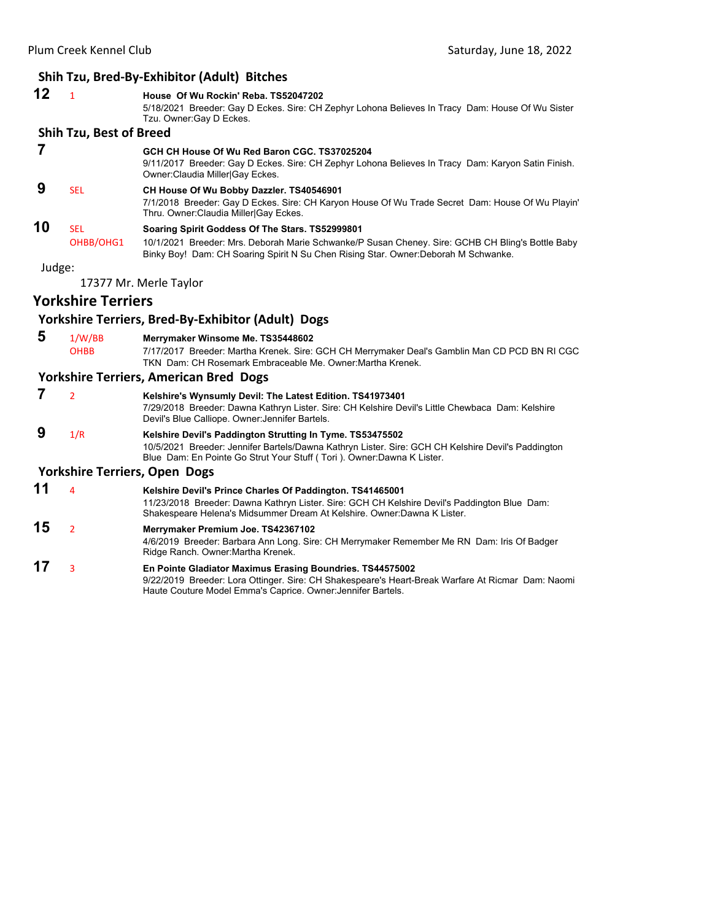## **Shih Tzu, Bred‐By‐Exhibitor (Adult) Bitches**

| 12                                   | $\mathbf{1}$                   | House Of Wu Rockin' Reba. TS52047202<br>5/18/2021 Breeder: Gay D Eckes. Sire: CH Zephyr Lohona Believes In Tracy Dam: House Of Wu Sister<br>Tzu. Owner: Gay D Eckes.                                                                      |  |
|--------------------------------------|--------------------------------|-------------------------------------------------------------------------------------------------------------------------------------------------------------------------------------------------------------------------------------------|--|
|                                      | <b>Shih Tzu, Best of Breed</b> |                                                                                                                                                                                                                                           |  |
| 7                                    |                                | GCH CH House Of Wu Red Baron CGC, TS37025204<br>9/11/2017 Breeder: Gay D Eckes. Sire: CH Zephyr Lohona Believes In Tracy Dam: Karyon Satin Finish.<br>Owner: Claudia Miller Gay Eckes.                                                    |  |
| 9                                    | <b>SEL</b>                     | CH House Of Wu Bobby Dazzler. TS40546901<br>7/1/2018 Breeder: Gay D Eckes. Sire: CH Karyon House Of Wu Trade Secret Dam: House Of Wu Playin'<br>Thru. Owner: Claudia Miller Gay Eckes.                                                    |  |
| 10                                   | <b>SEL</b>                     | Soaring Spirit Goddess Of The Stars. TS52999801                                                                                                                                                                                           |  |
|                                      | OHBB/OHG1                      | 10/1/2021 Breeder: Mrs. Deborah Marie Schwanke/P Susan Cheney. Sire: GCHB CH Bling's Bottle Baby<br>Binky Boy! Dam: CH Soaring Spirit N Su Chen Rising Star. Owner: Deborah M Schwanke.                                                   |  |
| Judge:                               |                                |                                                                                                                                                                                                                                           |  |
|                                      |                                | 17377 Mr. Merle Taylor                                                                                                                                                                                                                    |  |
|                                      | <b>Yorkshire Terriers</b>      |                                                                                                                                                                                                                                           |  |
|                                      |                                | Yorkshire Terriers, Bred-By-Exhibitor (Adult) Dogs                                                                                                                                                                                        |  |
| 5                                    | 1/W/BB                         | Merrymaker Winsome Me. TS35448602                                                                                                                                                                                                         |  |
|                                      | <b>OHBB</b>                    | 7/17/2017 Breeder: Martha Krenek. Sire: GCH CH Merrymaker Deal's Gamblin Man CD PCD BN RI CGC<br>TKN Dam: CH Rosemark Embraceable Me. Owner: Martha Krenek.                                                                               |  |
|                                      |                                | <b>Yorkshire Terriers, American Bred Dogs</b>                                                                                                                                                                                             |  |
| 7                                    | $\overline{2}$                 | Kelshire's Wynsumly Devil: The Latest Edition. TS41973401                                                                                                                                                                                 |  |
|                                      |                                | 7/29/2018 Breeder: Dawna Kathryn Lister. Sire: CH Kelshire Devil's Little Chewbaca Dam: Kelshire<br>Devil's Blue Calliope. Owner: Jennifer Bartels.                                                                                       |  |
| 9                                    | 1/R                            | Kelshire Devil's Paddington Strutting In Tyme. TS53475502<br>10/5/2021 Breeder: Jennifer Bartels/Dawna Kathryn Lister. Sire: GCH CH Kelshire Devil's Paddington<br>Blue Dam: En Pointe Go Strut Your Stuff (Tori). Owner: Dawna K Lister. |  |
| <b>Yorkshire Terriers, Open Dogs</b> |                                |                                                                                                                                                                                                                                           |  |
| 11                                   | $\overline{a}$                 | Kelshire Devil's Prince Charles Of Paddington. TS41465001<br>11/23/2018 Breeder: Dawna Kathryn Lister. Sire: GCH CH Kelshire Devil's Paddington Blue Dam:<br>Shakespeare Helena's Midsummer Dream At Kelshire. Owner:Dawna K Lister.      |  |
| 15                                   | $\overline{2}$                 | Merrymaker Premium Joe. TS42367102<br>4/6/2019 Breeder: Barbara Ann Long. Sire: CH Merrymaker Remember Me RN Dam: Iris Of Badger<br>Ridge Ranch. Owner: Martha Krenek.                                                                    |  |
|                                      |                                |                                                                                                                                                                                                                                           |  |

**17** <sup>3</sup> **En Pointe Gladiator Maximus Erasing Boundries. TS44575002** 9/22/2019 Breeder: Lora Ottinger. Sire: CH Shakespeare's Heart-Break Warfare At Ricmar Dam: Naomi Haute Couture Model Emma's Caprice. Owner:Jennifer Bartels.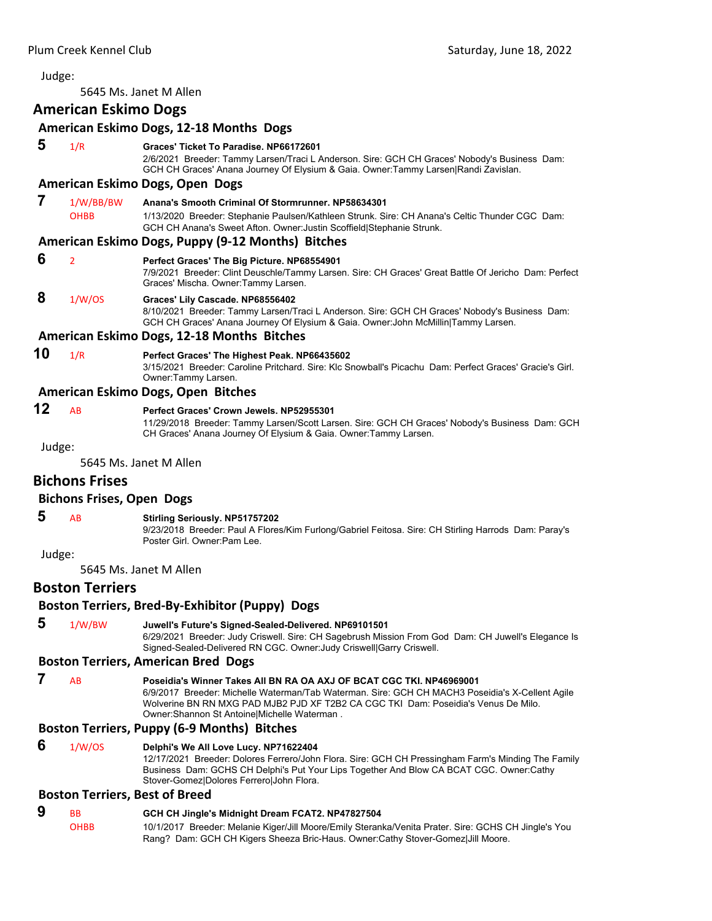<span id="page-42-0"></span>5645 Ms. Janet M Allen

#### **American Eskimo Dogs**

| American Eskimo Dogs, 12-18 Months Dogs |                                                 |                                                                                                                                                                                                                               |  |  |
|-----------------------------------------|-------------------------------------------------|-------------------------------------------------------------------------------------------------------------------------------------------------------------------------------------------------------------------------------|--|--|
| 5                                       | 1/R                                             | Graces' Ticket To Paradise, NP66172601<br>2/6/2021 Breeder: Tammy Larsen/Traci L Anderson. Sire: GCH CH Graces' Nobody's Business Dam:<br>GCH CH Graces' Anana Journey Of Elysium & Gaia. Owner:Tammy Larsen Randi Zavislan.  |  |  |
|                                         |                                                 | American Eskimo Dogs, Open Dogs                                                                                                                                                                                               |  |  |
| 7                                       | 1/W/BB/BW<br><b>OHBB</b>                        | Anana's Smooth Criminal Of Stormrunner, NP58634301<br>1/13/2020 Breeder: Stephanie Paulsen/Kathleen Strunk. Sire: CH Anana's Celtic Thunder CGC Dam:<br>GCH CH Anana's Sweet Afton. Owner: Justin Scoffield Stephanie Strunk. |  |  |
|                                         |                                                 | American Eskimo Dogs, Puppy (9-12 Months) Bitches                                                                                                                                                                             |  |  |
| 6                                       | $\overline{2}$                                  | Perfect Graces' The Big Picture. NP68554901<br>7/9/2021 Breeder: Clint Deuschle/Tammy Larsen. Sire: CH Graces' Great Battle Of Jericho Dam: Perfect<br>Graces' Mischa. Owner: Tammy Larsen.                                   |  |  |
| 8                                       | 1/W/OS                                          | Graces' Lily Cascade. NP68556402<br>8/10/2021 Breeder: Tammy Larsen/Traci L Anderson. Sire: GCH CH Graces' Nobody's Business Dam:<br>GCH CH Graces' Anana Journey Of Elysium & Gaia. Owner: John McMillin Tammy Larsen.       |  |  |
|                                         |                                                 | American Eskimo Dogs, 12-18 Months Bitches                                                                                                                                                                                    |  |  |
| 10                                      | 1/R                                             | Perfect Graces' The Highest Peak. NP66435602<br>3/15/2021 Breeder: Caroline Pritchard. Sire: Klc Snowball's Picachu Dam: Perfect Graces' Gracie's Girl.<br>Owner: Tammy Larsen.                                               |  |  |
|                                         |                                                 | American Eskimo Dogs, Open Bitches                                                                                                                                                                                            |  |  |
| 12                                      | AB                                              | Perfect Graces' Crown Jewels, NP52955301<br>11/29/2018 Breeder: Tammy Larsen/Scott Larsen. Sire: GCH CH Graces' Nobody's Business Dam: GCH<br>CH Graces' Anana Journey Of Elysium & Gaia. Owner: Tammy Larsen.                |  |  |
| Judge:                                  |                                                 |                                                                                                                                                                                                                               |  |  |
|                                         |                                                 | 5645 Ms. Janet M Allen                                                                                                                                                                                                        |  |  |
|                                         | <b>Bichons Frises</b>                           |                                                                                                                                                                                                                               |  |  |
|                                         | <b>Bichons Frises, Open Dogs</b>                |                                                                                                                                                                                                                               |  |  |
| 5                                       | AB                                              | <b>Stirling Seriously. NP51757202</b><br>9/23/2018 Breeder: Paul A Flores/Kim Furlong/Gabriel Feitosa. Sire: CH Stirling Harrods Dam: Paray's<br>Poster Girl, Owner:Pam Lee.                                                  |  |  |
| Judge:                                  |                                                 |                                                                                                                                                                                                                               |  |  |
| 5645 Ms. Janet M Allen                  |                                                 |                                                                                                                                                                                                                               |  |  |
|                                         | <b>Boston Terriers</b>                          |                                                                                                                                                                                                                               |  |  |
|                                         | Boston Terriers, Bred-By-Exhibitor (Puppy) Dogs |                                                                                                                                                                                                                               |  |  |
|                                         |                                                 |                                                                                                                                                                                                                               |  |  |

 **5** 1/W/BW **Juwell's Future's Signed-Sealed-Delivered. NP69101501**

6/29/2021 Breeder: Judy Criswell. Sire: CH Sagebrush Mission From God Dam: CH Juwell's Elegance Is Signed-Sealed-Delivered RN CGC. Owner:Judy Criswell|Garry Criswell.

## **Boston Terriers, American Bred Dogs**

 **7** AB **Poseidia's Winner Takes All BN RA OA AXJ OF BCAT CGC TKI. NP46969001** 6/9/2017 Breeder: Michelle Waterman/Tab Waterman. Sire: GCH CH MACH3 Poseidia's X-Cellent Agile Wolverine BN RN MXG PAD MJB2 PJD XF T2B2 CA CGC TKI Dam: Poseidia's Venus De Milo. Owner:Shannon St Antoine|Michelle Waterman .

## **Boston Terriers, Puppy (6‐9 Months) Bitches**

#### **6** 1/W/OS **Delphi's We All Love Lucy. NP71622404** 12/17/2021 Breeder: Dolores Ferrero/John Flora. Sire: GCH CH Pressingham Farm's Minding The Family Business Dam: GCHS CH Delphi's Put Your Lips Together And Blow CA BCAT CGC. Owner:Cathy Stover-Gomez|Dolores Ferrero|John Flora.

## **Boston Terriers, Best of Breed**

## **9** BB **GCH CH Jingle's Midnight Dream FCAT2. NP47827504**

OHBB 10/1/2017 Breeder: Melanie Kiger/Jill Moore/Emily Steranka/Venita Prater. Sire: GCHS CH Jingle's You Rang? Dam: GCH CH Kigers Sheeza Bric-Haus. Owner:Cathy Stover-Gomez|Jill Moore.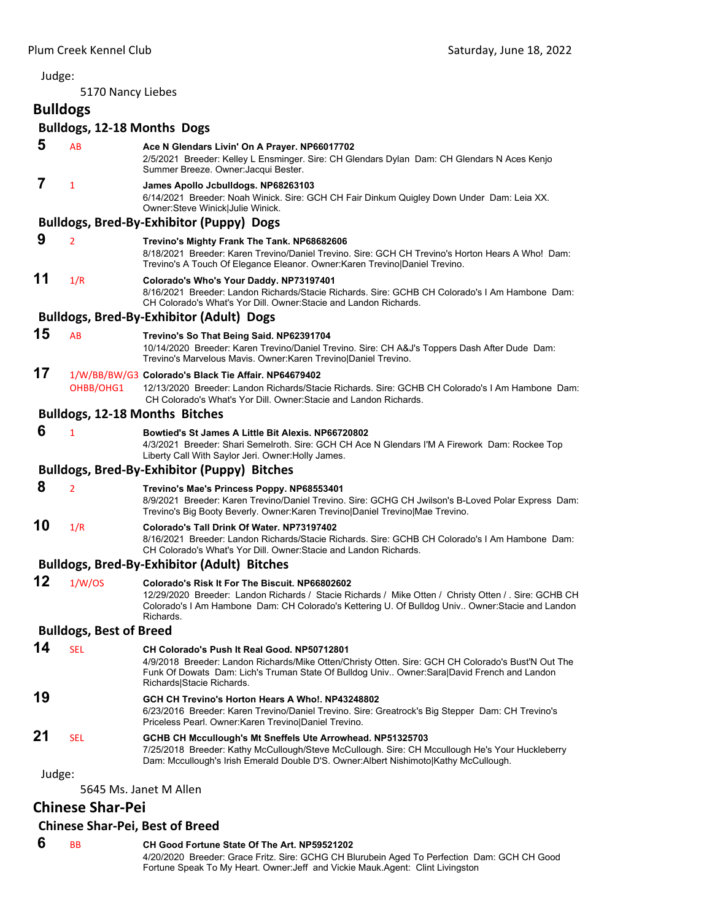#### Judge: 5170 Nancy Liebes **Bulldogs Bulldogs, 12‐18 Months Dogs 5** AB **Ace N Glendars Livin' On A Prayer. NP66017702** 2/5/2021 Breeder: Kelley L Ensminger. Sire: CH Glendars Dylan Dam: CH Glendars N Aces Kenjo Summer Breeze. Owner:Jacqui Bester.  **7** <sup>1</sup> **James Apollo Jcbulldogs. NP68263103** 6/14/2021 Breeder: Noah Winick. Sire: GCH CH Fair Dinkum Quigley Down Under Dam: Leia XX. Owner:Steve Winick|Julie Winick. **Bulldogs, Bred‐By‐Exhibitor (Puppy) Dogs 9** <sup>2</sup> **Trevino's Mighty Frank The Tank. NP68682606** 8/18/2021 Breeder: Karen Trevino/Daniel Trevino. Sire: GCH CH Trevino's Horton Hears A Who! Dam: Trevino's A Touch Of Elegance Eleanor. Owner:Karen Trevino|Daniel Trevino. **11** 1/R **Colorado's Who's Your Daddy. NP73197401** 8/16/2021 Breeder: Landon Richards/Stacie Richards. Sire: GCHB CH Colorado's I Am Hambone Dam: CH Colorado's What's Yor Dill. Owner:Stacie and Landon Richards. **Bulldogs, Bred‐By‐Exhibitor (Adult) Dogs 15** AB **Trevino's So That Being Said. NP62391704** 10/14/2020 Breeder: Karen Trevino/Daniel Trevino. Sire: CH A&J's Toppers Dash After Dude Dam: Trevino's Marvelous Mavis. Owner:Karen Trevino|Daniel Trevino. **17** 1/W/BB/BW/G3 **Colorado's Black Tie Affair. NP64679402** OHBB/OHG1 12/13/2020 Breeder: Landon Richards/Stacie Richards. Sire: GCHB CH Colorado's I Am Hambone Dam: CH Colorado's What's Yor Dill. Owner:Stacie and Landon Richards. **Bulldogs, 12‐18 Months Bitches 6** <sup>1</sup> **Bowtied's St James A Little Bit Alexis. NP66720802** 4/3/2021 Breeder: Shari Semelroth. Sire: GCH CH Ace N Glendars I'M A Firework Dam: Rockee Top Liberty Call With Saylor Jeri. Owner:Holly James. **Bulldogs, Bred‐By‐Exhibitor (Puppy) Bitches 8** <sup>2</sup> **Trevino's Mae's Princess Poppy. NP68553401** 8/9/2021 Breeder: Karen Trevino/Daniel Trevino. Sire: GCHG CH Jwilson's B-Loved Polar Express Dam: Trevino's Big Booty Beverly. Owner:Karen Trevino|Daniel Trevino|Mae Trevino. **10** 1/R **Colorado's Tall Drink Of Water. NP73197402** 8/16/2021 Breeder: Landon Richards/Stacie Richards. Sire: GCHB CH Colorado's I Am Hambone Dam: CH Colorado's What's Yor Dill. Owner:Stacie and Landon Richards. **Bulldogs, Bred‐By‐Exhibitor (Adult) Bitches 12** 1/W/OS **Colorado's Risk It For The Biscuit. NP66802602** 12/29/2020 Breeder: Landon Richards / Stacie Richards / Mike Otten / Christy Otten / . Sire: GCHB CH Colorado's I Am Hambone Dam: CH Colorado's Kettering U. Of Bulldog Univ.. Owner:Stacie and Landon Richards. **Bulldogs, Best of Breed 14** SEL **CH Colorado's Push It Real Good. NP50712801** 4/9/2018 Breeder: Landon Richards/Mike Otten/Christy Otten. Sire: GCH CH Colorado's Bust'N Out The Funk Of Dowats Dam: Lich's Truman State Of Bulldog Univ.. Owner:Sara|David French and Landon Richards|Stacie Richards. **19 GCH CH Trevino's Horton Hears A Who!. NP43248802** 6/23/2016 Breeder: Karen Trevino/Daniel Trevino. Sire: Greatrock's Big Stepper Dam: CH Trevino's Priceless Pearl. Owner:Karen Trevino|Daniel Trevino. **21** SEL **GCHB CH Mccullough's Mt Sneffels Ute Arrowhead. NP51325703** 7/25/2018 Breeder: Kathy McCullough/Steve McCullough. Sire: CH Mccullough He's Your Huckleberry Dam: Mccullough's Irish Emerald Double D'S. Owner:Albert Nishimoto|Kathy McCullough. Judge: 5645 Ms. Janet M Allen

## **Chinese Shar‐Pei**

#### **Chinese Shar‐Pei, Best of Breed**

 **6** BB **CH Good Fortune State Of The Art. NP59521202** 4/20/2020 Breeder: Grace Fritz. Sire: GCHG CH Blurubein Aged To Perfection Dam: GCH CH Good Fortune Speak To My Heart. Owner:Jeff and Vickie Mauk.Agent: Clint Livingston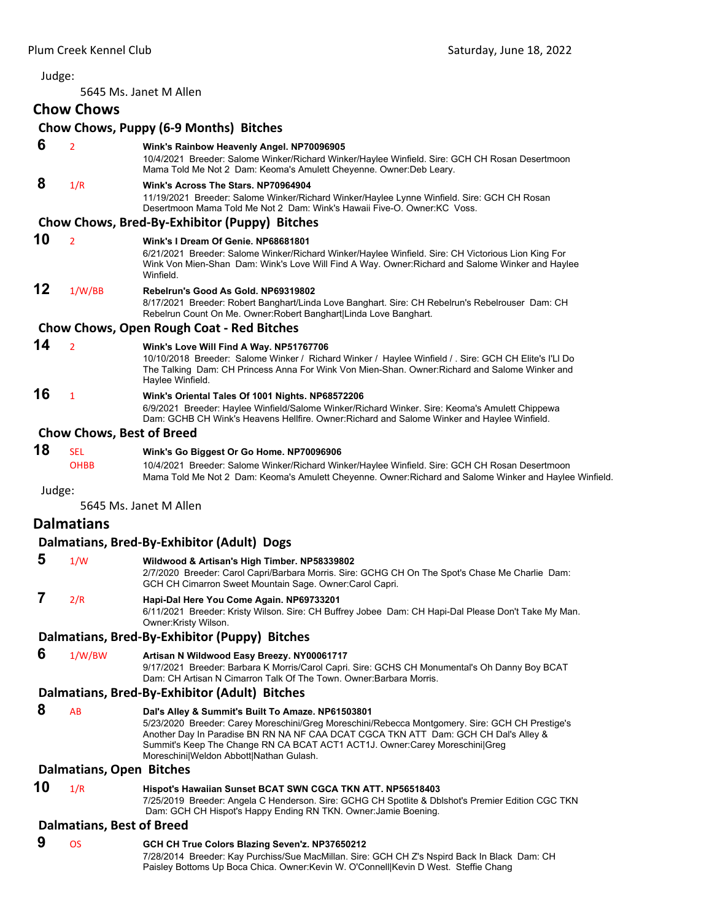| Judge: |                                  |                                                                                                                                                                                                                                                                                                                                                                        |
|--------|----------------------------------|------------------------------------------------------------------------------------------------------------------------------------------------------------------------------------------------------------------------------------------------------------------------------------------------------------------------------------------------------------------------|
|        |                                  | 5645 Ms. Janet M Allen                                                                                                                                                                                                                                                                                                                                                 |
|        | <b>Chow Chows</b>                |                                                                                                                                                                                                                                                                                                                                                                        |
|        |                                  | Chow Chows, Puppy (6-9 Months) Bitches                                                                                                                                                                                                                                                                                                                                 |
| 6      | $\overline{2}$                   | Wink's Rainbow Heavenly Angel. NP70096905<br>10/4/2021 Breeder: Salome Winker/Richard Winker/Haylee Winfield. Sire: GCH CH Rosan Desertmoon<br>Mama Told Me Not 2 Dam: Keoma's Amulett Cheyenne. Owner: Deb Leary.                                                                                                                                                     |
| 8      | 1/R                              | Wink's Across The Stars, NP70964904<br>11/19/2021 Breeder: Salome Winker/Richard Winker/Haylee Lynne Winfield. Sire: GCH CH Rosan<br>Desertmoon Mama Told Me Not 2 Dam: Wink's Hawaii Five-O. Owner: KC Voss.                                                                                                                                                          |
|        |                                  | Chow Chows, Bred-By-Exhibitor (Puppy) Bitches                                                                                                                                                                                                                                                                                                                          |
| 10     | $\overline{2}$                   | Wink's I Dream Of Genie, NP68681801<br>6/21/2021 Breeder: Salome Winker/Richard Winker/Haylee Winfield. Sire: CH Victorious Lion King For<br>Wink Von Mien-Shan Dam: Wink's Love Will Find A Way. Owner: Richard and Salome Winker and Haylee<br>Winfield.                                                                                                             |
| 12     | 1/W/BB                           | Rebelrun's Good As Gold. NP69319802<br>8/17/2021 Breeder: Robert Banghart/Linda Love Banghart. Sire: CH Rebelrun's Rebelrouser Dam: CH<br>Rebelrun Count On Me. Owner: Robert Banghart Linda Love Banghart.                                                                                                                                                            |
|        |                                  | <b>Chow Chows, Open Rough Coat - Red Bitches</b>                                                                                                                                                                                                                                                                                                                       |
| 14     | $\overline{2}$                   | Wink's Love Will Find A Way. NP51767706<br>10/10/2018 Breeder: Salome Winker / Richard Winker / Haylee Winfield / . Sire: GCH CH Elite's I'LI Do<br>The Talking Dam: CH Princess Anna For Wink Von Mien-Shan. Owner: Richard and Salome Winker and<br>Haylee Winfield.                                                                                                 |
| 16     | $\mathbf{1}$                     | Wink's Oriental Tales Of 1001 Nights. NP68572206<br>6/9/2021 Breeder: Haylee Winfield/Salome Winker/Richard Winker. Sire: Keoma's Amulett Chippewa<br>Dam: GCHB CH Wink's Heavens Hellfire. Owner: Richard and Salome Winker and Haylee Winfield.                                                                                                                      |
|        | <b>Chow Chows, Best of Breed</b> |                                                                                                                                                                                                                                                                                                                                                                        |
| 18     | <b>SEL</b><br><b>OHBB</b>        | Wink's Go Biggest Or Go Home. NP70096906<br>10/4/2021 Breeder: Salome Winker/Richard Winker/Haylee Winfield. Sire: GCH CH Rosan Desertmoon<br>Mama Told Me Not 2 Dam: Keoma's Amulett Cheyenne. Owner: Richard and Salome Winker and Haylee Winfield.                                                                                                                  |
| Judge: |                                  | 5645 Ms. Janet M Allen                                                                                                                                                                                                                                                                                                                                                 |
|        | <b>Dalmatians</b>                |                                                                                                                                                                                                                                                                                                                                                                        |
|        |                                  | Dalmatians, Bred-By-Exhibitor (Adult) Dogs                                                                                                                                                                                                                                                                                                                             |
| 5      | 1/W                              | Wildwood & Artisan's High Timber. NP58339802                                                                                                                                                                                                                                                                                                                           |
|        |                                  | 2/7/2020 Breeder: Carol Capri/Barbara Morris. Sire: GCHG CH On The Spot's Chase Me Charlie Dam:<br>GCH CH Cimarron Sweet Mountain Sage. Owner: Carol Capri.                                                                                                                                                                                                            |
| 7      | 2/R                              | Hapi-Dal Here You Come Again. NP69733201<br>6/11/2021 Breeder: Kristy Wilson. Sire: CH Buffrey Jobee Dam: CH Hapi-Dal Please Don't Take My Man.<br>Owner:Kristy Wilson.                                                                                                                                                                                                |
|        |                                  | Dalmatians, Bred-By-Exhibitor (Puppy) Bitches                                                                                                                                                                                                                                                                                                                          |
| 6      | 1/W/BW                           | Artisan N Wildwood Easy Breezy. NY00061717<br>9/17/2021 Breeder: Barbara K Morris/Carol Capri. Sire: GCHS CH Monumental's Oh Danny Boy BCAT<br>Dam: CH Artisan N Cimarron Talk Of The Town, Owner Barbara Morris.                                                                                                                                                      |
|        |                                  | Dalmatians, Bred-By-Exhibitor (Adult) Bitches                                                                                                                                                                                                                                                                                                                          |
| 8      | AB                               | Dal's Alley & Summit's Built To Amaze. NP61503801<br>5/23/2020 Breeder: Carey Moreschini/Greg Moreschini/Rebecca Montgomery. Sire: GCH CH Prestige's<br>Another Day In Paradise BN RN NA NF CAA DCAT CGCA TKN ATT Dam: GCH CH Dal's Alley &<br>Summit's Keep The Change RN CA BCAT ACT1 ACT1J. Owner: Carey Moreschini Greg<br>Moreschini Weldon Abbott Nathan Gulash. |
|        | <b>Dalmatians, Open Bitches</b>  |                                                                                                                                                                                                                                                                                                                                                                        |
| 10     | 1/R                              | Hispot's Hawaiian Sunset BCAT SWN CGCA TKN ATT. NP56518403<br>7/25/2019 Breeder: Angela C Henderson. Sire: GCHG CH Spotlite & Dblshot's Premier Edition CGC TKN<br>Dam: GCH CH Hispot's Happy Ending RN TKN. Owner: Jamie Boening.                                                                                                                                     |
|        | <b>Dalmatians, Best of Breed</b> |                                                                                                                                                                                                                                                                                                                                                                        |
| 9      | <b>OS</b>                        | GCH CH True Colors Blazing Seven'z. NP37650212<br>7/28/2014 Breeder: Kay Purchiss/Sue MacMillan. Sire: GCH CH Z's Nspird Back In Black Dam: CH                                                                                                                                                                                                                         |

Paisley Bottoms Up Boca Chica. Owner:Kevin W. O'Connell|Kevin D West. Steffie Chang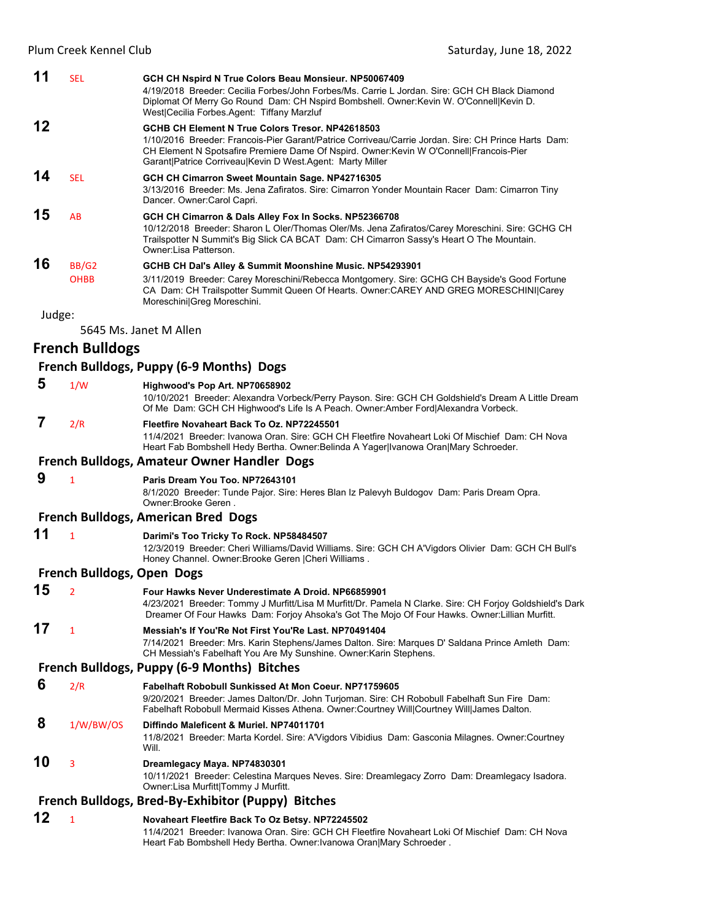| 11     | <b>SEL</b>             | GCH CH Nspird N True Colors Beau Monsieur. NP50067409<br>4/19/2018 Breeder: Cecilia Forbes/John Forbes/Ms. Carrie L Jordan, Sire: GCH CH Black Diamond<br>Diplomat Of Merry Go Round Dam: CH Nspird Bombshell. Owner: Kevin W. O'Connell Kevin D.                                                                                                              |
|--------|------------------------|----------------------------------------------------------------------------------------------------------------------------------------------------------------------------------------------------------------------------------------------------------------------------------------------------------------------------------------------------------------|
| 12     |                        | West Cecilia Forbes.Agent: Tiffany Marzluf<br>GCHB CH Element N True Colors Tresor, NP42618503<br>1/10/2016 Breeder: Francois-Pier Garant/Patrice Corriveau/Carrie Jordan, Sire: CH Prince Harts, Dam:<br>CH Element N Spotsafire Premiere Dame Of Nspird. Owner: Kevin W O'Connell Francois-Pier<br>Garant Patrice Corriveau Kevin D West Agent: Marty Miller |
| 14     | <b>SEL</b>             | GCH CH Cimarron Sweet Mountain Sage. NP42716305<br>3/13/2016 Breeder: Ms. Jena Zafiratos. Sire: Cimarron Yonder Mountain Racer Dam: Cimarron Tiny<br>Dancer. Owner: Carol Capri.                                                                                                                                                                               |
| 15     | AB                     | GCH CH Cimarron & Dals Alley Fox In Socks. NP52366708<br>10/12/2018 Breeder: Sharon L Oler/Thomas Oler/Ms. Jena Zafiratos/Carey Moreschini. Sire: GCHG CH<br>Trailspotter N Summit's Big Slick CA BCAT Dam: CH Cimarron Sassy's Heart O The Mountain.<br>Owner:Lisa Patterson.                                                                                 |
| 16     | BB/G2<br><b>OHBB</b>   | GCHB CH Dal's Alley & Summit Moonshine Music. NP54293901<br>3/11/2019 Breeder: Carey Moreschini/Rebecca Montgomery. Sire: GCHG CH Bayside's Good Fortune<br>CA Dam: CH Trailspotter Summit Queen Of Hearts. Owner:CAREY AND GREG MORESCHINI Carey<br>Moreschini Greg Moreschini.                                                                               |
| Judge: |                        |                                                                                                                                                                                                                                                                                                                                                                |
|        |                        | 5645 Ms. Janet M Allen                                                                                                                                                                                                                                                                                                                                         |
|        | <b>French Bulldogs</b> |                                                                                                                                                                                                                                                                                                                                                                |
|        |                        | French Bulldogs, Puppy (6-9 Months) Dogs                                                                                                                                                                                                                                                                                                                       |
| 5      | 1/W                    | Highwood's Pop Art. NP70658902<br>10/10/2021 Breeder: Alexandra Vorbeck/Perry Payson. Sire: GCH CH Goldshield's Dream A Little Dream<br>Of Me Dam: GCH CH Highwood's Life Is A Peach. Owner: Amber Ford Alexandra Vorbeck.                                                                                                                                     |

#### **7** 2/R **Fleetfire Novaheart Back To Oz. NP72245501**

11/4/2021 Breeder: Ivanowa Oran. Sire: GCH CH Fleetfire Novaheart Loki Of Mischief Dam: CH Nova Heart Fab Bombshell Hedy Bertha. Owner:Belinda A Yager|Ivanowa Oran|Mary Schroeder.

**French Bulldogs, Amateur Owner Handler Dogs**

#### **9** <sup>1</sup> **Paris Dream You Too. NP72643101**

8/1/2020 Breeder: Tunde Pajor. Sire: Heres Blan Iz Palevyh Buldogov Dam: Paris Dream Opra. Owner:Brooke Geren .

#### **French Bulldogs, American Bred Dogs**

| Darimi's Too Tricky To Rock. NP58484507 |
|-----------------------------------------|
|                                         |

12/3/2019 Breeder: Cheri Williams/David Williams. Sire: GCH CH A'Vigdors Olivier Dam: GCH CH Bull's Honey Channel. Owner:Brooke Geren |Cheri Williams .

#### **French Bulldogs, Open Dogs**

| 15 | $\overline{\phantom{a}}$ | Four Hawks Never Underestimate A Droid. NP66859901<br>4/23/2021 Breeder: Tommy J Murfitt/Lisa M Murfitt/Dr. Pamela N Clarke. Sire: CH Forjoy Goldshield's Dark<br>Dreamer Of Four Hawks Dam: Forjoy Ahsoka's Got The Mojo Of Four Hawks. Owner: Lillian Murfitt. |
|----|--------------------------|------------------------------------------------------------------------------------------------------------------------------------------------------------------------------------------------------------------------------------------------------------------|
| 17 | $\mathbf{1}$             | Messiah's If You'Re Not First You'Re Last, NP70491404<br>7/14/2021 Breeder: Mrs. Karin Stephens/James Dalton. Sire: Marques D' Saldana Prince Amleth Dam:<br>CH Messiah's Fabelhaft You Are My Sunshine. Owner: Karin Stephens.                                  |
|    |                          | French Bulldogs, Puppy (6-9 Months) Bitches                                                                                                                                                                                                                      |
| 6  | 2/R                      | <b>Fabelhaft Robobull Sunkissed At Mon Coeur, NP71759605</b><br>9/20/2021 Breeder: James Dalton/Dr. John Turjoman. Sire: CH Robobull Fabelhaft Sun Fire Dam:<br>Fabelhaft Robobull Mermaid Kisses Athena. Owner: Courtney Will Courtney Will James Dalton.       |
| 8  | 1/W/BW/OS                | Diffindo Maleficent & Muriel, NP74011701<br>11/8/2021 Breeder: Marta Kordel. Sire: A'Vigdors Vibidius Dam: Gasconia Milagnes. Owner: Courtney<br>Will.                                                                                                           |
| 10 | $\overline{3}$           | Dreamlegacy Maya. NP74830301<br>10/11/2021 Breeder: Celestina Marques Neves. Sire: Dreamlegacy Zorro Dam: Dreamlegacy Isadora.<br>Owner: Lisa Murfitt Tommy J Murfitt.                                                                                           |
|    |                          | French Bulldogs, Bred-By-Exhibitor (Puppy) Bitches                                                                                                                                                                                                               |
| 12 |                          |                                                                                                                                                                                                                                                                  |
|    |                          | Novaheart Fleetfire Back To Oz Betsy. NP72245502<br>11/1/2021 Prooder: Ivanous Oran, Siro: CCU CU Electire Noveboort Loki Of Mischief, Dam: CU Nove                                                                                                              |

11/4/2021 Breeder: Ivanowa Oran. Sire: GCH CH Fleetfire Novaheart Loki Of Mischief Dam: CH Nova Heart Fab Bombshell Hedy Bertha. Owner:Ivanowa Oran|Mary Schroeder .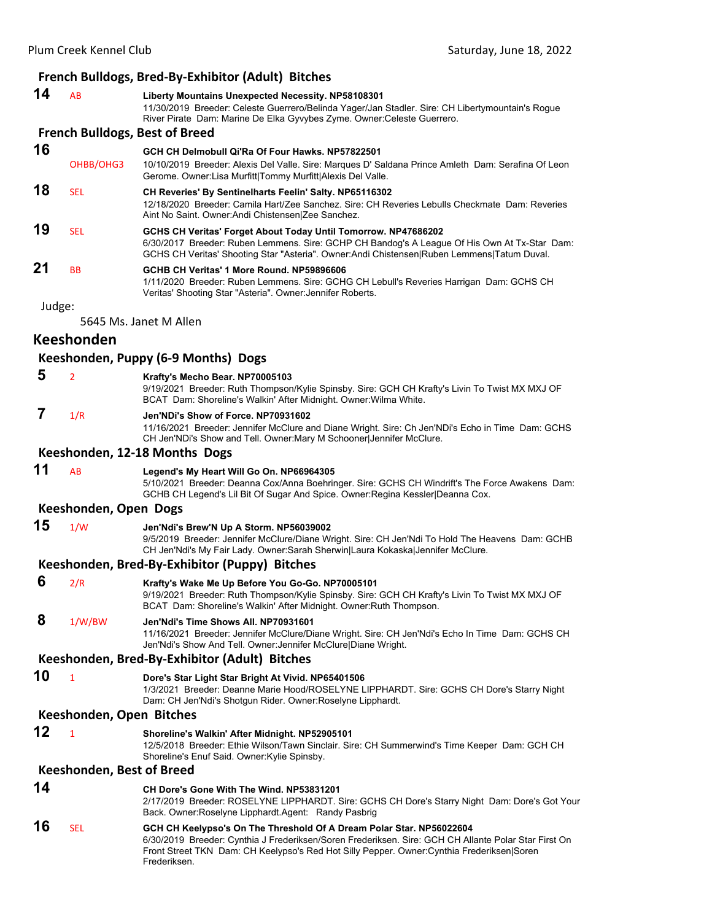## **French Bulldogs, Bred‐By‐Exhibitor (Adult) Bitches**

Frederiksen.

| 14                       | AB                        | Liberty Mountains Unexpected Necessity. NP58108301<br>11/30/2019 Breeder: Celeste Guerrero/Belinda Yager/Jan Stadler. Sire: CH Libertymountain's Rogue<br>River Pirate Dam: Marine De Elka Gyvybes Zyme. Owner: Celeste Guerrero.                                          |  |  |
|--------------------------|---------------------------|----------------------------------------------------------------------------------------------------------------------------------------------------------------------------------------------------------------------------------------------------------------------------|--|--|
|                          |                           | <b>French Bulldogs, Best of Breed</b>                                                                                                                                                                                                                                      |  |  |
| 16                       | OHBB/OHG3                 | GCH CH Delmobull Qi'Ra Of Four Hawks. NP57822501<br>10/10/2019 Breeder: Alexis Del Valle. Sire: Marques D' Saldana Prince Amleth Dam: Serafina Of Leon<br>Gerome. Owner: Lisa Murfitt Tommy Murfitt Alexis Del Valle.                                                      |  |  |
| 18                       | <b>SEL</b>                | CH Reveries' By Sentinelharts Feelin' Salty. NP65116302<br>12/18/2020 Breeder: Camila Hart/Zee Sanchez. Sire: CH Reveries Lebulls Checkmate Dam: Reveries<br>Aint No Saint. Owner: Andi Chistensen Zee Sanchez.                                                            |  |  |
| 19                       | <b>SEL</b>                | GCHS CH Veritas' Forget About Today Until Tomorrow. NP47686202<br>6/30/2017 Breeder: Ruben Lemmens. Sire: GCHP CH Bandog's A League Of His Own At Tx-Star Dam:<br>GCHS CH Veritas' Shooting Star "Asteria". Owner: Andi Chistensen Ruben Lemmens Tatum Duval.              |  |  |
| 21                       | <b>BB</b>                 | GCHB CH Veritas' 1 More Round, NP59896606<br>1/11/2020 Breeder: Ruben Lemmens. Sire: GCHG CH Lebull's Reveries Harrigan Dam: GCHS CH<br>Veritas' Shooting Star "Asteria". Owner: Jennifer Roberts.                                                                         |  |  |
| Judge:                   |                           |                                                                                                                                                                                                                                                                            |  |  |
|                          |                           | 5645 Ms. Janet M Allen                                                                                                                                                                                                                                                     |  |  |
|                          | <b>Keeshonden</b>         |                                                                                                                                                                                                                                                                            |  |  |
|                          |                           | Keeshonden, Puppy (6-9 Months) Dogs                                                                                                                                                                                                                                        |  |  |
| 5                        | $\overline{2}$            | Krafty's Mecho Bear. NP70005103<br>9/19/2021 Breeder: Ruth Thompson/Kylie Spinsby, Sire: GCH CH Krafty's Livin To Twist MX MXJ OF<br>BCAT Dam: Shoreline's Walkin' After Midnight. Owner: Wilma White.                                                                     |  |  |
| 7                        | 1/R                       | Jen'NDi's Show of Force, NP70931602<br>11/16/2021 Breeder: Jennifer McClure and Diane Wright. Sire: Ch Jen'NDi's Echo in Time Dam: GCHS<br>CH Jen'NDi's Show and Tell. Owner: Mary M Schooner Jennifer McClure.                                                            |  |  |
|                          |                           | Keeshonden, 12-18 Months Dogs                                                                                                                                                                                                                                              |  |  |
| 11                       | AB                        | Legend's My Heart Will Go On. NP66964305<br>5/10/2021 Breeder: Deanna Cox/Anna Boehringer. Sire: GCHS CH Windrift's The Force Awakens Dam:<br>GCHB CH Legend's Lil Bit Of Sugar And Spice. Owner: Regina Kessler Deanna Cox.                                               |  |  |
|                          | Keeshonden, Open Dogs     |                                                                                                                                                                                                                                                                            |  |  |
| 15                       | 1/W                       | Jen'Ndi's Brew'N Up A Storm. NP56039002<br>9/5/2019 Breeder: Jennifer McClure/Diane Wright. Sire: CH Jen'Ndi To Hold The Heavens Dam: GCHB<br>CH Jen'Ndi's My Fair Lady. Owner:Sarah Sherwin Laura Kokaska Jennifer McClure.                                               |  |  |
|                          |                           | Keeshonden, Bred-By-Exhibitor (Puppy) Bitches                                                                                                                                                                                                                              |  |  |
| 6                        | 2/R                       | Krafty's Wake Me Up Before You Go-Go. NP70005101<br>9/19/2021 Breeder: Ruth Thompson/Kylie Spinsby. Sire: GCH CH Krafty's Livin To Twist MX MXJ OF<br>BCAT Dam: Shoreline's Walkin' After Midnight. Owner: Ruth Thompson.                                                  |  |  |
| 8                        | 1/W/BW                    | Jen'Ndi's Time Shows All. NP70931601<br>11/16/2021 Breeder: Jennifer McClure/Diane Wright. Sire: CH Jen'Ndi's Echo In Time Dam: GCHS CH<br>Jen'Ndi's Show And Tell. Owner: Jennifer McClure Diane Wright.                                                                  |  |  |
|                          |                           | Keeshonden, Bred-By-Exhibitor (Adult) Bitches                                                                                                                                                                                                                              |  |  |
| 10                       | $\mathbf{1}$              | Dore's Star Light Star Bright At Vivid. NP65401506<br>1/3/2021 Breeder: Deanne Marie Hood/ROSELYNE LIPPHARDT. Sire: GCHS CH Dore's Starry Night<br>Dam: CH Jen'Ndi's Shotgun Rider. Owner: Roselyne Lipphardt.                                                             |  |  |
| Keeshonden, Open Bitches |                           |                                                                                                                                                                                                                                                                            |  |  |
| 12                       | $\mathbf{1}$              | Shoreline's Walkin' After Midnight. NP52905101<br>12/5/2018 Breeder: Ethie Wilson/Tawn Sinclair. Sire: CH Summerwind's Time Keeper Dam: GCH CH<br>Shoreline's Enuf Said. Owner: Kylie Spinsby.                                                                             |  |  |
|                          | Keeshonden, Best of Breed |                                                                                                                                                                                                                                                                            |  |  |
| 14                       |                           | CH Dore's Gone With The Wind. NP53831201<br>2/17/2019 Breeder: ROSELYNE LIPPHARDT. Sire: GCHS CH Dore's Starry Night Dam: Dore's Got Your<br>Back. Owner:Roselyne Lipphardt.Agent: Randy Pasbrig                                                                           |  |  |
| 16                       | <b>SEL</b>                | GCH CH Keelypso's On The Threshold Of A Dream Polar Star. NP56022604<br>6/30/2019 Breeder: Cynthia J Frederiksen/Soren Frederiksen. Sire: GCH CH Allante Polar Star First On<br>Front Street TKN Dam: CH Keelypso's Red Hot Silly Pepper. Owner: Cynthia Frederiksen Soren |  |  |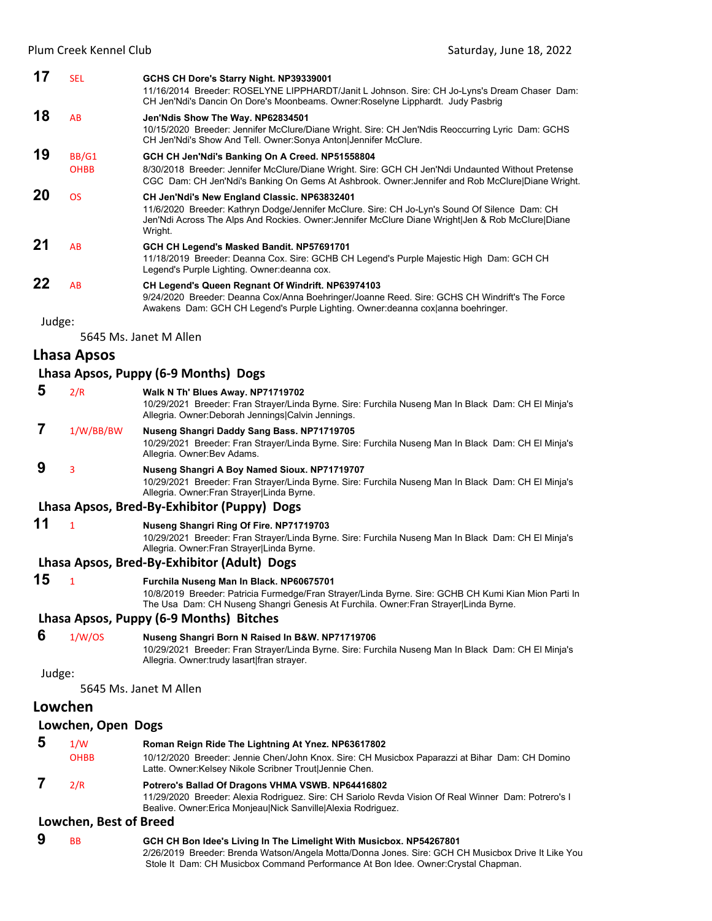| 17     | <b>SEL</b>  | GCHS CH Dore's Starry Night. NP39339001<br>11/16/2014 Breeder: ROSELYNE LIPPHARDT/Janit L Johnson. Sire: CH Jo-Lyns's Dream Chaser Dam:<br>CH Jen'Ndi's Dancin On Dore's Moonbeams. Owner: Roselyne Lipphardt. Judy Pasbrig                                   |
|--------|-------------|---------------------------------------------------------------------------------------------------------------------------------------------------------------------------------------------------------------------------------------------------------------|
| 18     | AB          | Jen'Ndis Show The Way. NP62834501<br>10/15/2020 Breeder: Jennifer McClure/Diane Wright. Sire: CH Jen'Ndis Reoccurring Lyric Dam: GCHS<br>CH Jen'Ndi's Show And Tell. Owner: Sonya Anton Jennifer McClure.                                                     |
| 19     | BB/G1       | GCH CH Jen'Ndi's Banking On A Creed. NP51558804                                                                                                                                                                                                               |
|        | <b>OHBB</b> | 8/30/2018 Breeder: Jennifer McClure/Diane Wright. Sire: GCH CH Jen'Ndi Undaunted Without Pretense<br>CGC Dam: CH Jen'Ndi's Banking On Gems At Ashbrook. Owner: Jennifer and Rob McClure Diane Wright.                                                         |
| 20     | <b>OS</b>   | CH Jen'Ndi's New England Classic. NP63832401<br>11/6/2020 Breeder: Kathryn Dodge/Jennifer McClure. Sire: CH Jo-Lyn's Sound Of Silence Dam: CH<br>Jen'Ndi Across The Alps And Rockies. Owner: Jennifer McClure Diane Wright Jen & Rob McClure Diane<br>Wright. |
| 21     | AB          | GCH CH Legend's Masked Bandit. NP57691701<br>11/18/2019 Breeder: Deanna Cox. Sire: GCHB CH Legend's Purple Majestic High Dam: GCH CH<br>Legend's Purple Lighting. Owner: deanna cox.                                                                          |
| 22     | AB          | CH Legend's Queen Regnant Of Windrift. NP63974103<br>9/24/2020 Breeder: Deanna Cox/Anna Boehringer/Joanne Reed. Sire: GCHS CH Windrift's The Force<br>Awakens Dam: GCH CH Legend's Purple Lighting. Owner: deanna cox anna boehringer.                        |
| Judge: |             |                                                                                                                                                                                                                                                               |

5645 Ms. Janet M Allen

## **Lhasa Apsos**

#### **Lhasa Apsos, Puppy (6‐9 Months) Dogs**

 **5** 2/R **Walk N Th' Blues Away. NP71719702**

10/29/2021 Breeder: Fran Strayer/Linda Byrne. Sire: Furchila Nuseng Man In Black Dam: CH El Minja's Allegria. Owner:Deborah Jennings|Calvin Jennings.

## **7** 1/W/BB/BW **Nuseng Shangri Daddy Sang Bass. NP71719705**

10/29/2021 Breeder: Fran Strayer/Linda Byrne. Sire: Furchila Nuseng Man In Black Dam: CH El Minja's Allegria. Owner:Bev Adams.

## **9** <sup>3</sup> **Nuseng Shangri A Boy Named Sioux. NP71719707**

10/29/2021 Breeder: Fran Strayer/Linda Byrne. Sire: Furchila Nuseng Man In Black Dam: CH El Minja's Allegria. Owner:Fran Strayer|Linda Byrne.

#### **Lhasa Apsos, Bred‐By‐Exhibitor (Puppy) Dogs**

**11** <sup>1</sup> **Nuseng Shangri Ring Of Fire. NP71719703**

10/29/2021 Breeder: Fran Strayer/Linda Byrne. Sire: Furchila Nuseng Man In Black Dam: CH El Minja's Allegria. Owner:Fran Strayer|Linda Byrne.

#### **Lhasa Apsos, Bred‐By‐Exhibitor (Adult) Dogs**

#### **15** <sup>1</sup> **Furchila Nuseng Man In Black. NP60675701**

10/8/2019 Breeder: Patricia Furmedge/Fran Strayer/Linda Byrne. Sire: GCHB CH Kumi Kian Mion Parti In The Usa Dam: CH Nuseng Shangri Genesis At Furchila. Owner:Fran Strayer|Linda Byrne.

#### **Lhasa Apsos, Puppy (6‐9 Months) Bitches**

 **6** 1/W/OS **Nuseng Shangri Born N Raised In B&W. NP71719706**

10/29/2021 Breeder: Fran Strayer/Linda Byrne. Sire: Furchila Nuseng Man In Black Dam: CH El Minja's Allegria. Owner:trudy lasart|fran strayer.

#### Judge:

5645 Ms. Janet M Allen

#### **Lowchen**

#### **Lowchen, Open Dogs**

| -5 | 1/W         | Roman Reign Ride The Lightning At Ynez. NP63617802                                                                                                        |
|----|-------------|-----------------------------------------------------------------------------------------------------------------------------------------------------------|
|    | <b>OHBB</b> | 10/12/2020 Breeder: Jennie Chen/John Knox. Sire: CH Musicbox Paparazzi at Bihar Dam: CH Domino<br>Latte. Owner: Kelsey Nikole Scribner Trout Jennie Chen. |
|    | 2/R         | Potrero's Ballad Of Dragons VHMA VSWB. NP64416802<br>11/29/2020 Breeder: Alexia Rodriguez. Sire: CH Sariolo Revda Vision Of Real Winner Dam: Potrero's I  |
|    |             | Bealive. Owner: Erica Monjeau Nick Sanville Alexia Rodriguez.                                                                                             |

#### **Lowchen, Best of Breed**

 **9** BB **GCH CH Bon Idee's Living In The Limelight With Musicbox. NP54267801** 2/26/2019 Breeder: Brenda Watson/Angela Motta/Donna Jones. Sire: GCH CH Musicbox Drive It Like You Stole It Dam: CH Musicbox Command Performance At Bon Idee. Owner:Crystal Chapman.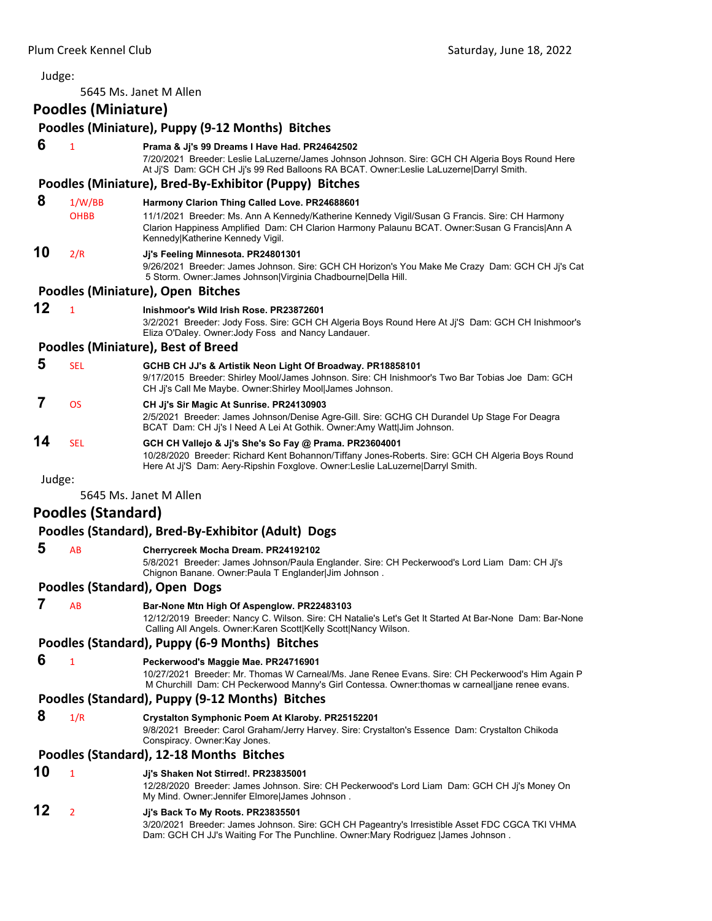Judge: 5645 Ms. Janet M Allen **Poodles (Miniature) Poodles (Miniature), Puppy (9‐12 Months) Bitches 6** <sup>1</sup> **Prama & Jj's 99 Dreams I Have Had. PR24642502** 7/20/2021 Breeder: Leslie LaLuzerne/James Johnson Johnson. Sire: GCH CH Algeria Boys Round Here At Jj'S Dam: GCH CH Jj's 99 Red Balloons RA BCAT. Owner:Leslie LaLuzerne|Darryl Smith. **Poodles (Miniature), Bred‐By‐Exhibitor (Puppy) Bitches 8** 1/W/BB **Harmony Clarion Thing Called Love. PR24688601** OHBB 11/1/2021 Breeder: Ms. Ann A Kennedy/Katherine Kennedy Vigil/Susan G Francis. Sire: CH Harmony Clarion Happiness Amplified Dam: CH Clarion Harmony Palaunu BCAT. Owner:Susan G Francis|Ann A Kennedy|Katherine Kennedy Vigil. **10** 2/R **Jj's Feeling Minnesota. PR24801301** 9/26/2021 Breeder: James Johnson. Sire: GCH CH Horizon's You Make Me Crazy Dam: GCH CH Jj's Cat 5 Storm. Owner:James Johnson|Virginia Chadbourne|Della Hill. **Poodles (Miniature), Open Bitches 12** <sup>1</sup> **Inishmoor's Wild Irish Rose. PR23872601** 3/2/2021 Breeder: Jody Foss. Sire: GCH CH Algeria Boys Round Here At Jj'S Dam: GCH CH Inishmoor's Eliza O'Daley. Owner:Jody Foss and Nancy Landauer. **Poodles (Miniature), Best of Breed 5** SEL **GCHB CH JJ's & Artistik Neon Light Of Broadway. PR18858101** 9/17/2015 Breeder: Shirley Mool/James Johnson. Sire: CH Inishmoor's Two Bar Tobias Joe Dam: GCH CH Jj's Call Me Maybe. Owner:Shirley Mool|James Johnson.  **7** OS **CH Jj's Sir Magic At Sunrise. PR24130903** 2/5/2021 Breeder: James Johnson/Denise Agre-Gill. Sire: GCHG CH Durandel Up Stage For Deagra BCAT Dam: CH Jj's I Need A Lei At Gothik. Owner:Amy Watt|Jim Johnson. **14** SEL **GCH CH Vallejo & Jj's She's So Fay @ Prama. PR23604001** 10/28/2020 Breeder: Richard Kent Bohannon/Tiffany Jones-Roberts. Sire: GCH CH Algeria Boys Round Here At Jj'S Dam: Aery-Ripshin Foxglove. Owner:Leslie LaLuzerne|Darryl Smith. Judge: 5645 Ms. Janet M Allen **Poodles (Standard) Poodles (Standard), Bred‐By‐Exhibitor (Adult) Dogs 5** AB **Cherrycreek Mocha Dream. PR24192102** 5/8/2021 Breeder: James Johnson/Paula Englander. Sire: CH Peckerwood's Lord Liam Dam: CH Jj's Chignon Banane. Owner:Paula T Englander|Jim Johnson . **Poodles (Standard), Open Dogs 7** AB **Bar-None Mtn High Of Aspenglow. PR22483103** 12/12/2019 Breeder: Nancy C. Wilson. Sire: CH Natalie's Let's Get It Started At Bar-None Dam: Bar-None Calling All Angels. Owner:Karen Scott|Kelly Scott|Nancy Wilson. **Poodles (Standard), Puppy (6‐9 Months) Bitches 6** <sup>1</sup> **Peckerwood's Maggie Mae. PR24716901** 10/27/2021 Breeder: Mr. Thomas W Carneal/Ms. Jane Renee Evans. Sire: CH Peckerwood's Him Again P M Churchill Dam: CH Peckerwood Manny's Girl Contessa. Owner:thomas w carneal|jane renee evans. **Poodles (Standard), Puppy (9‐12 Months) Bitches 8** 1/R **Crystalton Symphonic Poem At Klaroby. PR25152201** 9/8/2021 Breeder: Carol Graham/Jerry Harvey. Sire: Crystalton's Essence Dam: Crystalton Chikoda Conspiracy. Owner:Kay Jones. **Poodles (Standard), 12‐18 Months Bitches 10** <sup>1</sup> **Jj's Shaken Not Stirred!. PR23835001** 12/28/2020 Breeder: James Johnson. Sire: CH Peckerwood's Lord Liam Dam: GCH CH Jj's Money On My Mind. Owner:Jennifer Elmore|James Johnson . **12** <sup>2</sup> **Jj's Back To My Roots. PR23835501** 3/20/2021 Breeder: James Johnson. Sire: GCH CH Pageantry's Irresistible Asset FDC CGCA TKI VHMA Dam: GCH CH JJ's Waiting For The Punchline. Owner:Mary Rodriguez |James Johnson .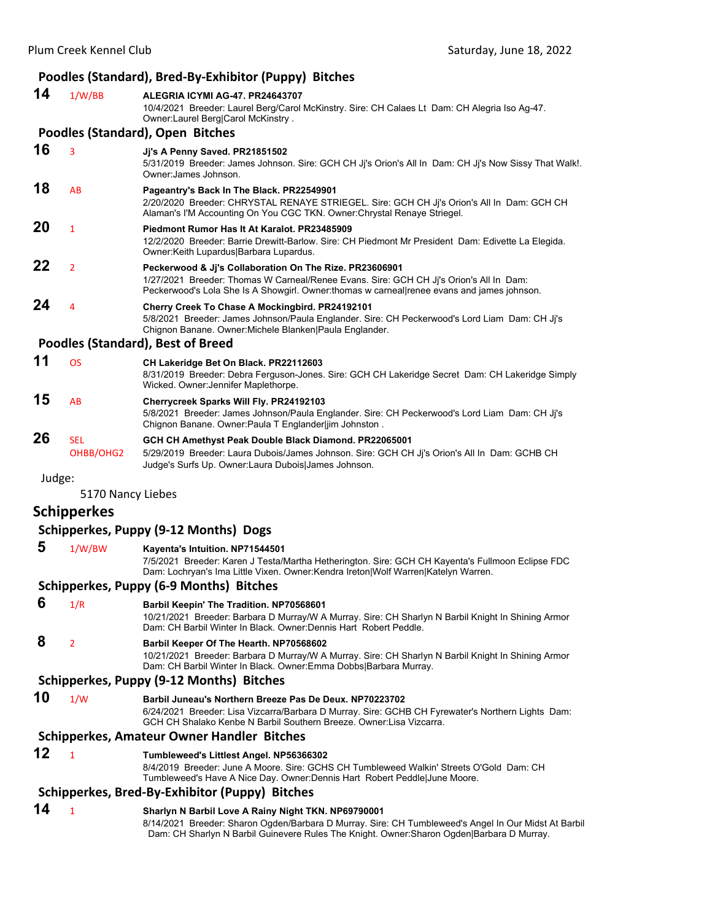#### **Poodles (Standard), Bred‐By‐Exhibitor (Puppy) Bitches**

| 14                                    | 1/W/BB                                  | ALEGRIA ICYMI AG-47. PR24643707<br>10/4/2021 Breeder: Laurel Berg/Carol McKinstry. Sire: CH Calaes Lt Dam: CH Alegria Iso Ag-47.<br>Owner: Laurel Berg Carol McKinstry.                                                                         |  |
|---------------------------------------|-----------------------------------------|-------------------------------------------------------------------------------------------------------------------------------------------------------------------------------------------------------------------------------------------------|--|
|                                       |                                         | Poodles (Standard), Open Bitches                                                                                                                                                                                                                |  |
| 16                                    | 3                                       | Jj's A Penny Saved. PR21851502<br>5/31/2019 Breeder: James Johnson. Sire: GCH CH Ji's Orion's All In Dam: CH Ji's Now Sissy That Walk!.<br>Owner: James Johnson.                                                                                |  |
| 18                                    | AB                                      | Pageantry's Back In The Black. PR22549901<br>2/20/2020 Breeder: CHRYSTAL RENAYE STRIEGEL. Sire: GCH CH Ji's Orion's All In Dam: GCH CH<br>Alaman's I'M Accounting On You CGC TKN. Owner: Chrystal Renaye Striegel.                              |  |
| 20                                    | $\mathbf{1}$                            | Piedmont Rumor Has It At Karalot, PR23485909<br>12/2/2020 Breeder: Barrie Drewitt-Barlow. Sire: CH Piedmont Mr President Dam: Edivette La Elegida.<br>Owner:Keith Lupardus Barbara Lupardus.                                                    |  |
| 22                                    | $\overline{2}$                          | Peckerwood & Ji's Collaboration On The Rize. PR23606901<br>1/27/2021 Breeder: Thomas W Carneal/Renee Evans. Sire: GCH CH Jj's Orion's All In Dam:<br>Peckerwood's Lola She Is A Showgirl. Owner:thomas w carneal renee evans and james johnson. |  |
| 24                                    | 4                                       | Cherry Creek To Chase A Mockingbird. PR24192101<br>5/8/2021 Breeder: James Johnson/Paula Englander. Sire: CH Peckerwood's Lord Liam Dam: CH Jj's<br>Chignon Banane. Owner: Michele Blanken Paula Englander.                                     |  |
|                                       |                                         | <b>Poodles (Standard), Best of Breed</b>                                                                                                                                                                                                        |  |
| 11                                    | <b>OS</b>                               | CH Lakeridge Bet On Black. PR22112603<br>8/31/2019 Breeder: Debra Ferguson-Jones. Sire: GCH CH Lakeridge Secret Dam: CH Lakeridge Simply<br>Wicked. Owner: Jennifer Maplethorpe.                                                                |  |
| 15                                    | AB                                      | Cherrycreek Sparks Will Fly. PR24192103<br>5/8/2021 Breeder: James Johnson/Paula Englander. Sire: CH Peckerwood's Lord Liam Dam: CH Ji's<br>Chignon Banane. Owner: Paula T Englander jim Johnston.                                              |  |
| 26                                    | <b>SEL</b><br>OHBB/OHG2                 | GCH CH Amethyst Peak Double Black Diamond. PR22065001<br>5/29/2019 Breeder: Laura Dubois/James Johnson. Sire: GCH CH Jj's Orion's All In Dam: GCHB CH<br>Judge's Surfs Up. Owner: Laura Dubois James Johnson.                                   |  |
| Judge:                                |                                         |                                                                                                                                                                                                                                                 |  |
|                                       | 5170 Nancy Liebes                       |                                                                                                                                                                                                                                                 |  |
|                                       | <b>Schipperkes</b>                      |                                                                                                                                                                                                                                                 |  |
| Schipperkes, Puppy (9-12 Months) Dogs |                                         |                                                                                                                                                                                                                                                 |  |
| 5                                     | 1/W/BW                                  | Kayenta's Intuition. NP71544501<br>7/5/2021 Breeder: Karen J Testa/Martha Hetherington. Sire: GCH CH Kayenta's Fullmoon Eclipse FDC<br>Dam: Lochryan's Ima Little Vixen. Owner: Kendra Ireton Wolf Warren Katelyn Warren.                       |  |
|                                       | Schipperkes, Puppy (6-9 Months) Bitches |                                                                                                                                                                                                                                                 |  |

 **6** 1/R **Barbil Keepin' The Tradition. NP70568601** 10/21/2021 Breeder: Barbara D Murray/W A Murray. Sire: CH Sharlyn N Barbil Knight In Shining Armor Dam: CH Barbil Winter In Black. Owner:Dennis Hart Robert Peddle.

#### **8** <sup>2</sup> **Barbil Keeper Of The Hearth. NP70568602**

10/21/2021 Breeder: Barbara D Murray/W A Murray. Sire: CH Sharlyn N Barbil Knight In Shining Armor Dam: CH Barbil Winter In Black. Owner:Emma Dobbs|Barbara Murray.

#### **Schipperkes, Puppy (9‐12 Months) Bitches**

**10** 1/W **Barbil Juneau's Northern Breeze Pas De Deux. NP70223702** 6/24/2021 Breeder: Lisa Vizcarra/Barbara D Murray. Sire: GCHB CH Fyrewater's Northern Lights Dam: GCH CH Shalako Kenbe N Barbil Southern Breeze. Owner:Lisa Vizcarra.

#### **Schipperkes, Amateur Owner Handler Bitches**

#### **12** <sup>1</sup> **Tumbleweed's Littlest Angel. NP56366302**

8/4/2019 Breeder: June A Moore. Sire: GCHS CH Tumbleweed Walkin' Streets O'Gold Dam: CH Tumbleweed's Have A Nice Day. Owner:Dennis Hart Robert Peddle|June Moore.

#### **Schipperkes, Bred‐By‐Exhibitor (Puppy) Bitches**

#### **14** <sup>1</sup> **Sharlyn N Barbil Love A Rainy Night TKN. NP69790001**

8/14/2021 Breeder: Sharon Ogden/Barbara D Murray. Sire: CH Tumbleweed's Angel In Our Midst At Barbil Dam: CH Sharlyn N Barbil Guinevere Rules The Knight. Owner:Sharon Ogden|Barbara D Murray.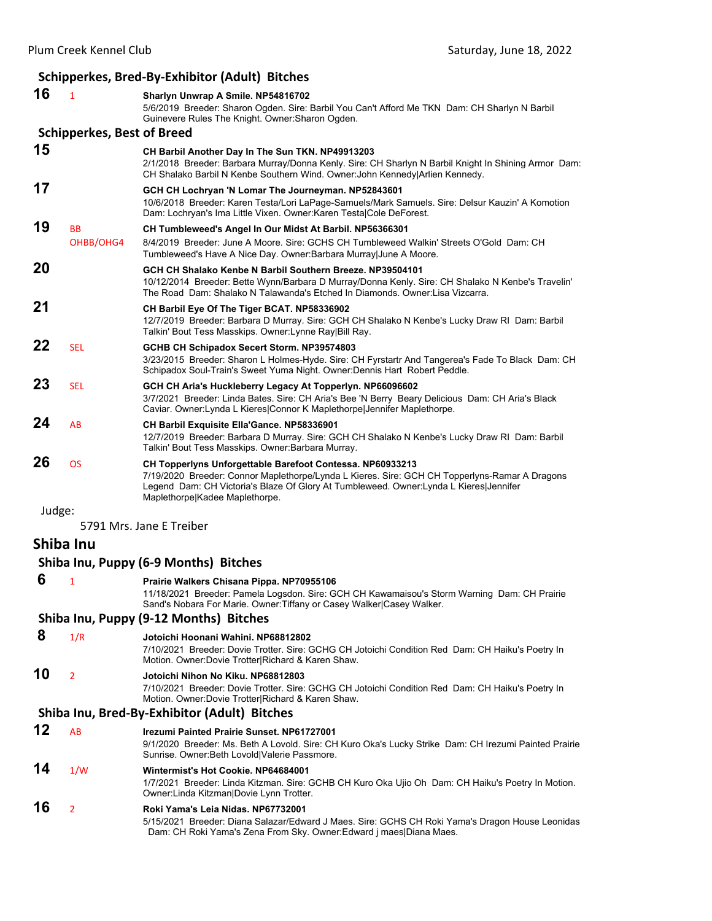## **Schipperkes, Bred‐By‐Exhibitor (Adult) Bitches**

| 16        | $\mathbf{1}$                      | Sharlyn Unwrap A Smile. NP54816702<br>5/6/2019 Breeder: Sharon Ogden. Sire: Barbil You Can't Afford Me TKN Dam: CH Sharlyn N Barbil<br>Guinevere Rules The Knight. Owner: Sharon Ogden.                                                                                                |
|-----------|-----------------------------------|----------------------------------------------------------------------------------------------------------------------------------------------------------------------------------------------------------------------------------------------------------------------------------------|
|           | <b>Schipperkes, Best of Breed</b> |                                                                                                                                                                                                                                                                                        |
| 15        |                                   | CH Barbil Another Day In The Sun TKN. NP49913203<br>2/1/2018 Breeder: Barbara Murray/Donna Kenly. Sire: CH Sharlyn N Barbil Knight In Shining Armor Dam:<br>CH Shalako Barbil N Kenbe Southern Wind. Owner: John Kennedy Arlien Kennedy.                                               |
| 17        |                                   | GCH CH Lochryan 'N Lomar The Journeyman. NP52843601<br>10/6/2018 Breeder: Karen Testa/Lori LaPage-Samuels/Mark Samuels. Sire: Delsur Kauzin' A Komotion<br>Dam: Lochryan's Ima Little Vixen. Owner: Karen Testal Cole DeForest.                                                        |
| 19        | BB<br>OHBB/OHG4                   | CH Tumbleweed's Angel In Our Midst At Barbil. NP56366301<br>8/4/2019 Breeder: June A Moore. Sire: GCHS CH Tumbleweed Walkin' Streets O'Gold Dam: CH<br>Tumbleweed's Have A Nice Day. Owner: Barbara Murray June A Moore.                                                               |
| 20        |                                   | GCH CH Shalako Kenbe N Barbil Southern Breeze. NP39504101<br>10/12/2014 Breeder: Bette Wynn/Barbara D Murray/Donna Kenly. Sire: CH Shalako N Kenbe's Travelin'<br>The Road Dam: Shalako N Talawanda's Etched In Diamonds. Owner: Lisa Vizcarra.                                        |
| 21        |                                   | CH Barbil Eye Of The Tiger BCAT. NP58336902<br>12/7/2019 Breeder: Barbara D Murray. Sire: GCH CH Shalako N Kenbe's Lucky Draw RI Dam: Barbil<br>Talkin' Bout Tess Masskips. Owner: Lynne Ray Bill Ray.                                                                                 |
| 22        | <b>SEL</b>                        | GCHB CH Schipadox Secert Storm. NP39574803<br>3/23/2015 Breeder: Sharon L Holmes-Hyde. Sire: CH Fyrstartr And Tangerea's Fade To Black Dam: CH<br>Schipadox Soul-Train's Sweet Yuma Night. Owner: Dennis Hart Robert Peddle.                                                           |
| 23        | <b>SEL</b>                        | GCH CH Aria's Huckleberry Legacy At Topperlyn. NP66096602<br>3/7/2021 Breeder: Linda Bates. Sire: CH Aria's Bee 'N Berry Beary Delicious Dam: CH Aria's Black<br>Caviar. Owner: Lynda L Kieres Connor K Maplethorpe Jennifer Maplethorpe.                                              |
| 24        | AB                                | <b>CH Barbil Exquisite Ella'Gance. NP58336901</b><br>12/7/2019 Breeder: Barbara D Murray. Sire: GCH CH Shalako N Kenbe's Lucky Draw RI Dam: Barbil<br>Talkin' Bout Tess Masskips. Owner: Barbara Murray.                                                                               |
| 26        | <b>OS</b>                         | CH Topperlyns Unforgettable Barefoot Contessa. NP60933213<br>7/19/2020 Breeder: Connor Maplethorpe/Lynda L Kieres. Sire: GCH CH Topperlyns-Ramar A Dragons<br>Legend Dam: CH Victoria's Blaze Of Glory At Tumbleweed. Owner: Lynda L Kieres Jennifer<br>Maplethorpe Kadee Maplethorpe. |
| Judge:    |                                   | 5791 Mrs. Jane E Treiber                                                                                                                                                                                                                                                               |
| Shiba Inu |                                   |                                                                                                                                                                                                                                                                                        |
|           |                                   | Shiba Inu, Puppy (6-9 Months) Bitches                                                                                                                                                                                                                                                  |
| 6         | 1                                 | Prairie Walkers Chisana Pippa. NP70955106<br>11/18/2021 Breeder: Pamela Logsdon. Sire: GCH CH Kawamaisou's Storm Warning Dam: CH Prairie<br>Sand's Nobara For Marie. Owner: Tiffany or Casey Walker Casey Walker.                                                                      |
|           |                                   | Shiba Inu, Puppy (9-12 Months) Bitches                                                                                                                                                                                                                                                 |
| 8         | 1/R                               | Jotoichi Hoonani Wahini, NP68812802<br>7/10/2021 Breeder: Dovie Trotter. Sire: GCHG CH Jotoichi Condition Red Dam: CH Haiku's Poetry In<br>Motion. Owner: Dovie Trotter Richard & Karen Shaw.                                                                                          |
| 10        | $\overline{2}$                    | Jotoichi Nihon No Kiku. NP68812803<br>7/10/2021 Breeder: Dovie Trotter. Sire: GCHG CH Jotoichi Condition Red Dam: CH Haiku's Poetry In<br>Motion. Owner: Dovie Trotter Richard & Karen Shaw.                                                                                           |
|           |                                   | Shiba Inu, Bred-By-Exhibitor (Adult) Bitches                                                                                                                                                                                                                                           |
| 12        | AB                                | Irezumi Painted Prairie Sunset. NP61727001<br>9/1/2020 Breeder: Ms. Beth A Lovold. Sire: CH Kuro Oka's Lucky Strike Dam: CH Irezumi Painted Prairie<br>Sunrise. Owner: Beth Lovold Valerie Passmore.                                                                                   |
| 14        | 1/W                               | Wintermist's Hot Cookie. NP64684001<br>1/7/2021 Breeder: Linda Kitzman. Sire: GCHB CH Kuro Oka Ujio Oh Dam: CH Haiku's Poetry In Motion.<br>Owner: Linda Kitzman Dovie Lynn Trotter.                                                                                                   |
| 16        | 2                                 | Roki Yama's Leia Nidas. NP67732001<br>5/15/2021 Breeder: Diana Salazar/Edward J Maes. Sire: GCHS CH Roki Yama's Dragon House Leonidas<br>Dam: CH Roki Yama's Zena From Sky. Owner: Edward j maes   Diana Maes.                                                                         |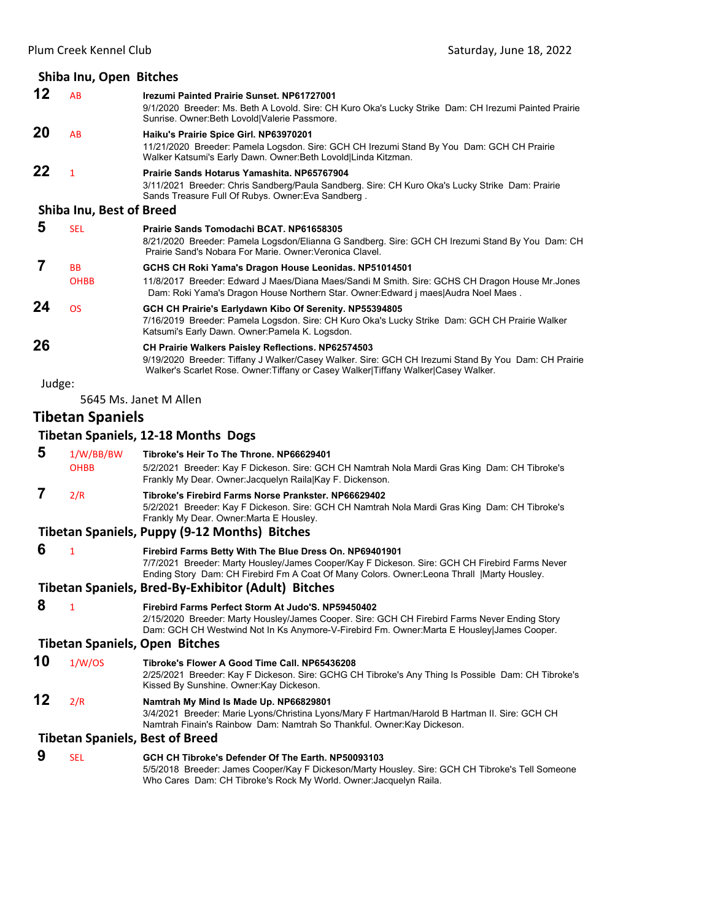|                                       | Shiba Inu, Open Bitches         |                                                                                                                                                                                                                                                          |  |  |  |
|---------------------------------------|---------------------------------|----------------------------------------------------------------------------------------------------------------------------------------------------------------------------------------------------------------------------------------------------------|--|--|--|
| $12 \,$                               | AB                              | Irezumi Painted Prairie Sunset. NP61727001<br>9/1/2020 Breeder: Ms. Beth A Lovold. Sire: CH Kuro Oka's Lucky Strike Dam: CH Irezumi Painted Prairie<br>Sunrise. Owner: Beth Lovold   Valerie Passmore.                                                   |  |  |  |
| 20                                    | AB                              | Haiku's Prairie Spice Girl. NP63970201<br>11/21/2020 Breeder: Pamela Logsdon. Sire: GCH CH Irezumi Stand By You Dam: GCH CH Prairie<br>Walker Katsumi's Early Dawn. Owner: Beth Lovold Linda Kitzman.                                                    |  |  |  |
| 22                                    | $\mathbf{1}$                    | Prairie Sands Hotarus Yamashita. NP65767904<br>3/11/2021 Breeder: Chris Sandberg/Paula Sandberg. Sire: CH Kuro Oka's Lucky Strike Dam: Prairie<br>Sands Treasure Full Of Rubys. Owner: Eva Sandberg.                                                     |  |  |  |
|                                       | <b>Shiba Inu, Best of Breed</b> |                                                                                                                                                                                                                                                          |  |  |  |
| 5                                     | <b>SEL</b>                      | Prairie Sands Tomodachi BCAT. NP61658305<br>8/21/2020 Breeder: Pamela Logsdon/Elianna G Sandberg. Sire: GCH CH Irezumi Stand By You Dam: CH<br>Prairie Sand's Nobara For Marie. Owner: Veronica Clavel.                                                  |  |  |  |
| 7                                     | BB<br><b>OHBB</b>               | GCHS CH Roki Yama's Dragon House Leonidas. NP51014501<br>11/8/2017 Breeder: Edward J Maes/Diana Maes/Sandi M Smith. Sire: GCHS CH Dragon House Mr.Jones<br>Dam: Roki Yama's Dragon House Northern Star. Owner: Edward j maes   Audra Noel Maes.          |  |  |  |
| 24                                    | <b>OS</b>                       | GCH CH Prairie's Earlydawn Kibo Of Serenity. NP55394805<br>7/16/2019 Breeder: Pamela Logsdon. Sire: CH Kuro Oka's Lucky Strike Dam: GCH CH Prairie Walker<br>Katsumi's Early Dawn. Owner: Pamela K. Logsdon.                                             |  |  |  |
| 26                                    |                                 | CH Prairie Walkers Paisley Reflections. NP62574503<br>9/19/2020 Breeder: Tiffany J Walker/Casey Walker. Sire: GCH CH Irezumi Stand By You Dam: CH Prairie<br>Walker's Scarlet Rose. Owner: Tiffany or Casey Walker Tiffany Walker Casey Walker.          |  |  |  |
| Judge:                                |                                 |                                                                                                                                                                                                                                                          |  |  |  |
|                                       |                                 | 5645 Ms. Janet M Allen                                                                                                                                                                                                                                   |  |  |  |
|                                       | <b>Tibetan Spaniels</b>         |                                                                                                                                                                                                                                                          |  |  |  |
|                                       |                                 | <b>Tibetan Spaniels, 12-18 Months Dogs</b>                                                                                                                                                                                                               |  |  |  |
| 5                                     | 1/W/BB/BW<br><b>OHBB</b>        | Tibroke's Heir To The Throne. NP66629401<br>5/2/2021 Breeder: Kay F Dickeson. Sire: GCH CH Namtrah Nola Mardi Gras King Dam: CH Tibroke's<br>Frankly My Dear. Owner: Jacquelyn Raila Kay F. Dickenson.                                                   |  |  |  |
| 7                                     | 2/R                             | Tibroke's Firebird Farms Norse Prankster. NP66629402<br>5/2/2021 Breeder: Kay F Dickeson. Sire: GCH CH Namtrah Nola Mardi Gras King Dam: CH Tibroke's<br>Frankly My Dear. Owner: Marta E Housley.                                                        |  |  |  |
|                                       |                                 | Tibetan Spaniels, Puppy (9-12 Months) Bitches                                                                                                                                                                                                            |  |  |  |
| 6                                     | $\mathbf{1}$                    | Firebird Farms Betty With The Blue Dress On. NP69401901<br>7/7/2021 Breeder: Marty Housley/James Cooper/Kay F Dickeson. Sire: GCH CH Firebird Farms Never<br>Ending Story Dam: CH Firebird Fm A Coat Of Many Colors. Owner:Leona Thrall   Marty Housley. |  |  |  |
|                                       |                                 | <b>Tibetan Spaniels, Bred-By-Exhibitor (Adult) Bitches</b>                                                                                                                                                                                               |  |  |  |
| 8                                     | $\mathbf{1}$                    | Firebird Farms Perfect Storm At Judo'S, NP59450402<br>2/15/2020 Breeder: Marty Housley/James Cooper. Sire: GCH CH Firebird Farms Never Ending Story<br>Dam: GCH CH Westwind Not In Ks Anymore-V-Firebird Fm. Owner: Marta E Housley James Cooper.        |  |  |  |
| <b>Tibetan Spaniels, Open Bitches</b> |                                 |                                                                                                                                                                                                                                                          |  |  |  |
| 10                                    | 1/W/OS                          | Tibroke's Flower A Good Time Call. NP65436208<br>2/25/2021 Breeder: Kay F Dickeson. Sire: GCHG CH Tibroke's Any Thing Is Possible Dam: CH Tibroke's<br>Kissed By Sunshine. Owner: Kay Dickeson.                                                          |  |  |  |
| 12                                    | 2/R                             | Namtrah My Mind Is Made Up. NP66829801<br>3/4/2021 Breeder: Marie Lyons/Christina Lyons/Mary F Hartman/Harold B Hartman II. Sire: GCH CH<br>Namtrah Finain's Rainbow Dam: Namtrah So Thankful. Owner: Kay Dickeson.                                      |  |  |  |
|                                       |                                 | <b>Tibetan Spaniels, Best of Breed</b>                                                                                                                                                                                                                   |  |  |  |
| 9                                     | <b>SEL</b>                      | GCH CH Tibroke's Defender Of The Earth. NP50093103                                                                                                                                                                                                       |  |  |  |

5/5/2018 Breeder: James Cooper/Kay F Dickeson/Marty Housley. Sire: GCH CH Tibroke's Tell Someone Who Cares Dam: CH Tibroke's Rock My World. Owner:Jacquelyn Raila.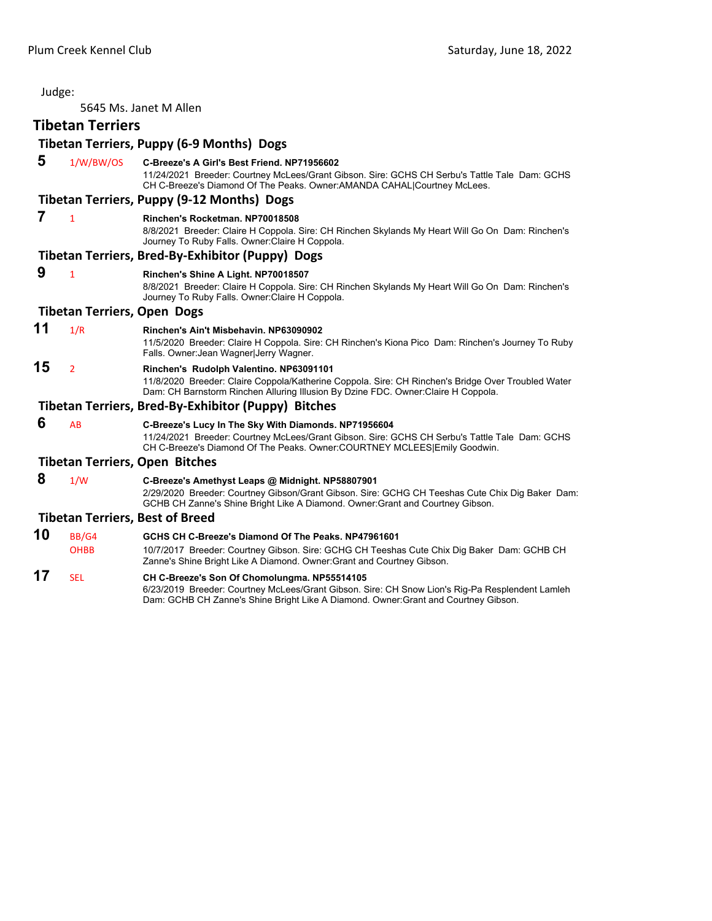5645 Ms. Janet M Allen

## **Tibetan Terriers**

|    |                                    | <b>Tibetan Terriers, Puppy (6-9 Months) Dogs</b>                                                                                                                                                                                      |
|----|------------------------------------|---------------------------------------------------------------------------------------------------------------------------------------------------------------------------------------------------------------------------------------|
| 5  | 1/W/BW/OS                          | C-Breeze's A Girl's Best Friend, NP71956602<br>11/24/2021 Breeder: Courtney McLees/Grant Gibson. Sire: GCHS CH Serbu's Tattle Tale Dam: GCHS<br>CH C-Breeze's Diamond Of The Peaks. Owner: AMANDA CAHAL Courtney McLees.              |
|    |                                    | Tibetan Terriers, Puppy (9-12 Months) Dogs                                                                                                                                                                                            |
| 7  | $\mathbf{1}$                       | Rinchen's Rocketman, NP70018508<br>8/8/2021 Breeder: Claire H Coppola. Sire: CH Rinchen Skylands My Heart Will Go On Dam: Rinchen's<br>Journey To Ruby Falls. Owner: Claire H Coppola.                                                |
|    |                                    | Tibetan Terriers, Bred-By-Exhibitor (Puppy) Dogs                                                                                                                                                                                      |
| 9  | $\mathbf{1}$                       | Rinchen's Shine A Light. NP70018507<br>8/8/2021 Breeder: Claire H Coppola. Sire: CH Rinchen Skylands My Heart Will Go On Dam: Rinchen's<br>Journey To Ruby Falls. Owner: Claire H Coppola.                                            |
|    | <b>Tibetan Terriers, Open Dogs</b> |                                                                                                                                                                                                                                       |
| 11 | 1/R                                | Rinchen's Ain't Misbehavin, NP63090902<br>11/5/2020 Breeder: Claire H Coppola. Sire: CH Rinchen's Kiona Pico Dam: Rinchen's Journey To Ruby<br>Falls. Owner: Jean Wagner Jerry Wagner.                                                |
| 15 | $\overline{2}$                     | Rinchen's Rudolph Valentino. NP63091101<br>11/8/2020 Breeder: Claire Coppola/Katherine Coppola. Sire: CH Rinchen's Bridge Over Troubled Water<br>Dam: CH Barnstorm Rinchen Alluring Illusion By Dzine FDC. Owner:Claire H Coppola.    |
|    |                                    | Tibetan Terriers, Bred-By-Exhibitor (Puppy) Bitches                                                                                                                                                                                   |
| 6  | AB                                 | C-Breeze's Lucy In The Sky With Diamonds. NP71956604<br>11/24/2021 Breeder: Courtney McLees/Grant Gibson. Sire: GCHS CH Serbu's Tattle Tale Dam: GCHS<br>CH C-Breeze's Diamond Of The Peaks. Owner:COURTNEY MCLEES Emily Goodwin.     |
|    |                                    | <b>Tibetan Terriers, Open Bitches</b>                                                                                                                                                                                                 |
| 8  | 1/W                                | C-Breeze's Amethyst Leaps @ Midnight. NP58807901<br>2/29/2020 Breeder: Courtney Gibson/Grant Gibson. Sire: GCHG CH Teeshas Cute Chix Dig Baker Dam:<br>GCHB CH Zanne's Shine Bright Like A Diamond. Owner: Grant and Courtney Gibson. |
|    |                                    | <b>Tibetan Terriers, Best of Breed</b>                                                                                                                                                                                                |
| 10 | BB/G4                              | GCHS CH C-Breeze's Diamond Of The Peaks, NP47961601                                                                                                                                                                                   |
|    | <b>OHBB</b>                        | 10/7/2017 Breeder: Courtney Gibson. Sire: GCHG CH Teeshas Cute Chix Dig Baker Dam: GCHB CH<br>Zanne's Shine Bright Like A Diamond. Owner: Grant and Courtney Gibson.                                                                  |

**17** SEL **CH C-Breeze's Son Of Chomolungma. NP55514105** 6/23/2019 Breeder: Courtney McLees/Grant Gibson. Sire: CH Snow Lion's Rig-Pa Resplendent Lamleh Dam: GCHB CH Zanne's Shine Bright Like A Diamond. Owner:Grant and Courtney Gibson.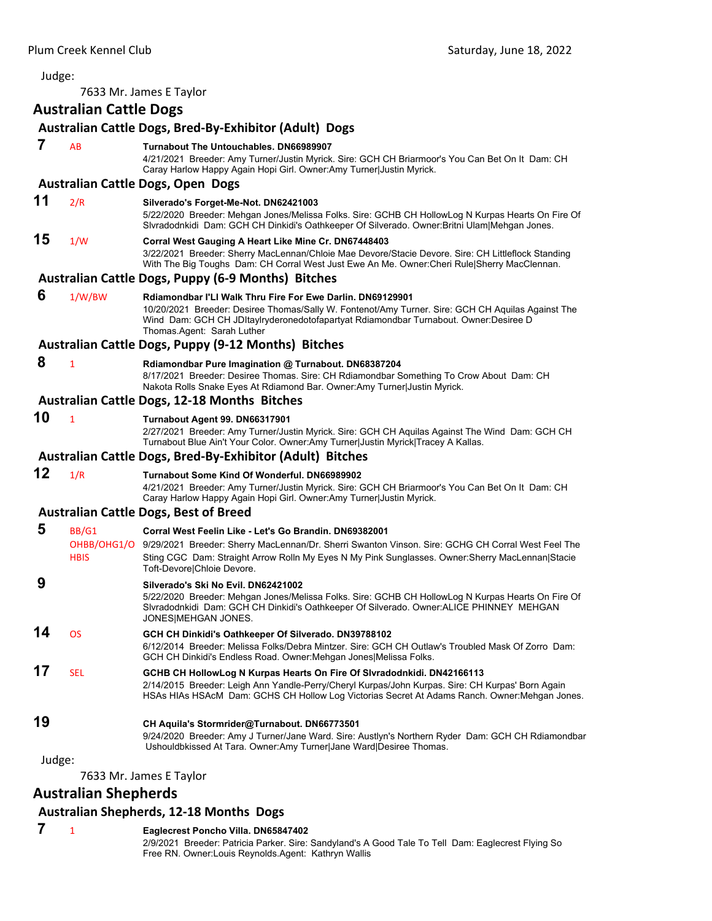<span id="page-53-0"></span>7633 Mr. James E Taylor **Australian Cattle Dogs Australian Cattle Dogs, Bred‐By‐Exhibitor (Adult) Dogs 7** AB **Turnabout The Untouchables. DN66989907** 4/21/2021 Breeder: Amy Turner/Justin Myrick. Sire: GCH CH Briarmoor's You Can Bet On It Dam: CH Caray Harlow Happy Again Hopi Girl. Owner:Amy Turner|Justin Myrick. **Australian Cattle Dogs, Open Dogs 11** 2/R **Silverado's Forget-Me-Not. DN62421003** 5/22/2020 Breeder: Mehgan Jones/Melissa Folks. Sire: GCHB CH HollowLog N Kurpas Hearts On Fire Of Slvradodnkidi Dam: GCH CH Dinkidi's Oathkeeper Of Silverado. Owner:Britni Ulam|Mehgan Jones. **15** 1/W **Corral West Gauging A Heart Like Mine Cr. DN67448403** 3/22/2021 Breeder: Sherry MacLennan/Chloie Mae Devore/Stacie Devore. Sire: CH Littleflock Standing With The Big Toughs Dam: CH Corral West Just Ewe An Me. Owner:Cheri Rule|Sherry MacClennan. **Australian Cattle Dogs, Puppy (6‐9 Months) Bitches 6** 1/W/BW **Rdiamondbar I'Ll Walk Thru Fire For Ewe Darlin. DN69129901** 10/20/2021 Breeder: Desiree Thomas/Sally W. Fontenot/Amy Turner. Sire: GCH CH Aquilas Against The Wind Dam: GCH CH JDItaylryderonedotofapartyat Rdiamondbar Turnabout. Owner:Desiree D Thomas.Agent: Sarah Luther **Australian Cattle Dogs, Puppy (9‐12 Months) Bitches 8** <sup>1</sup> **Rdiamondbar Pure Imagination @ Turnabout. DN68387204** 8/17/2021 Breeder: Desiree Thomas. Sire: CH Rdiamondbar Something To Crow About Dam: CH Nakota Rolls Snake Eyes At Rdiamond Bar. Owner:Amy Turner|Justin Myrick. **Australian Cattle Dogs, 12‐18 Months Bitches 10** <sup>1</sup> **Turnabout Agent 99. DN66317901** 2/27/2021 Breeder: Amy Turner/Justin Myrick. Sire: GCH CH Aquilas Against The Wind Dam: GCH CH Turnabout Blue Ain't Your Color. Owner:Amy Turner|Justin Myrick|Tracey A Kallas. **Australian Cattle Dogs, Bred‐By‐Exhibitor (Adult) Bitches 12** 1/R **Turnabout Some Kind Of Wonderful. DN66989902** 4/21/2021 Breeder: Amy Turner/Justin Myrick. Sire: GCH CH Briarmoor's You Can Bet On It Dam: CH Caray Harlow Happy Again Hopi Girl. Owner:Amy Turner|Justin Myrick. **Australian Cattle Dogs, Best of Breed 5** BB/G1 **Corral West Feelin Like - Let's Go Brandin. DN69382001** OHBB/OHG1/O 9/29/2021 Breeder: Sherry MacLennan/Dr. Sherri Swanton Vinson. Sire: GCHG CH Corral West Feel The HBIS Sting CGC Dam: Straight Arrow Rolln My Eyes N My Pink Sunglasses. Owner: Sherry MacLennan|Stacie Toft-Devore|Chloie Devore.  **9 Silverado's Ski No Evil. DN62421002** 5/22/2020 Breeder: Mehgan Jones/Melissa Folks. Sire: GCHB CH HollowLog N Kurpas Hearts On Fire Of Slvradodnkidi Dam: GCH CH Dinkidi's Oathkeeper Of Silverado. Owner:ALICE PHINNEY MEHGAN JONES|MEHGAN JONES. **14** OS **GCH CH Dinkidi's Oathkeeper Of Silverado. DN39788102** 6/12/2014 Breeder: Melissa Folks/Debra Mintzer. Sire: GCH CH Outlaw's Troubled Mask Of Zorro Dam: GCH CH Dinkidi's Endless Road. Owner:Mehgan Jones|Melissa Folks. **17** SEL **GCHB CH HollowLog N Kurpas Hearts On Fire Of Slvradodnkidi. DN42166113** 2/14/2015 Breeder: Leigh Ann Yandle-Perry/Cheryl Kurpas/John Kurpas. Sire: CH Kurpas' Born Again HSAs HIAs HSAcM Dam: GCHS CH Hollow Log Victorias Secret At Adams Ranch. Owner:Mehgan Jones. **19 CH Aquila's Stormrider@Turnabout. DN66773501** 9/24/2020 Breeder: Amy J Turner/Jane Ward. Sire: Austlyn's Northern Ryder Dam: GCH CH Rdiamondbar Ushouldbkissed At Tara. Owner:Amy Turner|Jane Ward|Desiree Thomas. Judge: 7633 Mr. James E Taylor

## **Australian Shepherds**

#### **Australian Shepherds, 12‐18 Months Dogs**

- **7** <sup>1</sup> **Eaglecrest Poncho Villa. DN65847402**
	- 2/9/2021 Breeder: Patricia Parker. Sire: Sandyland's A Good Tale To Tell Dam: Eaglecrest Flying So Free RN. Owner:Louis Reynolds.Agent: Kathryn Wallis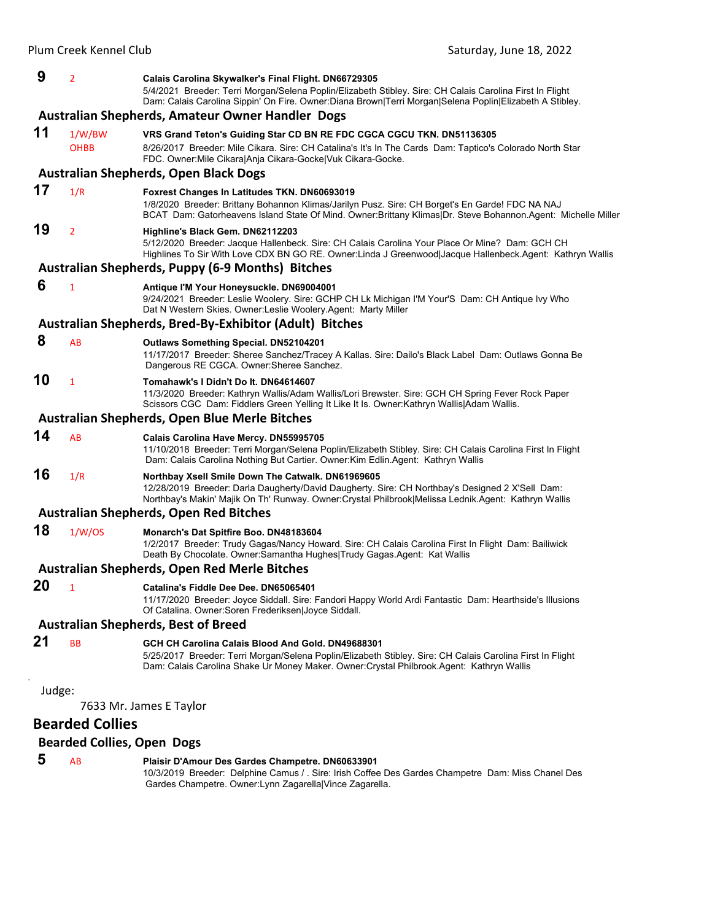| 9                       | $\overline{2}$                    | Calais Carolina Skywalker's Final Flight. DN66729305                                                                                                                                                                                                            |  |
|-------------------------|-----------------------------------|-----------------------------------------------------------------------------------------------------------------------------------------------------------------------------------------------------------------------------------------------------------------|--|
|                         |                                   | 5/4/2021 Breeder: Terri Morgan/Selena Poplin/Elizabeth Stibley. Sire: CH Calais Carolina First In Flight<br>Dam: Calais Carolina Sippin' On Fire. Owner:Diana Brown Terri Morgan Selena Poplin Elizabeth A Stibley.                                             |  |
|                         |                                   | Australian Shepherds, Amateur Owner Handler Dogs                                                                                                                                                                                                                |  |
| 11                      | 1/W/BW                            | VRS Grand Teton's Guiding Star CD BN RE FDC CGCA CGCU TKN. DN51136305                                                                                                                                                                                           |  |
|                         | <b>OHBB</b>                       | 8/26/2017 Breeder: Mile Cikara. Sire: CH Catalina's It's In The Cards Dam: Taptico's Colorado North Star<br>FDC. Owner: Mile Cikara Anja Cikara-Gocke Vuk Cikara-Gocke.                                                                                         |  |
|                         |                                   | <b>Australian Shepherds, Open Black Dogs</b>                                                                                                                                                                                                                    |  |
| 17                      | 1/R                               | Foxrest Changes In Latitudes TKN. DN60693019<br>1/8/2020 Breeder: Brittany Bohannon Klimas/Jarilyn Pusz. Sire: CH Borget's En Garde! FDC NA NAJ<br>BCAT Dam: Gatorheavens Island State Of Mind. Owner:Brittany Klimas Dr. Steve Bohannon.Agent: Michelle Miller |  |
| 19                      | $\overline{2}$                    | Highline's Black Gem. DN62112203<br>5/12/2020 Breeder: Jacque Hallenbeck. Sire: CH Calais Carolina Your Place Or Mine? Dam: GCH CH<br>Highlines To Sir With Love CDX BN GO RE. Owner:Linda J Greenwood Jacque Hallenbeck.Agent: Kathryn Wallis                  |  |
|                         |                                   | <b>Australian Shepherds, Puppy (6-9 Months) Bitches</b>                                                                                                                                                                                                         |  |
| 6                       | $\mathbf{1}$                      | Antique I'M Your Honeysuckle. DN69004001<br>9/24/2021 Breeder: Leslie Woolery. Sire: GCHP CH Lk Michigan I'M Your'S Dam: CH Antique Ivy Who<br>Dat N Western Skies. Owner: Leslie Woolery. Agent: Marty Miller                                                  |  |
|                         |                                   | Australian Shepherds, Bred-By-Exhibitor (Adult) Bitches                                                                                                                                                                                                         |  |
| 8                       | AB                                | <b>Outlaws Something Special. DN52104201</b><br>11/17/2017 Breeder: Sheree Sanchez/Tracey A Kallas. Sire: Dailo's Black Label Dam: Outlaws Gonna Be<br>Dangerous RE CGCA. Owner: Sheree Sanchez.                                                                |  |
| 10                      | $\mathbf{1}$                      | Tomahawk's I Didn't Do It. DN64614607<br>11/3/2020 Breeder: Kathryn Wallis/Adam Wallis/Lori Brewster. Sire: GCH CH Spring Fever Rock Paper<br>Scissors CGC Dam: Fiddlers Green Yelling It Like It Is. Owner:Kathryn Wallis/Adam Wallis.                         |  |
|                         |                                   | Australian Shepherds, Open Blue Merle Bitches                                                                                                                                                                                                                   |  |
| 14                      | AB                                | Calais Carolina Have Mercy. DN55995705<br>11/10/2018 Breeder: Terri Morgan/Selena Poplin/Elizabeth Stibley. Sire: CH Calais Carolina First In Flight<br>Dam: Calais Carolina Nothing But Cartier. Owner: Kim Edlin. Agent: Kathryn Wallis                       |  |
| 16                      | 1/R                               | Northbay Xsell Smile Down The Catwalk. DN61969605<br>12/28/2019 Breeder: Darla Daugherty/David Daugherty. Sire: CH Northbay's Designed 2 X'Sell Dam:                                                                                                            |  |
|                         |                                   | Northbay's Makin' Majik On Th' Runway. Owner: Crystal Philbrook Melissa Lednik.Agent: Kathryn Wallis<br><b>Australian Shepherds, Open Red Bitches</b>                                                                                                           |  |
| 18                      | 1/W/OS                            |                                                                                                                                                                                                                                                                 |  |
|                         |                                   | Monarch's Dat Spitfire Boo. DN48183604<br>1/2/2017 Breeder: Trudy Gagas/Nancy Howard. Sire: CH Calais Carolina First In Flight Dam: Bailiwick<br>Death By Chocolate. Owner: Samantha Hughes Trudy Gagas. Agent: Kat Wallis                                      |  |
|                         |                                   | <b>Australian Shepherds, Open Red Merle Bitches</b>                                                                                                                                                                                                             |  |
| 20                      | $\mathbf{1}$                      | Catalina's Fiddle Dee Dee. DN65065401<br>11/17/2020 Breeder: Joyce Siddall. Sire: Fandori Happy World Ardi Fantastic Dam: Hearthside's Illusions<br>Of Catalina. Owner: Soren Frederiksen Joyce Siddall.                                                        |  |
|                         |                                   | <b>Australian Shepherds, Best of Breed</b>                                                                                                                                                                                                                      |  |
| 21                      | <b>BB</b>                         | GCH CH Carolina Calais Blood And Gold, DN49688301<br>5/25/2017 Breeder: Terri Morgan/Selena Poplin/Elizabeth Stibley. Sire: CH Calais Carolina First In Flight<br>Dam: Calais Carolina Shake Ur Money Maker. Owner: Crystal Philbrook. Agent: Kathryn Wallis    |  |
| Judge:                  |                                   |                                                                                                                                                                                                                                                                 |  |
| 7633 Mr. James E Taylor |                                   |                                                                                                                                                                                                                                                                 |  |
| <b>Bearded Collies</b>  |                                   |                                                                                                                                                                                                                                                                 |  |
|                         | <b>Bearded Collies, Open Dogs</b> |                                                                                                                                                                                                                                                                 |  |
| 5                       | AB                                |                                                                                                                                                                                                                                                                 |  |
|                         |                                   | Plaisir D'Amour Des Gardes Champetre. DN60633901<br>10/3/2019 Breeder: Delphine Camus / . Sire: Irish Coffee Des Gardes Champetre Dam: Miss Chanel Des<br>Gardes Champetre. Owner: Lynn Zagarella Vince Zagarella.                                              |  |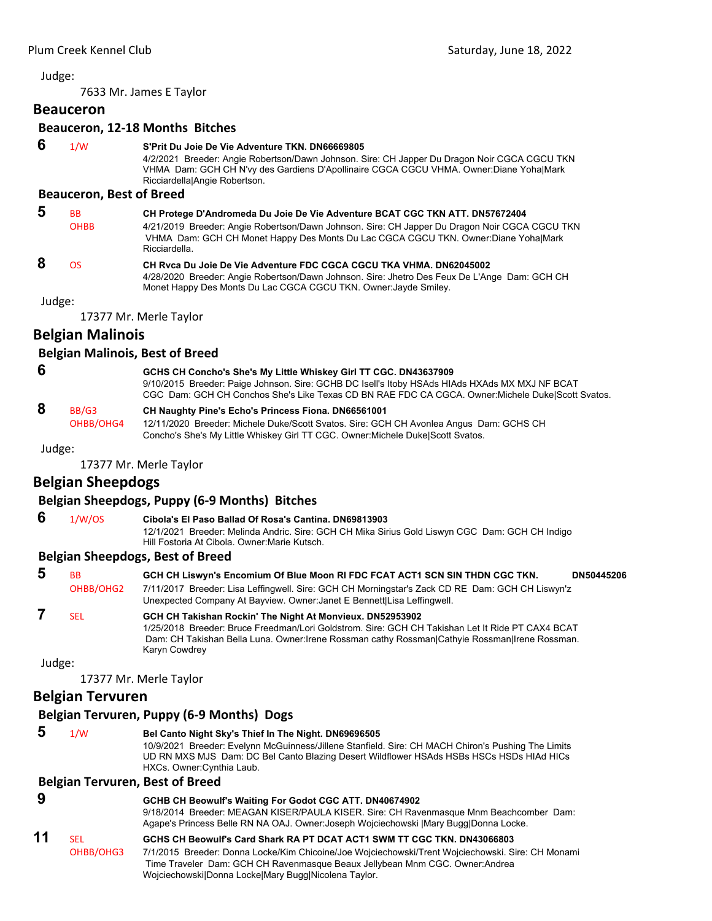7633 Mr. James E Taylor

## **Beauceron**

## **Beauceron, 12‐18 Months Bitches**

 **6** 1/W **S'Prit Du Joie De Vie Adventure TKN. DN66669805**

4/2/2021 Breeder: Angie Robertson/Dawn Johnson. Sire: CH Japper Du Dragon Noir CGCA CGCU TKN VHMA Dam: GCH CH N'vy des Gardiens D'Apollinaire CGCA CGCU VHMA. Owner:Diane Yoha|Mark Ricciardella|Angie Robertson.

#### **Beauceron, Best of Breed**

| 5 | <b>BB</b>   | CH Protege D'Andromeda Du Joie De Vie Adventure BCAT CGC TKN ATT. DN57672404                                                                                                                         |
|---|-------------|------------------------------------------------------------------------------------------------------------------------------------------------------------------------------------------------------|
|   | <b>OHBB</b> | 4/21/2019 Breeder: Angie Robertson/Dawn Johnson. Sire: CH Japper Du Dragon Noir CGCA CGCU TKN<br>VHMA Dam: GCH CH Monet Happy Des Monts Du Lac CGCA CGCU TKN. Owner:Diane YohalMark<br>Ricciardella. |
| 8 | OS.         | CH Ryca Du Joie De Vie Adventure FDC CGCA CGCU TKA VHMA, DN62045002<br>4/28/2020 Breeder: Angie Robertson/Dawn Johnson. Sire: Jhetro Des Feux De L'Ange Dam: GCH CH                                  |

Monet Happy Des Monts Du Lac CGCA CGCU TKN. Owner:Jayde Smiley.

Judge:

17377 Mr. Merle Taylor

## **Belgian Malinois**

#### **Belgian Malinois, Best of Breed**

| -6 | GCHS CH Concho's She's My Little Whiskey Girl TT CGC. DN43637909                                  |
|----|---------------------------------------------------------------------------------------------------|
|    | 9/10/2015 Breeder: Paige Johnson. Sire: GCHB DC Isell's Itoby HSAds HIAds HXAds MX MXJ NF BCAT    |
|    | CGC Dam: GCH CH Conchos She's Like Texas CD BN RAE FDC CA CGCA. Owner: Michele DukelScott Svatos. |

## **8** BB/G3 **CH Naughty Pine's Echo's Princess Fiona. DN66561001**

OHBB/OHG4 12/11/2020 Breeder: Michele Duke/Scott Svatos. Sire: GCH CH Avonlea Angus Dam: GCHS CH Concho's She's My Little Whiskey Girl TT CGC. Owner:Michele Duke|Scott Svatos.

Judge:

17377 Mr. Merle Taylor

## **Belgian Sheepdogs**

## **Belgian Sheepdogs, Puppy (6‐9 Months) Bitches**

 **6** 1/W/OS **Cibola's El Paso Ballad Of Rosa's Cantina. DN69813903** 12/1/2021 Breeder: Melinda Andric. Sire: GCH CH Mika Sirius Gold Liswyn CGC Dam: GCH CH Indigo Hill Fostoria At Cibola. Owner:Marie Kutsch.

#### **Belgian Sheepdogs, Best of Breed**

| 5 | <b>BB</b><br>OHBB/OHG2 | GCH CH Liswyn's Encomium Of Blue Moon RI FDC FCAT ACT1 SCN SIN THDN CGC TKN.<br>DN50445206<br>7/11/2017 Breeder: Lisa Leffingwell. Sire: GCH CH Morningstar's Zack CD RE Dam: GCH CH Liswyn'z                                                                                    |
|---|------------------------|----------------------------------------------------------------------------------------------------------------------------------------------------------------------------------------------------------------------------------------------------------------------------------|
|   | <b>SFI</b>             | Unexpected Company At Bayview. Owner: Janet E Bennett Lisa Leffingwell.                                                                                                                                                                                                          |
|   |                        | GCH CH Takishan Rockin' The Night At Monvieux. DN52953902<br>1/25/2018 Breeder: Bruce Freedman/Lori Goldstrom, Sire: GCH CH Takishan Let It Ride PT CAX4 BCAT<br>Dam: CH Takishan Bella Luna. Owner: Irene Rossman cathy Rossman Cathyie Rossman Irene Rossman.<br>Karyn Cowdrey |

Judge:

17377 Mr. Merle Taylor

## **Belgian Tervuren**

## **Belgian Tervuren, Puppy (6‐9 Months) Dogs**

| 5  | 1/W                     | Bel Canto Night Sky's Thief In The Night. DN69696505<br>10/9/2021 Breeder: Evelynn McGuinness/Jillene Stanfield. Sire: CH MACH Chiron's Pushing The Limits<br>UD RN MXS MJS Dam: DC Bel Canto Blazing Desert Wildflower HSAds HSBs HSCs HSDs HIAd HICs<br>HXCs. Owner: Cynthia Laub.                                 |
|----|-------------------------|----------------------------------------------------------------------------------------------------------------------------------------------------------------------------------------------------------------------------------------------------------------------------------------------------------------------|
|    |                         | <b>Belgian Tervuren, Best of Breed</b>                                                                                                                                                                                                                                                                               |
| 9  |                         | GCHB CH Beowulf's Waiting For Godot CGC ATT. DN40674902<br>9/18/2014 Breeder: MEAGAN KISER/PAULA KISER. Sire: CH Ravenmasque Mnm Beachcomber Dam:<br>Agape's Princess Belle RN NA OAJ. Owner: Joseph Wojciechowski   Mary Bugg Donna Locke.                                                                          |
| 11 | <b>SEL</b><br>OHBB/OHG3 | GCHS CH Beowulf's Card Shark RA PT DCAT ACT1 SWM TT CGC TKN. DN43066803<br>7/1/2015 Breeder: Donna Locke/Kim Chicoine/Joe Wojciechowski/Trent Wojciechowski. Sire: CH Monami<br>Time Traveler Dam: GCH CH Ravenmasque Beaux Jellybean Mnm CGC. Owner: Andrea<br>Wojciechowski Donna Locke Mary Bugg Nicolena Taylor. |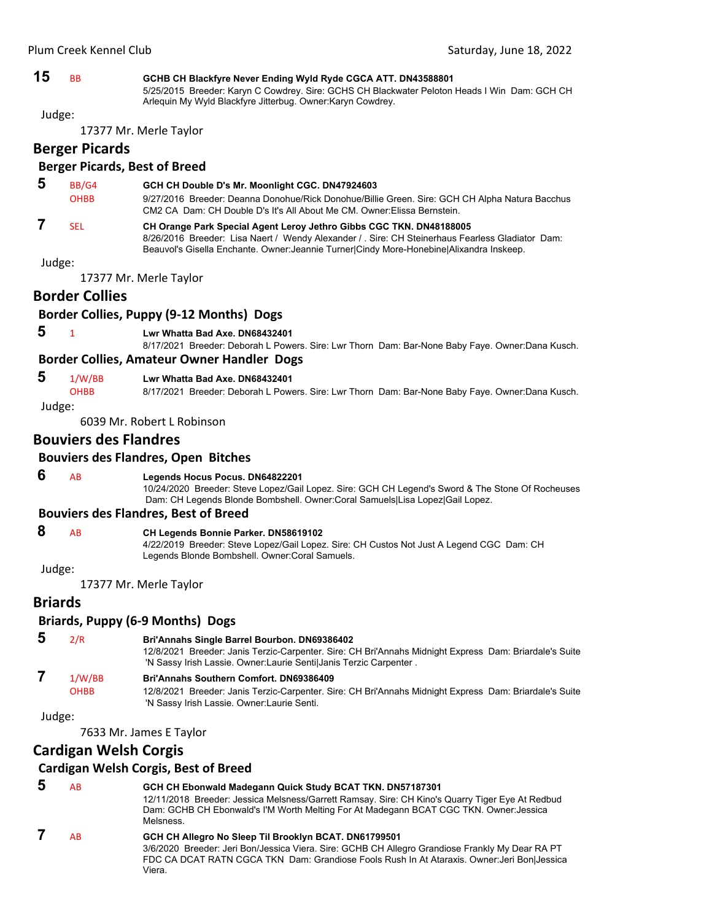**15** BB **GCHB CH Blackfyre Never Ending Wyld Ryde CGCA ATT. DN43588801**

5/25/2015 Breeder: Karyn C Cowdrey. Sire: GCHS CH Blackwater Peloton Heads I Win Dam: GCH CH Arlequin My Wyld Blackfyre Jitterbug. Owner:Karyn Cowdrey.

Judge:

17377 Mr. Merle Taylor

#### **Berger Picards**

#### **Berger Picards, Best of Breed**

| -5 | BB/G4       | GCH CH Double D's Mr. Moonlight CGC. DN47924603                                                                                                                            |
|----|-------------|----------------------------------------------------------------------------------------------------------------------------------------------------------------------------|
|    | <b>OHBB</b> | 9/27/2016 Breeder: Deanna Donohue/Rick Donohue/Billie Green. Sire: GCH CH Alpha Natura Bacchus<br>CM2 CA Dam: CH Double D's It's All About Me CM. Owner: Elissa Bernstein. |
|    | <b>SFI</b>  | CH Orange Park Special Agent Leroy Jethro Gibbs CGC TKN. DN48188005<br>8/26/2016 Breeder: Lisa Naert / Wendy Alexander / Sire: CH Steinerhaus Fearless Gladiator Dam:      |

Judge:

17377 Mr. Merle Taylor

## **Border Collies**

## **Border Collies, Puppy (9‐12 Months) Dogs**

#### **5** <sup>1</sup> **Lwr Whatta Bad Axe. DN68432401**

8/17/2021 Breeder: Deborah L Powers. Sire: Lwr Thorn Dam: Bar-None Baby Faye. Owner:Dana Kusch.

Beauvol's Gisella Enchante. Owner:Jeannie Turner|Cindy More-Honebine|Alixandra Inskeep.

#### **Border Collies, Amateur Owner Handler Dogs**

 **5** 1/W/BB **Lwr Whatta Bad Axe. DN68432401**

OHBB 8/17/2021 Breeder: Deborah L Powers. Sire: Lwr Thorn Dam: Bar-None Baby Faye. Owner:Dana Kusch.

Judge:

6039 Mr. Robert L Robinson

#### **Bouviers des Flandres**

#### **Bouviers des Flandres, Open Bitches**

#### **6** AB **Legends Hocus Pocus. DN64822201**

10/24/2020 Breeder: Steve Lopez/Gail Lopez. Sire: GCH CH Legend's Sword & The Stone Of Rocheuses Dam: CH Legends Blonde Bombshell. Owner:Coral Samuels|Lisa Lopez|Gail Lopez.

#### **Bouviers des Flandres, Best of Breed**

#### **8** AB **CH Legends Bonnie Parker. DN58619102**

4/22/2019 Breeder: Steve Lopez/Gail Lopez. Sire: CH Custos Not Just A Legend CGC Dam: CH Legends Blonde Bombshell. Owner:Coral Samuels.

Judge:

17377 Mr. Merle Taylor

#### **Briards**

#### **Briards, Puppy (6‐9 Months) Dogs**

## **5** 2/R **Bri'Annahs Single Barrel Bourbon. DN69386402**

12/8/2021 Breeder: Janis Terzic-Carpenter. Sire: CH Bri'Annahs Midnight Express Dam: Briardale's Suite 'N Sassy Irish Lassie. Owner:Laurie Senti|Janis Terzic Carpenter .

#### **7** 1/W/BB **Bri'Annahs Southern Comfort. DN69386409**

OHBB 12/8/2021 Breeder: Janis Terzic-Carpenter. Sire: CH Bri'Annahs Midnight Express Dam: Briardale's Suite 'N Sassy Irish Lassie. Owner:Laurie Senti.

Judge:

7633 Mr. James E Taylor

## **Cardigan Welsh Corgis**

#### **Cardigan Welsh Corgis, Best of Breed**

 **5** AB **GCH CH Ebonwald Madegann Quick Study BCAT TKN. DN57187301**

12/11/2018 Breeder: Jessica Melsness/Garrett Ramsay. Sire: CH Kino's Quarry Tiger Eye At Redbud Dam: GCHB CH Ebonwald's I'M Worth Melting For At Madegann BCAT CGC TKN. Owner:Jessica **Melsness** 

#### **7** AB **GCH CH Allegro No Sleep Til Brooklyn BCAT. DN61799501**

3/6/2020 Breeder: Jeri Bon/Jessica Viera. Sire: GCHB CH Allegro Grandiose Frankly My Dear RA PT FDC CA DCAT RATN CGCA TKN Dam: Grandiose Fools Rush In At Ataraxis. Owner:Jeri Bon|Jessica Viera.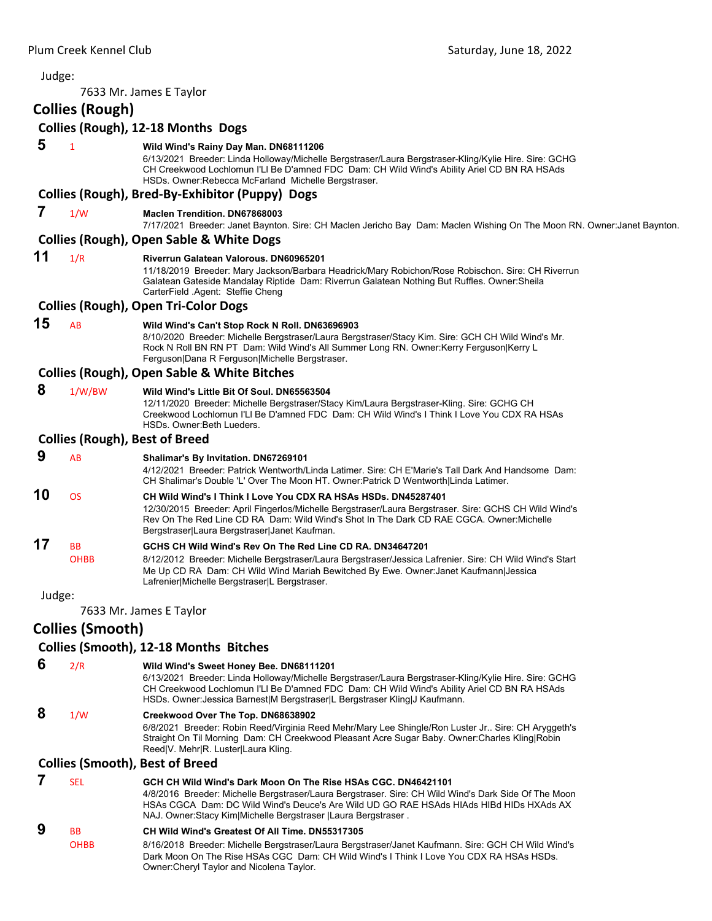| Judge: |                                       |                                                                                                                                                                                                                                                                                                                                     |
|--------|---------------------------------------|-------------------------------------------------------------------------------------------------------------------------------------------------------------------------------------------------------------------------------------------------------------------------------------------------------------------------------------|
|        |                                       | 7633 Mr. James E Taylor                                                                                                                                                                                                                                                                                                             |
|        | <b>Collies (Rough)</b>                |                                                                                                                                                                                                                                                                                                                                     |
|        |                                       | Collies (Rough), 12-18 Months Dogs                                                                                                                                                                                                                                                                                                  |
| 5      | $\mathbf{1}$                          | Wild Wind's Rainy Day Man. DN68111206<br>6/13/2021 Breeder: Linda Holloway/Michelle Bergstraser/Laura Bergstraser-Kling/Kylie Hire. Sire: GCHG<br>CH Creekwood Lochlomun I'LI Be D'amned FDC Dam: CH Wild Wind's Ability Ariel CD BN RA HSAds<br>HSDs. Owner:Rebecca McFarland Michelle Bergstraser.                                |
|        |                                       | Collies (Rough), Bred-By-Exhibitor (Puppy) Dogs                                                                                                                                                                                                                                                                                     |
| 7      | 1/W                                   | <b>Maclen Trendition, DN67868003</b><br>7/17/2021 Breeder: Janet Baynton. Sire: CH Maclen Jericho Bay Dam: Maclen Wishing On The Moon RN. Owner:Janet Baynton.                                                                                                                                                                      |
|        |                                       | <b>Collies (Rough), Open Sable &amp; White Dogs</b>                                                                                                                                                                                                                                                                                 |
| 11     | 1/R                                   | Riverrun Galatean Valorous. DN60965201<br>11/18/2019 Breeder: Mary Jackson/Barbara Headrick/Mary Robichon/Rose Robischon. Sire: CH Riverrun<br>Galatean Gateside Mandalay Riptide Dam: Riverrun Galatean Nothing But Ruffles. Owner: Sheila<br>CarterField Agent: Steffie Cheng                                                     |
|        |                                       | <b>Collies (Rough), Open Tri-Color Dogs</b>                                                                                                                                                                                                                                                                                         |
| 15     | AB                                    | Wild Wind's Can't Stop Rock N Roll. DN63696903<br>8/10/2020 Breeder: Michelle Bergstraser/Laura Bergstraser/Stacy Kim. Sire: GCH CH Wild Wind's Mr.<br>Rock N Roll BN RN PT Dam: Wild Wind's All Summer Long RN. Owner:Kerry Ferguson Kerry L<br>Ferguson Dana R Ferguson Michelle Bergstraser.                                     |
|        |                                       | <b>Collies (Rough), Open Sable &amp; White Bitches</b>                                                                                                                                                                                                                                                                              |
| 8      | 1/W/BW                                | Wild Wind's Little Bit Of Soul. DN65563504<br>12/11/2020 Breeder: Michelle Bergstraser/Stacy Kim/Laura Bergstraser-Kling. Sire: GCHG CH<br>Creekwood Lochlomun I'LI Be D'amned FDC Dam: CH Wild Wind's I Think I Love You CDX RA HSAs<br>HSDs. Owner: Beth Lueders.                                                                 |
|        | <b>Collies (Rough), Best of Breed</b> |                                                                                                                                                                                                                                                                                                                                     |
| 9      | AB                                    | Shalimar's By Invitation. DN67269101<br>4/12/2021 Breeder: Patrick Wentworth/Linda Latimer. Sire: CH E'Marie's Tall Dark And Handsome Dam:<br>CH Shalimar's Double 'L' Over The Moon HT. Owner: Patrick D Wentworth Linda Latimer.                                                                                                  |
| 10     | <b>OS</b>                             | CH Wild Wind's I Think I Love You CDX RA HSAs HSDs. DN45287401<br>12/30/2015 Breeder: April Fingerlos/Michelle Bergstraser/Laura Bergstraser. Sire: GCHS CH Wild Wind's<br>Rev On The Red Line CD RA Dam: Wild Wind's Shot In The Dark CD RAE CGCA. Owner: Michelle<br>Bergstraser Laura Bergstraser Janet Kaufman.                 |
| 17     | <b>BB</b><br>OHBB                     | GCHS CH Wild Wind's Rev On The Red Line CD RA. DN34647201<br>8/12/2012 Breeder: Michelle Bergstraser/Laura Bergstraser/Jessica Lafrenier. Sire: CH Wild Wind's Start<br>Me Up CD RA Dam: CH Wild Wind Mariah Bewitched By Ewe. Owner: Janet Kaufmann Jessica<br>Lafrenier Michelle Bergstraser L Bergstraser.                       |
| Judge: |                                       |                                                                                                                                                                                                                                                                                                                                     |
|        |                                       | 7633 Mr. James E Taylor                                                                                                                                                                                                                                                                                                             |
|        | <b>Collies (Smooth)</b>               |                                                                                                                                                                                                                                                                                                                                     |
|        |                                       | <b>Collies (Smooth), 12-18 Months Bitches</b>                                                                                                                                                                                                                                                                                       |
| 6      | 2/R                                   | Wild Wind's Sweet Honey Bee. DN68111201<br>6/13/2021 Breeder: Linda Holloway/Michelle Bergstraser/Laura Bergstraser-Kling/Kylie Hire. Sire: GCHG<br>CH Creekwood Lochlomun I'LI Be D'amned FDC Dam: CH Wild Wind's Ability Ariel CD BN RA HSAds<br>HSDs. Owner: Jessica Barnest M Bergstraser L Bergstraser Kling J Kaufmann.       |
| 8      | 1/W                                   | Creekwood Over The Top. DN68638902<br>6/8/2021 Breeder: Robin Reed/Virginia Reed Mehr/Mary Lee Shingle/Ron Luster Jr Sire: CH Aryggeth's<br>Straight On Til Morning Dam: CH Creekwood Pleasant Acre Sugar Baby. Owner: Charles Kling Robin<br>Reed V. Mehr R. Luster Laura Kling.                                                   |
|        |                                       | <b>Collies (Smooth), Best of Breed</b>                                                                                                                                                                                                                                                                                              |
| 7      | <b>SEL</b>                            | GCH CH Wild Wind's Dark Moon On The Rise HSAs CGC. DN46421101<br>4/8/2016 Breeder: Michelle Bergstraser/Laura Bergstraser. Sire: CH Wild Wind's Dark Side Of The Moon<br>HSAs CGCA Dam: DC Wild Wind's Deuce's Are Wild UD GO RAE HSAds HIAds HIBd HIDs HXAds AX<br>NAJ. Owner: Stacy Kim Michelle Bergstraser   Laura Bergstraser. |
| 9      | BB<br>OHBB                            | CH Wild Wind's Greatest Of All Time. DN55317305<br>8/16/2018 Breeder: Michelle Bergstraser/Laura Bergstraser/Janet Kaufmann. Sire: GCH CH Wild Wind's                                                                                                                                                                               |

Dark Moon On The Rise HSAs CGC Dam: CH Wild Wind's I Think I Love You CDX RA HSAs HSDs. Owner:Cheryl Taylor and Nicolena Taylor.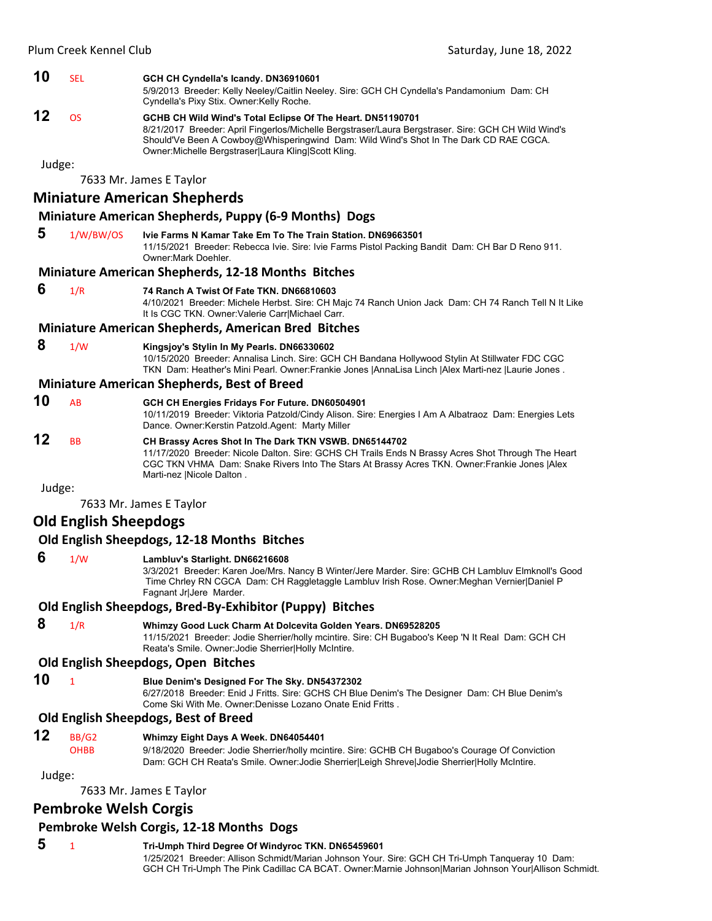#### **10** SEL **GCH CH Cyndella's Icandy. DN36910601**

5/9/2013 Breeder: Kelly Neeley/Caitlin Neeley. Sire: GCH CH Cyndella's Pandamonium Dam: CH Cyndella's Pixy Stix. Owner:Kelly Roche.

## **12** OS **GCHB CH Wild Wind's Total Eclipse Of The Heart. DN51190701**

8/21/2017 Breeder: April Fingerlos/Michelle Bergstraser/Laura Bergstraser. Sire: GCH CH Wild Wind's Should'Ve Been A Cowboy@Whisperingwind Dam: Wild Wind's Shot In The Dark CD RAE CGCA. Owner:Michelle Bergstraser|Laura Kling|Scott Kling.

Judge:

7633 Mr. James E Taylor

## **Miniature American Shepherds**

#### **Miniature American Shepherds, Puppy (6‐9 Months) Dogs**

 **5** 1/W/BW/OS **Ivie Farms N Kamar Take Em To The Train Station. DN69663501** 11/15/2021 Breeder: Rebecca Ivie. Sire: Ivie Farms Pistol Packing Bandit Dam: CH Bar D Reno 911. Owner:Mark Doehler.

#### **Miniature American Shepherds, 12‐18 Months Bitches**

 **6** 1/R **74 Ranch A Twist Of Fate TKN. DN66810603**

4/10/2021 Breeder: Michele Herbst. Sire: CH Majc 74 Ranch Union Jack Dam: CH 74 Ranch Tell N It Like It Is CGC TKN. Owner:Valerie Carr|Michael Carr.

#### **Miniature American Shepherds, American Bred Bitches**

#### **8** 1/W **Kingsjoy's Stylin In My Pearls. DN66330602**

10/15/2020 Breeder: Annalisa Linch. Sire: GCH CH Bandana Hollywood Stylin At Stillwater FDC CGC TKN Dam: Heather's Mini Pearl. Owner:Frankie Jones |AnnaLisa Linch |Alex Marti-nez |Laurie Jones .

#### **Miniature American Shepherds, Best of Breed**

- **10** AB **GCH CH Energies Fridays For Future. DN60504901** 10/11/2019 Breeder: Viktoria Patzold/Cindy Alison. Sire: Energies I Am A Albatraoz Dam: Energies Lets Dance. Owner:Kerstin Patzold.Agent: Marty Miller
- **12** BB **CH Brassy Acres Shot In The Dark TKN VSWB. DN65144702** 11/17/2020 Breeder: Nicole Dalton. Sire: GCHS CH Trails Ends N Brassy Acres Shot Through The Heart CGC TKN VHMA Dam: Snake Rivers Into The Stars At Brassy Acres TKN. Owner:Frankie Jones |Alex Marti-nez |Nicole Dalton .

Judge:

7633 Mr. James E Taylor

#### **Old English Sheepdogs**

#### **Old English Sheepdogs, 12‐18 Months Bitches**

#### **6** 1/W **Lambluv's Starlight. DN66216608**

3/3/2021 Breeder: Karen Joe/Mrs. Nancy B Winter/Jere Marder. Sire: GCHB CH Lambluv Elmknoll's Good Time Chrley RN CGCA Dam: CH Raggletaggle Lambluv Irish Rose. Owner:Meghan Vernier|Daniel P Fagnant Jr|Jere Marder.

#### **Old English Sheepdogs, Bred‐By‐Exhibitor (Puppy) Bitches**

 **8** 1/R **Whimzy Good Luck Charm At Dolcevita Golden Years. DN69528205** 11/15/2021 Breeder: Jodie Sherrier/holly mcintire. Sire: CH Bugaboo's Keep 'N It Real Dam: GCH CH Reata's Smile. Owner:Jodie Sherrier|Holly McIntire.

#### **Old English Sheepdogs, Open Bitches**

- **10** <sup>1</sup> **Blue Denim's Designed For The Sky. DN54372302**
	- 6/27/2018 Breeder: Enid J Fritts. Sire: GCHS CH Blue Denim's The Designer Dam: CH Blue Denim's Come Ski With Me. Owner:Denisse Lozano Onate Enid Fritts .

#### **Old English Sheepdogs, Best of Breed**

**12** BB/G2 **Whimzy Eight Days A Week. DN64054401**

OHBB 9/18/2020 Breeder: Jodie Sherrier/holly mcintire. Sire: GCHB CH Bugaboo's Courage Of Conviction Dam: GCH CH Reata's Smile. Owner:Jodie Sherrier|Leigh Shreve|Jodie Sherrier|Holly McIntire.

Judge:

7633 Mr. James E Taylor

## **Pembroke Welsh Corgis**

#### **Pembroke Welsh Corgis, 12‐18 Months Dogs**

## **5** <sup>1</sup> **Tri-Umph Third Degree Of Windyroc TKN. DN65459601**

1/25/2021 Breeder: Allison Schmidt/Marian Johnson Your. Sire: GCH CH Tri-Umph Tanqueray 10 Dam: GCH CH Tri-Umph The Pink Cadillac CA BCAT. Owner:Marnie Johnson|Marian Johnson Your|Allison Schmidt.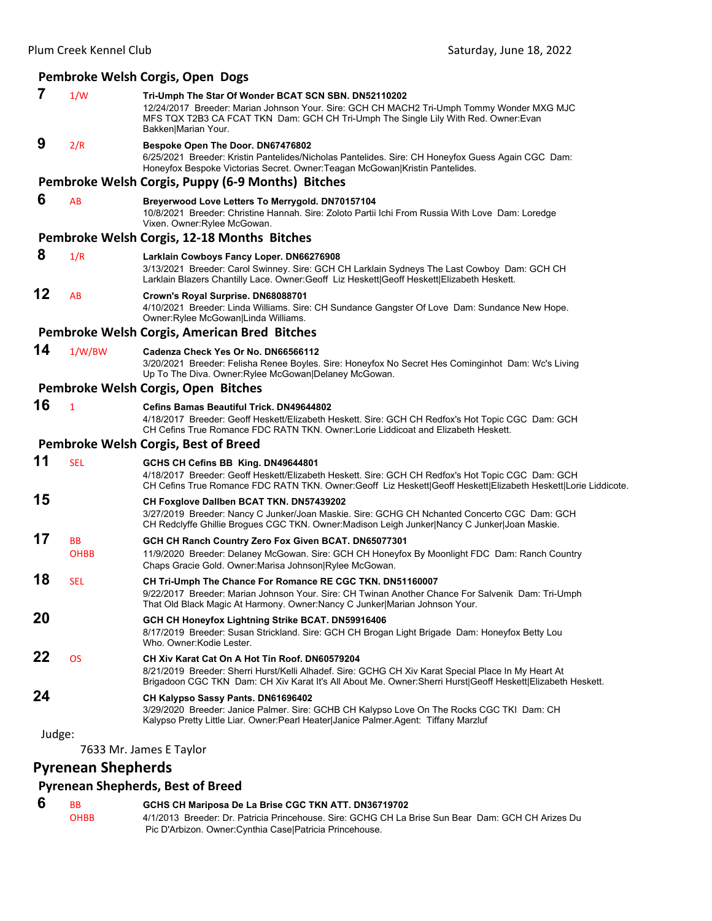## **Pembroke Welsh Corgis, Open Dogs**

| $\overline{7}$ | 1/W                       | Tri-Umph The Star Of Wonder BCAT SCN SBN. DN52110202<br>12/24/2017 Breeder: Marian Johnson Your. Sire: GCH CH MACH2 Tri-Umph Tommy Wonder MXG MJC<br>MFS TQX T2B3 CA FCAT TKN Dam: GCH CH Tri-Umph The Single Lily With Red. Owner: Evan<br>Bakken Marian Your.      |
|----------------|---------------------------|----------------------------------------------------------------------------------------------------------------------------------------------------------------------------------------------------------------------------------------------------------------------|
| 9              | 2/R                       | Bespoke Open The Door. DN67476802<br>6/25/2021 Breeder: Kristin Pantelides/Nicholas Pantelides. Sire: CH Honeyfox Guess Again CGC Dam:<br>Honeyfox Bespoke Victorias Secret. Owner: Teagan McGowan Kristin Pantelides.                                               |
|                |                           | Pembroke Welsh Corgis, Puppy (6-9 Months) Bitches                                                                                                                                                                                                                    |
| 6              | AB                        | Breyerwood Love Letters To Merrygold. DN70157104<br>10/8/2021 Breeder: Christine Hannah. Sire: Zoloto Partii Ichi From Russia With Love Dam: Loredge<br>Vixen. Owner: Rylee McGowan.                                                                                 |
|                |                           | Pembroke Welsh Corgis, 12-18 Months Bitches                                                                                                                                                                                                                          |
| 8              | 1/R                       | Larklain Cowboys Fancy Loper. DN66276908<br>3/13/2021 Breeder: Carol Swinney. Sire: GCH CH Larklain Sydneys The Last Cowboy Dam: GCH CH<br>Larklain Blazers Chantilly Lace. Owner:Geoff Liz Heskett Geoff Heskett Elizabeth Heskett.                                 |
| 12             | AB                        | Crown's Royal Surprise. DN68088701<br>4/10/2021 Breeder: Linda Williams. Sire: CH Sundance Gangster Of Love Dam: Sundance New Hope.<br>Owner: Rylee McGowan Linda Williams.                                                                                          |
|                |                           | Pembroke Welsh Corgis, American Bred Bitches                                                                                                                                                                                                                         |
| 14             | 1/W/BW                    | Cadenza Check Yes Or No. DN66566112<br>3/20/2021 Breeder: Felisha Renee Boyles. Sire: Honeyfox No Secret Hes Cominginhot Dam: Wc's Living<br>Up To The Diva. Owner: Rylee McGowan   Delaney McGowan.                                                                 |
|                |                           | Pembroke Welsh Corgis, Open Bitches                                                                                                                                                                                                                                  |
| 16             | $\mathbf{1}$              | Cefins Bamas Beautiful Trick. DN49644802<br>4/18/2017 Breeder: Geoff Heskett/Elizabeth Heskett. Sire: GCH CH Redfox's Hot Topic CGC Dam: GCH<br>CH Cefins True Romance FDC RATN TKN. Owner:Lorie Liddicoat and Elizabeth Heskett.                                    |
|                |                           | Pembroke Welsh Corgis, Best of Breed                                                                                                                                                                                                                                 |
| 11             | <b>SEL</b>                | GCHS CH Cefins BB King. DN49644801<br>4/18/2017 Breeder: Geoff Heskett/Elizabeth Heskett. Sire: GCH CH Redfox's Hot Topic CGC Dam: GCH<br>CH Cefins True Romance FDC RATN TKN. Owner:Geoff Liz Heskett Geoff Heskett Elizabeth Heskett Lorie Liddicote.              |
| 15             |                           | CH Foxglove Dallben BCAT TKN. DN57439202<br>3/27/2019 Breeder: Nancy C Junker/Joan Maskie. Sire: GCHG CH Nchanted Concerto CGC Dam: GCH<br>CH Redclyffe Ghillie Brogues CGC TKN. Owner:Madison Leigh Junker Nancy C Junker Joan Maskie.                              |
| 17             | <b>BB</b><br><b>OHBB</b>  | GCH CH Ranch Country Zero Fox Given BCAT. DN65077301<br>11/9/2020 Breeder: Delaney McGowan. Sire: GCH CH Honeyfox By Moonlight FDC Dam: Ranch Country<br>Chaps Gracie Gold. Owner: Marisa Johnson Rylee McGowan.                                                     |
| 18             | <b>SEL</b>                | CH Tri-Umph The Chance For Romance RE CGC TKN. DN51160007<br>9/22/2017 Breeder: Marian Johnson Your. Sire: CH Twinan Another Chance For Salvenik Dam: Tri-Umph<br>That Old Black Magic At Harmony. Owner:Nancy C Junker Marian Johnson Your.                         |
| 20             |                           | GCH CH Honeyfox Lightning Strike BCAT. DN59916406<br>8/17/2019 Breeder: Susan Strickland. Sire: GCH CH Brogan Light Brigade Dam: Honeyfox Betty Lou<br>Who. Owner: Kodie Lester.                                                                                     |
| 22             | <b>OS</b>                 | CH Xiv Karat Cat On A Hot Tin Roof. DN60579204<br>8/21/2019 Breeder: Sherri Hurst/Kelli Alhadef. Sire: GCHG CH Xiv Karat Special Place In My Heart At<br>Brigadoon CGC TKN Dam: CH Xiv Karat It's All About Me. Owner: Sherri Hurst Geoff Heskett Elizabeth Heskett. |
| 24             |                           | CH Kalypso Sassy Pants. DN61696402<br>3/29/2020 Breeder: Janice Palmer. Sire: GCHB CH Kalypso Love On The Rocks CGC TKI Dam: CH<br>Kalypso Pretty Little Liar. Owner: Pearl Heater Janice Palmer. Agent: Tiffany Marzluf                                             |
| Judge:         |                           |                                                                                                                                                                                                                                                                      |
|                | <b>Pyrenean Shepherds</b> | 7633 Mr. James E Taylor                                                                                                                                                                                                                                              |
|                |                           |                                                                                                                                                                                                                                                                      |

# **Pyrenean Shepherds, Best of Breed**

| 6 | <b>BB</b>   | GCHS CH Mariposa De La Brise CGC TKN ATT. DN36719702                                              |
|---|-------------|---------------------------------------------------------------------------------------------------|
|   | <b>OHBB</b> | 4/1/2013 Breeder: Dr. Patricia Princehouse. Sire: GCHG CH La Brise Sun Bear Dam: GCH CH Arizes Du |
|   |             | Pic D'Arbizon. Owner: Cynthia Case   Patricia Prince house.                                       |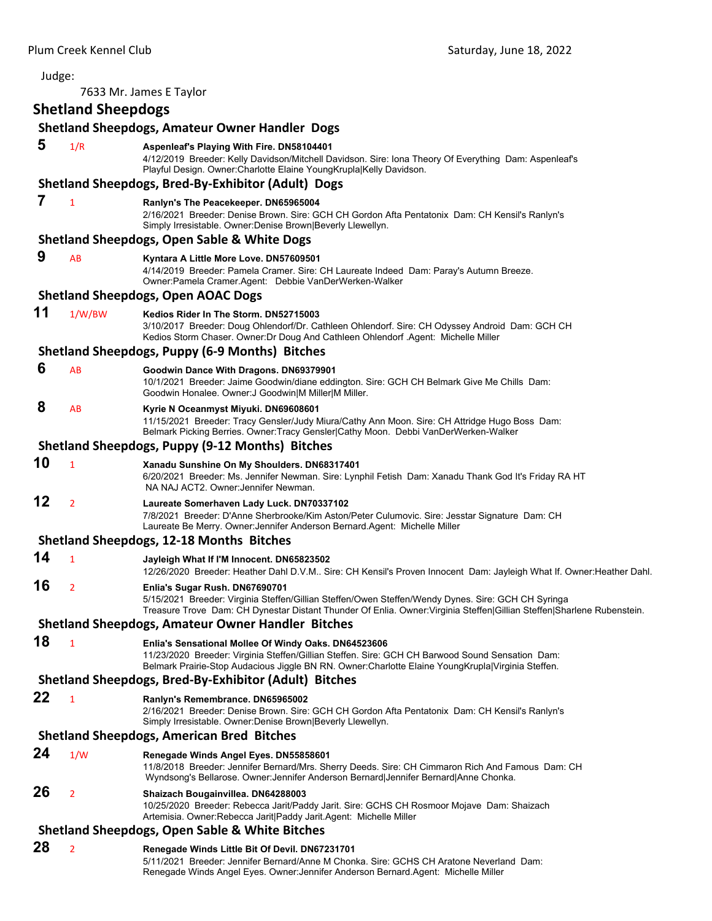Judge: 7633 Mr. James E Taylor **Shetland Sheepdogs Shetland Sheepdogs, Amateur Owner Handler Dogs 5** 1/R **Aspenleaf's Playing With Fire. DN58104401** 4/12/2019 Breeder: Kelly Davidson/Mitchell Davidson. Sire: Iona Theory Of Everything Dam: Aspenleaf's Playful Design. Owner:Charlotte Elaine YoungKrupla|Kelly Davidson. **Shetland Sheepdogs, Bred‐By‐Exhibitor (Adult) Dogs 7** <sup>1</sup> **Ranlyn's The Peacekeeper. DN65965004** 2/16/2021 Breeder: Denise Brown. Sire: GCH CH Gordon Afta Pentatonix Dam: CH Kensil's Ranlyn's Simply Irresistable. Owner:Denise Brown|Beverly Llewellyn. **Shetland Sheepdogs, Open Sable & White Dogs 9** AB **Kyntara A Little More Love. DN57609501** 4/14/2019 Breeder: Pamela Cramer. Sire: CH Laureate Indeed Dam: Paray's Autumn Breeze. Owner:Pamela Cramer.Agent: Debbie VanDerWerken-Walker **Shetland Sheepdogs, Open AOAC Dogs 11** 1/W/BW **Kedios Rider In The Storm. DN52715003** 3/10/2017 Breeder: Doug Ohlendorf/Dr. Cathleen Ohlendorf. Sire: CH Odyssey Android Dam: GCH CH Kedios Storm Chaser. Owner:Dr Doug And Cathleen Ohlendorf .Agent: Michelle Miller **Shetland Sheepdogs, Puppy (6‐9 Months) Bitches 6** AB **Goodwin Dance With Dragons. DN69379901** 10/1/2021 Breeder: Jaime Goodwin/diane eddington. Sire: GCH CH Belmark Give Me Chills Dam: Goodwin Honalee. Owner:J Goodwin|M Miller|M Miller.  **8** AB **Kyrie N Oceanmyst Miyuki. DN69608601** 11/15/2021 Breeder: Tracy Gensler/Judy Miura/Cathy Ann Moon. Sire: CH Attridge Hugo Boss Dam: Belmark Picking Berries. Owner:Tracy Gensler|Cathy Moon. Debbi VanDerWerken-Walker **Shetland Sheepdogs, Puppy (9‐12 Months) Bitches 10** <sup>1</sup> **Xanadu Sunshine On My Shoulders. DN68317401** 6/20/2021 Breeder: Ms. Jennifer Newman. Sire: Lynphil Fetish Dam: Xanadu Thank God It's Friday RA HT NA NAJ ACT2. Owner:Jennifer Newman. **12** <sup>2</sup> **Laureate Somerhaven Lady Luck. DN70337102** 7/8/2021 Breeder: D'Anne Sherbrooke/Kim Aston/Peter Culumovic. Sire: Jesstar Signature Dam: CH Laureate Be Merry. Owner:Jennifer Anderson Bernard.Agent: Michelle Miller **Shetland Sheepdogs, 12‐18 Months Bitches 14** <sup>1</sup> **Jayleigh What If I'M Innocent. DN65823502** 12/26/2020 Breeder: Heather Dahl D.V.M.. Sire: CH Kensil's Proven Innocent Dam: Jayleigh What If. Owner:Heather Dahl. **16** <sup>2</sup> **Enlia's Sugar Rush. DN67690701** 5/15/2021 Breeder: Virginia Steffen/Gillian Steffen/Owen Steffen/Wendy Dynes. Sire: GCH CH Syringa Treasure Trove Dam: CH Dynestar Distant Thunder Of Enlia. Owner:Virginia Steffen|Gillian Steffen|Sharlene Rubenstein. **Shetland Sheepdogs, Amateur Owner Handler Bitches 18** <sup>1</sup> **Enlia's Sensational Mollee Of Windy Oaks. DN64523606** 11/23/2020 Breeder: Virginia Steffen/Gillian Steffen. Sire: GCH CH Barwood Sound Sensation Dam: Belmark Prairie-Stop Audacious Jiggle BN RN. Owner:Charlotte Elaine YoungKrupla|Virginia Steffen. **Shetland Sheepdogs, Bred‐By‐Exhibitor (Adult) Bitches 22** <sup>1</sup> **Ranlyn's Remembrance. DN65965002** 2/16/2021 Breeder: Denise Brown. Sire: GCH CH Gordon Afta Pentatonix Dam: CH Kensil's Ranlyn's Simply Irresistable. Owner:Denise Brown|Beverly Llewellyn. **Shetland Sheepdogs, American Bred Bitches 24** 1/W **Renegade Winds Angel Eyes. DN55858601** 11/8/2018 Breeder: Jennifer Bernard/Mrs. Sherry Deeds. Sire: CH Cimmaron Rich And Famous Dam: CH Wyndsong's Bellarose. Owner:Jennifer Anderson Bernard|Jennifer Bernard|Anne Chonka. **26** <sup>2</sup> **Shaizach Bougainvillea. DN64288003** 10/25/2020 Breeder: Rebecca Jarit/Paddy Jarit. Sire: GCHS CH Rosmoor Mojave Dam: Shaizach Artemisia. Owner:Rebecca Jarit|Paddy Jarit.Agent: Michelle Miller **Shetland Sheepdogs, Open Sable & White Bitches 28** <sup>2</sup> **Renegade Winds Little Bit Of Devil. DN67231701** 5/11/2021 Breeder: Jennifer Bernard/Anne M Chonka. Sire: GCHS CH Aratone Neverland Dam: Renegade Winds Angel Eyes. Owner:Jennifer Anderson Bernard.Agent: Michelle Miller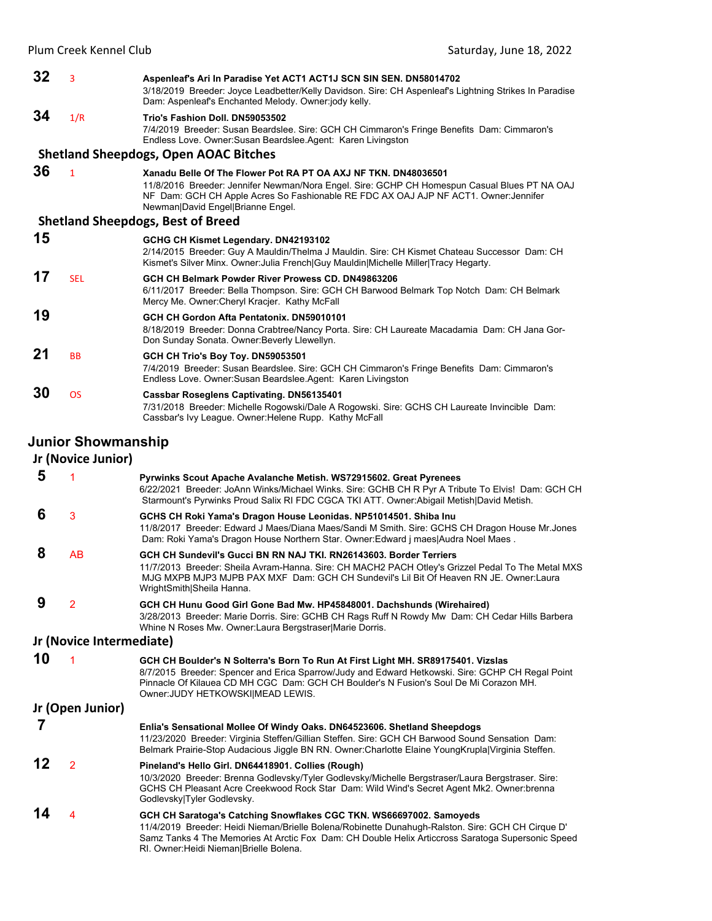| 32 | 3                         | Aspenleaf's Ari In Paradise Yet ACT1 ACT1J SCN SIN SEN. DN58014702<br>3/18/2019 Breeder: Joyce Leadbetter/Kelly Davidson. Sire: CH Aspenleaf's Lightning Strikes In Paradise<br>Dam: Aspenleaf's Enchanted Melody. Owner:jody kelly.                                                        |
|----|---------------------------|---------------------------------------------------------------------------------------------------------------------------------------------------------------------------------------------------------------------------------------------------------------------------------------------|
| 34 | 1/R                       | Trio's Fashion Doll, DN59053502<br>7/4/2019 Breeder: Susan Beardslee. Sire: GCH CH Cimmaron's Fringe Benefits Dam: Cimmaron's<br>Endless Love. Owner: Susan Beardslee. Agent: Karen Livingston                                                                                              |
|    |                           | <b>Shetland Sheepdogs, Open AOAC Bitches</b>                                                                                                                                                                                                                                                |
| 36 | $\mathbf{1}$              | Xanadu Belle Of The Flower Pot RA PT OA AXJ NF TKN, DN48036501<br>11/8/2016 Breeder: Jennifer Newman/Nora Engel. Sire: GCHP CH Homespun Casual Blues PT NA OAJ<br>NF Dam: GCH CH Apple Acres So Fashionable RE FDC AX OAJ AJP NF ACT1. Owner: Jennifer<br>Newman David Engel Brianne Engel. |
|    |                           | <b>Shetland Sheepdogs, Best of Breed</b>                                                                                                                                                                                                                                                    |
| 15 |                           | GCHG CH Kismet Legendary. DN42193102<br>2/14/2015 Breeder: Guy A Mauldin/Thelma J Mauldin. Sire: CH Kismet Chateau Successor Dam: CH<br>Kismet's Silver Minx. Owner: Julia French Guy Mauldin Michelle Miller   Tracy Hegarty.                                                              |
| 17 | <b>SEL</b>                | GCH CH Belmark Powder River Prowess CD, DN49863206<br>6/11/2017 Breeder: Bella Thompson. Sire: GCH CH Barwood Belmark Top Notch Dam: CH Belmark<br>Mercy Me. Owner: Cheryl Kracjer. Kathy McFall                                                                                            |
| 19 |                           | GCH CH Gordon Afta Pentatonix, DN59010101<br>8/18/2019 Breeder: Donna Crabtree/Nancy Porta. Sire: CH Laureate Macadamia Dam: CH Jana Gor-<br>Don Sunday Sonata. Owner: Beverly Llewellyn.                                                                                                   |
| 21 | <b>BB</b>                 | GCH CH Trio's Boy Toy. DN59053501<br>7/4/2019 Breeder: Susan Beardslee. Sire: GCH CH Cimmaron's Fringe Benefits Dam: Cimmaron's<br>Endless Love. Owner: Susan Beardslee Agent: Karen Livingston                                                                                             |
| 30 | <b>OS</b>                 | Cassbar Roseglens Captivating. DN56135401<br>7/31/2018 Breeder: Michelle Rogowski/Dale A Rogowski. Sire: GCHS CH Laureate Invincible Dam:<br>Cassbar's Ivy League. Owner: Helene Rupp. Kathy McFall                                                                                         |
|    | <b>Junior Showmanship</b> |                                                                                                                                                                                                                                                                                             |

|    | Jr (Novice Junior)       |                                                                                                                                                                                                                                                                                                                          |  |  |  |
|----|--------------------------|--------------------------------------------------------------------------------------------------------------------------------------------------------------------------------------------------------------------------------------------------------------------------------------------------------------------------|--|--|--|
| 5  |                          | Pyrwinks Scout Apache Avalanche Metish. WS72915602. Great Pyrenees<br>6/22/2021 Breeder: JoAnn Winks/Michael Winks. Sire: GCHB CH R Pyr A Tribute To Elvis! Dam: GCH CH<br>Starmount's Pyrwinks Proud Salix RI FDC CGCA TKI ATT. Owner: Abigail Metish David Metish.                                                     |  |  |  |
| 6  | 3                        | GCHS CH Roki Yama's Dragon House Leonidas. NP51014501. Shiba Inu<br>11/8/2017 Breeder: Edward J Maes/Diana Maes/Sandi M Smith. Sire: GCHS CH Dragon House Mr.Jones<br>Dam: Roki Yama's Dragon House Northern Star. Owner: Edward j maes Audra Noel Maes.                                                                 |  |  |  |
| 8  | AB                       | GCH CH Sundevil's Gucci BN RN NAJ TKI. RN26143603. Border Terriers<br>11/7/2013 Breeder: Sheila Avram-Hanna. Sire: CH MACH2 PACH Otley's Grizzel Pedal To The Metal MXS<br>MJG MXPB MJP3 MJPB PAX MXF Dam: GCH CH Sundevil's Lil Bit Of Heaven RN JE, Owner:Laura<br>WrightSmith Sheila Hanna.                           |  |  |  |
| 9  | $\overline{2}$           | GCH CH Hunu Good Girl Gone Bad Mw. HP45848001. Dachshunds (Wirehaired)<br>3/28/2013 Breeder: Marie Dorris. Sire: GCHB CH Rags Ruff N Rowdy Mw Dam: CH Cedar Hills Barbera<br>Whine N Roses Mw. Owner: Laura Bergstraser Marie Dorris.                                                                                    |  |  |  |
|    | Jr (Novice Intermediate) |                                                                                                                                                                                                                                                                                                                          |  |  |  |
| 10 |                          | GCH CH Boulder's N Solterra's Born To Run At First Light MH. SR89175401. Vizslas<br>8/7/2015 Breeder: Spencer and Erica Sparrow/Judy and Edward Hetkowski. Sire: GCHP CH Regal Point<br>Pinnacle Of Kilauea CD MH CGC Dam: GCH CH Boulder's N Fusion's Soul De Mi Corazon MH.<br>Owner: JUDY HETKOWSKI MEAD LEWIS.       |  |  |  |
|    | Jr (Open Junior)         |                                                                                                                                                                                                                                                                                                                          |  |  |  |
| 7  |                          | Enlia's Sensational Mollee Of Windy Oaks. DN64523606. Shetland Sheepdogs<br>11/23/2020 Breeder: Virginia Steffen/Gillian Steffen. Sire: GCH CH Barwood Sound Sensation Dam:<br>Belmark Prairie-Stop Audacious Jiggle BN RN. Owner: Charlotte Elaine Young Krupla   Virginia Steffen.                                     |  |  |  |
| 12 | $\overline{2}$           | Pineland's Hello Girl. DN64418901. Collies (Rough)<br>10/3/2020 Breeder: Brenna Godlevsky/Tyler Godlevsky/Michelle Bergstraser/Laura Bergstraser. Sire:<br>GCHS CH Pleasant Acre Creekwood Rock Star Dam: Wild Wind's Secret Agent Mk2. Owner: brenna<br>Godlevsky Tyler Godlevsky.                                      |  |  |  |
| 14 | 4                        | GCH CH Saratoga's Catching Snowflakes CGC TKN. WS66697002. Samoyeds<br>11/4/2019 Breeder: Heidi Nieman/Brielle Bolena/Robinette Dunahugh-Ralston. Sire: GCH CH Cirque D'<br>Samz Tanks 4 The Memories At Arctic Fox Dam: CH Double Helix Articcross Saratoga Supersonic Speed<br>RI. Owner: Heidi Nieman Brielle Bolena. |  |  |  |